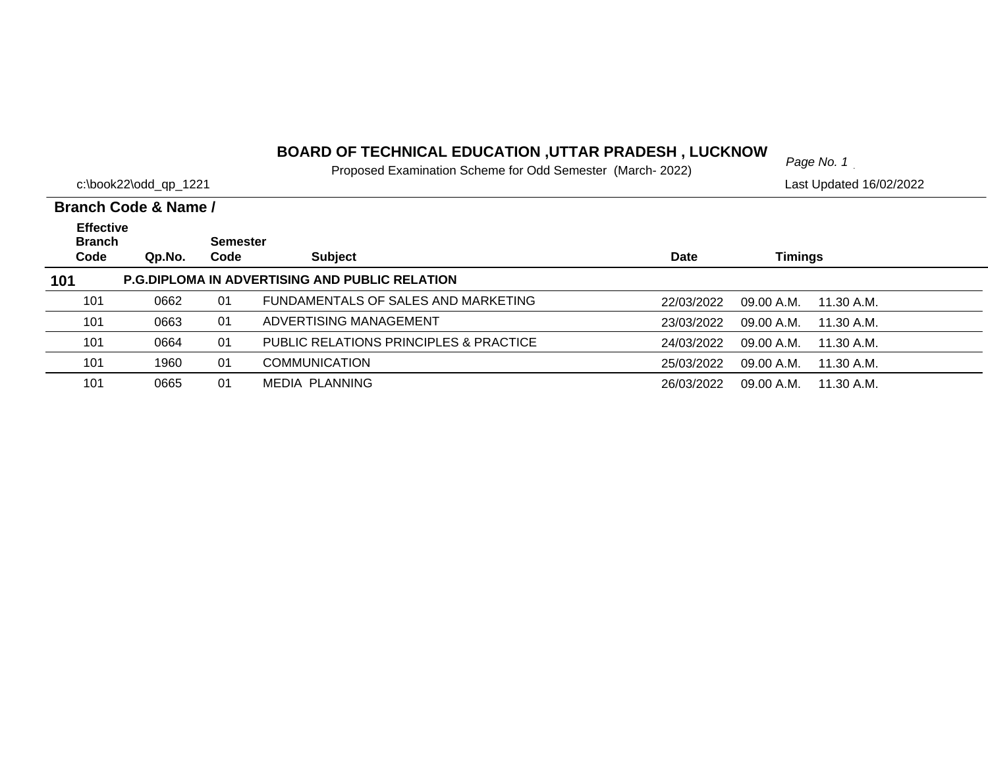# *Page No. 1* **BOARD OF TECHNICAL EDUCATION ,UTTAR PRADESH , LUCKNOW**

Proposed Examination Scheme for Odd Semester (March- 2022)

|                                   | c:\book22\odd_qp_1221 |          | The popular Examination Contonto for Odd Controllor (march Eccep) |            | Last Updated 16/02/2022  |  |
|-----------------------------------|-----------------------|----------|-------------------------------------------------------------------|------------|--------------------------|--|
|                                   | Branch Code & Name /  |          |                                                                   |            |                          |  |
| <b>Effective</b><br><b>Branch</b> |                       | Semester |                                                                   |            |                          |  |
| Code                              | Qp.No.                | Code     | <b>Subject</b>                                                    | Date       | Timings                  |  |
| 101                               |                       |          | <b>P.G.DIPLOMA IN ADVERTISING AND PUBLIC RELATION</b>             |            |                          |  |
| 101                               | 0662                  | 01       | FUNDAMENTALS OF SALES AND MARKETING                               | 22/03/2022 | 09.00 A.M.<br>11.30 A.M. |  |
| 101                               | 0663                  | 01       | ADVERTISING MANAGEMENT                                            | 23/03/2022 | 09.00 A.M.<br>11.30 A.M. |  |
| 101                               | 0664                  | 01       | PUBLIC RELATIONS PRINCIPLES & PRACTICE                            | 24/03/2022 | 09.00 A.M.<br>11.30 A.M. |  |
| 101                               | 1960                  | 01       | <b>COMMUNICATION</b>                                              | 25/03/2022 | 09.00 A.M.<br>11.30 A.M. |  |
| 101                               | 0665                  | 01       | MEDIA PLANNING                                                    | 26/03/2022 | 09.00 A.M.<br>11.30 A.M. |  |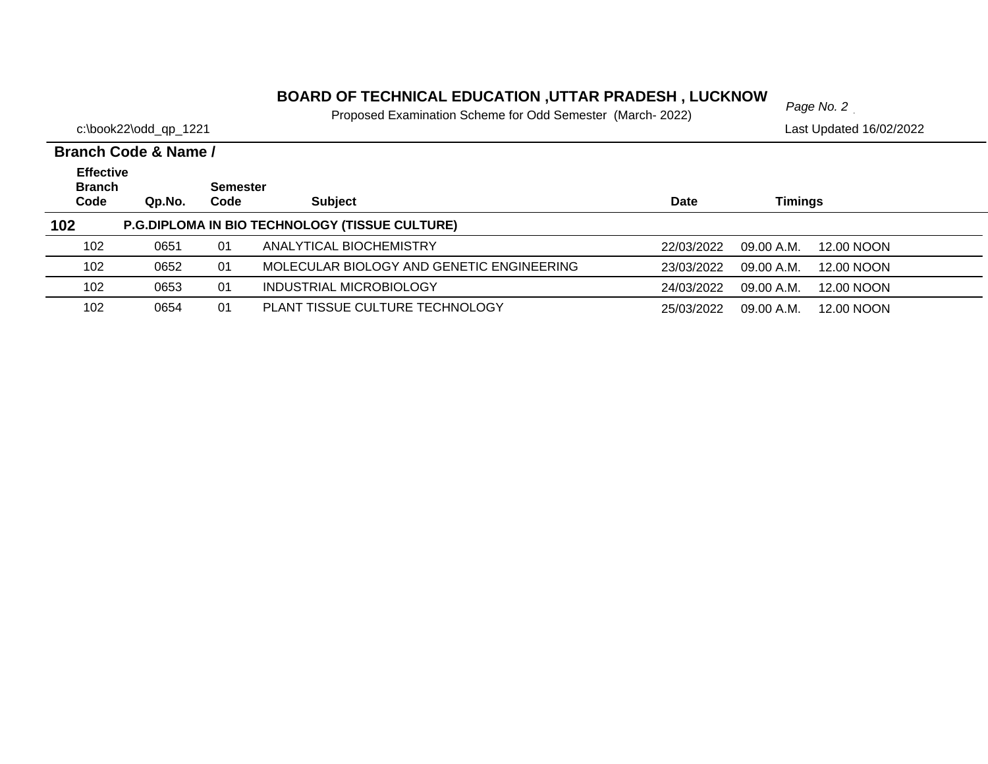# *Page No. 2* **BOARD OF TECHNICAL EDUCATION ,UTTAR PRADESH , LUCKNOW**

Proposed Examination Scheme for Odd Semester (March- 2022)

|                                           | Branch Code & Name / |                         |                                                       |             |                          |  |  |  |  |  |
|-------------------------------------------|----------------------|-------------------------|-------------------------------------------------------|-------------|--------------------------|--|--|--|--|--|
| <b>Effective</b><br><b>Branch</b><br>Code | Qp.No.               | <b>Semester</b><br>Code | <b>Subject</b>                                        | <b>Date</b> | Timings                  |  |  |  |  |  |
| 102                                       |                      |                         | <b>P.G.DIPLOMA IN BIO TECHNOLOGY (TISSUE CULTURE)</b> |             |                          |  |  |  |  |  |
| 102                                       | 0651                 | 01                      | ANALYTICAL BIOCHEMISTRY                               | 22/03/2022  | 09.00 A.M.<br>12.00 NOON |  |  |  |  |  |
| 102                                       | 0652                 | 01                      | MOLECULAR BIOLOGY AND GENETIC ENGINEERING             | 23/03/2022  | 09.00 A.M.<br>12.00 NOON |  |  |  |  |  |
| 102                                       | 0653                 | 01                      | INDUSTRIAL MICROBIOLOGY                               | 24/03/2022  | 09.00 A.M.<br>12.00 NOON |  |  |  |  |  |
| 102                                       | 0654                 | 01                      | PLANT TISSUE CULTURE TECHNOLOGY                       | 25/03/2022  | 12.00 NOON<br>09.00 A.M. |  |  |  |  |  |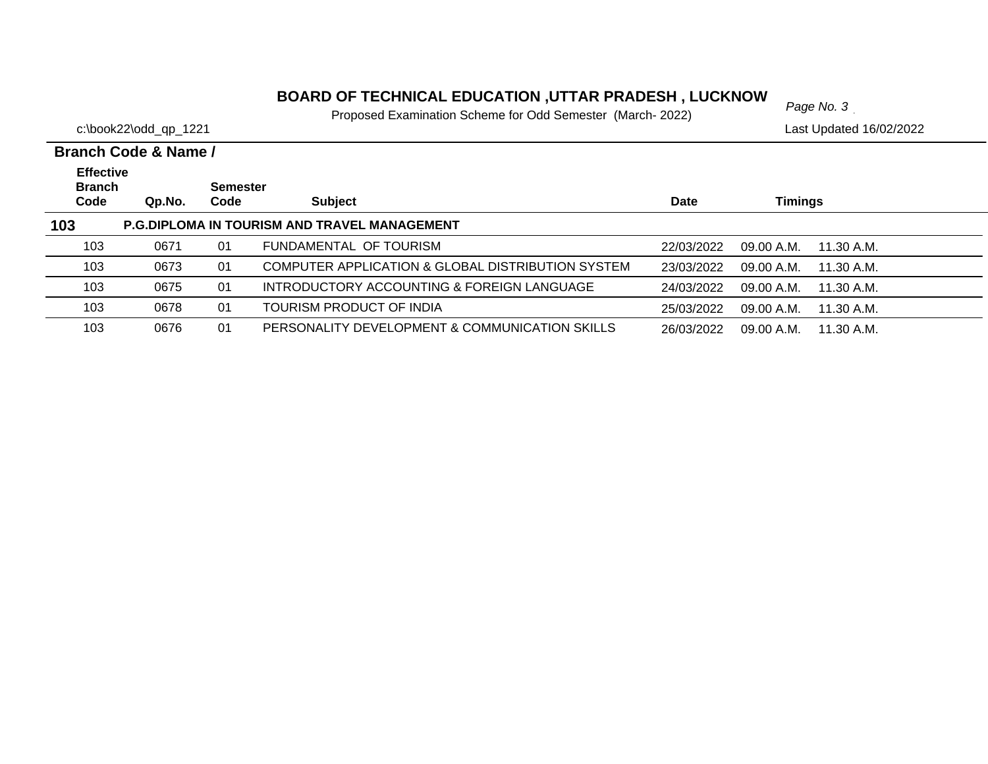# *Page No. 3* **BOARD OF TECHNICAL EDUCATION ,UTTAR PRADESH , LUCKNOW**

Proposed Examination Scheme for Odd Semester (March- 2022)

|                                           | Branch Code & Name / |                         |                                                              |             |                          |  |  |  |  |
|-------------------------------------------|----------------------|-------------------------|--------------------------------------------------------------|-------------|--------------------------|--|--|--|--|
| <b>Effective</b><br><b>Branch</b><br>Code | Qp.No.               | <b>Semester</b><br>Code | <b>Subject</b>                                               | <b>Date</b> | Timings                  |  |  |  |  |
| 103                                       |                      |                         | P.G.DIPLOMA IN TOURISM AND TRAVEL MANAGEMENT                 |             |                          |  |  |  |  |
| 103                                       | 0671                 | 01                      | FUNDAMENTAL OF TOURISM                                       | 22/03/2022  | 09.00 A.M.<br>11.30 A.M. |  |  |  |  |
| 103                                       | 0673                 | 01                      | <b>COMPUTER APPLICATION &amp; GLOBAL DISTRIBUTION SYSTEM</b> | 23/03/2022  | 09.00 A.M.<br>11.30 A.M. |  |  |  |  |
| 103                                       | 0675                 | 01                      | INTRODUCTORY ACCOUNTING & FOREIGN LANGUAGE                   | 24/03/2022  | 09.00 A.M.<br>11.30 A.M. |  |  |  |  |
| 103                                       | 0678                 | 01                      | TOURISM PRODUCT OF INDIA                                     | 25/03/2022  | 09.00 A.M.<br>11.30 A.M. |  |  |  |  |
| 103                                       | 0676                 | 01                      | PERSONALITY DEVELOPMENT & COMMUNICATION SKILLS               | 26/03/2022  | 09.00 A.M.<br>11.30 A.M. |  |  |  |  |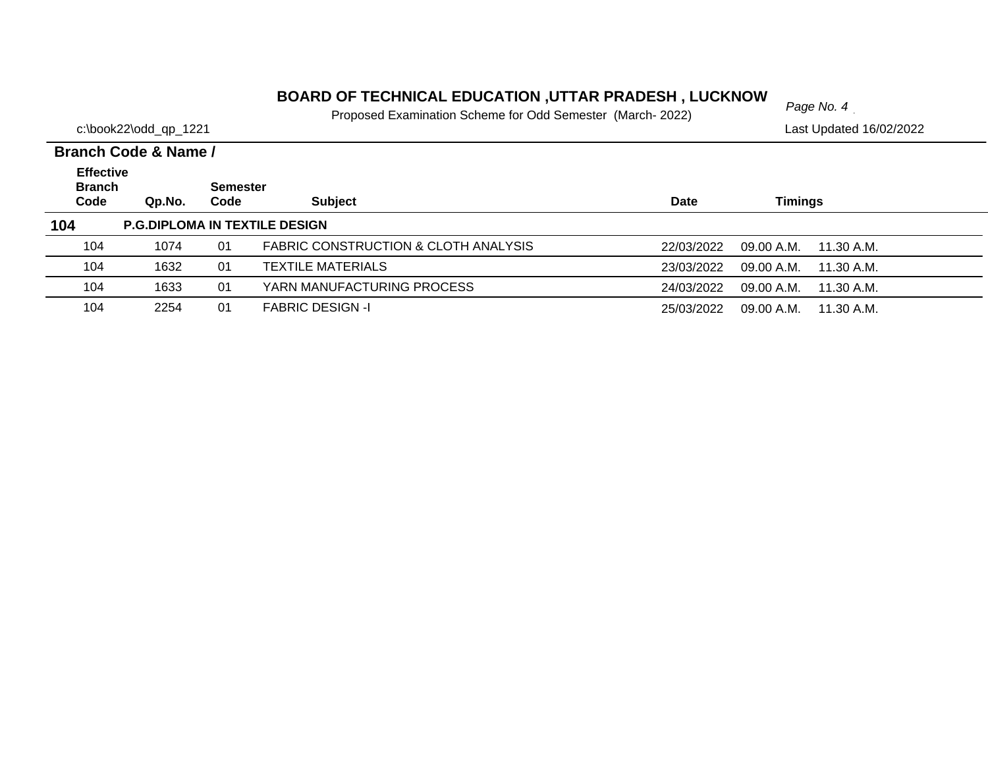# *Page No. 4* **BOARD OF TECHNICAL EDUCATION ,UTTAR PRADESH , LUCKNOW**

Proposed Examination Scheme for Odd Semester (March- 2022)

|                                           | Branch Code & Name / |                         |                                      |             |                          |  |  |  |  |  |
|-------------------------------------------|----------------------|-------------------------|--------------------------------------|-------------|--------------------------|--|--|--|--|--|
| <b>Effective</b><br><b>Branch</b><br>Code | Qp.No.               | <b>Semester</b><br>Code | <b>Subject</b>                       | <b>Date</b> | Timings                  |  |  |  |  |  |
| 104                                       |                      |                         | <b>P.G.DIPLOMA IN TEXTILE DESIGN</b> |             |                          |  |  |  |  |  |
| 104                                       | 1074                 | 01                      | FABRIC CONSTRUCTION & CLOTH ANALYSIS | 22/03/2022  | 09.00 A.M.<br>11.30 A.M. |  |  |  |  |  |
| 104                                       | 1632                 | 01                      | <b>TEXTILE MATERIALS</b>             | 23/03/2022  | 09.00 A.M.<br>11.30 A.M. |  |  |  |  |  |
| 104                                       | 1633                 | 01                      | YARN MANUFACTURING PROCESS           | 24/03/2022  | 09.00 A.M.<br>11.30 A.M. |  |  |  |  |  |
| 104                                       | 2254                 | 01                      | <b>FABRIC DESIGN -I</b>              | 25/03/2022  | 09.00 A.M.<br>11.30 A.M. |  |  |  |  |  |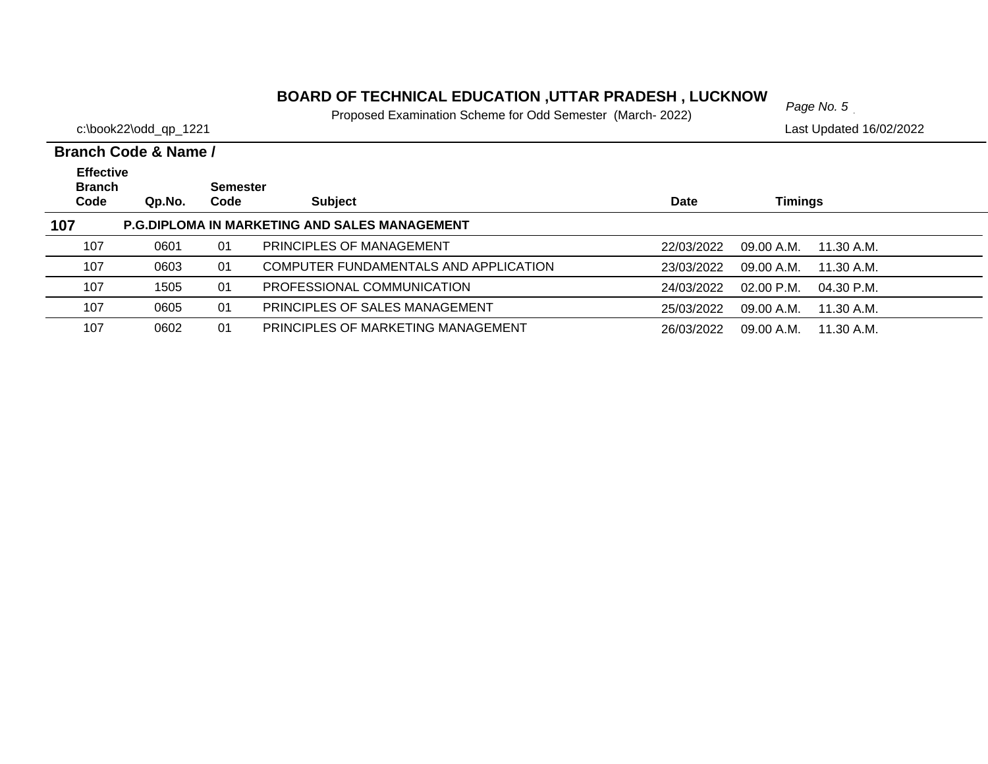# *Page No. 5* **BOARD OF TECHNICAL EDUCATION ,UTTAR PRADESH , LUCKNOW**

Proposed Examination Scheme for Odd Semester (March- 2022)

|                                   | Branch Code & Name / |                 |                                                      |            |                            |  |  |  |  |
|-----------------------------------|----------------------|-----------------|------------------------------------------------------|------------|----------------------------|--|--|--|--|
| <b>Effective</b><br><b>Branch</b> |                      | <b>Semester</b> |                                                      |            |                            |  |  |  |  |
| Code                              | Qp.No.               | Code            | <b>Subject</b>                                       | Date       | <b>Timings</b>             |  |  |  |  |
| 107                               |                      |                 | <b>P.G.DIPLOMA IN MARKETING AND SALES MANAGEMENT</b> |            |                            |  |  |  |  |
| 107                               | 0601                 | 01              | PRINCIPLES OF MANAGEMENT                             | 22/03/2022 | 09.00 A.M.<br>11.30 A.M.   |  |  |  |  |
| 107                               | 0603                 | 01              | COMPUTER FUNDAMENTALS AND APPLICATION                | 23/03/2022 | 09.00 A.M.<br>11.30 A.M.   |  |  |  |  |
| 107                               | 1505                 | 01              | PROFESSIONAL COMMUNICATION                           | 24/03/2022 | $02.00$ P.M.<br>04.30 P.M. |  |  |  |  |
| 107                               | 0605                 | 01              | PRINCIPLES OF SALES MANAGEMENT                       | 25/03/2022 | 09.00 A.M.<br>11.30 A.M.   |  |  |  |  |
| 107                               | 0602                 | 01              | PRINCIPLES OF MARKETING MANAGEMENT                   | 26/03/2022 | 09.00 A.M.<br>11.30 A.M.   |  |  |  |  |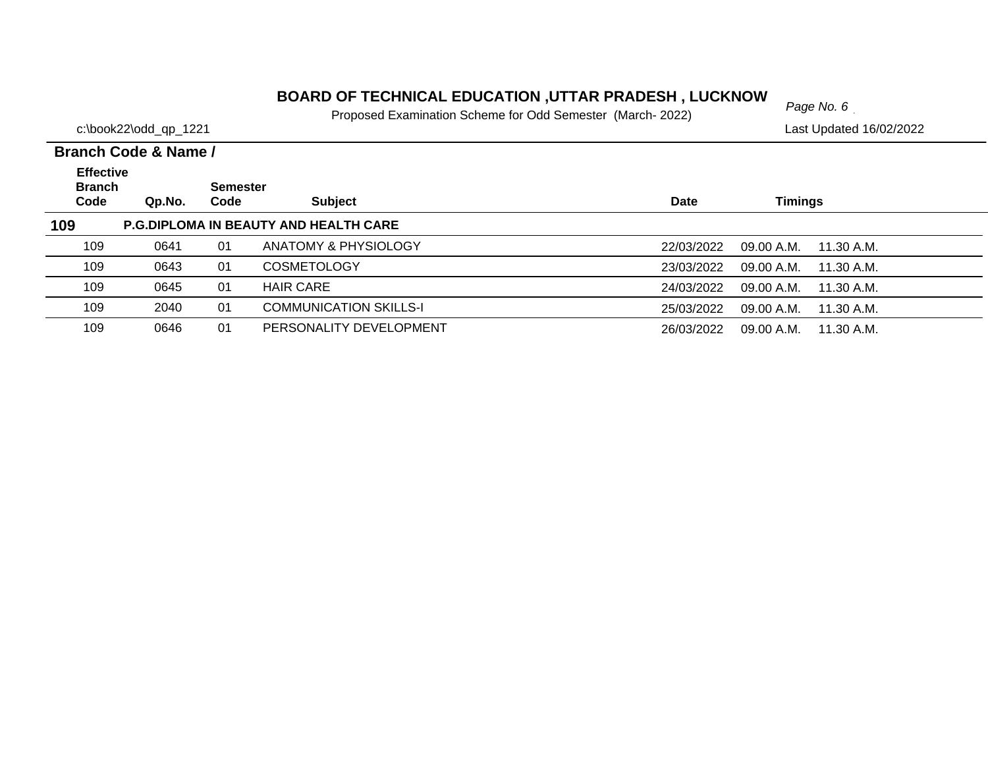#### **BOARD OF TECHNICAL EDUCATION ,UTTAR PRADESH , LUCKNOW**  $_{Page No. 6}$

Proposed Examination Scheme for Odd Semester (March- 2022)

c:\book22\odd\_qp\_1221 Last Updated 16/02/2022

#### **Branch Code Qp.No. SemesterCode Subject Date Timings Branch Code & Name / Effective 109 P.G.DIPLOMA IN BEAUTY AND HEALTH CARE** 109 0641 01 ANATOMY & PHYSIOLOGY22/03/2022 09.00 A.M. 11.30 A.M. 109 0643 01 COSMETOLOGY23/03/2022 09.00 A.M. 11.30 A.M. 109 0645 01 HAIR CARE24/03/2022 09.00 A.M. 11.30 A.M. 1092040 01 COMMUNICATION SKILLS-I 25/03/2022 09.00 A.M. 11.30 A.M. 1090646 01 PERSONALITY DEVELOPMENT 26/03/2022 09.00 A.M. 11.30 A.M.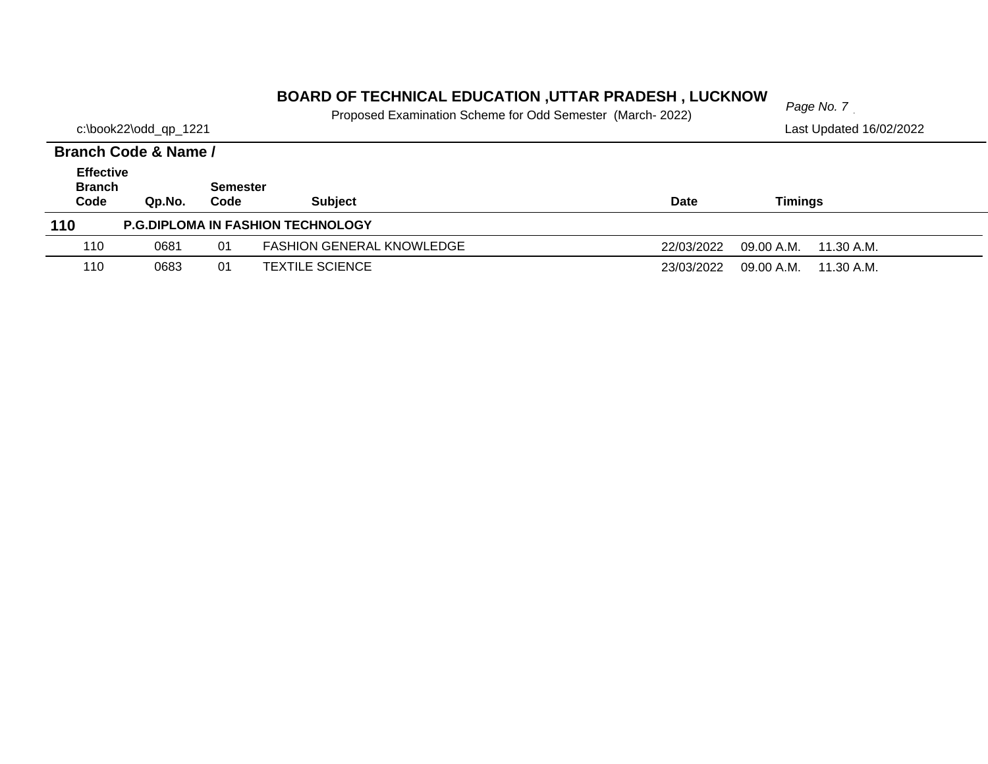# *Page No. 7* **BOARD OF TECHNICAL EDUCATION ,UTTAR PRADESH , LUCKNOW**

Proposed Examination Scheme for Odd Semester (March- 2022)

c:\book22\odd\_qp\_1221 Last Updated 16/02/2022

#### **Branch Code Qp.No. Semester Code Subject Date Timings Branch Code & Name / Effective 110 P.G.DIPLOMA IN FASHION TECHNOLOGY** 1100681 01 FASHION GENERAL KNOWLEDGE 22/03/2022 09.00 A.M. 11.30 A.M. 1100683 01 TEXTILE SCIENCE 23/03/2022 09.00 A.M. 11.30 A.M.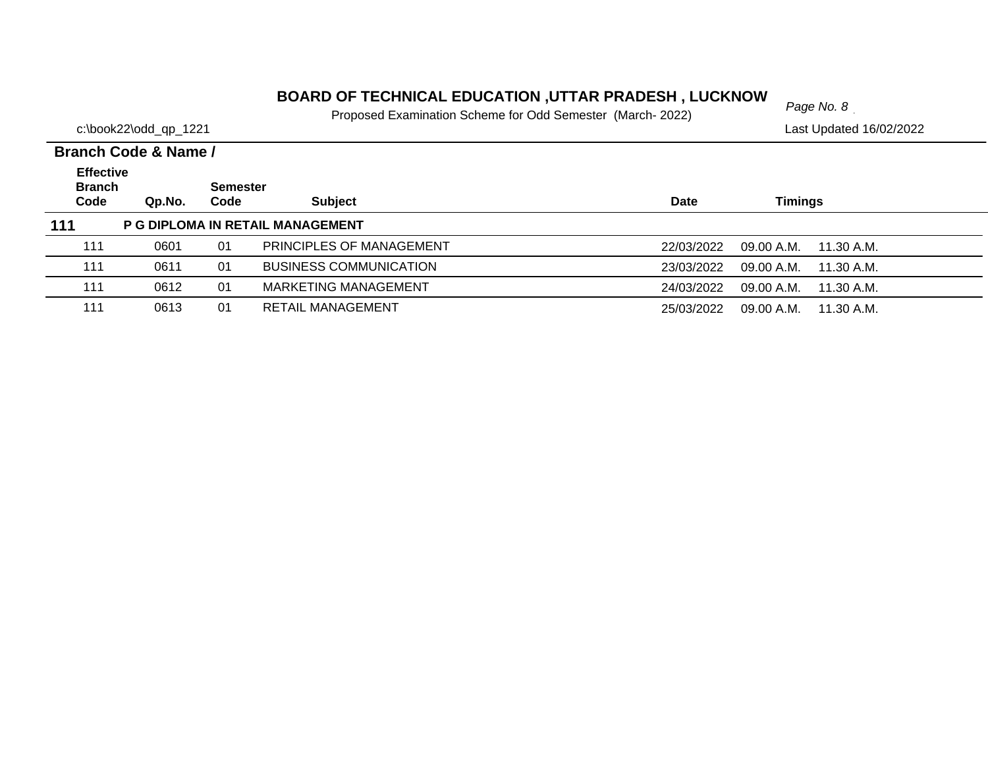# *Page No. 8* **BOARD OF TECHNICAL EDUCATION ,UTTAR PRADESH , LUCKNOW**

Proposed Examination Scheme for Odd Semester (March- 2022)

|                                           | Branch Code & Name / |                         |                                  |                                        |
|-------------------------------------------|----------------------|-------------------------|----------------------------------|----------------------------------------|
| <b>Effective</b><br><b>Branch</b><br>Code | Qp.No.               | <b>Semester</b><br>Code | <b>Subject</b>                   | Timings<br><b>Date</b>                 |
| 111                                       |                      |                         | P G DIPLOMA IN RETAIL MANAGEMENT |                                        |
| 111                                       | 0601                 | 01                      | PRINCIPLES OF MANAGEMENT         | 09.00 A.M.<br>22/03/2022<br>11.30 A.M. |
| 111                                       | 0611                 | 01                      | <b>BUSINESS COMMUNICATION</b>    | 23/03/2022<br>09.00 A.M.<br>11.30 A.M. |
| 111                                       | 0612                 | 01                      | MARKETING MANAGEMENT             | 24/03/2022<br>09.00 A.M.<br>11.30 A.M. |
| 111                                       | 0613                 | 01                      | <b>RETAIL MANAGEMENT</b>         | 25/03/2022<br>09.00 A.M.<br>11.30 A.M. |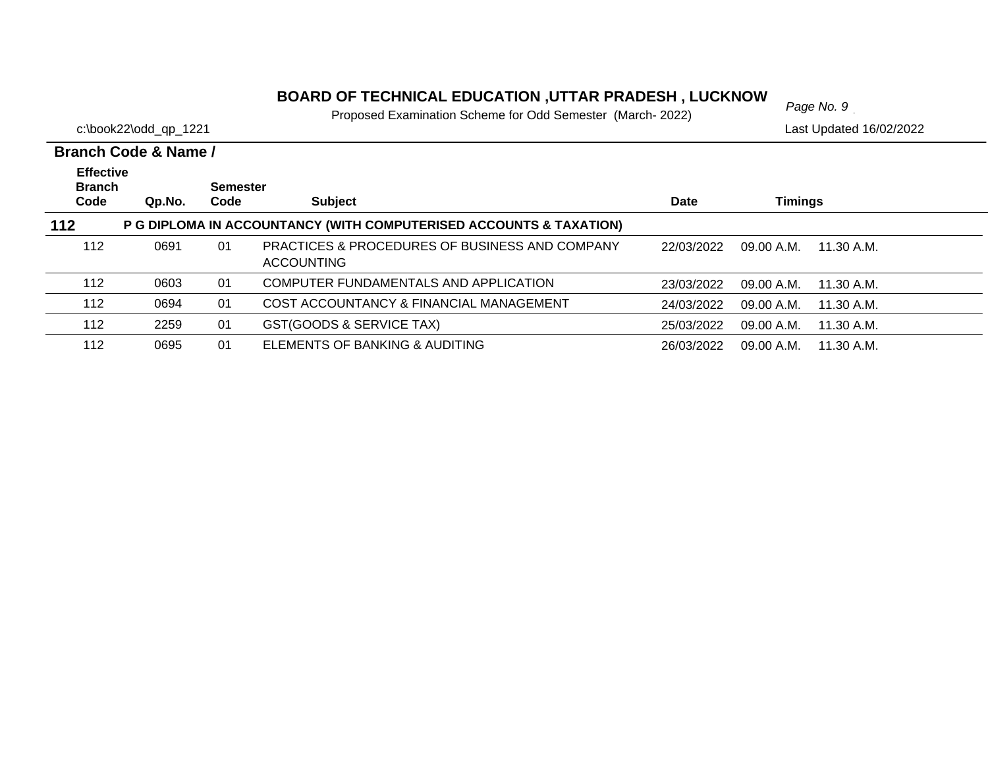#### **BOARD OF TECHNICAL EDUCATION ,UTTAR PRADESH , LUCKNOW**

Proposed Examination Scheme for Odd Semester (March- 2022)

c:\book22\odd\_qp\_1221 Last Updated 16/02/2022

#### **Branch Code Qp.No. SemesterCode Subject Date Timings Branch Code & Name /Effective 112 P G DIPLOMA IN ACCOUNTANCY (WITH COMPUTERISED ACCOUNTS & TAXATION)** 01 PRACTICES & PROCEDURES OF BUSINESS AND COMPANY 0691 22/03/2022 09.00 A.M. 11.30 A.M.ACCOUNTING 112112 0603 01 COMPUTER FUNDAMENTALS AND APPLICATION23/03/2022 09.00 A.M. 11.30 A.M. 1120694 01 COST ACCOUNTANCY & FINANCIAL MANAGEMENT 24/03/2022 09.00 A.M. 11.30 A.M. 112 2259 01 GST(GOODS & SERVICE TAX) 25/03/2022 09.00 A.M. 11.30 A.M. 112 0695 01 ELEMENTS OF BANKING & AUDITING26/03/2022 09.00 A.M. 11.30 A.M.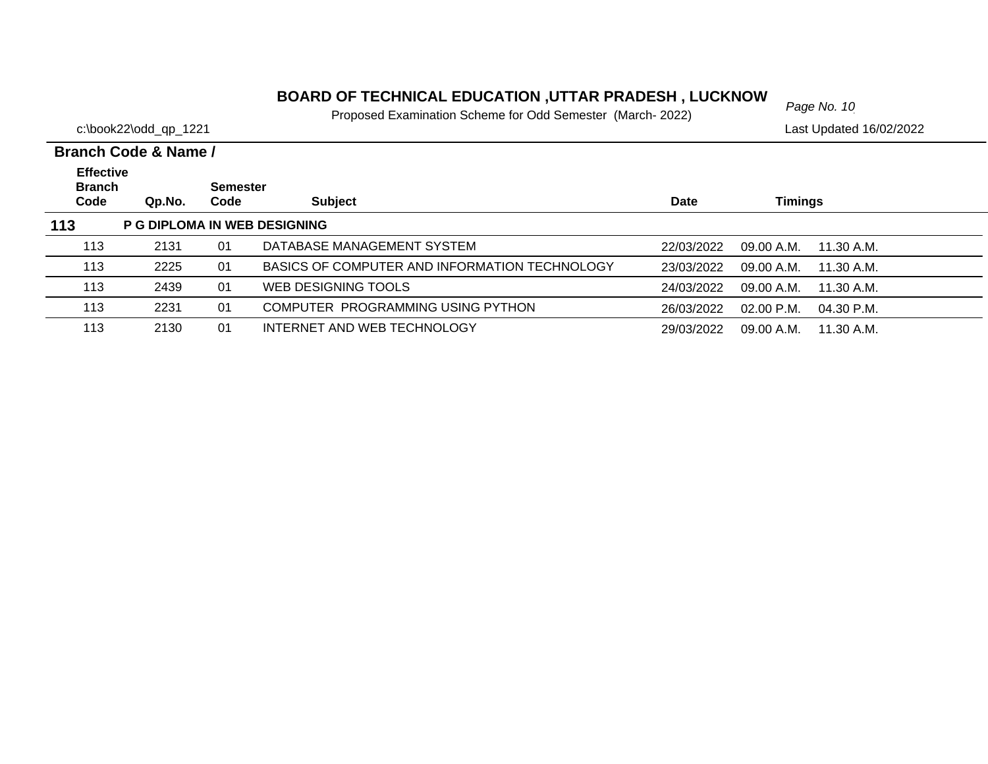# *Page No. 10* **BOARD OF TECHNICAL EDUCATION ,UTTAR PRADESH , LUCKNOW**

Proposed Examination Scheme for Odd Semester (March- 2022)

|                                   | Branch Code & Name / |                 |                                               |             |                            |  |
|-----------------------------------|----------------------|-----------------|-----------------------------------------------|-------------|----------------------------|--|
| <b>Effective</b><br><b>Branch</b> |                      | <b>Semester</b> |                                               |             |                            |  |
| Code                              | Qp.No.               | Code            | <b>Subject</b>                                | <b>Date</b> | Timings                    |  |
| 113                               |                      |                 | P G DIPLOMA IN WEB DESIGNING                  |             |                            |  |
| 113                               | 2131                 | 01              | DATABASE MANAGEMENT SYSTEM                    | 22/03/2022  | 09.00 A.M.<br>11.30 A.M.   |  |
| 113                               | 2225                 | 01              | BASICS OF COMPUTER AND INFORMATION TECHNOLOGY | 23/03/2022  | 09.00 A.M.<br>11.30 A.M.   |  |
| 113                               | 2439                 | 01              | WEB DESIGNING TOOLS                           | 24/03/2022  | 09.00 A.M.<br>11.30 A.M.   |  |
| 113                               | 2231                 | 01              | COMPUTER PROGRAMMING USING PYTHON             | 26/03/2022  | $02.00$ P.M.<br>04.30 P.M. |  |
| 113                               | 2130                 | 01              | INTERNET AND WEB TECHNOLOGY                   | 29/03/2022  | 09.00 A.M.<br>11.30 A.M.   |  |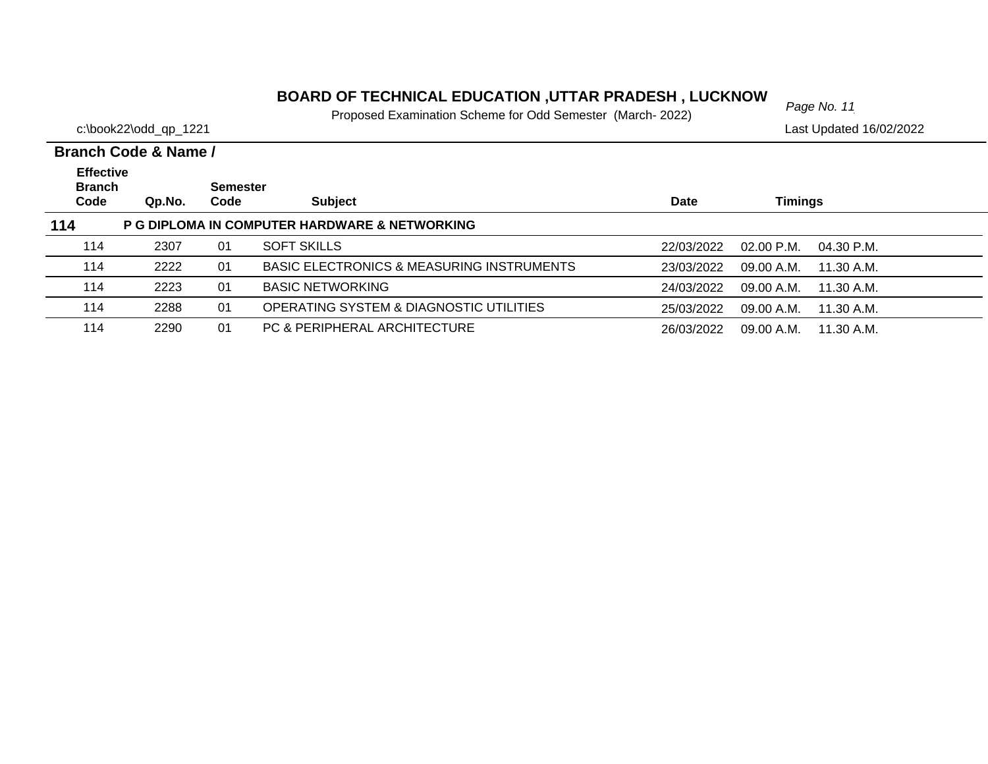# *Page No. 11* **BOARD OF TECHNICAL EDUCATION ,UTTAR PRADESH , LUCKNOW**

Proposed Examination Scheme for Odd Semester (March- 2022)

|                                   | Branch Code & Name / |                 |                                                      |            |                          |  |
|-----------------------------------|----------------------|-----------------|------------------------------------------------------|------------|--------------------------|--|
| <b>Effective</b><br><b>Branch</b> |                      | <b>Semester</b> |                                                      |            |                          |  |
| Code                              | Qp.No.               | Code            | <b>Subject</b>                                       | Date       | Timings                  |  |
| 114                               |                      |                 | P G DIPLOMA IN COMPUTER HARDWARE & NETWORKING        |            |                          |  |
| 114                               | 2307                 | 01              | <b>SOFT SKILLS</b>                                   | 22/03/2022 | 02.00 P.M.<br>04.30 P.M. |  |
| 114                               | 2222                 | 01              | <b>BASIC ELECTRONICS &amp; MEASURING INSTRUMENTS</b> | 23/03/2022 | 09.00 A.M.<br>11.30 A.M. |  |
| 114                               | 2223                 | 01              | <b>BASIC NETWORKING</b>                              | 24/03/2022 | 09.00 A.M.<br>11.30 A.M. |  |
| 114                               | 2288                 | 01              | OPERATING SYSTEM & DIAGNOSTIC UTILITIES              | 25/03/2022 | 09.00 A.M.<br>11.30 A.M. |  |
| 114                               | 2290                 | 01              | PC & PERIPHERAL ARCHITECTURE                         | 26/03/2022 | 09.00 A.M.<br>11.30 A.M. |  |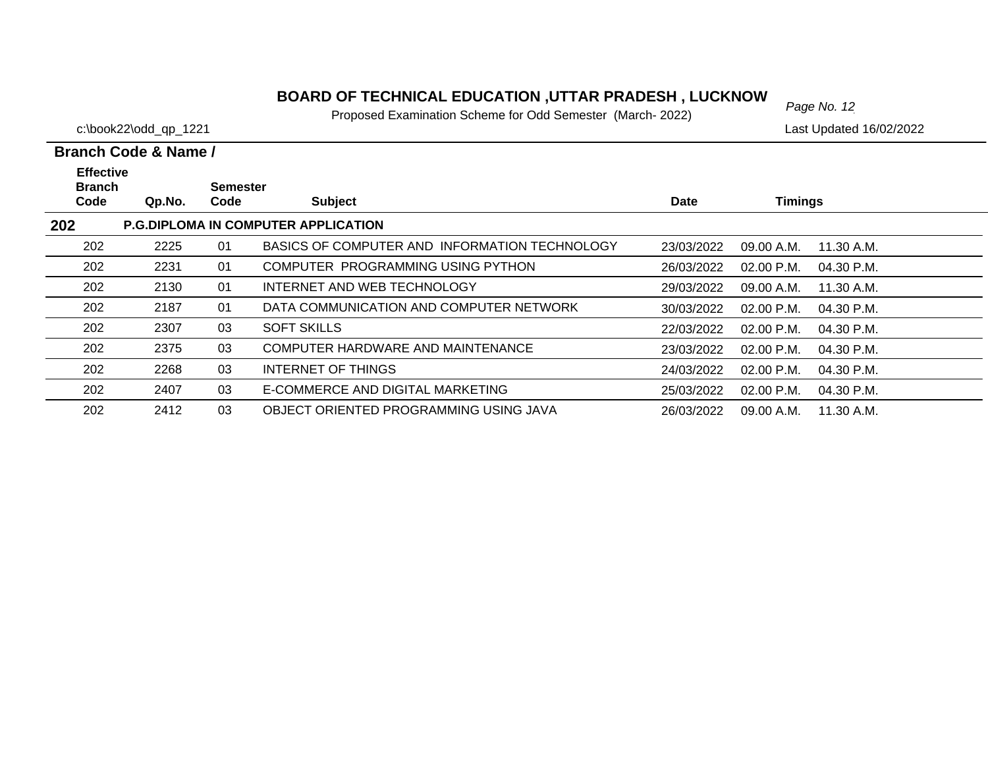# *Page No. 12* **BOARD OF TECHNICAL EDUCATION ,UTTAR PRADESH , LUCKNOW**

Proposed Examination Scheme for Odd Semester (March- 2022)

|                                           | Branch Code & Name / |                         |                                               |             |                |            |  |  |
|-------------------------------------------|----------------------|-------------------------|-----------------------------------------------|-------------|----------------|------------|--|--|
| <b>Effective</b><br><b>Branch</b><br>Code | Qp.No.               | <b>Semester</b><br>Code | <b>Subject</b>                                | <b>Date</b> | <b>Timings</b> |            |  |  |
| 202                                       |                      |                         | <b>P.G.DIPLOMA IN COMPUTER APPLICATION</b>    |             |                |            |  |  |
| 202                                       | 2225                 | 01                      | BASICS OF COMPUTER AND INFORMATION TECHNOLOGY | 23/03/2022  | 09.00 A.M.     | 11.30 A.M. |  |  |
| 202                                       | 2231                 | 01                      | COMPUTER PROGRAMMING USING PYTHON             | 26/03/2022  | 02.00 P.M.     | 04.30 P.M. |  |  |
| 202                                       | 2130                 | 01                      | INTERNET AND WEB TECHNOLOGY                   | 29/03/2022  | 09.00 A.M.     | 11.30 A.M. |  |  |
| 202                                       | 2187                 | 01                      | DATA COMMUNICATION AND COMPUTER NETWORK       | 30/03/2022  | $02.00$ P.M.   | 04.30 P.M. |  |  |
| 202                                       | 2307                 | 03                      | <b>SOFT SKILLS</b>                            | 22/03/2022  | $02.00$ P.M.   | 04.30 P.M. |  |  |
| 202                                       | 2375                 | 03                      | COMPUTER HARDWARE AND MAINTENANCE             | 23/03/2022  | $02.00$ P.M.   | 04.30 P.M. |  |  |
| 202                                       | 2268                 | 03                      | INTERNET OF THINGS                            | 24/03/2022  | 02.00 P.M.     | 04.30 P.M. |  |  |
| 202                                       | 2407                 | 03                      | E-COMMERCE AND DIGITAL MARKETING              | 25/03/2022  | 02.00 P.M.     | 04.30 P.M. |  |  |
| 202                                       | 2412                 | 03                      | OBJECT ORIENTED PROGRAMMING USING JAVA        | 26/03/2022  | 09.00 A.M.     | 11.30 A.M. |  |  |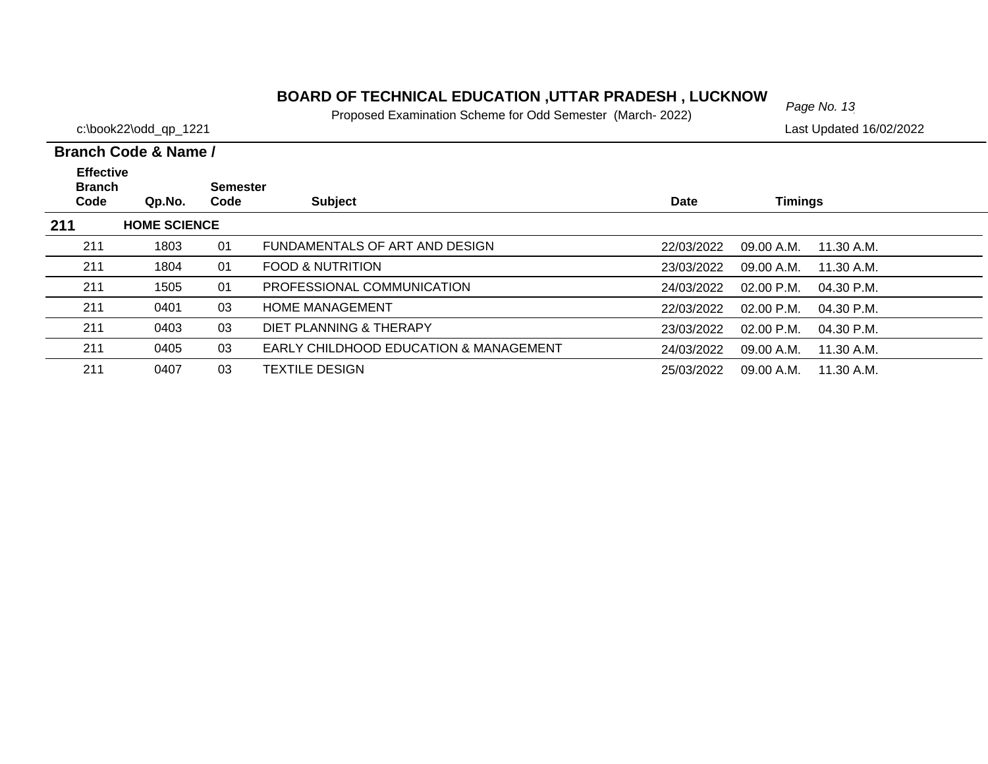# *Page No. 13* **BOARD OF TECHNICAL EDUCATION ,UTTAR PRADESH , LUCKNOW**

Proposed Examination Scheme for Odd Semester (March- 2022)

c:\book22\odd\_qp\_1221 Last Updated 16/02/2022

| <b>Effective</b><br><b>Branch</b> |                     | <b>Semester</b> |                                                   |            |                            |  |
|-----------------------------------|---------------------|-----------------|---------------------------------------------------|------------|----------------------------|--|
| Code                              | Qp.No.              | Code            | <b>Subject</b>                                    | Date       | <b>Timings</b>             |  |
| 211                               | <b>HOME SCIENCE</b> |                 |                                                   |            |                            |  |
| 211                               | 1803                | 01              | FUNDAMENTALS OF ART AND DESIGN                    | 22/03/2022 | 09.00 A.M.<br>11.30 A.M.   |  |
| 211                               | 1804                | 01              | <b>FOOD &amp; NUTRITION</b>                       | 23/03/2022 | 09.00 A.M.<br>11.30 A.M.   |  |
| 211                               | 1505                | 01              | PROFESSIONAL COMMUNICATION                        | 24/03/2022 | $02.00$ P.M.<br>04.30 P.M. |  |
| 211                               | 0401                | 03              | <b>HOME MANAGEMENT</b>                            | 22/03/2022 | $02.00$ P.M.<br>04.30 P.M. |  |
| 211                               | 0403                | 03              | DIET PLANNING & THERAPY                           | 23/03/2022 | $02.00$ P.M.<br>04.30 P.M. |  |
| 211                               | 0405                | 03              | <b>EARLY CHILDHOOD EDUCATION &amp; MANAGEMENT</b> | 24/03/2022 | 09.00 A.M.<br>11.30 A.M.   |  |
| 211                               | 0407                | 03              | TEXTILE DESIGN                                    | 25/03/2022 | 09.00 A.M.<br>11.30 A.M.   |  |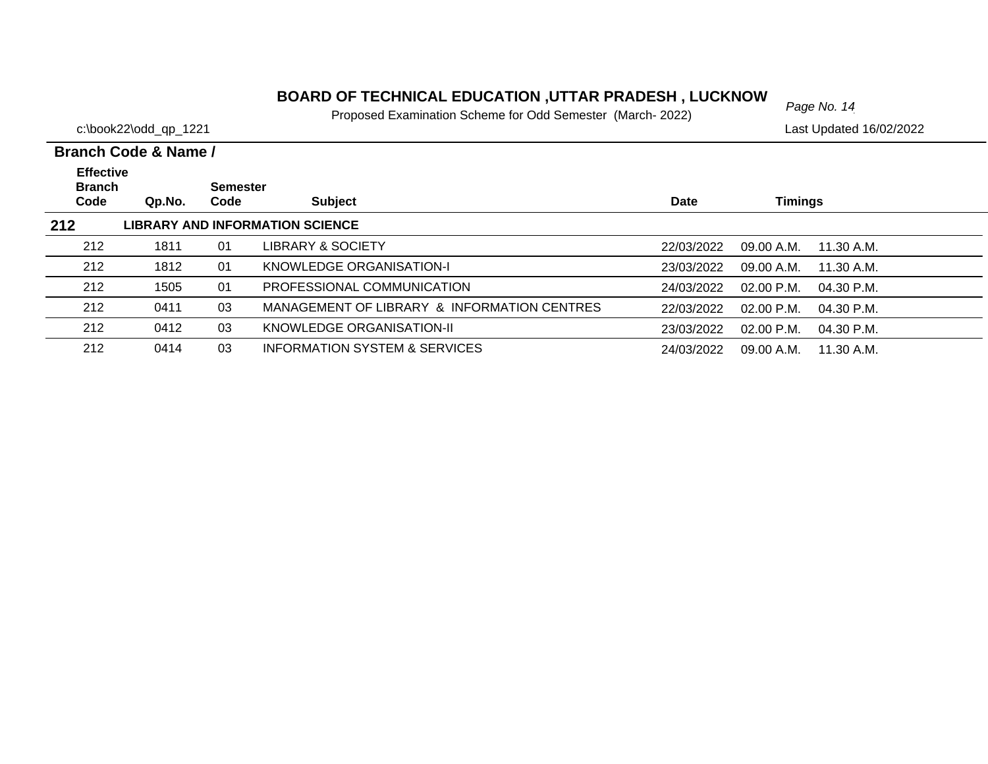#### **BOARD OF TECHNICAL EDUCATION ,UTTAR PRADESH , LUCKNOW** Page No. 14

Proposed Examination Scheme for Odd Semester (March- 2022)

c:\book22\odd\_qp\_1221 Last Updated 16/02/2022

#### **Branch Code Qp.No. SemesterCode Subject Date Timings Branch Code & Name / Effective 212 LIBRARY AND INFORMATION SCIENCE** 212 1811 01 LIBRARY & SOCIETY22/03/2022 09.00 A.M. 11.30 A.M. 2121812 01 KNOWLEDGE ORGANISATION-I 23/03/2022 09.00 A.M. 11.30 A.M. 212 1505 01 PROFESSIONAL COMMUNICATION24/03/2022 02.00 P.M. 04.30 P.M. 212 0411 03 MANAGEMENT OF LIBRARY & INFORMATION CENTRES22/03/2022 02.00 P.M. 04.30 P.M. 2120412 03 KNOWLEDGE ORGANISATION-II 23/03/2022 02.00 P.M. 04.30 P.M. 2120414 03 INFORMATION SYSTEM & SERVICES 24/03/2022 09.00 A.M. 11.30 A.M.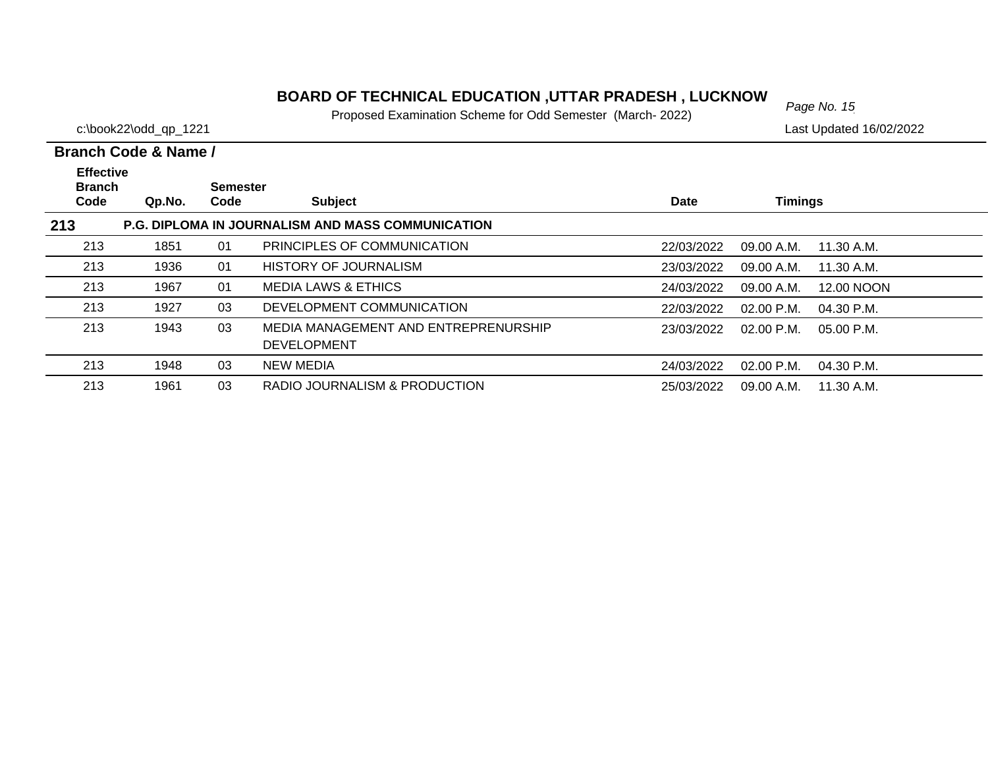# *Page No. 15* **BOARD OF TECHNICAL EDUCATION ,UTTAR PRADESH , LUCKNOW**

Proposed Examination Scheme for Odd Semester (March- 2022)

c:\book22\odd\_qp\_1221 Last Updated 16/02/2022

 $\overline{\phantom{0}}$  $\overline{\phantom{0}}$  $\overline{\phantom{0}}$ 

 $\overline{\phantom{0}}$ 

|                                   | Branch Code & Name / |                 |                                                            |             |                |              |
|-----------------------------------|----------------------|-----------------|------------------------------------------------------------|-------------|----------------|--------------|
| <b>Effective</b><br><b>Branch</b> |                      | <b>Semester</b> |                                                            |             |                |              |
| Code                              | Qp.No.               | Code            | <b>Subject</b>                                             | <b>Date</b> | <b>Timings</b> |              |
| 213                               |                      |                 | <b>P.G. DIPLOMA IN JOURNALISM AND MASS COMMUNICATION</b>   |             |                |              |
| 213                               | 1851                 | 01              | PRINCIPLES OF COMMUNICATION                                | 22/03/2022  | 09.00 A.M.     | 11.30 A.M.   |
| 213                               | 1936                 | 01              | <b>HISTORY OF JOURNALISM</b>                               | 23/03/2022  | 09.00 A.M.     | 11.30 A.M.   |
| 213                               | 1967                 | 01              | <b>MEDIA LAWS &amp; ETHICS</b>                             | 24/03/2022  | 09.00 A.M.     | 12.00 NOON   |
| 213                               | 1927                 | 03              | DEVELOPMENT COMMUNICATION                                  | 22/03/2022  | $02.00$ P.M.   | 04.30 P.M.   |
| 213                               | 1943                 | 03              | MEDIA MANAGEMENT AND ENTREPRENURSHIP<br><b>DEVELOPMENT</b> | 23/03/2022  | $02.00$ P.M.   | $05.00$ P.M. |
| 213                               | 1948                 | 03              | <b>NEW MEDIA</b>                                           | 24/03/2022  | $02.00$ P.M.   | 04.30 P.M.   |
| 213                               | 1961                 | 03              | RADIO JOURNALISM & PRODUCTION                              | 25/03/2022  | 09.00 A.M.     | 11.30 A.M.   |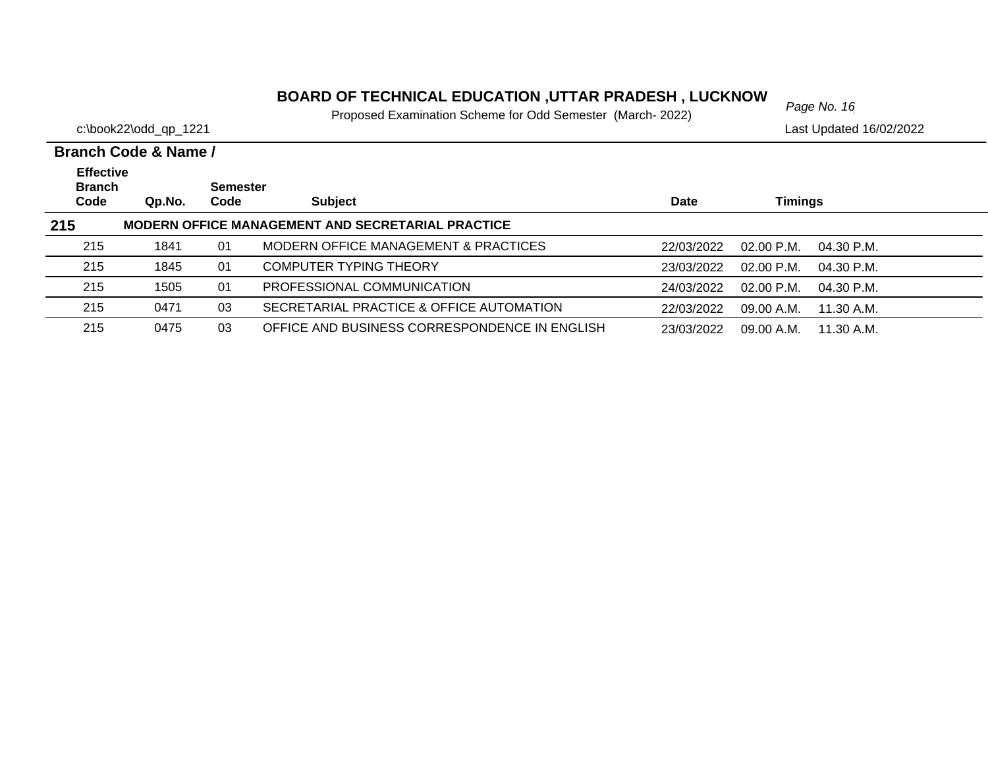# *Page No. 16* **BOARD OF TECHNICAL EDUCATION ,UTTAR PRADESH , LUCKNOW**

Proposed Examination Scheme for Odd Semester (March- 2022)

c:\book22\odd\_qp\_1221 Last Updated 16/02/2022

| <b>Effective</b><br><b>Branch</b> |        | <b>Semester</b> |                                                          |             |                            |  |
|-----------------------------------|--------|-----------------|----------------------------------------------------------|-------------|----------------------------|--|
| Code                              | Qp.No. | Code            | <b>Subject</b>                                           | <b>Date</b> | Timings                    |  |
| 215                               |        |                 | <b>MODERN OFFICE MANAGEMENT AND SECRETARIAL PRACTICE</b> |             |                            |  |
| 215                               | 1841   | 01              | MODERN OFFICE MANAGEMENT & PRACTICES                     | 22/03/2022  | $02.00$ P.M.<br>04.30 P.M. |  |
| 215                               | 1845   | 01              | COMPUTER TYPING THEORY                                   | 23/03/2022  | $02.00$ P.M.<br>04.30 P.M. |  |
| 215                               | 1505   | 01              | PROFESSIONAL COMMUNICATION                               | 24/03/2022  | $02.00$ P.M.<br>04.30 P.M. |  |
| 215                               | 0471   | 03              | SECRETARIAL PRACTICE & OFFICE AUTOMATION                 | 22/03/2022  | 09.00 A.M.<br>$11.30$ A.M. |  |
| 215                               | 0475   | 03              | OFFICE AND BUSINESS CORRESPONDENCE IN ENGLISH            | 23/03/2022  | 09.00 A.M.<br>11.30 A.M.   |  |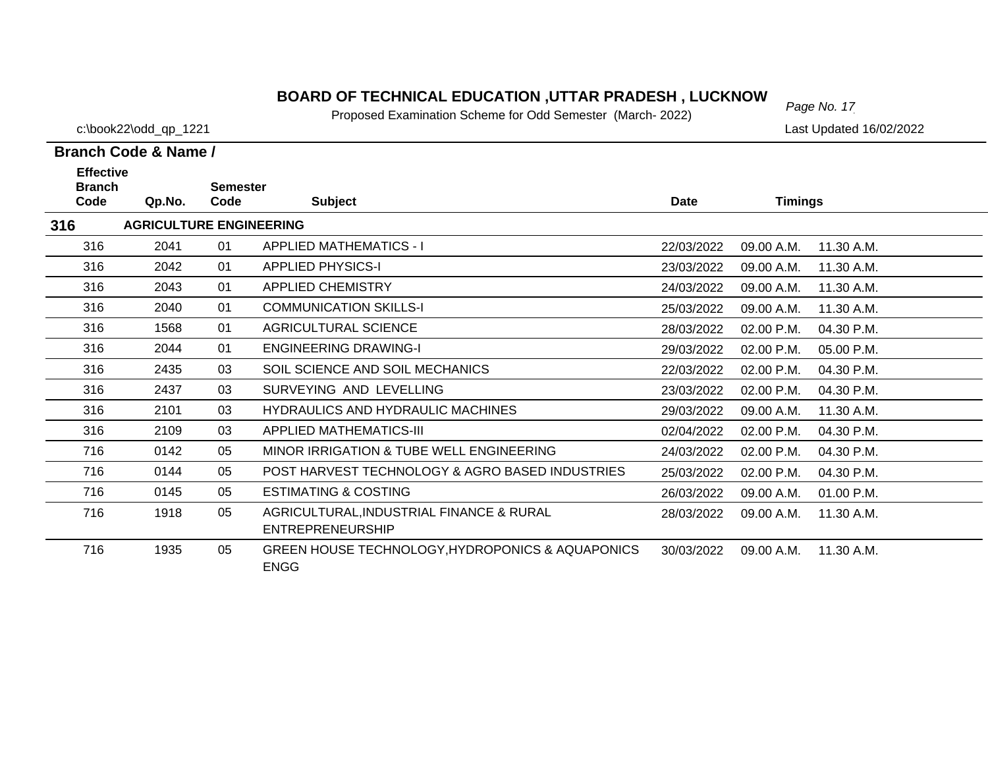# *Page No. 17* **BOARD OF TECHNICAL EDUCATION ,UTTAR PRADESH , LUCKNOW**

Proposed Examination Scheme for Odd Semester (March- 2022)

c:\book22\odd\_qp\_1221 Last Updated 16/02/2022

| <b>Effective</b><br><b>Branch</b>     |        | <b>Semester</b> |                                                                     |             |                |            |  |  |  |  |
|---------------------------------------|--------|-----------------|---------------------------------------------------------------------|-------------|----------------|------------|--|--|--|--|
| Code                                  | Qp.No. | Code            | <b>Subject</b>                                                      | <b>Date</b> | <b>Timings</b> |            |  |  |  |  |
| 316<br><b>AGRICULTURE ENGINEERING</b> |        |                 |                                                                     |             |                |            |  |  |  |  |
| 316                                   | 2041   | 01              | <b>APPLIED MATHEMATICS - I</b>                                      | 22/03/2022  | 09.00 A.M.     | 11.30 A.M. |  |  |  |  |
| 316                                   | 2042   | 01              | <b>APPLIED PHYSICS-I</b>                                            | 23/03/2022  | 09.00 A.M.     | 11.30 A.M. |  |  |  |  |
| 316                                   | 2043   | 01              | <b>APPLIED CHEMISTRY</b>                                            | 24/03/2022  | 09.00 A.M.     | 11.30 A.M. |  |  |  |  |
| 316                                   | 2040   | 01              | <b>COMMUNICATION SKILLS-I</b>                                       | 25/03/2022  | 09.00 A.M.     | 11.30 A.M. |  |  |  |  |
| 316                                   | 1568   | 01              | AGRICULTURAL SCIENCE                                                | 28/03/2022  | 02.00 P.M.     | 04.30 P.M. |  |  |  |  |
| 316                                   | 2044   | 01              | <b>ENGINEERING DRAWING-I</b>                                        | 29/03/2022  | 02.00 P.M.     | 05.00 P.M. |  |  |  |  |
| 316                                   | 2435   | 03              | SOIL SCIENCE AND SOIL MECHANICS                                     | 22/03/2022  | 02.00 P.M.     | 04.30 P.M. |  |  |  |  |
| 316                                   | 2437   | 03              | SURVEYING AND LEVELLING                                             | 23/03/2022  | 02.00 P.M.     | 04.30 P.M. |  |  |  |  |
| 316                                   | 2101   | 03              | <b>HYDRAULICS AND HYDRAULIC MACHINES</b>                            | 29/03/2022  | 09.00 A.M.     | 11.30 A.M. |  |  |  |  |
| 316                                   | 2109   | 03              | APPLIED MATHEMATICS-III                                             | 02/04/2022  | 02.00 P.M.     | 04.30 P.M. |  |  |  |  |
| 716                                   | 0142   | 05              | MINOR IRRIGATION & TUBE WELL ENGINEERING                            | 24/03/2022  | 02.00 P.M.     | 04.30 P.M. |  |  |  |  |
| 716                                   | 0144   | 05              | POST HARVEST TECHNOLOGY & AGRO BASED INDUSTRIES                     | 25/03/2022  | 02.00 P.M.     | 04.30 P.M. |  |  |  |  |
| 716                                   | 0145   | 05              | <b>ESTIMATING &amp; COSTING</b>                                     | 26/03/2022  | 09.00 A.M.     | 01.00 P.M. |  |  |  |  |
| 716                                   | 1918   | 05              | AGRICULTURAL, INDUSTRIAL FINANCE & RURAL<br><b>ENTREPRENEURSHIP</b> | 28/03/2022  | 09.00 A.M.     | 11.30 A.M. |  |  |  |  |
| 716                                   | 1935   | 05              | GREEN HOUSE TECHNOLOGY, HYDROPONICS & AQUAPONICS<br><b>ENGG</b>     | 30/03/2022  | 09.00 A.M.     | 11.30 A.M. |  |  |  |  |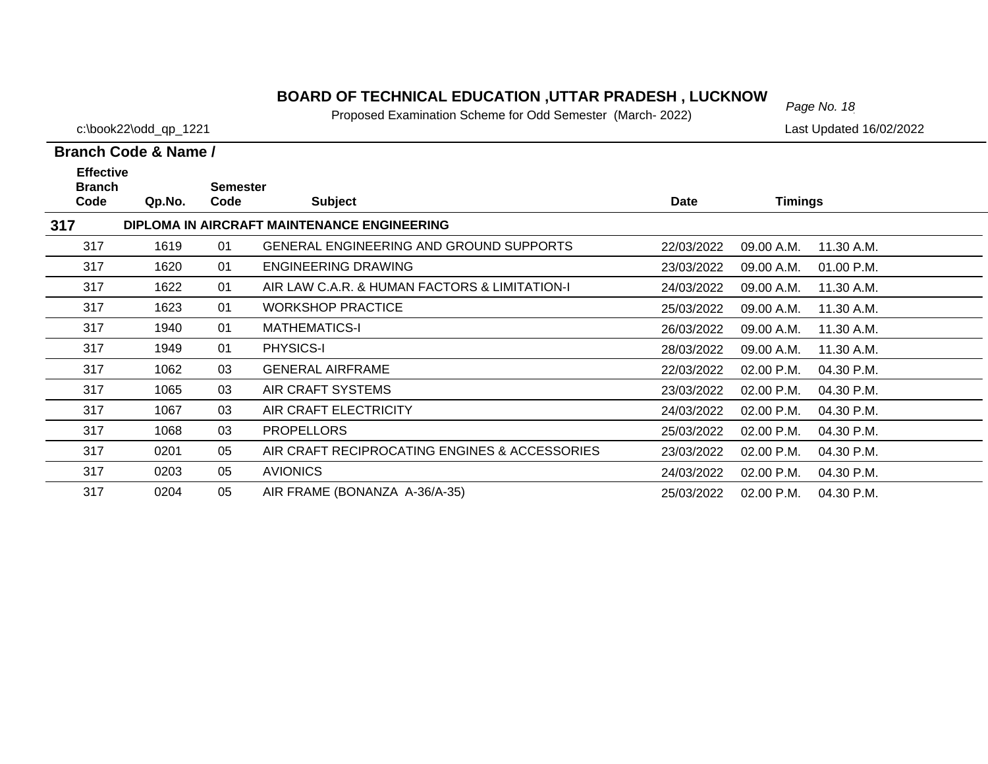# *Page No. 18* **BOARD OF TECHNICAL EDUCATION ,UTTAR PRADESH , LUCKNOW**

Proposed Examination Scheme for Odd Semester (March- 2022)

c:\book22\odd\_qp\_1221 Last Updated 16/02/2022

| <b>Effective</b><br><b>Branch</b> |        | <b>Semester</b> |                                                |             |            |            |
|-----------------------------------|--------|-----------------|------------------------------------------------|-------------|------------|------------|
| Code                              | Qp.No. | Code            | <b>Subject</b>                                 | <b>Date</b> | Timings    |            |
| 317                               |        |                 | DIPLOMA IN AIRCRAFT MAINTENANCE ENGINEERING    |             |            |            |
| 317                               | 1619   | 01              | <b>GENERAL ENGINEERING AND GROUND SUPPORTS</b> | 22/03/2022  | 09.00 A.M. | 11.30 A.M. |
| 317                               | 1620   | 01              | <b>ENGINEERING DRAWING</b>                     | 23/03/2022  | 09.00 A.M. | 01.00 P.M. |
| 317                               | 1622   | 01              | AIR LAW C.A.R. & HUMAN FACTORS & LIMITATION-I  | 24/03/2022  | 09.00 A.M. | 11.30 A.M. |
| 317                               | 1623   | 01              | <b>WORKSHOP PRACTICE</b>                       | 25/03/2022  | 09.00 A.M. | 11.30 A.M. |
| 317                               | 1940   | 01              | <b>MATHEMATICS-I</b>                           | 26/03/2022  | 09.00 A.M. | 11.30 A.M. |
| 317                               | 1949   | 01              | <b>PHYSICS-I</b>                               | 28/03/2022  | 09.00 A.M. | 11.30 A.M. |
| 317                               | 1062   | 03              | <b>GENERAL AIRFRAME</b>                        | 22/03/2022  | 02.00 P.M. | 04.30 P.M. |
| 317                               | 1065   | 03              | AIR CRAFT SYSTEMS                              | 23/03/2022  | 02.00 P.M. | 04.30 P.M. |
| 317                               | 1067   | 03              | AIR CRAFT ELECTRICITY                          | 24/03/2022  | 02.00 P.M. | 04.30 P.M. |
| 317                               | 1068   | 03              | <b>PROPELLORS</b>                              | 25/03/2022  | 02.00 P.M. | 04.30 P.M. |
| 317                               | 0201   | 05              | AIR CRAFT RECIPROCATING ENGINES & ACCESSORIES  | 23/03/2022  | 02.00 P.M. | 04.30 P.M. |
| 317                               | 0203   | 05              | <b>AVIONICS</b>                                | 24/03/2022  | 02.00 P.M. | 04.30 P.M. |
| 317                               | 0204   | 05              | AIR FRAME (BONANZA A-36/A-35)                  | 25/03/2022  | 02.00 P.M. | 04.30 P.M. |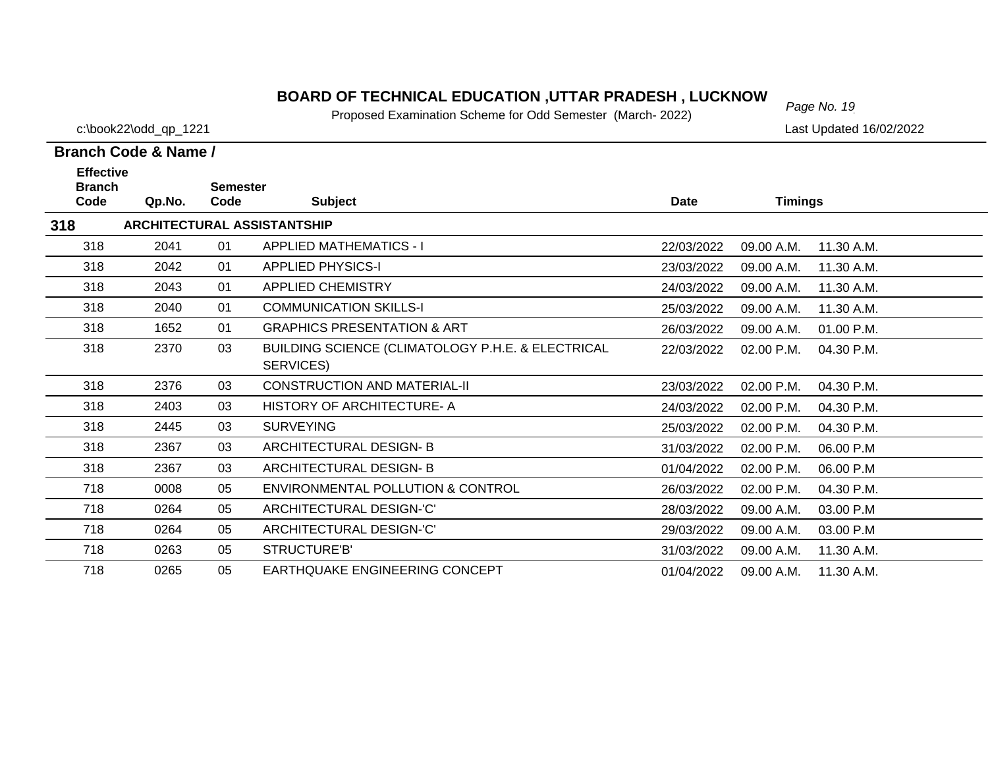# *Page No. 19* **BOARD OF TECHNICAL EDUCATION ,UTTAR PRADESH , LUCKNOW**

Proposed Examination Scheme for Odd Semester (March- 2022)

c:\book22\odd\_qp\_1221 Last Updated 16/02/2022

| <b>Effective</b><br><b>Branch</b><br>Code | Qp.No. | <b>Semester</b><br>Code | <b>Subject</b>                                                 | <b>Date</b> | <b>Timings</b> |            |
|-------------------------------------------|--------|-------------------------|----------------------------------------------------------------|-------------|----------------|------------|
| 318                                       |        |                         | <b>ARCHITECTURAL ASSISTANTSHIP</b>                             |             |                |            |
| 318                                       | 2041   | 01                      | <b>APPLIED MATHEMATICS - I</b>                                 | 22/03/2022  | 09.00 A.M.     | 11.30 A.M. |
| 318                                       | 2042   | 01                      | <b>APPLIED PHYSICS-I</b>                                       | 23/03/2022  | 09.00 A.M.     | 11.30 A.M. |
| 318                                       | 2043   | 01                      | <b>APPLIED CHEMISTRY</b>                                       | 24/03/2022  | 09.00 A.M.     | 11.30 A.M. |
| 318                                       | 2040   | 01                      | <b>COMMUNICATION SKILLS-I</b>                                  | 25/03/2022  | 09.00 A.M.     | 11.30 A.M. |
| 318                                       | 1652   | 01                      | <b>GRAPHICS PRESENTATION &amp; ART</b>                         | 26/03/2022  | 09.00 A.M.     | 01.00 P.M. |
| 318                                       | 2370   | 03                      | BUILDING SCIENCE (CLIMATOLOGY P.H.E. & ELECTRICAL<br>SERVICES) | 22/03/2022  | 02.00 P.M.     | 04.30 P.M. |
| 318                                       | 2376   | 03                      | <b>CONSTRUCTION AND MATERIAL-II</b>                            | 23/03/2022  | 02.00 P.M.     | 04.30 P.M. |
| 318                                       | 2403   | 03                      | <b>HISTORY OF ARCHITECTURE-A</b>                               | 24/03/2022  | 02.00 P.M.     | 04.30 P.M. |
| 318                                       | 2445   | 03                      | <b>SURVEYING</b>                                               | 25/03/2022  | 02.00 P.M.     | 04.30 P.M. |
| 318                                       | 2367   | 03                      | ARCHITECTURAL DESIGN-B                                         | 31/03/2022  | 02.00 P.M.     | 06.00 P.M  |
| 318                                       | 2367   | 03                      | <b>ARCHITECTURAL DESIGN-B</b>                                  | 01/04/2022  | 02.00 P.M.     | 06.00 P.M  |
| 718                                       | 0008   | 05                      | ENVIRONMENTAL POLLUTION & CONTROL                              | 26/03/2022  | 02.00 P.M.     | 04.30 P.M. |
| 718                                       | 0264   | 05                      | ARCHITECTURAL DESIGN-'C'                                       | 28/03/2022  | 09.00 A.M.     | 03.00 P.M  |
| 718                                       | 0264   | 05                      | ARCHITECTURAL DESIGN-'C'                                       | 29/03/2022  | 09.00 A.M.     | 03.00 P.M  |
| 718                                       | 0263   | 05                      | STRUCTURE'B'                                                   | 31/03/2022  | 09.00 A.M.     | 11.30 A.M. |
| 718                                       | 0265   | 05                      | EARTHQUAKE ENGINEERING CONCEPT                                 | 01/04/2022  | 09.00 A.M.     | 11.30 A.M. |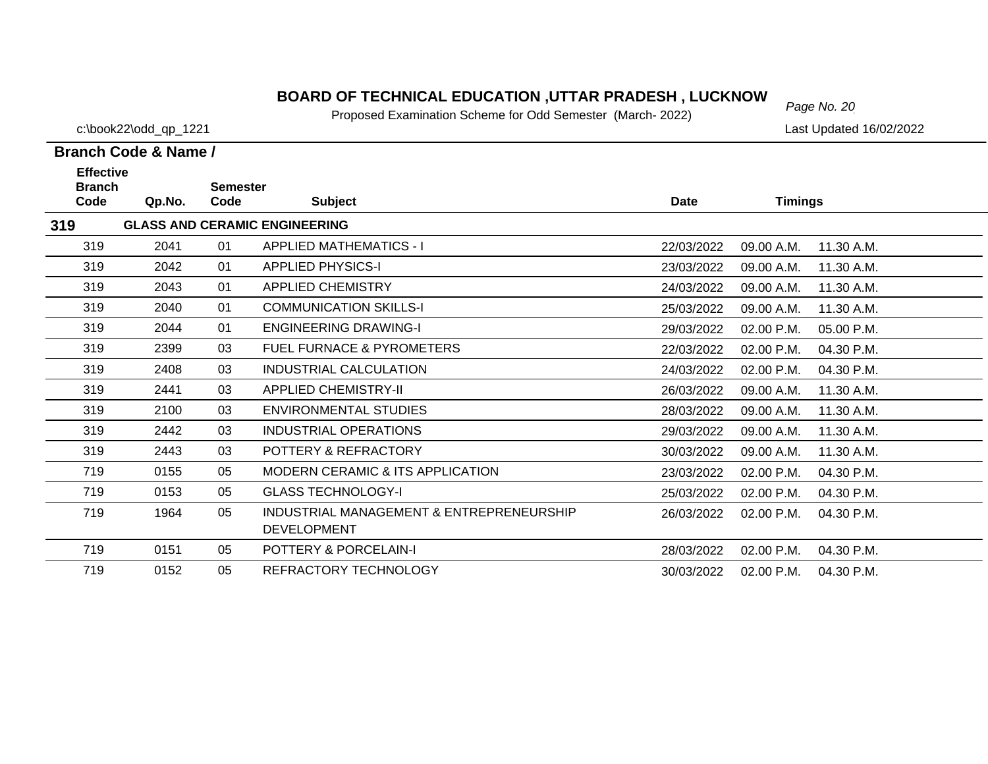# *Page No. 20* **BOARD OF TECHNICAL EDUCATION ,UTTAR PRADESH , LUCKNOW**

Proposed Examination Scheme for Odd Semester (March- 2022)

c:\book22\odd\_qp\_1221 Last Updated 16/02/2022

| <b>Effective</b><br><b>Branch</b> |        | <b>Semester</b> |                                          |             |                          |            |
|-----------------------------------|--------|-----------------|------------------------------------------|-------------|--------------------------|------------|
| Code                              | Qp.No. | Code            | <b>Subject</b>                           | <b>Date</b> | <b>Timings</b>           |            |
| 319                               |        |                 | <b>GLASS AND CERAMIC ENGINEERING</b>     |             |                          |            |
| 319                               | 2041   | 01              | <b>APPLIED MATHEMATICS - I</b>           | 22/03/2022  | 09.00 A.M.               | 11.30 A.M. |
| 319                               | 2042   | 01              | <b>APPLIED PHYSICS-I</b>                 | 23/03/2022  | 09.00 A.M.               | 11.30 A.M. |
| 319                               | 2043   | 01              | <b>APPLIED CHEMISTRY</b>                 | 24/03/2022  | 09.00 A.M.               | 11.30 A.M. |
| 319                               | 2040   | 01              | <b>COMMUNICATION SKILLS-I</b>            | 25/03/2022  | 09.00 A.M.               | 11.30 A.M. |
| 319                               | 2044   | 01              | <b>ENGINEERING DRAWING-I</b>             | 29/03/2022  | 02.00 P.M.               | 05.00 P.M. |
| 319                               | 2399   | 03              | <b>FUEL FURNACE &amp; PYROMETERS</b>     | 22/03/2022  | 02.00 P.M.               | 04.30 P.M. |
| 319                               | 2408   | 03              | INDUSTRIAL CALCULATION                   | 24/03/2022  | 02.00 P.M.<br>04.30 P.M. |            |
| 319                               | 2441   | 03              | <b>APPLIED CHEMISTRY-II</b>              | 26/03/2022  | 09.00 A.M.               | 11.30 A.M. |
| 319                               | 2100   | 03              | <b>ENVIRONMENTAL STUDIES</b>             | 28/03/2022  | 09.00 A.M.               | 11.30 A.M. |
| 319                               | 2442   | 03              | <b>INDUSTRIAL OPERATIONS</b>             | 29/03/2022  | 09.00 A.M.               | 11.30 A.M. |
| 319                               | 2443   | 03              | POTTERY & REFRACTORY                     | 30/03/2022  | 09.00 A.M.               | 11.30 A.M. |
| 719                               | 0155   | 05              | MODERN CERAMIC & ITS APPLICATION         | 23/03/2022  | 02.00 P.M.               | 04.30 P.M. |
| 719                               | 0153   | 05              | <b>GLASS TECHNOLOGY-I</b>                | 25/03/2022  | 02.00 P.M.               | 04.30 P.M. |
| 719                               | 1964   | 05              | INDUSTRIAL MANAGEMENT & ENTREPRENEURSHIP | 26/03/2022  | 02.00 P.M.<br>04.30 P.M. |            |
|                                   |        |                 | <b>DEVELOPMENT</b>                       |             |                          |            |
| 719                               | 0151   | 05              | POTTERY & PORCELAIN-I                    | 28/03/2022  | 02.00 P.M.               | 04.30 P.M. |
| 719                               | 0152   | 05              | REFRACTORY TECHNOLOGY                    | 30/03/2022  | 02.00 P.M.               | 04.30 P.M. |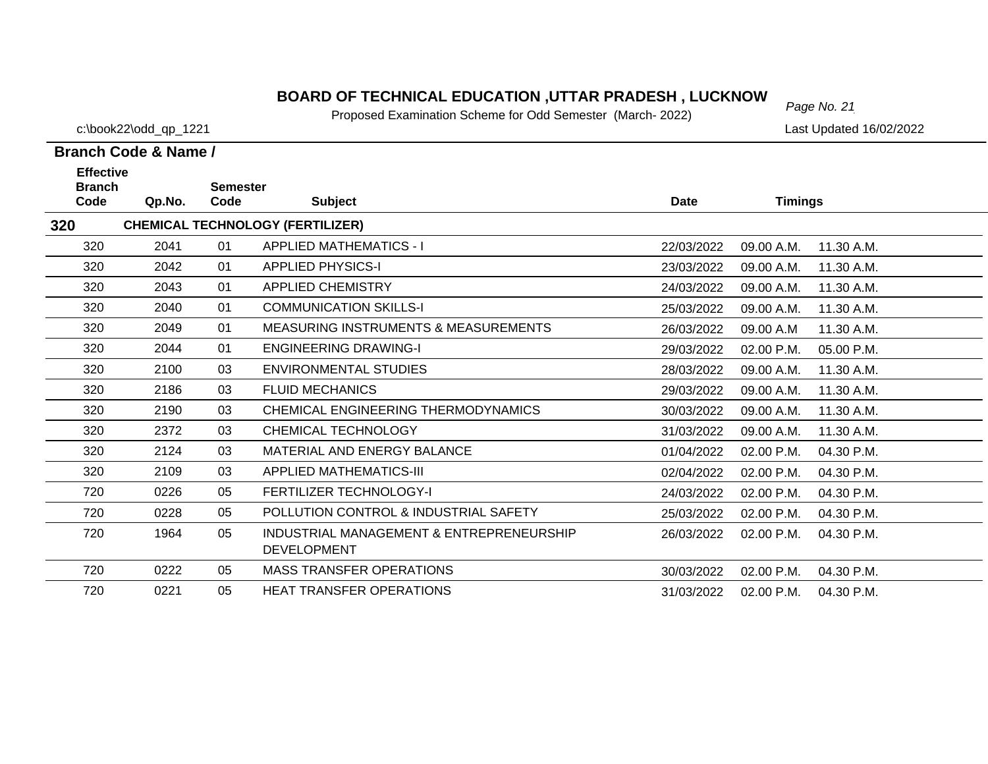#### **BOARD OF TECHNICAL EDUCATION ,UTTAR PRADESH , LUCKNOW**  $_{Page No. 21}$

Proposed Examination Scheme for Odd Semester (March- 2022)

**Branch Code & Name /**

**Branch** 

320

**320**

**Effective** 

c:\book22\odd\_qp\_1221 Last Updated 16/02/2022

11.30 A.M.

# **Code Qp.No. Semester Code Subject Date Timings CHEMICAL TECHNOLOGY (FERTILIZER)** 2041 01 APPLIED MATHEMATICS - I 22/03/2022 09.00 A.M.

| 320 | 2042 | 01 | <b>APPLIED PHYSICS-I</b>                        | 23/03/2022 | 09.00 A.M. | 11.30 A.M. |
|-----|------|----|-------------------------------------------------|------------|------------|------------|
| 320 | 2043 | 01 | APPLIED CHEMISTRY                               | 24/03/2022 | 09.00 A.M. | 11.30 A.M. |
| 320 | 2040 | 01 | <b>COMMUNICATION SKILLS-I</b>                   | 25/03/2022 | 09.00 A.M. | 11.30 A.M. |
| 320 | 2049 | 01 | <b>MEASURING INSTRUMENTS &amp; MEASUREMENTS</b> | 26/03/2022 | 09.00 A.M  | 11.30 A.M. |
| 320 | 2044 | 01 | <b>ENGINEERING DRAWING-I</b>                    | 29/03/2022 | 02.00 P.M. | 05.00 P.M. |
| 320 | 2100 | 03 | ENVIRONMENTAL STUDIES                           | 28/03/2022 | 09.00 A.M. | 11.30 A.M. |
| 320 | 2186 | 03 | <b>FLUID MECHANICS</b>                          | 29/03/2022 | 09.00 A.M. | 11.30 A.M. |
| 320 | 2190 | 03 | CHEMICAL ENGINEERING THERMODYNAMICS             | 30/03/2022 | 09.00 A.M. | 11.30 A.M. |
| 320 | 2372 | 03 | CHEMICAL TECHNOLOGY                             | 31/03/2022 | 09.00 A.M. | 11.30 A.M. |
| 320 | 2124 | 03 | MATERIAL AND ENERGY BALANCE                     | 01/04/2022 | 02.00 P.M. | 04.30 P.M. |
| 320 | 2109 | 03 | APPLIED MATHEMATICS-III                         | 02/04/2022 | 02.00 P.M. | 04.30 P.M. |
| 720 | 0226 | 05 | <b>FERTILIZER TECHNOLOGY-I</b>                  | 24/03/2022 | 02.00 P.M. | 04.30 P.M. |
| 720 | 0228 | 05 | POLLUTION CONTROL & INDUSTRIAL SAFETY           | 25/03/2022 | 02.00 P.M. | 04.30 P.M. |
| 720 | 1964 | 05 | INDUSTRIAL MANAGEMENT & ENTREPRENEURSHIP        | 26/03/2022 | 02.00 P.M. | 04.30 P.M. |
|     |      |    | <b>DEVELOPMENT</b>                              |            |            |            |
| 720 | 0222 | 05 | <b>MASS TRANSFER OPERATIONS</b>                 | 30/03/2022 | 02.00 P.M. | 04.30 P.M. |
| 720 | 0221 | 05 | <b>HEAT TRANSFER OPERATIONS</b>                 | 31/03/2022 | 02.00 P.M. | 04.30 P.M. |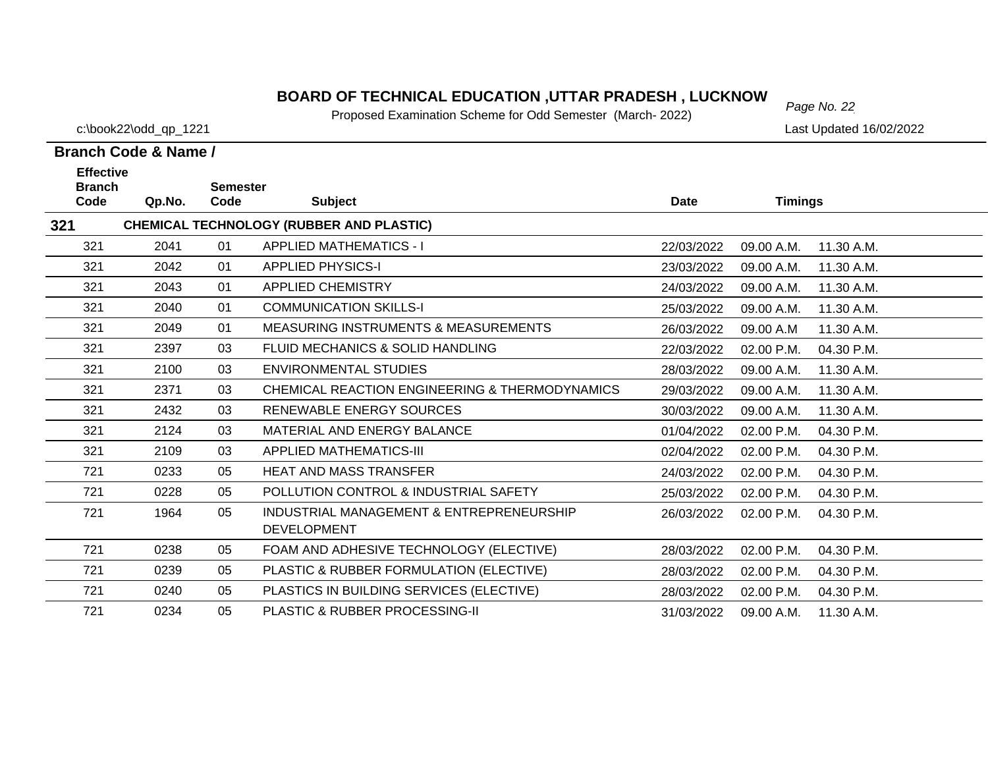# *Page No. 22* **BOARD OF TECHNICAL EDUCATION ,UTTAR PRADESH , LUCKNOW**

Proposed Examination Scheme for Odd Semester (March- 2022)

c:\book22\odd\_qp\_1221 Last Updated 16/02/2022

| <b>Effective</b><br><b>Branch</b><br>Code | Qp.No. | <b>Semester</b><br>Code | <b>Subject</b>                                                 | <b>Date</b> | <b>Timings</b> |            |
|-------------------------------------------|--------|-------------------------|----------------------------------------------------------------|-------------|----------------|------------|
| 321                                       |        |                         | <b>CHEMICAL TECHNOLOGY (RUBBER AND PLASTIC)</b>                |             |                |            |
| 321                                       | 2041   | 01                      | <b>APPLIED MATHEMATICS - I</b>                                 | 22/03/2022  | 09.00 A.M.     | 11.30 A.M. |
| 321                                       | 2042   | 01                      | <b>APPLIED PHYSICS-I</b>                                       | 23/03/2022  | 09.00 A.M.     | 11.30 A.M. |
| 321                                       | 2043   | 01                      | <b>APPLIED CHEMISTRY</b>                                       | 24/03/2022  | 09.00 A.M.     | 11.30 A.M. |
| 321                                       | 2040   | 01                      | <b>COMMUNICATION SKILLS-I</b>                                  | 25/03/2022  | 09.00 A.M.     | 11.30 A.M. |
| 321                                       | 2049   | 01                      | <b>MEASURING INSTRUMENTS &amp; MEASUREMENTS</b>                | 26/03/2022  | 09.00 A.M      | 11.30 A.M. |
| 321                                       | 2397   | 03                      | <b>FLUID MECHANICS &amp; SOLID HANDLING</b>                    | 22/03/2022  | 02.00 P.M.     | 04.30 P.M. |
| 321                                       | 2100   | 03                      | <b>ENVIRONMENTAL STUDIES</b>                                   | 28/03/2022  | 09.00 A.M.     | 11.30 A.M. |
| 321                                       | 2371   | 03                      | CHEMICAL REACTION ENGINEERING & THERMODYNAMICS                 | 29/03/2022  | 09.00 A.M.     | 11.30 A.M. |
| 321                                       | 2432   | 03                      | RENEWABLE ENERGY SOURCES                                       | 30/03/2022  | 09.00 A.M.     | 11.30 A.M. |
| 321                                       | 2124   | 03                      | MATERIAL AND ENERGY BALANCE                                    | 01/04/2022  | 02.00 P.M.     | 04.30 P.M. |
| 321                                       | 2109   | 03                      | <b>APPLIED MATHEMATICS-III</b>                                 | 02/04/2022  | 02.00 P.M.     | 04.30 P.M. |
| 721                                       | 0233   | 05                      | <b>HEAT AND MASS TRANSFER</b>                                  | 24/03/2022  | 02.00 P.M.     | 04.30 P.M. |
| 721                                       | 0228   | 05                      | POLLUTION CONTROL & INDUSTRIAL SAFETY                          | 25/03/2022  | 02.00 P.M.     | 04.30 P.M. |
| 721                                       | 1964   | 05                      | INDUSTRIAL MANAGEMENT & ENTREPRENEURSHIP<br><b>DEVELOPMENT</b> | 26/03/2022  | 02.00 P.M.     | 04.30 P.M. |
| 721                                       | 0238   | 05                      | FOAM AND ADHESIVE TECHNOLOGY (ELECTIVE)                        | 28/03/2022  | 02.00 P.M.     | 04.30 P.M. |
| 721                                       | 0239   | 05                      | PLASTIC & RUBBER FORMULATION (ELECTIVE)                        | 28/03/2022  | 02.00 P.M.     | 04.30 P.M. |
| 721                                       | 0240   | 05                      | PLASTICS IN BUILDING SERVICES (ELECTIVE)                       | 28/03/2022  | 02.00 P.M.     | 04.30 P.M. |
| 721                                       | 0234   | 05                      | PLASTIC & RUBBER PROCESSING-II                                 | 31/03/2022  | 09.00 A.M.     | 11.30 A.M. |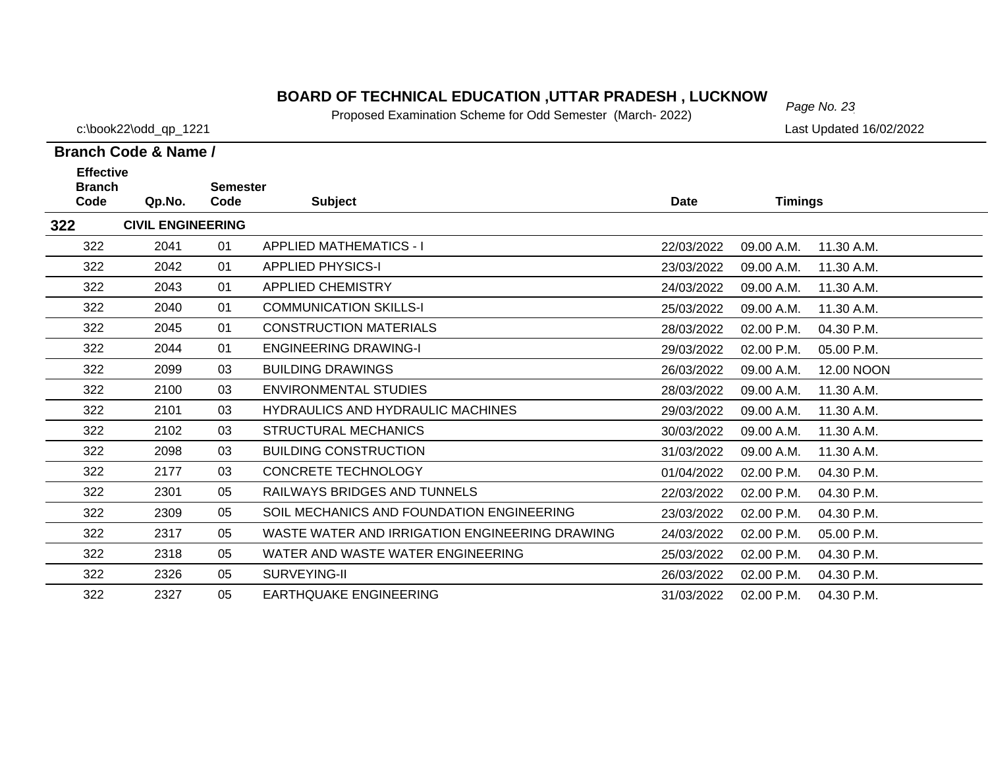# *Page No. 23* **BOARD OF TECHNICAL EDUCATION ,UTTAR PRADESH , LUCKNOW**

Proposed Examination Scheme for Odd Semester (March- 2022)

c:\book22\odd\_qp\_1221 Last Updated 16/02/2022

| <b>Effective</b>      |                          |                         |                                                |            |                |            |
|-----------------------|--------------------------|-------------------------|------------------------------------------------|------------|----------------|------------|
| <b>Branch</b><br>Code | Qp.No.                   | <b>Semester</b><br>Code | <b>Subject</b>                                 | Date       | <b>Timings</b> |            |
| 322                   | <b>CIVIL ENGINEERING</b> |                         |                                                |            |                |            |
| 322                   | 2041                     | 01                      | <b>APPLIED MATHEMATICS - I</b>                 | 22/03/2022 | 09.00 A.M.     | 11.30 A.M. |
| 322                   | 2042                     | 01                      | <b>APPLIED PHYSICS-I</b>                       | 23/03/2022 | 09.00 A.M.     | 11.30 A.M. |
| 322                   | 2043                     | 01                      | <b>APPLIED CHEMISTRY</b>                       | 24/03/2022 | 09.00 A.M.     | 11.30 A.M. |
| 322                   | 2040                     | 01                      | <b>COMMUNICATION SKILLS-I</b>                  | 25/03/2022 | 09.00 A.M.     | 11.30 A.M. |
| 322                   | 2045                     | 01                      | <b>CONSTRUCTION MATERIALS</b>                  | 28/03/2022 | 02.00 P.M.     | 04.30 P.M. |
| 322                   | 2044                     | 01                      | <b>ENGINEERING DRAWING-I</b>                   | 29/03/2022 | 02.00 P.M.     | 05.00 P.M. |
| 322                   | 2099                     | 03                      | <b>BUILDING DRAWINGS</b>                       | 26/03/2022 | 09.00 A.M.     | 12.00 NOON |
| 322                   | 2100                     | 03                      | <b>ENVIRONMENTAL STUDIES</b>                   | 28/03/2022 | 09.00 A.M.     | 11.30 A.M. |
| 322                   | 2101                     | 03                      | <b>HYDRAULICS AND HYDRAULIC MACHINES</b>       | 29/03/2022 | 09.00 A.M.     | 11.30 A.M. |
| 322                   | 2102                     | 03                      | <b>STRUCTURAL MECHANICS</b>                    | 30/03/2022 | 09.00 A.M.     | 11.30 A.M. |
| 322                   | 2098                     | 03                      | <b>BUILDING CONSTRUCTION</b>                   | 31/03/2022 | 09.00 A.M.     | 11.30 A.M. |
| 322                   | 2177                     | 03                      | <b>CONCRETE TECHNOLOGY</b>                     | 01/04/2022 | 02.00 P.M.     | 04.30 P.M. |
| 322                   | 2301                     | 05                      | RAILWAYS BRIDGES AND TUNNELS                   | 22/03/2022 | 02.00 P.M.     | 04.30 P.M. |
| 322                   | 2309                     | 05                      | SOIL MECHANICS AND FOUNDATION ENGINEERING      | 23/03/2022 | 02.00 P.M.     | 04.30 P.M. |
| 322                   | 2317                     | 05                      | WASTE WATER AND IRRIGATION ENGINEERING DRAWING | 24/03/2022 | 02.00 P.M.     | 05.00 P.M. |
| 322                   | 2318                     | 05                      | WATER AND WASTE WATER ENGINEERING              | 25/03/2022 | 02.00 P.M.     | 04.30 P.M. |
| 322                   | 2326                     | 05                      | SURVEYING-II                                   | 26/03/2022 | 02.00 P.M.     | 04.30 P.M. |
| 322                   | 2327                     | 05                      | <b>EARTHQUAKE ENGINEERING</b>                  | 31/03/2022 | 02.00 P.M.     | 04.30 P.M. |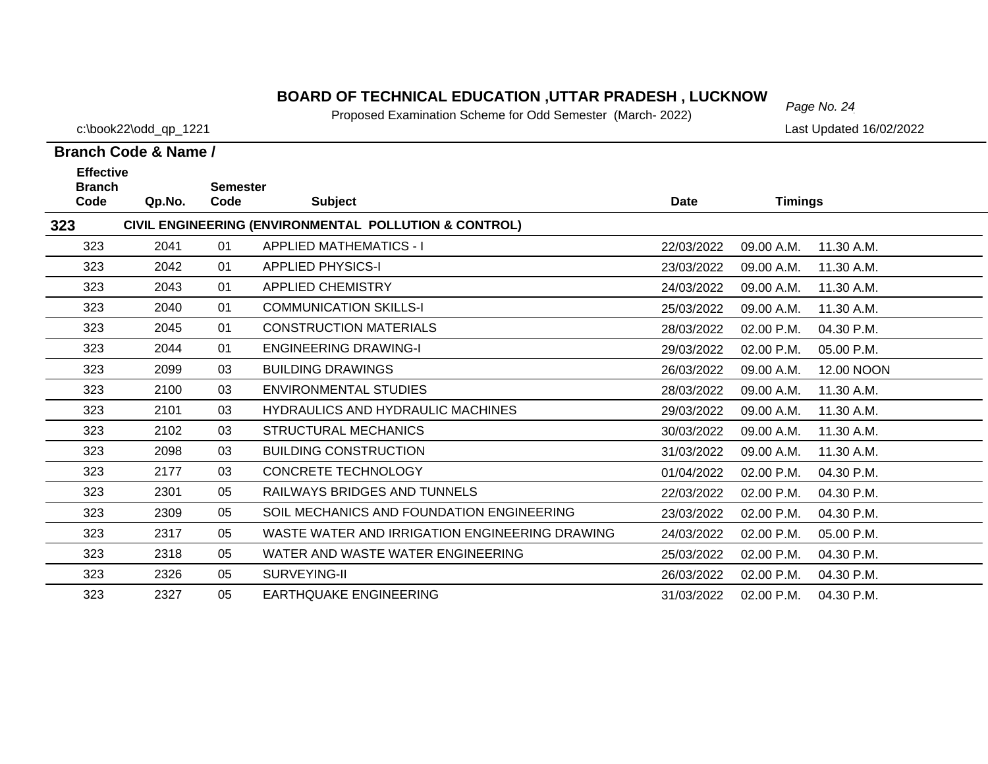# *Page No. 24* **BOARD OF TECHNICAL EDUCATION ,UTTAR PRADESH , LUCKNOW**

Proposed Examination Scheme for Odd Semester (March- 2022)

c:\book22\odd\_qp\_1221 Last Updated 16/02/2022

| <b>Effective</b><br><b>Semester</b> |        |      |                                                       |             |                |            |
|-------------------------------------|--------|------|-------------------------------------------------------|-------------|----------------|------------|
| <b>Branch</b><br>Code               | Qp.No. | Code | <b>Subject</b>                                        | <b>Date</b> | <b>Timings</b> |            |
| 323                                 |        |      | CIVIL ENGINEERING (ENVIRONMENTAL POLLUTION & CONTROL) |             |                |            |
| 323                                 | 2041   | 01   | <b>APPLIED MATHEMATICS - I</b>                        | 22/03/2022  | 09.00 A.M.     | 11.30 A.M. |
| 323                                 | 2042   | 01   | <b>APPLIED PHYSICS-I</b>                              | 23/03/2022  | 09.00 A.M.     | 11.30 A.M. |
| 323                                 | 2043   | 01   | <b>APPLIED CHEMISTRY</b>                              | 24/03/2022  | 09.00 A.M.     | 11.30 A.M. |
| 323                                 | 2040   | 01   | <b>COMMUNICATION SKILLS-I</b>                         | 25/03/2022  | 09.00 A.M.     | 11.30 A.M. |
| 323                                 | 2045   | 01   | <b>CONSTRUCTION MATERIALS</b>                         | 28/03/2022  | 02.00 P.M.     | 04.30 P.M. |
| 323                                 | 2044   | 01   | <b>ENGINEERING DRAWING-I</b>                          | 29/03/2022  | 02.00 P.M.     | 05.00 P.M. |
| 323                                 | 2099   | 03   | <b>BUILDING DRAWINGS</b>                              | 26/03/2022  | 09.00 A.M.     | 12.00 NOON |
| 323                                 | 2100   | 03   | <b>ENVIRONMENTAL STUDIES</b>                          | 28/03/2022  | 09.00 A.M.     | 11.30 A.M. |
| 323                                 | 2101   | 03   | <b>HYDRAULICS AND HYDRAULIC MACHINES</b>              | 29/03/2022  | 09.00 A.M.     | 11.30 A.M. |
| 323                                 | 2102   | 03   | <b>STRUCTURAL MECHANICS</b>                           | 30/03/2022  | 09.00 A.M.     | 11.30 A.M. |
| 323                                 | 2098   | 03   | <b>BUILDING CONSTRUCTION</b>                          | 31/03/2022  | 09.00 A.M.     | 11.30 A.M. |
| 323                                 | 2177   | 03   | <b>CONCRETE TECHNOLOGY</b>                            | 01/04/2022  | 02.00 P.M.     | 04.30 P.M. |
| 323                                 | 2301   | 05   | <b>RAILWAYS BRIDGES AND TUNNELS</b>                   | 22/03/2022  | 02.00 P.M.     | 04.30 P.M. |
| 323                                 | 2309   | 05   | SOIL MECHANICS AND FOUNDATION ENGINEERING             | 23/03/2022  | 02.00 P.M.     | 04.30 P.M. |
| 323                                 | 2317   | 05   | WASTE WATER AND IRRIGATION ENGINEERING DRAWING        | 24/03/2022  | 02.00 P.M.     | 05.00 P.M. |
| 323                                 | 2318   | 05   | WATER AND WASTE WATER ENGINEERING                     | 25/03/2022  | 02.00 P.M.     | 04.30 P.M. |
| 323                                 | 2326   | 05   | SURVEYING-II                                          | 26/03/2022  | 02.00 P.M.     | 04.30 P.M. |
| 323                                 | 2327   | 05   | <b>EARTHQUAKE ENGINEERING</b>                         | 31/03/2022  | 02.00 P.M.     | 04.30 P.M. |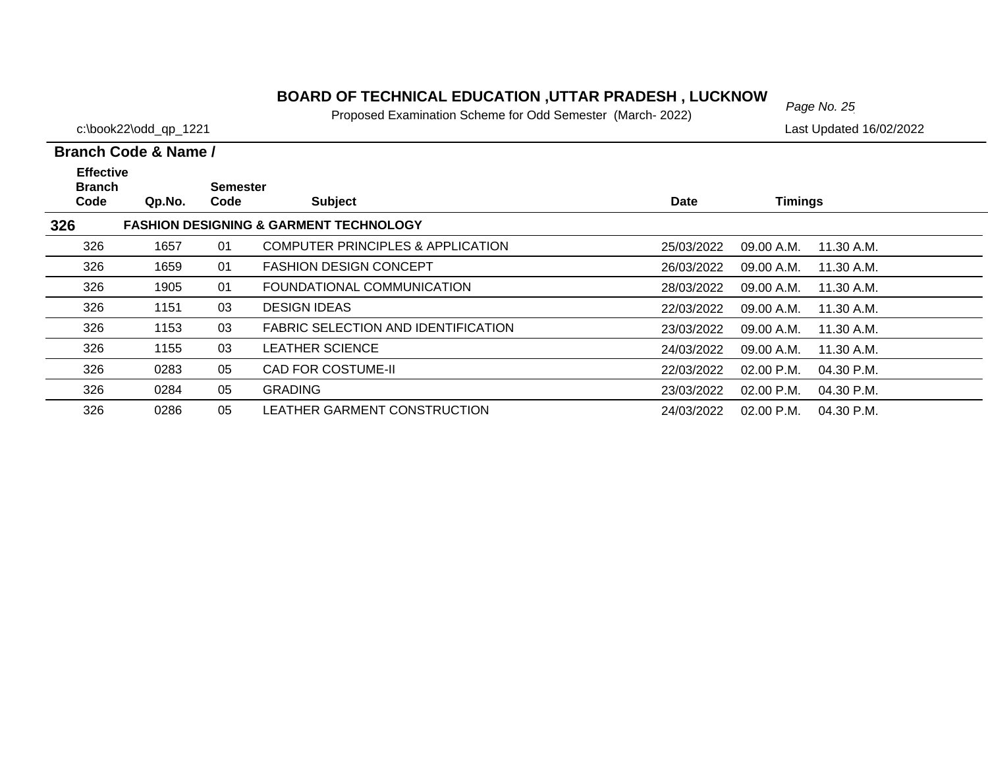#### **BOARD OF TECHNICAL EDUCATION ,UTTAR PRADESH , LUCKNOW** Page No. 25

Proposed Examination Scheme for Odd Semester (March- 2022)

c:\book22\odd\_qp\_1221 Last Updated 16/02/2022

#### **Branch Code Qp.No. SemesterCode Subject Date Timings Branch Code & Name /Effective 326 FASHION DESIGNING & GARMENT TECHNOLOGY** 326 1657 01 COMPUTER PRINCIPLES & APPLICATION25/03/2022 09.00 A.M. 11.30 A.M. 326 1659 01 FASHION DESIGN CONCEPT26/03/2022 09.00 A.M. 11.30 A.M. 326 1905 01 FOUNDATIONAL COMMUNICATION28/03/2022 09.00 A.M. 11.30 A.M. 326 1151 03 DESIGN IDEAS22/03/2022 09.00 A.M. 11.30 A.M. 326 1153 03 FABRIC SELECTION AND IDENTIFICATION23/03/2022 09.00 A.M. 11.30 A.M. 326 1155 03 LEATHER SCIENCE24/03/2022 09.00 A.M. 11.30 A.M. 3260283 05 CAD FOR COSTUME-II 22/03/2022 02.00 P.M. 04.30 P.M. 326 0284 05 GRADING 23/03/2022 02.00 P.M. 04.30 P.M.3260286 05 LEATHER GARMENT CONSTRUCTION 24/03/2022 02.00 P.M. 04.30 P.M.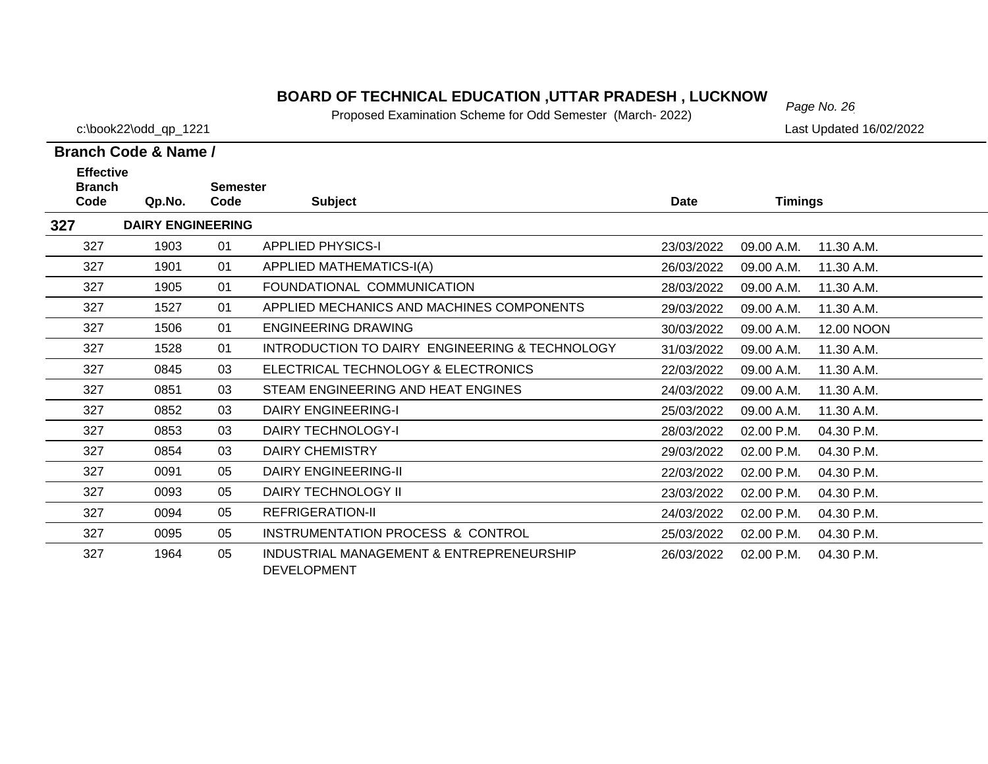# *Page No. 26* **BOARD OF TECHNICAL EDUCATION ,UTTAR PRADESH , LUCKNOW**

Proposed Examination Scheme for Odd Semester (March- 2022)

c:\book22\odd\_qp\_1221 Last Updated 16/02/2022

| <b>Effective</b><br><b>Branch</b> |                          | <b>Semester</b> |                                                                |            |                |            |
|-----------------------------------|--------------------------|-----------------|----------------------------------------------------------------|------------|----------------|------------|
| Code                              | Qp.No.                   | Code            | <b>Subject</b>                                                 | Date       | <b>Timings</b> |            |
| 327                               | <b>DAIRY ENGINEERING</b> |                 |                                                                |            |                |            |
| 327                               | 1903                     | 01              | <b>APPLIED PHYSICS-I</b>                                       | 23/03/2022 | 09.00 A.M.     | 11.30 A.M. |
| 327                               | 1901                     | 01              | APPLIED MATHEMATICS-I(A)                                       | 26/03/2022 | 09.00 A.M.     | 11.30 A.M. |
| 327                               | 1905                     | 01              | FOUNDATIONAL COMMUNICATION                                     | 28/03/2022 | 09.00 A.M.     | 11.30 A.M. |
| 327                               | 1527                     | 01              | APPLIED MECHANICS AND MACHINES COMPONENTS                      | 29/03/2022 | 09.00 A.M.     | 11.30 A.M. |
| 327                               | 1506                     | 01              | <b>ENGINEERING DRAWING</b>                                     | 30/03/2022 | 09.00 A.M.     | 12.00 NOON |
| 327                               | 1528                     | 01              | INTRODUCTION TO DAIRY ENGINEERING & TECHNOLOGY                 | 31/03/2022 | 09.00 A.M.     | 11.30 A.M. |
| 327                               | 0845                     | 03              | ELECTRICAL TECHNOLOGY & ELECTRONICS                            | 22/03/2022 | 09.00 A.M.     | 11.30 A.M. |
| 327                               | 0851                     | 03              | STEAM ENGINEERING AND HEAT ENGINES                             | 24/03/2022 | 09.00 A.M.     | 11.30 A.M. |
| 327                               | 0852                     | 03              | <b>DAIRY ENGINEERING-I</b>                                     | 25/03/2022 | 09.00 A.M.     | 11.30 A.M. |
| 327                               | 0853                     | 03              | DAIRY TECHNOLOGY-I                                             | 28/03/2022 | 02.00 P.M.     | 04.30 P.M. |
| 327                               | 0854                     | 03              | <b>DAIRY CHEMISTRY</b>                                         | 29/03/2022 | 02.00 P.M.     | 04.30 P.M. |
| 327                               | 0091                     | 05              | <b>DAIRY ENGINEERING-II</b>                                    | 22/03/2022 | 02.00 P.M.     | 04.30 P.M. |
| 327                               | 0093                     | 05              | DAIRY TECHNOLOGY II                                            | 23/03/2022 | 02.00 P.M.     | 04.30 P.M. |
| 327                               | 0094                     | 05              | REFRIGERATION-II                                               | 24/03/2022 | 02.00 P.M.     | 04.30 P.M. |
| 327                               | 0095                     | 05              | INSTRUMENTATION PROCESS & CONTROL                              | 25/03/2022 | 02.00 P.M.     | 04.30 P.M. |
| 327                               | 1964                     | 05              | INDUSTRIAL MANAGEMENT & ENTREPRENEURSHIP<br><b>DEVELOPMENT</b> | 26/03/2022 | 02.00 P.M.     | 04.30 P.M. |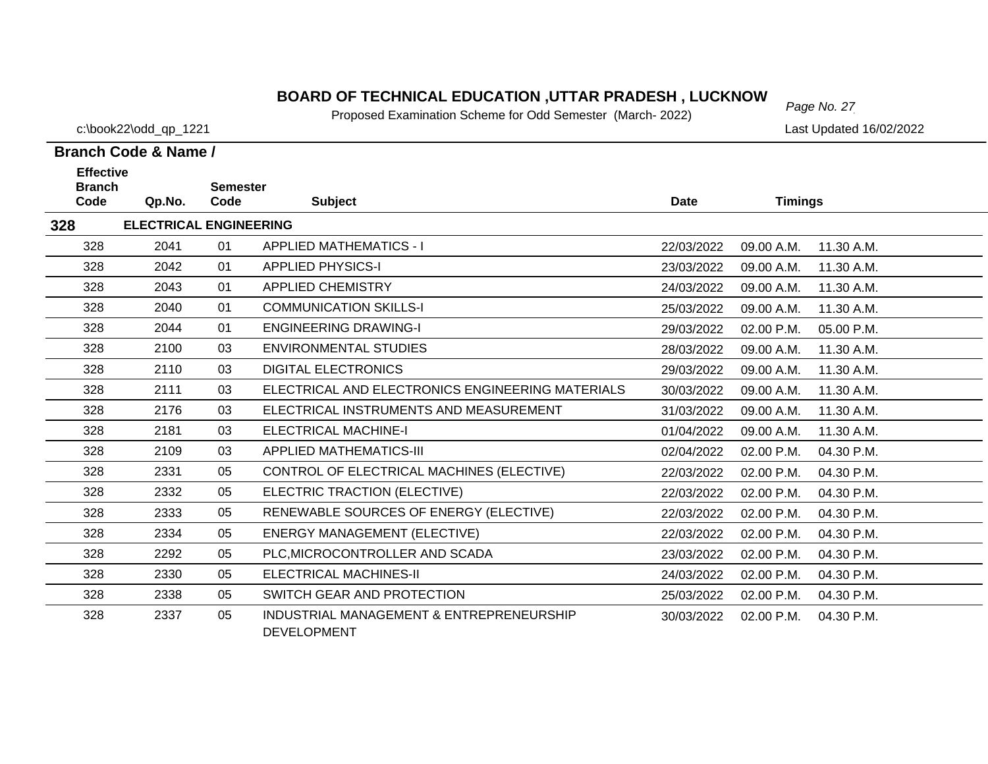# *Page No. 27* **BOARD OF TECHNICAL EDUCATION ,UTTAR PRADESH , LUCKNOW**

Proposed Examination Scheme for Odd Semester (March- 2022)

c:\book22\odd\_qp\_1221 Last Updated 16/02/2022

| <b>Effective</b><br><b>Branch</b><br>Code | Qp.No.                        | <b>Semester</b><br>Code | <b>Subject</b>                                                 | <b>Date</b> | <b>Timings</b> |            |
|-------------------------------------------|-------------------------------|-------------------------|----------------------------------------------------------------|-------------|----------------|------------|
| 328                                       | <b>ELECTRICAL ENGINEERING</b> |                         |                                                                |             |                |            |
| 328                                       | 2041                          | 01                      | <b>APPLIED MATHEMATICS - I</b>                                 | 22/03/2022  | 09.00 A.M.     | 11.30 A.M. |
| 328                                       | 2042                          | 01                      | <b>APPLIED PHYSICS-I</b>                                       | 23/03/2022  | 09.00 A.M.     | 11.30 A.M. |
| 328                                       | 2043                          | 01                      | <b>APPLIED CHEMISTRY</b>                                       | 24/03/2022  | 09.00 A.M.     | 11.30 A.M. |
| 328                                       | 2040                          | 01                      | <b>COMMUNICATION SKILLS-I</b>                                  | 25/03/2022  | 09.00 A.M.     | 11.30 A.M. |
| 328                                       | 2044                          | 01                      | <b>ENGINEERING DRAWING-I</b>                                   | 29/03/2022  | 02.00 P.M.     | 05.00 P.M. |
| 328                                       | 2100                          | 03                      | <b>ENVIRONMENTAL STUDIES</b>                                   | 28/03/2022  | 09.00 A.M.     | 11.30 A.M. |
| 328                                       | 2110                          | 03                      | <b>DIGITAL ELECTRONICS</b>                                     | 29/03/2022  | 09.00 A.M.     | 11.30 A.M. |
| 328                                       | 2111                          | 03                      | ELECTRICAL AND ELECTRONICS ENGINEERING MATERIALS               | 30/03/2022  | 09.00 A.M.     | 11.30 A.M. |
| 328                                       | 2176                          | 03                      | ELECTRICAL INSTRUMENTS AND MEASUREMENT                         | 31/03/2022  | 09.00 A.M.     | 11.30 A.M. |
| 328                                       | 2181                          | 03                      | <b>ELECTRICAL MACHINE-I</b>                                    | 01/04/2022  | 09.00 A.M.     | 11.30 A.M. |
| 328                                       | 2109                          | 03                      | <b>APPLIED MATHEMATICS-III</b>                                 | 02/04/2022  | 02.00 P.M.     | 04.30 P.M. |
| 328                                       | 2331                          | 05                      | CONTROL OF ELECTRICAL MACHINES (ELECTIVE)                      | 22/03/2022  | 02.00 P.M.     | 04.30 P.M. |
| 328                                       | 2332                          | 05                      | ELECTRIC TRACTION (ELECTIVE)                                   | 22/03/2022  | 02.00 P.M.     | 04.30 P.M. |
| 328                                       | 2333                          | 05                      | RENEWABLE SOURCES OF ENERGY (ELECTIVE)                         | 22/03/2022  | 02.00 P.M.     | 04.30 P.M. |
| 328                                       | 2334                          | 05                      | <b>ENERGY MANAGEMENT (ELECTIVE)</b>                            | 22/03/2022  | 02.00 P.M.     | 04.30 P.M. |
| 328                                       | 2292                          | 05                      | PLC, MICROCONTROLLER AND SCADA                                 | 23/03/2022  | 02.00 P.M.     | 04.30 P.M. |
| 328                                       | 2330                          | 05                      | <b>ELECTRICAL MACHINES-II</b>                                  | 24/03/2022  | 02.00 P.M.     | 04.30 P.M. |
| 328                                       | 2338                          | 05                      | SWITCH GEAR AND PROTECTION                                     | 25/03/2022  | 02.00 P.M.     | 04.30 P.M. |
| 328                                       | 2337                          | 05                      | INDUSTRIAL MANAGEMENT & ENTREPRENEURSHIP<br><b>DEVELOPMENT</b> | 30/03/2022  | 02.00 P.M.     | 04.30 P.M. |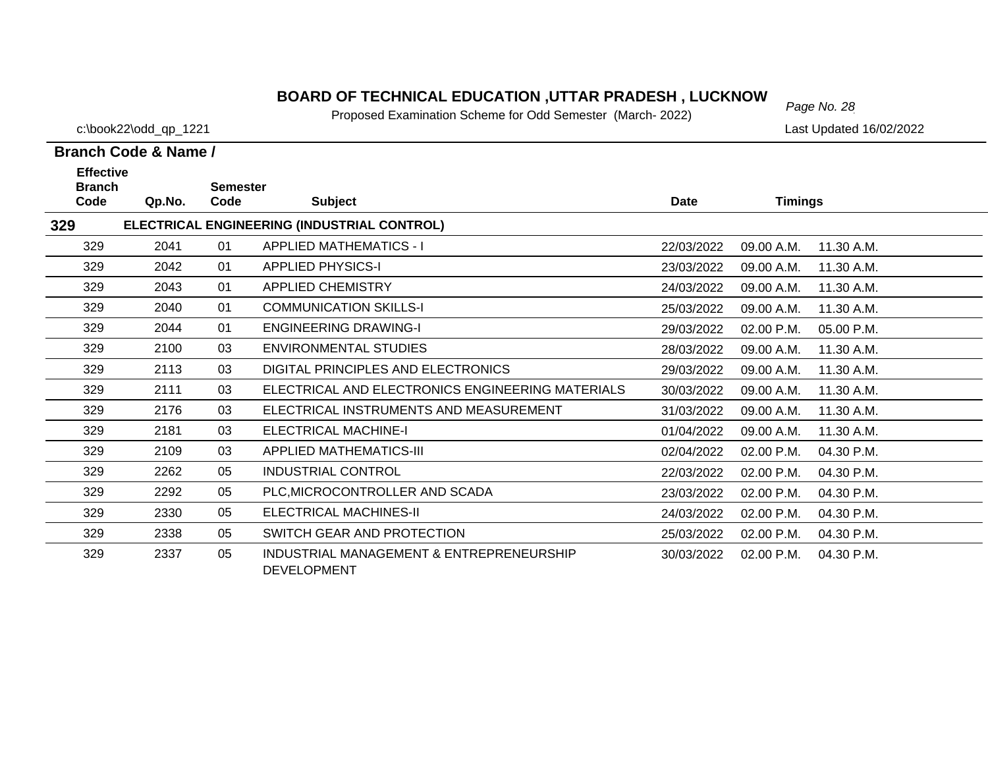# *Page No. 28* **BOARD OF TECHNICAL EDUCATION ,UTTAR PRADESH , LUCKNOW**

Proposed Examination Scheme for Odd Semester (March- 2022)

c:\book22\odd\_qp\_1221 Last Updated 16/02/2022

| <b>Effective</b>      |        |                         |                                                                |             |                |              |
|-----------------------|--------|-------------------------|----------------------------------------------------------------|-------------|----------------|--------------|
| <b>Branch</b><br>Code | Qp.No. | <b>Semester</b><br>Code | <b>Subject</b>                                                 | <b>Date</b> | <b>Timings</b> |              |
| 329                   |        |                         | ELECTRICAL ENGINEERING (INDUSTRIAL CONTROL)                    |             |                |              |
| 329                   | 2041   | 01                      | <b>APPLIED MATHEMATICS - I</b>                                 | 22/03/2022  | 09.00 A.M.     | 11.30 A.M.   |
| 329                   | 2042   | 01                      | <b>APPLIED PHYSICS-I</b>                                       | 23/03/2022  | 09.00 A.M.     | 11.30 A.M.   |
| 329                   | 2043   | 01                      | <b>APPLIED CHEMISTRY</b>                                       | 24/03/2022  | 09.00 A.M.     | 11.30 A.M.   |
| 329                   | 2040   | 01                      | <b>COMMUNICATION SKILLS-I</b>                                  | 25/03/2022  | 09.00 A.M.     | 11.30 A.M.   |
| 329                   | 2044   | 01                      | <b>ENGINEERING DRAWING-I</b>                                   | 29/03/2022  | 02.00 P.M.     | 05.00 P.M.   |
| 329                   | 2100   | 03                      | <b>ENVIRONMENTAL STUDIES</b>                                   | 28/03/2022  | 09.00 A.M.     | 11.30 A.M.   |
| 329                   | 2113   | 03                      | DIGITAL PRINCIPLES AND ELECTRONICS                             | 29/03/2022  | 09.00 A.M.     | 11.30 A.M.   |
| 329                   | 2111   | 03                      | ELECTRICAL AND ELECTRONICS ENGINEERING MATERIALS               | 30/03/2022  | 09.00 A.M.     | 11.30 A.M.   |
| 329                   | 2176   | 03                      | ELECTRICAL INSTRUMENTS AND MEASUREMENT                         | 31/03/2022  | 09.00 A.M.     | 11.30 A.M.   |
| 329                   | 2181   | 03                      | <b>ELECTRICAL MACHINE-I</b>                                    | 01/04/2022  | 09.00 A.M.     | 11.30 A.M.   |
| 329                   | 2109   | 03                      | <b>APPLIED MATHEMATICS-III</b>                                 | 02/04/2022  | 02.00 P.M.     | 04.30 P.M.   |
| 329                   | 2262   | 05                      | <b>INDUSTRIAL CONTROL</b>                                      | 22/03/2022  | 02.00 P.M.     | 04.30 P.M.   |
| 329                   | 2292   | 05                      | PLC, MICROCONTROLLER AND SCADA                                 | 23/03/2022  | 02.00 P.M.     | 04.30 P.M.   |
| 329                   | 2330   | 05                      | ELECTRICAL MACHINES-II                                         | 24/03/2022  | 02.00 P.M.     | 04.30 P.M.   |
| 329                   | 2338   | 05                      | SWITCH GEAR AND PROTECTION                                     | 25/03/2022  | 02.00 P.M.     | 04.30 P.M.   |
| 329                   | 2337   | 05                      | INDUSTRIAL MANAGEMENT & ENTREPRENEURSHIP<br><b>DEVELOPMENT</b> | 30/03/2022  | $02.00$ P.M.   | $04.30$ P.M. |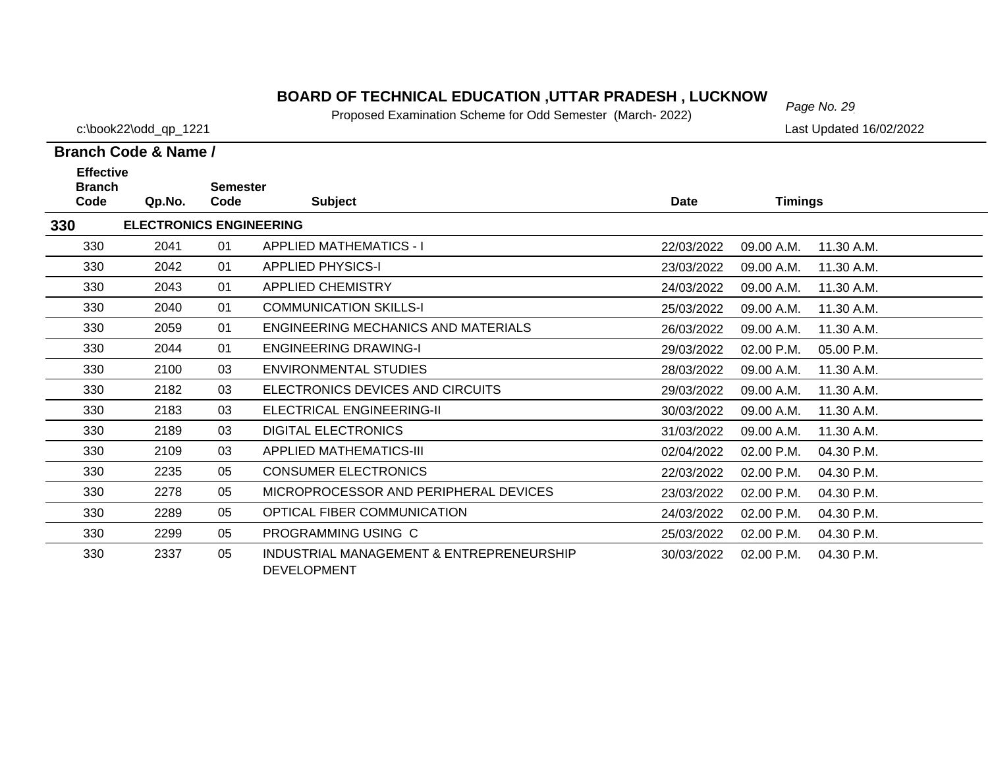#### **BOARD OF TECHNICAL EDUCATION ,UTTAR PRADESH , LUCKNOW**  $_{Page No. 29}$

Proposed Examination Scheme for Odd Semester (March- 2022)

25/03/2022 02.00 P.M. 04.30 P.M.

**Branch Code & Name /**

c:\book22\odd\_qp\_1221 Last Updated 16/02/2022

#### **Code Qp.No. SemesterCode Subject Date Timings Effective ELECTRONICS ENGINEERING** 330 2041 01 APPLIED MATHEMATICS - I 22/03/2022 09.00 A.M. 11.30 A.M.330 2042 01 APPLIED PHYSICS-I 23/03/2022 09.00 A.M. 11.30 A.M.330 2043 01 APPLIED CHEMISTRY 24/03/2022 09.00 A.M. 11.30 A.M.3302040 01 COMMUNICATION SKILLS-I 25/03/2022 09.00 A.M. 11.30 A.M. 330 2059 01 ENGINEERING MECHANICS AND MATERIALS26/03/2022 09.00 A.M. 11.30 A.M. 330 2044 01 ENGINEERING DRAWING-I 29/03/2022 02.00 P.M. 05.00 P.M.330 2100 03 ENVIRONMENTAL STUDIES28/03/2022 09.00 A.M. 11.30 A.M. 330 2182 03 ELECTRONICS DEVICES AND CIRCUITS 29/03/2022 09.00 A.M. 11.30 A.M.330 2183 03 ELECTRICAL ENGINEERING-II 30/03/2022 09.00 A.M. 11.30 A.M.330 2189 03 DIGITAL ELECTRONICS 31/03/2022 09.00 A.M. 11.30 A.M.330 2109 03 APPLIED MATHEMATICS-III 02/04/2022 02.00 P.M. 04.30 P.M.330 2235 05 CONSUMER ELECTRONICS 22/03/2022 02.00 P.M. 04.30 P.M.330 2278 05 MICROPROCESSOR AND PERIPHERAL DEVICES 23/03/2022 02.00 P.M. 04.30 P.M.330 2289 05 OPTICAL FIBER COMMUNICATION24/03/2022 02.00 P.M. 04.30 P.M.

0 2337 05 INDUSTRIAL MANAGEMENT & ENTREPRENEURSHIP 30/03/2022 02.00 P.M. 04.30 P.M. DEVELOPMENT

2299 05 PROGRAMMING USING C

**Branch** 

330

330

**330**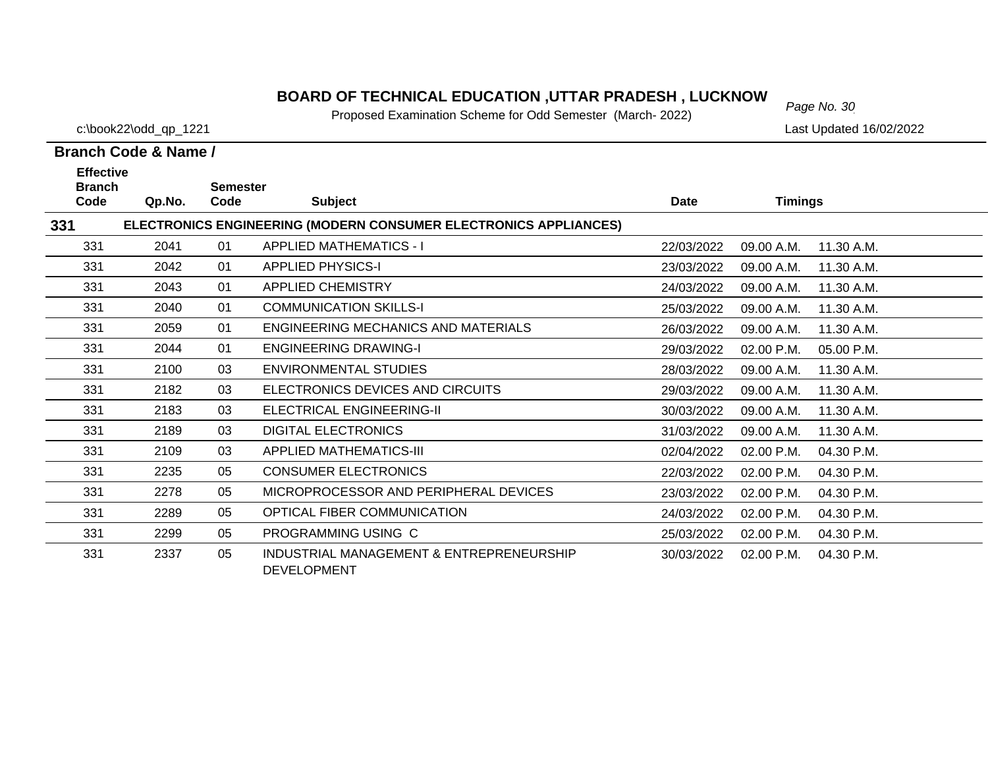# *Page No. 30* **BOARD OF TECHNICAL EDUCATION ,UTTAR PRADESH , LUCKNOW**

Proposed Examination Scheme for Odd Semester (March- 2022)

c:\book22\odd\_qp\_1221 Last Updated 16/02/2022

| <b>Effective</b>      |        |                         |                                                                  |            |                |            |
|-----------------------|--------|-------------------------|------------------------------------------------------------------|------------|----------------|------------|
| <b>Branch</b><br>Code | Qp.No. | <b>Semester</b><br>Code | <b>Subject</b>                                                   | Date       | <b>Timings</b> |            |
| 331                   |        |                         | ELECTRONICS ENGINEERING (MODERN CONSUMER ELECTRONICS APPLIANCES) |            |                |            |
| 331                   | 2041   | 01                      | <b>APPLIED MATHEMATICS - I</b>                                   | 22/03/2022 | 09.00 A.M.     | 11.30 A.M. |
| 331                   | 2042   | 01                      | <b>APPLIED PHYSICS-I</b>                                         | 23/03/2022 | 09.00 A.M.     | 11.30 A.M. |
| 331                   | 2043   | 01                      | <b>APPLIED CHEMISTRY</b>                                         | 24/03/2022 | 09.00 A.M.     | 11.30 A.M. |
| 331                   | 2040   | 01                      | <b>COMMUNICATION SKILLS-I</b>                                    | 25/03/2022 | 09.00 A.M.     | 11.30 A.M. |
| 331                   | 2059   | 01                      | <b>ENGINEERING MECHANICS AND MATERIALS</b>                       | 26/03/2022 | 09.00 A.M.     | 11.30 A.M. |
| 331                   | 2044   | 01                      | <b>ENGINEERING DRAWING-I</b>                                     | 29/03/2022 | 02.00 P.M.     | 05.00 P.M. |
| 331                   | 2100   | 03                      | <b>ENVIRONMENTAL STUDIES</b>                                     | 28/03/2022 | 09.00 A.M.     | 11.30 A.M. |
| 331                   | 2182   | 03                      | ELECTRONICS DEVICES AND CIRCUITS                                 | 29/03/2022 | 09.00 A.M.     | 11.30 A.M. |
| 331                   | 2183   | 03                      | ELECTRICAL ENGINEERING-II                                        | 30/03/2022 | 09.00 A.M.     | 11.30 A.M. |
| 331                   | 2189   | 03                      | <b>DIGITAL ELECTRONICS</b>                                       | 31/03/2022 | 09.00 A.M.     | 11.30 A.M. |
| 331                   | 2109   | 03                      | <b>APPLIED MATHEMATICS-III</b>                                   | 02/04/2022 | 02.00 P.M.     | 04.30 P.M. |
| 331                   | 2235   | 05                      | <b>CONSUMER ELECTRONICS</b>                                      | 22/03/2022 | 02.00 P.M.     | 04.30 P.M. |
| 331                   | 2278   | 05                      | MICROPROCESSOR AND PERIPHERAL DEVICES                            | 23/03/2022 | 02.00 P.M.     | 04.30 P.M. |
| 331                   | 2289   | 05                      | OPTICAL FIBER COMMUNICATION                                      | 24/03/2022 | 02.00 P.M.     | 04.30 P.M. |
| 331                   | 2299   | 05                      | PROGRAMMING USING C                                              | 25/03/2022 | 02.00 P.M.     | 04.30 P.M. |
| 331                   | 2337   | 05                      | INDUSTRIAL MANAGEMENT & ENTREPRENEURSHIP<br><b>DEVELOPMENT</b>   | 30/03/2022 | 02.00 P.M.     | 04.30 P.M. |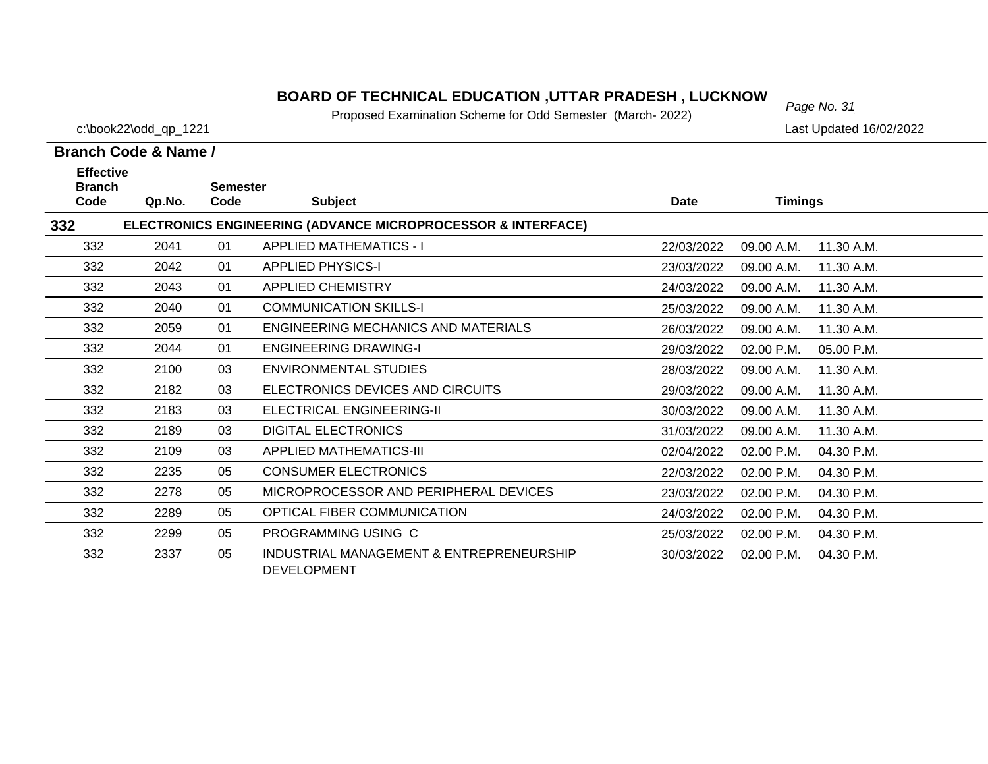# *Page No. 31* **BOARD OF TECHNICAL EDUCATION ,UTTAR PRADESH , LUCKNOW**

Proposed Examination Scheme for Odd Semester (March- 2022)

c:\book22\odd\_qp\_1221 Last Updated 16/02/2022

| <b>Effective</b><br><b>Branch</b> |        | <b>Semester</b> |                                                                         |            |                |            |
|-----------------------------------|--------|-----------------|-------------------------------------------------------------------------|------------|----------------|------------|
| Code                              | Qp.No. | Code            | <b>Subject</b>                                                          | Date       | <b>Timings</b> |            |
| 332                               |        |                 | <b>ELECTRONICS ENGINEERING (ADVANCE MICROPROCESSOR &amp; INTERFACE)</b> |            |                |            |
| 332                               | 2041   | 01              | <b>APPLIED MATHEMATICS - I</b>                                          | 22/03/2022 | 09.00 A.M.     | 11.30 A.M. |
| 332                               | 2042   | 01              | <b>APPLIED PHYSICS-I</b>                                                | 23/03/2022 | 09.00 A.M.     | 11.30 A.M. |
| 332                               | 2043   | 01              | <b>APPLIED CHEMISTRY</b>                                                | 24/03/2022 | 09.00 A.M.     | 11.30 A.M. |
| 332                               | 2040   | 01              | <b>COMMUNICATION SKILLS-I</b>                                           | 25/03/2022 | 09.00 A.M.     | 11.30 A.M. |
| 332                               | 2059   | 01              | ENGINEERING MECHANICS AND MATERIALS                                     | 26/03/2022 | 09.00 A.M.     | 11.30 A.M. |
| 332                               | 2044   | 01              | <b>ENGINEERING DRAWING-I</b>                                            | 29/03/2022 | 02.00 P.M.     | 05.00 P.M. |
| 332                               | 2100   | 03              | <b>ENVIRONMENTAL STUDIES</b>                                            | 28/03/2022 | 09.00 A.M.     | 11.30 A.M. |
| 332                               | 2182   | 03              | ELECTRONICS DEVICES AND CIRCUITS                                        | 29/03/2022 | 09.00 A.M.     | 11.30 A.M. |
| 332                               | 2183   | 03              | ELECTRICAL ENGINEERING-II                                               | 30/03/2022 | 09.00 A.M.     | 11.30 A.M. |
| 332                               | 2189   | 03              | <b>DIGITAL ELECTRONICS</b>                                              | 31/03/2022 | 09.00 A.M.     | 11.30 A.M. |
| 332                               | 2109   | 03              | <b>APPLIED MATHEMATICS-III</b>                                          | 02/04/2022 | 02.00 P.M.     | 04.30 P.M. |
| 332                               | 2235   | 05              | <b>CONSUMER ELECTRONICS</b>                                             | 22/03/2022 | 02.00 P.M.     | 04.30 P.M. |
| 332                               | 2278   | 05              | MICROPROCESSOR AND PERIPHERAL DEVICES                                   | 23/03/2022 | 02.00 P.M.     | 04.30 P.M. |
| 332                               | 2289   | 05              | OPTICAL FIBER COMMUNICATION                                             | 24/03/2022 | 02.00 P.M.     | 04.30 P.M. |
| 332                               | 2299   | 05              | PROGRAMMING USING C                                                     | 25/03/2022 | 02.00 P.M.     | 04.30 P.M. |
| 332                               | 2337   | 05              | INDUSTRIAL MANAGEMENT & ENTREPRENEURSHIP<br><b>DEVELOPMENT</b>          | 30/03/2022 | 02.00 P.M.     | 04.30 P.M. |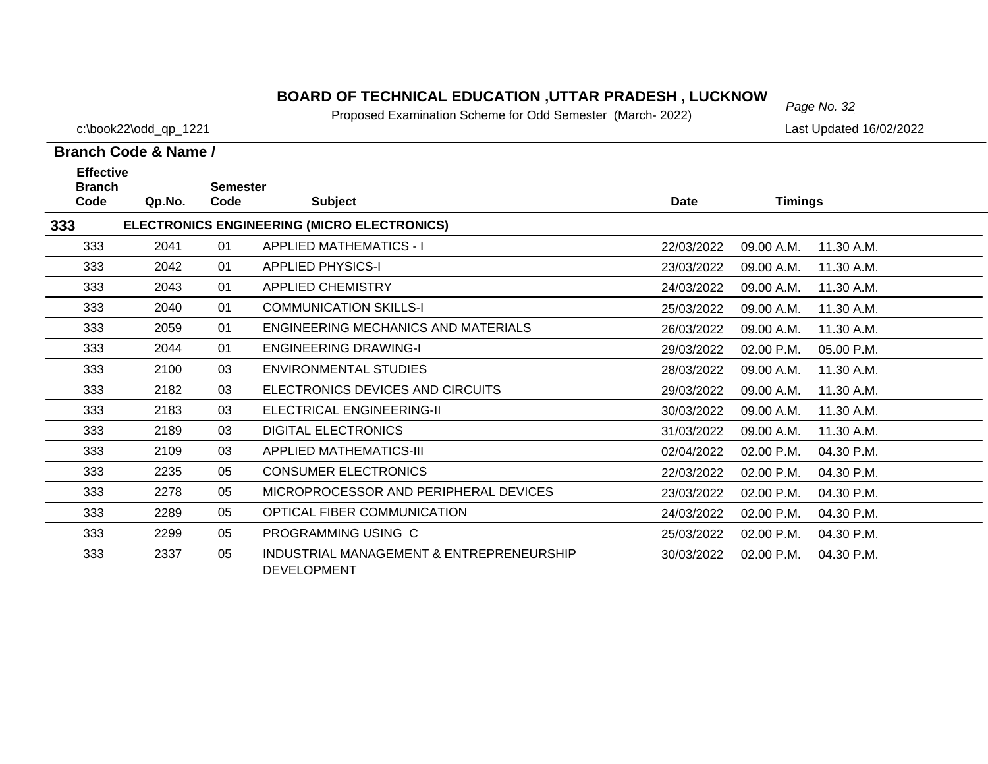# *Page No. 32* **BOARD OF TECHNICAL EDUCATION ,UTTAR PRADESH , LUCKNOW**

Proposed Examination Scheme for Odd Semester (March- 2022)

c:\book22\odd\_qp\_1221 Last Updated 16/02/2022

| <b>Effective</b>      |        |                         |                                                                |            |                          |  |
|-----------------------|--------|-------------------------|----------------------------------------------------------------|------------|--------------------------|--|
| <b>Branch</b><br>Code | Qp.No. | <b>Semester</b><br>Code | <b>Subject</b>                                                 | Date       | <b>Timings</b>           |  |
| 333                   |        |                         | ELECTRONICS ENGINEERING (MICRO ELECTRONICS)                    |            |                          |  |
| 333                   | 2041   | 01                      | <b>APPLIED MATHEMATICS - I</b>                                 | 22/03/2022 | 11.30 A.M.<br>09.00 A.M. |  |
| 333                   | 2042   | 01                      | <b>APPLIED PHYSICS-I</b>                                       | 23/03/2022 | 09.00 A.M.<br>11.30 A.M. |  |
| 333                   | 2043   | 01                      | <b>APPLIED CHEMISTRY</b>                                       | 24/03/2022 | 09.00 A.M.<br>11.30 A.M. |  |
| 333                   | 2040   | 01                      | <b>COMMUNICATION SKILLS-I</b>                                  | 25/03/2022 | 09.00 A.M.<br>11.30 A.M. |  |
| 333                   | 2059   | 01                      | ENGINEERING MECHANICS AND MATERIALS                            | 26/03/2022 | 09.00 A.M.<br>11.30 A.M. |  |
| 333                   | 2044   | 01                      | <b>ENGINEERING DRAWING-I</b>                                   | 29/03/2022 | 02.00 P.M.<br>05.00 P.M. |  |
| 333                   | 2100   | 03                      | ENVIRONMENTAL STUDIES                                          | 28/03/2022 | 09.00 A.M.<br>11.30 A.M. |  |
| 333                   | 2182   | 03                      | ELECTRONICS DEVICES AND CIRCUITS                               | 29/03/2022 | 09.00 A.M.<br>11.30 A.M. |  |
| 333                   | 2183   | 03                      | ELECTRICAL ENGINEERING-II                                      | 30/03/2022 | 09.00 A.M.<br>11.30 A.M. |  |
| 333                   | 2189   | 03                      | <b>DIGITAL ELECTRONICS</b>                                     | 31/03/2022 | 11.30 A.M.<br>09.00 A.M. |  |
| 333                   | 2109   | 03                      | APPLIED MATHEMATICS-III                                        | 02/04/2022 | 02.00 P.M.<br>04.30 P.M. |  |
| 333                   | 2235   | 05                      | <b>CONSUMER ELECTRONICS</b>                                    | 22/03/2022 | 02.00 P.M.<br>04.30 P.M. |  |
| 333                   | 2278   | 05                      | MICROPROCESSOR AND PERIPHERAL DEVICES                          | 23/03/2022 | 02.00 P.M.<br>04.30 P.M. |  |
| 333                   | 2289   | 05                      | OPTICAL FIBER COMMUNICATION                                    | 24/03/2022 | 02.00 P.M.<br>04.30 P.M. |  |
| 333                   | 2299   | 05                      | PROGRAMMING USING C                                            | 25/03/2022 | 02.00 P.M.<br>04.30 P.M. |  |
| 333                   | 2337   | 05                      | INDUSTRIAL MANAGEMENT & ENTREPRENEURSHIP<br><b>DEVELOPMENT</b> | 30/03/2022 | 02.00 P.M.<br>04.30 P.M. |  |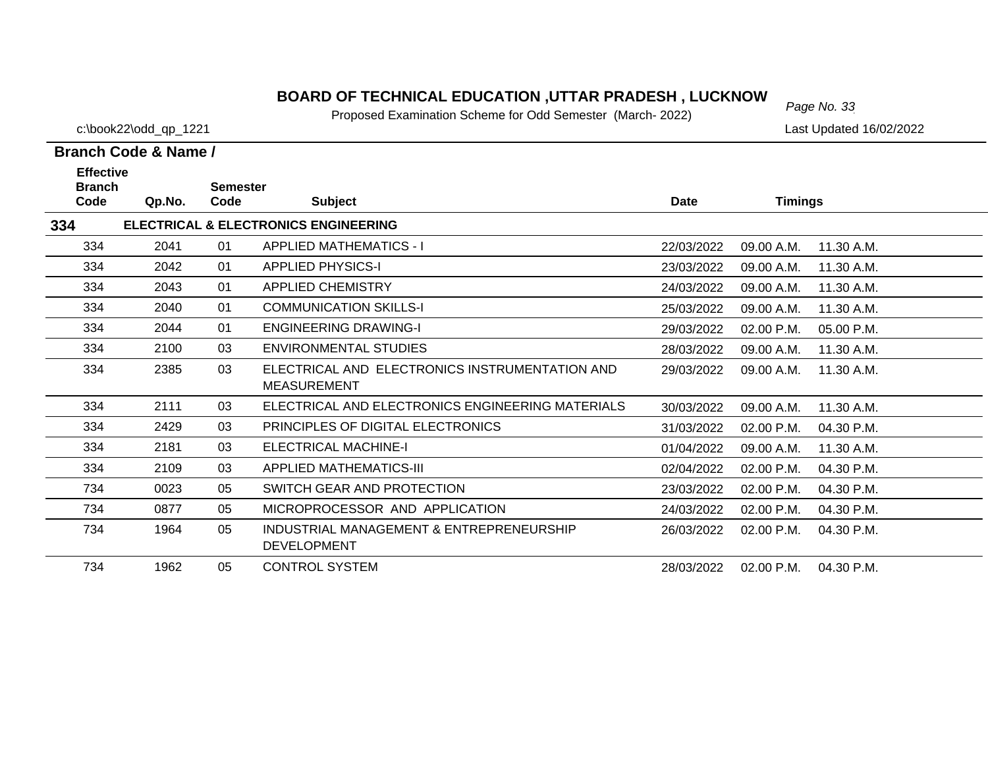#### **BOARD OF TECHNICAL EDUCATION ,UTTAR PRADESH , LUCKNOW**<br>Page No. 33

Proposed Examination Scheme for Odd Semester (March- 2022)

c:\book22\odd\_qp\_1221 Last Updated 16/02/2022

 $\overline{\phantom{0}}$ 

| Branch Code & Name /                      |        |                         |                                                                      |             |                |            |  |  |
|-------------------------------------------|--------|-------------------------|----------------------------------------------------------------------|-------------|----------------|------------|--|--|
| <b>Effective</b><br><b>Branch</b><br>Code | Qp.No. | <b>Semester</b><br>Code | <b>Subject</b>                                                       | <b>Date</b> | <b>Timings</b> |            |  |  |
| 334                                       |        |                         | <b>ELECTRICAL &amp; ELECTRONICS ENGINEERING</b>                      |             |                |            |  |  |
| 334                                       | 2041   | 01                      | <b>APPLIED MATHEMATICS - I</b>                                       | 22/03/2022  | 09.00 A.M.     | 11.30 A.M. |  |  |
| 334                                       | 2042   | 01                      | <b>APPLIED PHYSICS-I</b>                                             | 23/03/2022  | 09.00 A.M.     | 11.30 A.M. |  |  |
| 334                                       | 2043   | 01                      | APPLIED CHEMISTRY                                                    | 24/03/2022  | 09.00 A.M.     | 11.30 A.M. |  |  |
| 334                                       | 2040   | 01                      | <b>COMMUNICATION SKILLS-I</b>                                        | 25/03/2022  | 09.00 A.M.     | 11.30 A.M. |  |  |
| 334                                       | 2044   | 01                      | <b>ENGINEERING DRAWING-I</b>                                         | 29/03/2022  | 02.00 P.M.     | 05.00 P.M. |  |  |
| 334                                       | 2100   | 03                      | ENVIRONMENTAL STUDIES                                                | 28/03/2022  | 09.00 A.M.     | 11.30 A.M. |  |  |
| 334                                       | 2385   | 03                      | ELECTRICAL AND ELECTRONICS INSTRUMENTATION AND<br><b>MEASUREMENT</b> | 29/03/2022  | 09.00 A.M.     | 11.30 A.M. |  |  |
| 334                                       | 2111   | 03                      | ELECTRICAL AND ELECTRONICS ENGINEERING MATERIALS                     | 30/03/2022  | 09.00 A.M.     | 11.30 A.M. |  |  |
| 334                                       | 2429   | 03                      | PRINCIPLES OF DIGITAL ELECTRONICS                                    | 31/03/2022  | 02.00 P.M.     | 04.30 P.M. |  |  |
| 334                                       | 2181   | 03                      | <b>ELECTRICAL MACHINE-I</b>                                          | 01/04/2022  | 09.00 A.M.     | 11.30 A.M. |  |  |
| 334                                       | 2109   | 03                      | APPLIED MATHEMATICS-III                                              | 02/04/2022  | 02.00 P.M.     | 04.30 P.M. |  |  |
| 734                                       | 0023   | 05                      | SWITCH GEAR AND PROTECTION                                           | 23/03/2022  | 02.00 P.M.     | 04.30 P.M. |  |  |
| 734                                       | 0877   | 05                      | MICROPROCESSOR AND APPLICATION                                       | 24/03/2022  | 02.00 P.M.     | 04.30 P.M. |  |  |
| 734                                       | 1964   | 05                      | INDUSTRIAL MANAGEMENT & ENTREPRENEURSHIP<br><b>DEVELOPMENT</b>       | 26/03/2022  | 02.00 P.M.     | 04.30 P.M. |  |  |

734 1962 05 CONTROL SYSTEM28/03/2022 02.00 P.M. 04.30 P.M.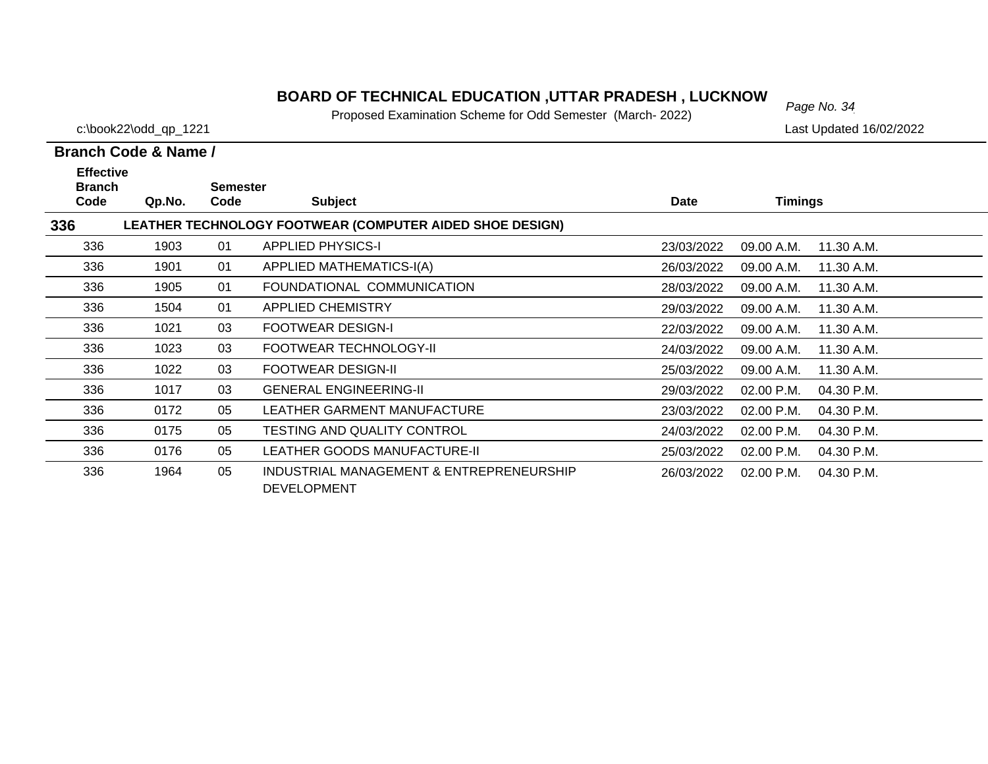# *Page No. 34* **BOARD OF TECHNICAL EDUCATION ,UTTAR PRADESH , LUCKNOW**

Proposed Examination Scheme for Odd Semester (March- 2022)

c:\book22\odd\_qp\_1221 Last Updated 16/02/2022

|      | <b>Effective</b><br><b>Branch</b> |      | <b>Semester</b>                                                |             |                |            |
|------|-----------------------------------|------|----------------------------------------------------------------|-------------|----------------|------------|
| Code | Qp.No.                            | Code | <b>Subject</b>                                                 | <b>Date</b> | <b>Timings</b> |            |
| 336  |                                   |      | LEATHER TECHNOLOGY FOOTWEAR (COMPUTER AIDED SHOE DESIGN)       |             |                |            |
| 336  | 1903                              | 01   | <b>APPLIED PHYSICS-I</b>                                       | 23/03/2022  | 09.00 A.M.     | 11.30 A.M. |
| 336  | 1901                              | 01   | APPLIED MATHEMATICS-I(A)                                       | 26/03/2022  | 09.00 A.M.     | 11.30 A.M. |
| 336  | 1905                              | 01   | FOUNDATIONAL COMMUNICATION                                     | 28/03/2022  | 09.00 A.M.     | 11.30 A.M. |
| 336  | 1504                              | 01   | <b>APPLIED CHEMISTRY</b>                                       | 29/03/2022  | 09.00 A.M.     | 11.30 A.M. |
| 336  | 1021                              | 03   | <b>FOOTWEAR DESIGN-I</b>                                       | 22/03/2022  | 09.00 A.M.     | 11.30 A.M. |
| 336  | 1023                              | 03   | FOOTWEAR TECHNOLOGY-II                                         | 24/03/2022  | 09.00 A.M.     | 11.30 A.M. |
| 336  | 1022                              | 03   | <b>FOOTWEAR DESIGN-II</b>                                      | 25/03/2022  | 09.00 A.M.     | 11.30 A.M. |
| 336  | 1017                              | 03   | <b>GENERAL ENGINEERING-II</b>                                  | 29/03/2022  | 02.00 P.M.     | 04.30 P.M. |
| 336  | 0172                              | 05   | LEATHER GARMENT MANUFACTURE                                    | 23/03/2022  | 02.00 P.M.     | 04.30 P.M. |
| 336  | 0175                              | 05   | TESTING AND QUALITY CONTROL                                    | 24/03/2022  | 02.00 P.M.     | 04.30 P.M. |
| 336  | 0176                              | 05   | LEATHER GOODS MANUFACTURE-II                                   | 25/03/2022  | 02.00 P.M.     | 04.30 P.M. |
| 336  | 1964                              | 05   | INDUSTRIAL MANAGEMENT & ENTREPRENEURSHIP<br><b>DEVELOPMENT</b> | 26/03/2022  | 02.00 P.M.     | 04.30 P.M. |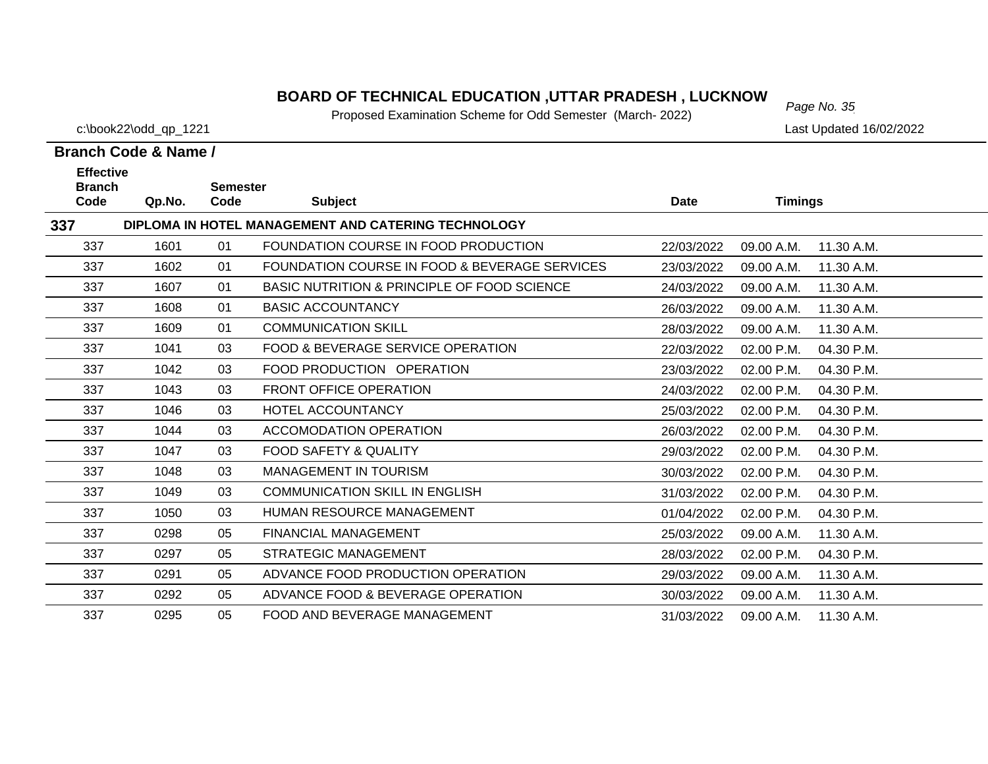# *Page No. 35* **BOARD OF TECHNICAL EDUCATION ,UTTAR PRADESH , LUCKNOW**

Proposed Examination Scheme for Odd Semester (March- 2022)

c:\book22\odd\_qp\_1221 Last Updated 16/02/2022

| <b>Effective</b><br><b>Branch</b>                          |        | <b>Semester</b> |                                               |             |                |            |  |  |  |
|------------------------------------------------------------|--------|-----------------|-----------------------------------------------|-------------|----------------|------------|--|--|--|
| Code                                                       | Qp.No. | Code            | <b>Subject</b>                                | <b>Date</b> | <b>Timings</b> |            |  |  |  |
| 337<br>DIPLOMA IN HOTEL MANAGEMENT AND CATERING TECHNOLOGY |        |                 |                                               |             |                |            |  |  |  |
| 337                                                        | 1601   | 01              | FOUNDATION COURSE IN FOOD PRODUCTION          | 22/03/2022  | 09.00 A.M.     | 11.30 A.M. |  |  |  |
| 337                                                        | 1602   | 01              | FOUNDATION COURSE IN FOOD & BEVERAGE SERVICES | 23/03/2022  | 09.00 A.M.     | 11.30 A.M. |  |  |  |
| 337                                                        | 1607   | 01              | BASIC NUTRITION & PRINCIPLE OF FOOD SCIENCE   | 24/03/2022  | 09.00 A.M.     | 11.30 A.M. |  |  |  |
| 337                                                        | 1608   | 01              | <b>BASIC ACCOUNTANCY</b>                      | 26/03/2022  | 09.00 A.M.     | 11.30 A.M. |  |  |  |
| 337                                                        | 1609   | 01              | <b>COMMUNICATION SKILL</b>                    | 28/03/2022  | 09.00 A.M.     | 11.30 A.M. |  |  |  |
| 337                                                        | 1041   | 03              | FOOD & BEVERAGE SERVICE OPERATION             | 22/03/2022  | 02.00 P.M.     | 04.30 P.M. |  |  |  |
| 337                                                        | 1042   | 03              | FOOD PRODUCTION OPERATION                     | 23/03/2022  | 02.00 P.M.     | 04.30 P.M. |  |  |  |
| 337                                                        | 1043   | 03              | <b>FRONT OFFICE OPERATION</b>                 | 24/03/2022  | 02.00 P.M.     | 04.30 P.M. |  |  |  |
| 337                                                        | 1046   | 03              | HOTEL ACCOUNTANCY                             | 25/03/2022  | 02.00 P.M.     | 04.30 P.M. |  |  |  |
| 337                                                        | 1044   | 03              | <b>ACCOMODATION OPERATION</b>                 | 26/03/2022  | 02.00 P.M.     | 04.30 P.M. |  |  |  |
| 337                                                        | 1047   | 03              | FOOD SAFETY & QUALITY                         | 29/03/2022  | 02.00 P.M.     | 04.30 P.M. |  |  |  |
| 337                                                        | 1048   | 03              | <b>MANAGEMENT IN TOURISM</b>                  | 30/03/2022  | 02.00 P.M.     | 04.30 P.M. |  |  |  |
| 337                                                        | 1049   | 03              | <b>COMMUNICATION SKILL IN ENGLISH</b>         | 31/03/2022  | 02.00 P.M.     | 04.30 P.M. |  |  |  |
| 337                                                        | 1050   | 03              | HUMAN RESOURCE MANAGEMENT                     | 01/04/2022  | 02.00 P.M.     | 04.30 P.M. |  |  |  |
| 337                                                        | 0298   | 05              | <b>FINANCIAL MANAGEMENT</b>                   | 25/03/2022  | 09.00 A.M.     | 11.30 A.M. |  |  |  |
| 337                                                        | 0297   | 05              | <b>STRATEGIC MANAGEMENT</b>                   | 28/03/2022  | 02.00 P.M.     | 04.30 P.M. |  |  |  |
| 337                                                        | 0291   | 05              | ADVANCE FOOD PRODUCTION OPERATION             | 29/03/2022  | 09.00 A.M.     | 11.30 A.M. |  |  |  |
| 337                                                        | 0292   | 05              | ADVANCE FOOD & BEVERAGE OPERATION             | 30/03/2022  | 09.00 A.M.     | 11.30 A.M. |  |  |  |
| 337                                                        | 0295   | 05              | FOOD AND BEVERAGE MANAGEMENT                  | 31/03/2022  | 09.00 A.M.     | 11.30 A.M. |  |  |  |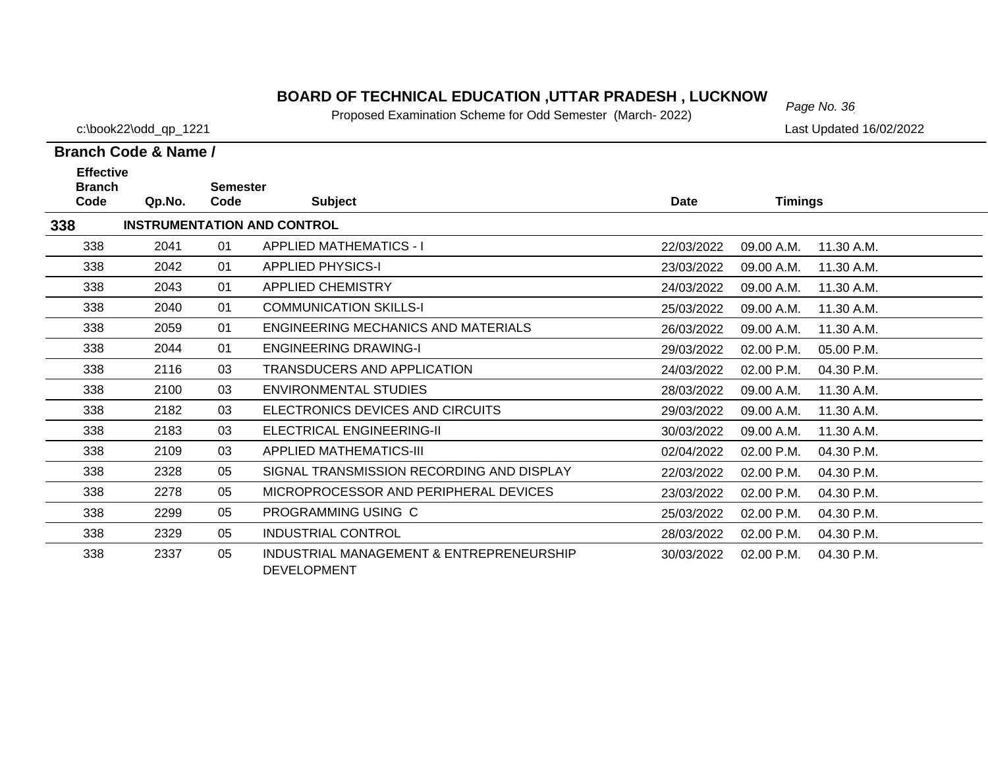# *Page No. 36* **BOARD OF TECHNICAL EDUCATION ,UTTAR PRADESH , LUCKNOW**

Proposed Examination Scheme for Odd Semester (March- 2022)

c:\book22\odd\_qp\_1221 Last Updated 16/02/2022

| <b>Effective</b><br><b>Branch</b> |                                    | <b>Semester</b> |                                                                |             |                          |  |  |  |
|-----------------------------------|------------------------------------|-----------------|----------------------------------------------------------------|-------------|--------------------------|--|--|--|
| Code                              | Qp.No.                             | Code            | <b>Subject</b>                                                 | <b>Date</b> | <b>Timings</b>           |  |  |  |
| 338                               | <b>INSTRUMENTATION AND CONTROL</b> |                 |                                                                |             |                          |  |  |  |
| 338                               | 2041                               | 01              | <b>APPLIED MATHEMATICS - I</b>                                 | 22/03/2022  | 11.30 A.M.<br>09.00 A.M. |  |  |  |
| 338                               | 2042                               | 01              | <b>APPLIED PHYSICS-I</b>                                       | 23/03/2022  | 09.00 A.M.<br>11.30 A.M. |  |  |  |
| 338                               | 2043                               | 01              | APPLIED CHEMISTRY                                              | 24/03/2022  | 09.00 A.M.<br>11.30 A.M. |  |  |  |
| 338                               | 2040                               | 01              | <b>COMMUNICATION SKILLS-I</b>                                  | 25/03/2022  | 09.00 A.M.<br>11.30 A.M. |  |  |  |
| 338                               | 2059                               | 01              | ENGINEERING MECHANICS AND MATERIALS                            | 26/03/2022  | 09.00 A.M.<br>11.30 A.M. |  |  |  |
| 338                               | 2044                               | 01              | <b>ENGINEERING DRAWING-I</b>                                   | 29/03/2022  | 02.00 P.M.<br>05.00 P.M. |  |  |  |
| 338                               | 2116                               | 03              | <b>TRANSDUCERS AND APPLICATION</b>                             | 24/03/2022  | 04.30 P.M.<br>02.00 P.M. |  |  |  |
| 338                               | 2100                               | 03              | ENVIRONMENTAL STUDIES                                          | 28/03/2022  | 09.00 A.M.<br>11.30 A.M. |  |  |  |
| 338                               | 2182                               | 03              | ELECTRONICS DEVICES AND CIRCUITS                               | 29/03/2022  | 09.00 A.M.<br>11.30 A.M. |  |  |  |
| 338                               | 2183                               | 03              | ELECTRICAL ENGINEERING-II                                      | 30/03/2022  | 09.00 A.M.<br>11.30 A.M. |  |  |  |
| 338                               | 2109                               | 03              | <b>APPLIED MATHEMATICS-III</b>                                 | 02/04/2022  | 02.00 P.M.<br>04.30 P.M. |  |  |  |
| 338                               | 2328                               | 05              | SIGNAL TRANSMISSION RECORDING AND DISPLAY                      | 22/03/2022  | 02.00 P.M.<br>04.30 P.M. |  |  |  |
| 338                               | 2278                               | 05              | MICROPROCESSOR AND PERIPHERAL DEVICES                          | 23/03/2022  | 02.00 P.M.<br>04.30 P.M. |  |  |  |
| 338                               | 2299                               | 05              | PROGRAMMING USING C                                            | 25/03/2022  | 02.00 P.M.<br>04.30 P.M. |  |  |  |
| 338                               | 2329                               | 05              | INDUSTRIAL CONTROL                                             | 28/03/2022  | 02.00 P.M.<br>04.30 P.M. |  |  |  |
| 338                               | 2337                               | 05              | INDUSTRIAL MANAGEMENT & ENTREPRENEURSHIP<br><b>DEVELOPMENT</b> | 30/03/2022  | 02.00 P.M.<br>04.30 P.M. |  |  |  |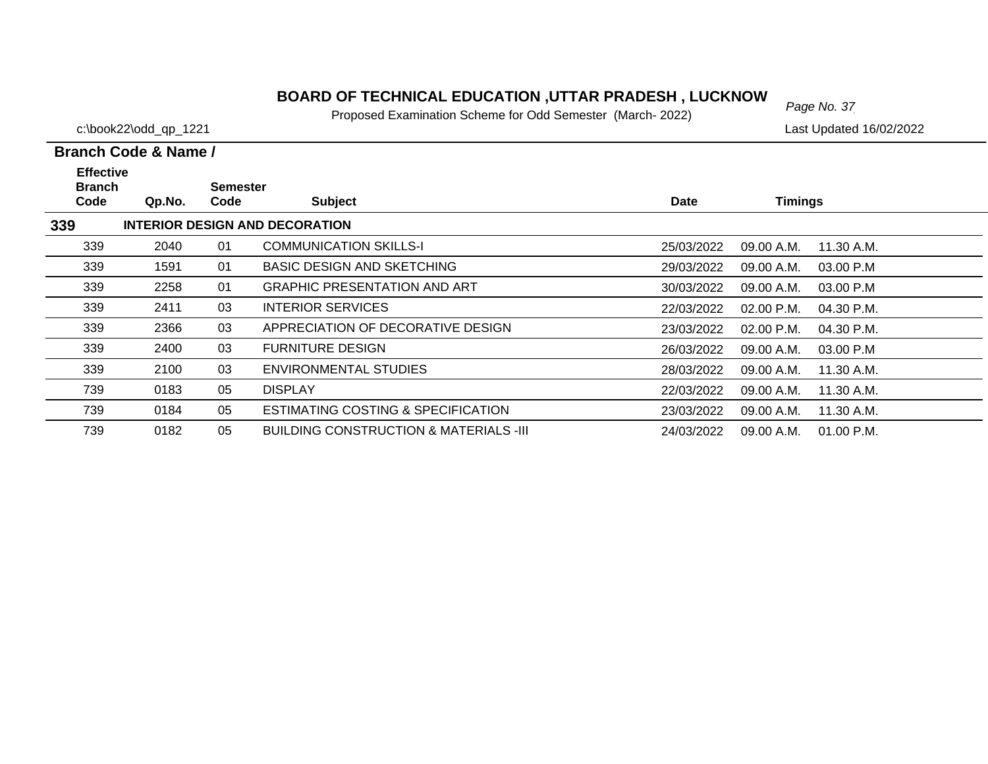# *Page No. 37* **BOARD OF TECHNICAL EDUCATION ,UTTAR PRADESH , LUCKNOW**

Proposed Examination Scheme for Odd Semester (March- 2022)

c:\book22\odd\_qp\_1221 Last Updated 16/02/2022

| <b>Effective</b><br><b>Branch</b> |                                       | <b>Semester</b> |                                                   |            |                            |  |
|-----------------------------------|---------------------------------------|-----------------|---------------------------------------------------|------------|----------------------------|--|
| Code                              | Qp.No.                                | Code            | <b>Subject</b>                                    | Date       | <b>Timings</b>             |  |
| 339                               | <b>INTERIOR DESIGN AND DECORATION</b> |                 |                                                   |            |                            |  |
| 339                               | 2040                                  | 01              | <b>COMMUNICATION SKILLS-I</b>                     | 25/03/2022 | 09.00 A.M.<br>11.30 A.M.   |  |
| 339                               | 1591                                  | 01              | <b>BASIC DESIGN AND SKETCHING</b>                 | 29/03/2022 | 09.00 A.M.<br>03.00 P.M    |  |
| 339                               | 2258                                  | 01              | <b>GRAPHIC PRESENTATION AND ART</b>               | 30/03/2022 | 09.00 A.M.<br>03.00 P.M    |  |
| 339                               | 2411                                  | 03              | <b>INTERIOR SERVICES</b>                          | 22/03/2022 | $02.00$ P.M.<br>04.30 P.M. |  |
| 339                               | 2366                                  | 03              | APPRECIATION OF DECORATIVE DESIGN                 | 23/03/2022 | 02.00 P.M.<br>04.30 P.M.   |  |
| 339                               | 2400                                  | 03              | <b>FURNITURE DESIGN</b>                           | 26/03/2022 | 03.00 P.M<br>09.00 A.M.    |  |
| 339                               | 2100                                  | 03              | <b>ENVIRONMENTAL STUDIES</b>                      | 28/03/2022 | 09.00 A.M.<br>11.30 A.M.   |  |
| 739                               | 0183                                  | 05              | <b>DISPLAY</b>                                    | 22/03/2022 | 09.00 A.M.<br>11.30 A.M.   |  |
| 739                               | 0184                                  | 05              | <b>ESTIMATING COSTING &amp; SPECIFICATION</b>     | 23/03/2022 | 09.00 A.M.<br>11.30 A.M.   |  |
| 739                               | 0182                                  | 05              | <b>BUILDING CONSTRUCTION &amp; MATERIALS -III</b> | 24/03/2022 | 01.00 P.M.<br>09.00 A.M.   |  |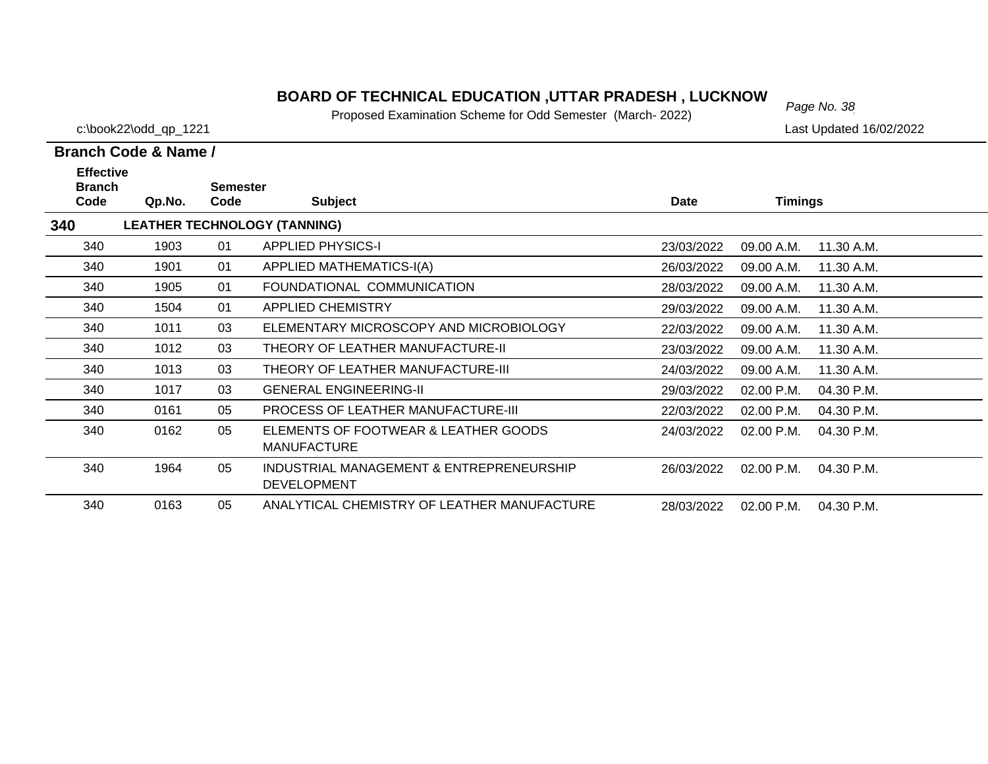# *Page No. 38* **BOARD OF TECHNICAL EDUCATION ,UTTAR PRADESH , LUCKNOW**

Proposed Examination Scheme for Odd Semester (March- 2022)

c:\book22\odd\_qp\_1221 Last Updated 16/02/2022

| <b>Effective</b><br><b>Branch</b> |        | <b>Semester</b> |                                                                |            |                |              |
|-----------------------------------|--------|-----------------|----------------------------------------------------------------|------------|----------------|--------------|
| Code                              | Qp.No. | Code            | <b>Subject</b>                                                 | Date       | <b>Timings</b> |              |
| 340                               |        |                 | <b>LEATHER TECHNOLOGY (TANNING)</b>                            |            |                |              |
| 340                               | 1903   | 01              | <b>APPLIED PHYSICS-I</b>                                       | 23/03/2022 | 09.00 A.M.     | 11.30 A.M.   |
| 340                               | 1901   | 01              | <b>APPLIED MATHEMATICS-I(A)</b>                                | 26/03/2022 | 09.00 A.M.     | 11.30 A.M.   |
| 340                               | 1905   | 01              | FOUNDATIONAL COMMUNICATION                                     | 28/03/2022 | 09.00 A.M.     | 11.30 A.M.   |
| 340                               | 1504   | 01              | <b>APPLIED CHEMISTRY</b>                                       | 29/03/2022 | 09.00 A.M.     | 11.30 A.M.   |
| 340                               | 1011   | 03              | ELEMENTARY MICROSCOPY AND MICROBIOLOGY                         | 22/03/2022 | 09.00 A.M.     | 11.30 A.M.   |
| 340                               | 1012   | 03              | THEORY OF LEATHER MANUFACTURE-II                               | 23/03/2022 | 09.00 A.M.     | 11.30 A.M.   |
| 340                               | 1013   | 03              | THEORY OF LEATHER MANUFACTURE-III                              | 24/03/2022 | 09.00 A.M.     | 11.30 A.M.   |
| 340                               | 1017   | 03              | <b>GENERAL ENGINEERING-II</b>                                  | 29/03/2022 | 02.00 P.M.     | 04.30 P.M.   |
| 340                               | 0161   | 05              | <b>PROCESS OF LEATHER MANUFACTURE-III</b>                      | 22/03/2022 | 02.00 P.M.     | 04.30 P.M.   |
| 340                               | 0162   | 05              | ELEMENTS OF FOOTWEAR & LEATHER GOODS<br><b>MANUFACTURE</b>     | 24/03/2022 | $02.00$ P.M.   | $04.30$ P.M. |
| 340                               | 1964   | 05              | INDUSTRIAL MANAGEMENT & ENTREPRENEURSHIP<br><b>DEVELOPMENT</b> | 26/03/2022 | 02.00 P.M.     | 04.30 P.M.   |
| 340                               | 0163   | 05              | ANALYTICAL CHEMISTRY OF LEATHER MANUFACTURE                    | 28/03/2022 | 02.00 P.M.     | 04.30 P.M.   |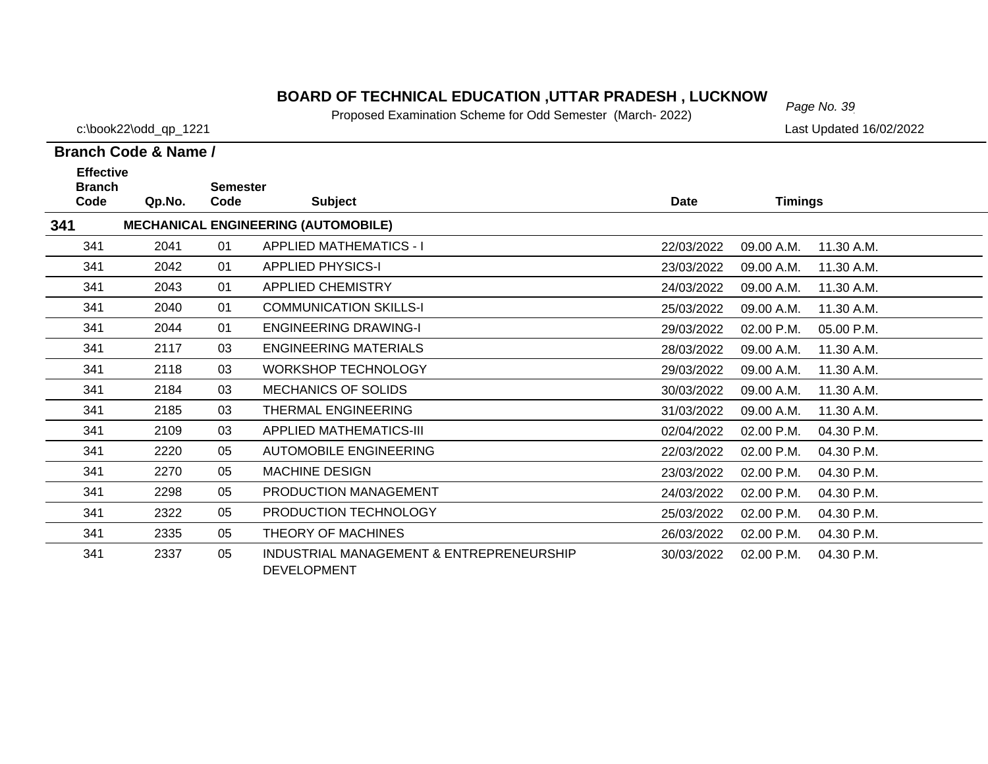# *Page No. 39* **BOARD OF TECHNICAL EDUCATION ,UTTAR PRADESH , LUCKNOW**

Proposed Examination Scheme for Odd Semester (March- 2022)

c:\book22\odd\_qp\_1221 Last Updated 16/02/2022

| <b>Effective</b>      |        |                         |                                                                |            |                          |  |
|-----------------------|--------|-------------------------|----------------------------------------------------------------|------------|--------------------------|--|
| <b>Branch</b><br>Code | Qp.No. | <b>Semester</b><br>Code | <b>Subject</b>                                                 | Date       | <b>Timings</b>           |  |
| 341                   |        |                         | <b>MECHANICAL ENGINEERING (AUTOMOBILE)</b>                     |            |                          |  |
| 341                   | 2041   | 01                      | <b>APPLIED MATHEMATICS - I</b>                                 | 22/03/2022 | 09.00 A.M.<br>11.30 A.M. |  |
| 341                   | 2042   | 01                      | <b>APPLIED PHYSICS-I</b>                                       | 23/03/2022 | 09.00 A.M.<br>11.30 A.M. |  |
| 341                   | 2043   | 01                      | APPLIED CHEMISTRY                                              | 24/03/2022 | 09.00 A.M.<br>11.30 A.M. |  |
| 341                   | 2040   | 01                      | <b>COMMUNICATION SKILLS-I</b>                                  | 25/03/2022 | 09.00 A.M.<br>11.30 A.M. |  |
| 341                   | 2044   | 01                      | <b>ENGINEERING DRAWING-I</b>                                   | 29/03/2022 | 02.00 P.M.<br>05.00 P.M. |  |
| 341                   | 2117   | 03                      | <b>ENGINEERING MATERIALS</b>                                   | 28/03/2022 | 09.00 A.M.<br>11.30 A.M. |  |
| 341                   | 2118   | 03                      | <b>WORKSHOP TECHNOLOGY</b>                                     | 29/03/2022 | 09.00 A.M.<br>11.30 A.M. |  |
| 341                   | 2184   | 03                      | <b>MECHANICS OF SOLIDS</b>                                     | 30/03/2022 | 09.00 A.M.<br>11.30 A.M. |  |
| 341                   | 2185   | 03                      | THERMAL ENGINEERING                                            | 31/03/2022 | 09.00 A.M.<br>11.30 A.M. |  |
| 341                   | 2109   | 03                      | <b>APPLIED MATHEMATICS-III</b>                                 | 02/04/2022 | 02.00 P.M.<br>04.30 P.M. |  |
| 341                   | 2220   | 05                      | AUTOMOBILE ENGINEERING                                         | 22/03/2022 | 02.00 P.M.<br>04.30 P.M. |  |
| 341                   | 2270   | 05                      | <b>MACHINE DESIGN</b>                                          | 23/03/2022 | 02.00 P.M.<br>04.30 P.M. |  |
| 341                   | 2298   | 05                      | PRODUCTION MANAGEMENT                                          | 24/03/2022 | 02.00 P.M.<br>04.30 P.M. |  |
| 341                   | 2322   | 05                      | PRODUCTION TECHNOLOGY                                          | 25/03/2022 | 02.00 P.M.<br>04.30 P.M. |  |
| 341                   | 2335   | 05                      | THEORY OF MACHINES                                             | 26/03/2022 | 02.00 P.M.<br>04.30 P.M. |  |
| 341                   | 2337   | 05                      | INDUSTRIAL MANAGEMENT & ENTREPRENEURSHIP<br><b>DEVELOPMENT</b> | 30/03/2022 | 04.30 P.M.<br>02.00 P.M. |  |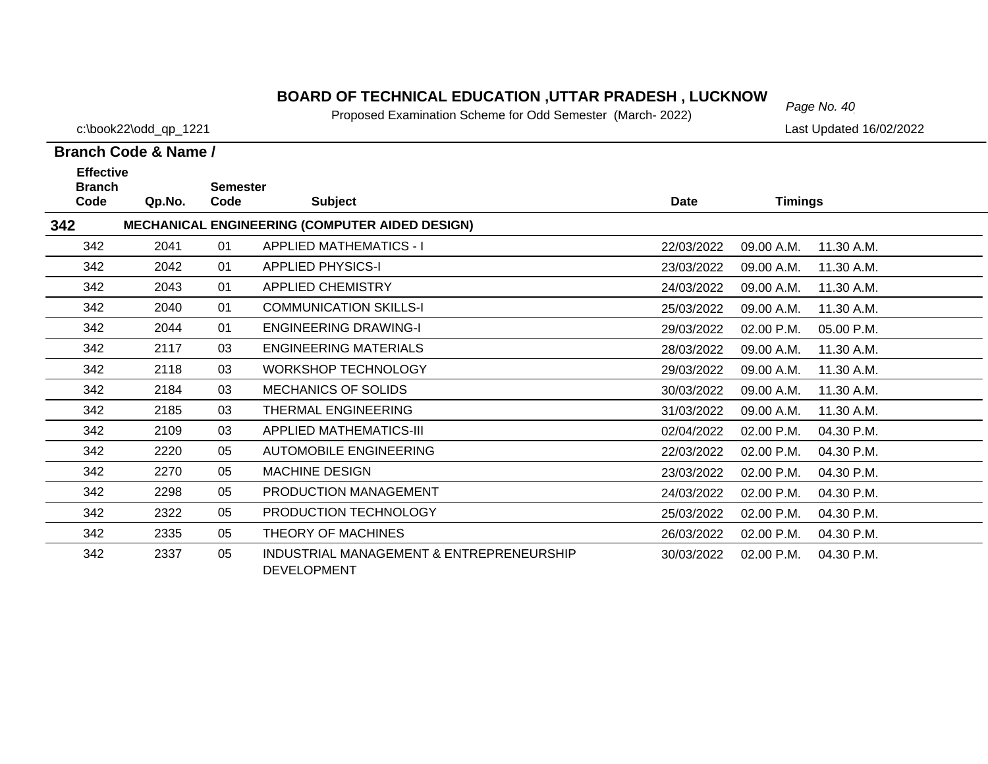# *Page No. 40* **BOARD OF TECHNICAL EDUCATION ,UTTAR PRADESH , LUCKNOW**

Proposed Examination Scheme for Odd Semester (March- 2022)

c:\book22\odd\_qp\_1221 Last Updated 16/02/2022

| <b>Effective</b>      |        |                         |                                                                |             |                |            |
|-----------------------|--------|-------------------------|----------------------------------------------------------------|-------------|----------------|------------|
| <b>Branch</b><br>Code | Qp.No. | <b>Semester</b><br>Code | <b>Subject</b>                                                 | <b>Date</b> | <b>Timings</b> |            |
| 342                   |        |                         | <b>MECHANICAL ENGINEERING (COMPUTER AIDED DESIGN)</b>          |             |                |            |
| 342                   | 2041   | 01                      | <b>APPLIED MATHEMATICS - I</b>                                 | 22/03/2022  | 09.00 A.M.     | 11.30 A.M. |
| 342                   | 2042   | 01                      | <b>APPLIED PHYSICS-I</b>                                       | 23/03/2022  | 09.00 A.M.     | 11.30 A.M. |
| 342                   | 2043   | 01                      | APPLIED CHEMISTRY                                              | 24/03/2022  | 09.00 A.M.     | 11.30 A.M. |
| 342                   | 2040   | 01                      | <b>COMMUNICATION SKILLS-I</b>                                  | 25/03/2022  | 09.00 A.M.     | 11.30 A.M. |
| 342                   | 2044   | 01                      | <b>ENGINEERING DRAWING-I</b>                                   | 29/03/2022  | 02.00 P.M.     | 05.00 P.M. |
| 342                   | 2117   | 03                      | ENGINEERING MATERIALS                                          | 28/03/2022  | 09.00 A.M.     | 11.30 A.M. |
| 342                   | 2118   | 03                      | <b>WORKSHOP TECHNOLOGY</b>                                     | 29/03/2022  | 09.00 A.M.     | 11.30 A.M. |
| 342                   | 2184   | 03                      | <b>MECHANICS OF SOLIDS</b>                                     | 30/03/2022  | 09.00 A.M.     | 11.30 A.M. |
| 342                   | 2185   | 03                      | THERMAL ENGINEERING                                            | 31/03/2022  | 09.00 A.M.     | 11.30 A.M. |
| 342                   | 2109   | 03                      | <b>APPLIED MATHEMATICS-III</b>                                 | 02/04/2022  | 02.00 P.M.     | 04.30 P.M. |
| 342                   | 2220   | 05                      | <b>AUTOMOBILE ENGINEERING</b>                                  | 22/03/2022  | 02.00 P.M.     | 04.30 P.M. |
| 342                   | 2270   | 05                      | <b>MACHINE DESIGN</b>                                          | 23/03/2022  | 02.00 P.M.     | 04.30 P.M. |
| 342                   | 2298   | 05                      | PRODUCTION MANAGEMENT                                          | 24/03/2022  | 02.00 P.M.     | 04.30 P.M. |
| 342                   | 2322   | 05                      | PRODUCTION TECHNOLOGY                                          | 25/03/2022  | 02.00 P.M.     | 04.30 P.M. |
| 342                   | 2335   | 05                      | THEORY OF MACHINES                                             | 26/03/2022  | 02.00 P.M.     | 04.30 P.M. |
| 342                   | 2337   | 05                      | INDUSTRIAL MANAGEMENT & ENTREPRENEURSHIP<br><b>DEVELOPMENT</b> | 30/03/2022  | 02.00 P.M.     | 04.30 P.M. |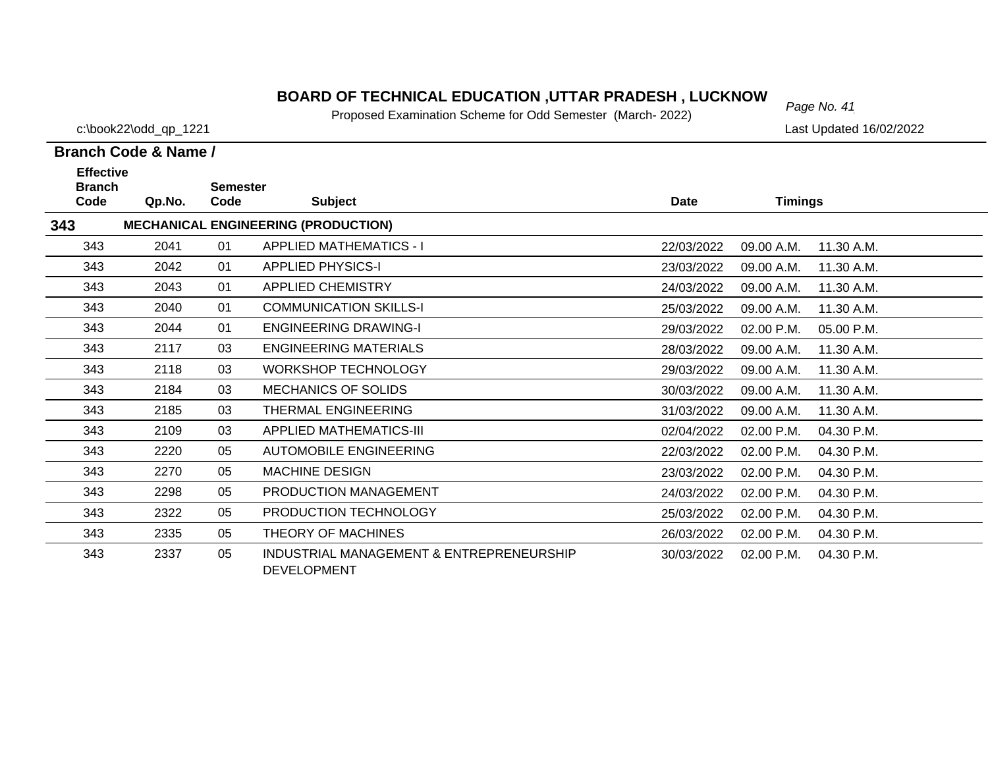# *Page No. 41* **BOARD OF TECHNICAL EDUCATION ,UTTAR PRADESH , LUCKNOW**

Proposed Examination Scheme for Odd Semester (March- 2022)

c:\book22\odd\_qp\_1221 Last Updated 16/02/2022

| <b>Effective</b><br><b>Branch</b> |        | <b>Semester</b> |                                                                |             |                          |  |
|-----------------------------------|--------|-----------------|----------------------------------------------------------------|-------------|--------------------------|--|
| Code                              | Qp.No. | Code            | <b>Subject</b>                                                 | <b>Date</b> | <b>Timings</b>           |  |
| 343                               |        |                 | <b>MECHANICAL ENGINEERING (PRODUCTION)</b>                     |             |                          |  |
| 343                               | 2041   | 01              | <b>APPLIED MATHEMATICS - I</b>                                 | 22/03/2022  | 11.30 A.M.<br>09.00 A.M. |  |
| 343                               | 2042   | 01              | <b>APPLIED PHYSICS-I</b>                                       | 23/03/2022  | 11.30 A.M.<br>09.00 A.M. |  |
| 343                               | 2043   | 01              | <b>APPLIED CHEMISTRY</b>                                       | 24/03/2022  | 11.30 A.M.<br>09.00 A.M. |  |
| 343                               | 2040   | 01              | <b>COMMUNICATION SKILLS-I</b>                                  | 25/03/2022  | 09.00 A.M.<br>11.30 A.M. |  |
| 343                               | 2044   | 01              | <b>ENGINEERING DRAWING-I</b>                                   | 29/03/2022  | 02.00 P.M.<br>05.00 P.M. |  |
| 343                               | 2117   | 03              | <b>ENGINEERING MATERIALS</b>                                   | 28/03/2022  | 11.30 A.M.<br>09.00 A.M. |  |
| 343                               | 2118   | 03              | <b>WORKSHOP TECHNOLOGY</b>                                     | 29/03/2022  | 11.30 A.M.<br>09.00 A.M. |  |
| 343                               | 2184   | 03              | <b>MECHANICS OF SOLIDS</b>                                     | 30/03/2022  | 09.00 A.M.<br>11.30 A.M. |  |
| 343                               | 2185   | 03              | THERMAL ENGINEERING                                            | 31/03/2022  | 09.00 A.M.<br>11.30 A.M. |  |
| 343                               | 2109   | 03              | <b>APPLIED MATHEMATICS-III</b>                                 | 02/04/2022  | 02.00 P.M.<br>04.30 P.M. |  |
| 343                               | 2220   | 05              | <b>AUTOMOBILE ENGINEERING</b>                                  | 22/03/2022  | 02.00 P.M.<br>04.30 P.M. |  |
| 343                               | 2270   | 05              | <b>MACHINE DESIGN</b>                                          | 23/03/2022  | 02.00 P.M.<br>04.30 P.M. |  |
| 343                               | 2298   | 05              | PRODUCTION MANAGEMENT                                          | 24/03/2022  | 04.30 P.M.<br>02.00 P.M. |  |
| 343                               | 2322   | 05              | PRODUCTION TECHNOLOGY                                          | 25/03/2022  | 04.30 P.M.<br>02.00 P.M. |  |
| 343                               | 2335   | 05              | THEORY OF MACHINES                                             | 26/03/2022  | 02.00 P.M.<br>04.30 P.M. |  |
| 343                               | 2337   | 05              | INDUSTRIAL MANAGEMENT & ENTREPRENEURSHIP<br><b>DEVELOPMENT</b> | 30/03/2022  | 02.00 P.M.<br>04.30 P.M. |  |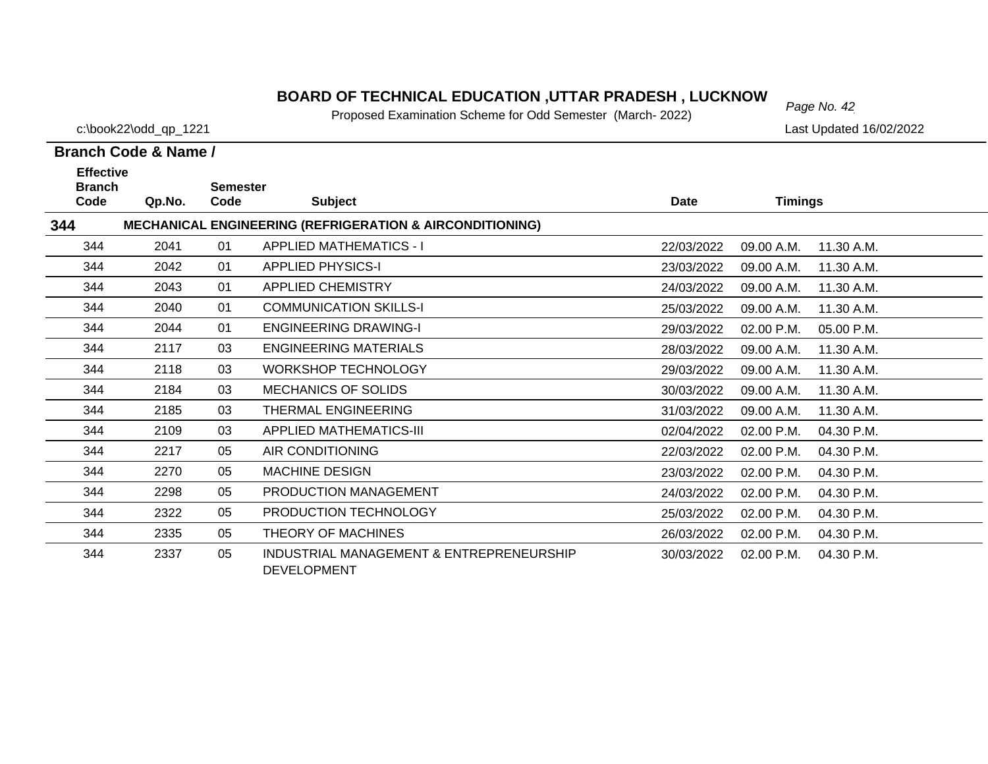# *Page No. 42* **BOARD OF TECHNICAL EDUCATION ,UTTAR PRADESH , LUCKNOW**

Proposed Examination Scheme for Odd Semester (March- 2022)

c:\book22\odd\_qp\_1221 Last Updated 16/02/2022

| <b>Effective</b><br><b>Branch</b> |        | <b>Semester</b> |                                                                     |            |                          |  |
|-----------------------------------|--------|-----------------|---------------------------------------------------------------------|------------|--------------------------|--|
| Code                              | Qp.No. | Code            | <b>Subject</b>                                                      | Date       | <b>Timings</b>           |  |
| 344                               |        |                 | <b>MECHANICAL ENGINEERING (REFRIGERATION &amp; AIRCONDITIONING)</b> |            |                          |  |
| 344                               | 2041   | 01              | <b>APPLIED MATHEMATICS - I</b>                                      | 22/03/2022 | 09.00 A.M.<br>11.30 A.M. |  |
| 344                               | 2042   | 01              | <b>APPLIED PHYSICS-I</b>                                            | 23/03/2022 | 09.00 A.M.<br>11.30 A.M. |  |
| 344                               | 2043   | 01              | <b>APPLIED CHEMISTRY</b>                                            | 24/03/2022 | 09.00 A.M.<br>11.30 A.M. |  |
| 344                               | 2040   | 01              | <b>COMMUNICATION SKILLS-I</b>                                       | 25/03/2022 | 09.00 A.M.<br>11.30 A.M. |  |
| 344                               | 2044   | 01              | <b>ENGINEERING DRAWING-I</b>                                        | 29/03/2022 | 02.00 P.M.<br>05.00 P.M. |  |
| 344                               | 2117   | 03              | <b>ENGINEERING MATERIALS</b>                                        | 28/03/2022 | 11.30 A.M.<br>09.00 A.M. |  |
| 344                               | 2118   | 03              | <b>WORKSHOP TECHNOLOGY</b>                                          | 29/03/2022 | 09.00 A.M.<br>11.30 A.M. |  |
| 344                               | 2184   | 03              | <b>MECHANICS OF SOLIDS</b>                                          | 30/03/2022 | 09.00 A.M.<br>11.30 A.M. |  |
| 344                               | 2185   | 03              | THERMAL ENGINEERING                                                 | 31/03/2022 | 09.00 A.M.<br>11.30 A.M. |  |
| 344                               | 2109   | 03              | <b>APPLIED MATHEMATICS-III</b>                                      | 02/04/2022 | 02.00 P.M.<br>04.30 P.M. |  |
| 344                               | 2217   | 05              | AIR CONDITIONING                                                    | 22/03/2022 | 02.00 P.M.<br>04.30 P.M. |  |
| 344                               | 2270   | 05              | <b>MACHINE DESIGN</b>                                               | 23/03/2022 | 02.00 P.M.<br>04.30 P.M. |  |
| 344                               | 2298   | 05              | <b>PRODUCTION MANAGEMENT</b>                                        | 24/03/2022 | 02.00 P.M.<br>04.30 P.M. |  |
| 344                               | 2322   | 05              | PRODUCTION TECHNOLOGY                                               | 25/03/2022 | 02.00 P.M.<br>04.30 P.M. |  |
| 344                               | 2335   | 05              | THEORY OF MACHINES                                                  | 26/03/2022 | 02.00 P.M.<br>04.30 P.M. |  |
| 344                               | 2337   | 05              | INDUSTRIAL MANAGEMENT & ENTREPRENEURSHIP<br><b>DEVELOPMENT</b>      | 30/03/2022 | 04.30 P.M.<br>02.00 P.M. |  |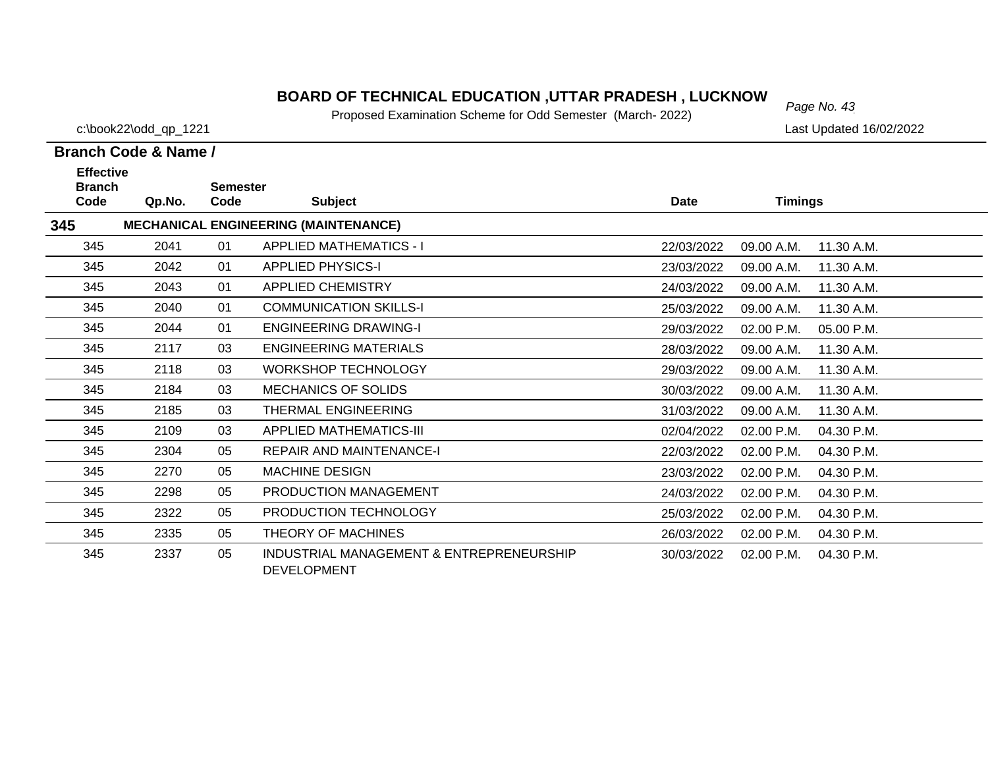# *Page No. 43* **BOARD OF TECHNICAL EDUCATION ,UTTAR PRADESH , LUCKNOW**

Proposed Examination Scheme for Odd Semester (March- 2022)

c:\book22\odd\_qp\_1221 Last Updated 16/02/2022

| <b>Effective</b>      |        |                         |                                                                |             |                          |  |
|-----------------------|--------|-------------------------|----------------------------------------------------------------|-------------|--------------------------|--|
| <b>Branch</b><br>Code | Qp.No. | <b>Semester</b><br>Code | <b>Subject</b>                                                 | <b>Date</b> | <b>Timings</b>           |  |
| 345                   |        |                         | <b>MECHANICAL ENGINEERING (MAINTENANCE)</b>                    |             |                          |  |
| 345                   | 2041   | 01                      | <b>APPLIED MATHEMATICS - I</b>                                 | 22/03/2022  | 09.00 A.M.<br>11.30 A.M. |  |
| 345                   | 2042   | 01                      | <b>APPLIED PHYSICS-I</b>                                       | 23/03/2022  | 09.00 A.M.<br>11.30 A.M. |  |
| 345                   | 2043   | 01                      | APPLIED CHEMISTRY                                              | 24/03/2022  | 09.00 A.M.<br>11.30 A.M. |  |
| 345                   | 2040   | 01                      | <b>COMMUNICATION SKILLS-I</b>                                  | 25/03/2022  | 09.00 A.M.<br>11.30 A.M. |  |
| 345                   | 2044   | 01                      | <b>ENGINEERING DRAWING-I</b>                                   | 29/03/2022  | 02.00 P.M.<br>05.00 P.M. |  |
| 345                   | 2117   | 03                      | <b>ENGINEERING MATERIALS</b>                                   | 28/03/2022  | 09.00 A.M.<br>11.30 A.M. |  |
| 345                   | 2118   | 03                      | <b>WORKSHOP TECHNOLOGY</b>                                     | 29/03/2022  | 09.00 A.M.<br>11.30 A.M. |  |
| 345                   | 2184   | 03                      | <b>MECHANICS OF SOLIDS</b>                                     | 30/03/2022  | 09.00 A.M.<br>11.30 A.M. |  |
| 345                   | 2185   | 03                      | <b>THERMAL ENGINEERING</b>                                     | 31/03/2022  | 09.00 A.M.<br>11.30 A.M. |  |
| 345                   | 2109   | 03                      | APPLIED MATHEMATICS-III                                        | 02/04/2022  | 02.00 P.M.<br>04.30 P.M. |  |
| 345                   | 2304   | 05                      | <b>REPAIR AND MAINTENANCE-I</b>                                | 22/03/2022  | 02.00 P.M.<br>04.30 P.M. |  |
| 345                   | 2270   | 05                      | <b>MACHINE DESIGN</b>                                          | 23/03/2022  | 02.00 P.M.<br>04.30 P.M. |  |
| 345                   | 2298   | 05                      | PRODUCTION MANAGEMENT                                          | 24/03/2022  | 02.00 P.M.<br>04.30 P.M. |  |
| 345                   | 2322   | 05                      | PRODUCTION TECHNOLOGY                                          | 25/03/2022  | 02.00 P.M.<br>04.30 P.M. |  |
| 345                   | 2335   | 05                      | THEORY OF MACHINES                                             | 26/03/2022  | 02.00 P.M.<br>04.30 P.M. |  |
| 345                   | 2337   | 05                      | INDUSTRIAL MANAGEMENT & ENTREPRENEURSHIP<br><b>DEVELOPMENT</b> | 30/03/2022  | 04.30 P.M.<br>02.00 P.M. |  |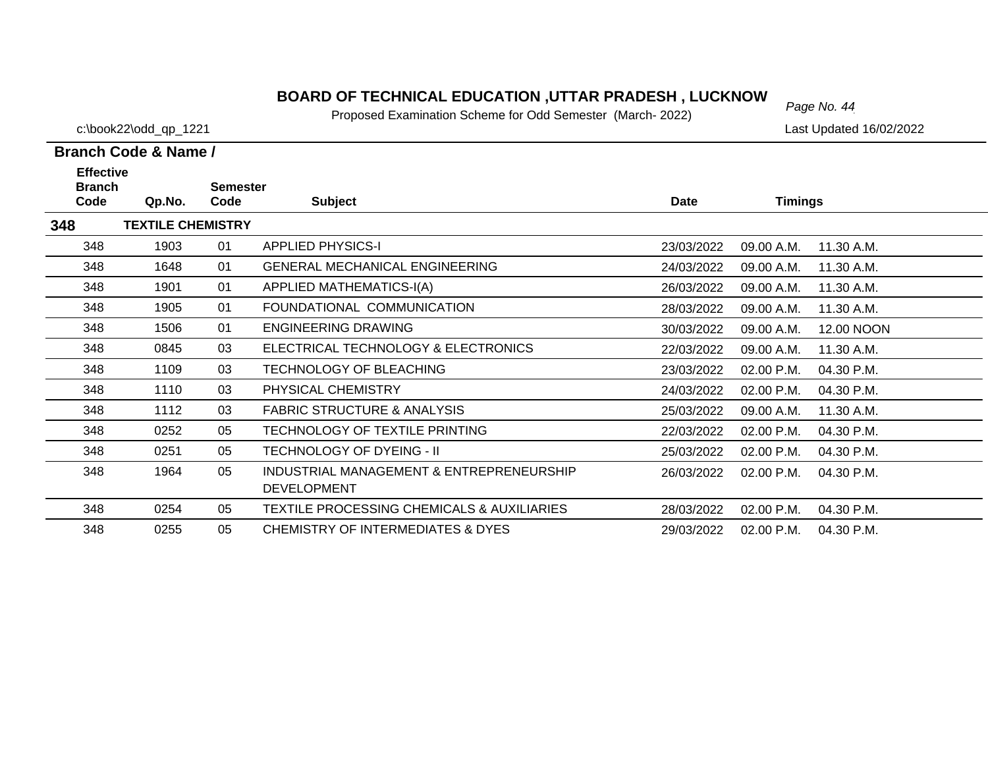# *Page No. 44* **BOARD OF TECHNICAL EDUCATION ,UTTAR PRADESH , LUCKNOW**

Proposed Examination Scheme for Odd Semester (March- 2022)

c:\book22\odd\_qp\_1221 Last Updated 16/02/2022

| <b>Effective</b>      |                          |                         |                                                                |             |                |            |
|-----------------------|--------------------------|-------------------------|----------------------------------------------------------------|-------------|----------------|------------|
| <b>Branch</b><br>Code | Qp.No.                   | <b>Semester</b><br>Code | <b>Subject</b>                                                 | <b>Date</b> | <b>Timings</b> |            |
| 348                   | <b>TEXTILE CHEMISTRY</b> |                         |                                                                |             |                |            |
| 348                   | 1903                     | 01                      | <b>APPLIED PHYSICS-I</b>                                       | 23/03/2022  | 09.00 A.M.     | 11.30 A.M. |
| 348                   | 1648                     | 01                      | <b>GENERAL MECHANICAL ENGINEERING</b>                          | 24/03/2022  | 09.00 A.M.     | 11.30 A.M. |
| 348                   | 1901                     | 01                      | APPLIED MATHEMATICS-I(A)                                       | 26/03/2022  | 09.00 A.M.     | 11.30 A.M. |
| 348                   | 1905                     | 01                      | FOUNDATIONAL COMMUNICATION                                     | 28/03/2022  | 09.00 A.M.     | 11.30 A.M. |
| 348                   | 1506                     | 01                      | <b>ENGINEERING DRAWING</b>                                     | 30/03/2022  | 09.00 A.M.     | 12.00 NOON |
| 348                   | 0845                     | 03                      | ELECTRICAL TECHNOLOGY & ELECTRONICS                            | 22/03/2022  | 09.00 A.M.     | 11.30 A.M. |
| 348                   | 1109                     | 03                      | TECHNOLOGY OF BLEACHING                                        | 23/03/2022  | 02.00 P.M.     | 04.30 P.M. |
| 348                   | 1110                     | 03                      | PHYSICAL CHEMISTRY                                             | 24/03/2022  | 02.00 P.M.     | 04.30 P.M. |
| 348                   | 1112                     | 03                      | <b>FABRIC STRUCTURE &amp; ANALYSIS</b>                         | 25/03/2022  | 09.00 A.M.     | 11.30 A.M. |
| 348                   | 0252                     | 05                      | TECHNOLOGY OF TEXTILE PRINTING                                 | 22/03/2022  | 02.00 P.M.     | 04.30 P.M. |
| 348                   | 0251                     | 05                      | <b>TECHNOLOGY OF DYEING - II</b>                               | 25/03/2022  | 02.00 P.M.     | 04.30 P.M. |
| 348                   | 1964                     | 05                      | INDUSTRIAL MANAGEMENT & ENTREPRENEURSHIP<br><b>DEVELOPMENT</b> | 26/03/2022  | 02.00 P.M.     | 04.30 P.M. |
| 348                   | 0254                     | 05                      | <b>TEXTILE PROCESSING CHEMICALS &amp; AUXILIARIES</b>          | 28/03/2022  | 02.00 P.M.     | 04.30 P.M. |
| 348                   | 0255                     | 05                      | <b>CHEMISTRY OF INTERMEDIATES &amp; DYES</b>                   | 29/03/2022  | 02.00 P.M.     | 04.30 P.M. |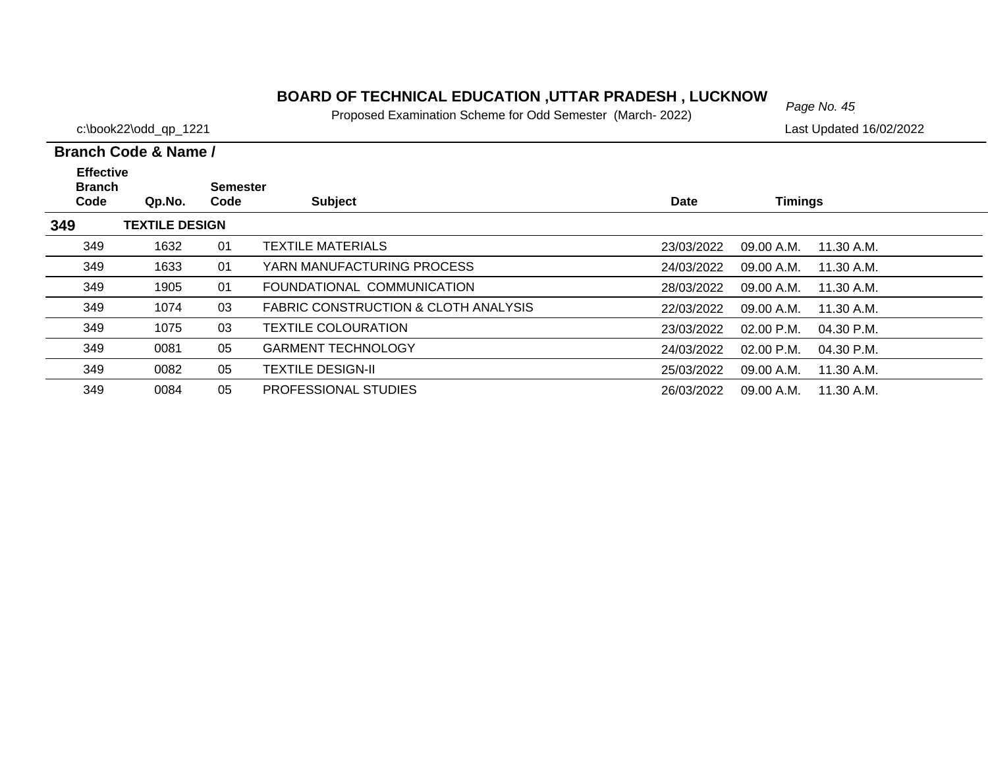# *Page No. 45* **BOARD OF TECHNICAL EDUCATION ,UTTAR PRADESH , LUCKNOW**

Proposed Examination Scheme for Odd Semester (March- 2022)

c:\book22\odd\_qp\_1221 Last Updated 16/02/2022

| <b>Effective</b><br><b>Branch</b> |                       | Semester |                                      |             |                              |  |
|-----------------------------------|-----------------------|----------|--------------------------------------|-------------|------------------------------|--|
| Code                              | Qp.No.                | Code     | <b>Subject</b>                       | <b>Date</b> | <b>Timings</b>               |  |
| 349                               | <b>TEXTILE DESIGN</b> |          |                                      |             |                              |  |
| 349                               | 1632                  | 01       | <b>TEXTILE MATERIALS</b>             | 23/03/2022  | 09.00 A.M.<br>11.30 A.M.     |  |
| 349                               | 1633                  | 01       | YARN MANUFACTURING PROCESS           | 24/03/2022  | 09.00 A.M.<br>11.30 A.M.     |  |
| 349                               | 1905                  | 01       | FOUNDATIONAL COMMUNICATION           | 28/03/2022  | 09.00 A.M.<br>11.30 A.M.     |  |
| 349                               | 1074                  | 03       | FABRIC CONSTRUCTION & CLOTH ANALYSIS | 22/03/2022  | 09.00 A.M.<br>11.30 A.M.     |  |
| 349                               | 1075                  | 03       | <b>TEXTILE COLOURATION</b>           | 23/03/2022  | $02.00$ P.M.<br>$04.30$ P.M. |  |
| 349                               | 0081                  | 05       | <b>GARMENT TECHNOLOGY</b>            | 24/03/2022  | 02.00 P.M.<br>04.30 P.M.     |  |
| 349                               | 0082                  | 05       | <b>TEXTILE DESIGN-II</b>             | 25/03/2022  | 11.30 A.M.<br>09.00 A.M.     |  |
| 349                               | 0084                  | 05       | <b>PROFESSIONAL STUDIES</b>          | 26/03/2022  | 09.00 A.M.<br>11.30 A.M.     |  |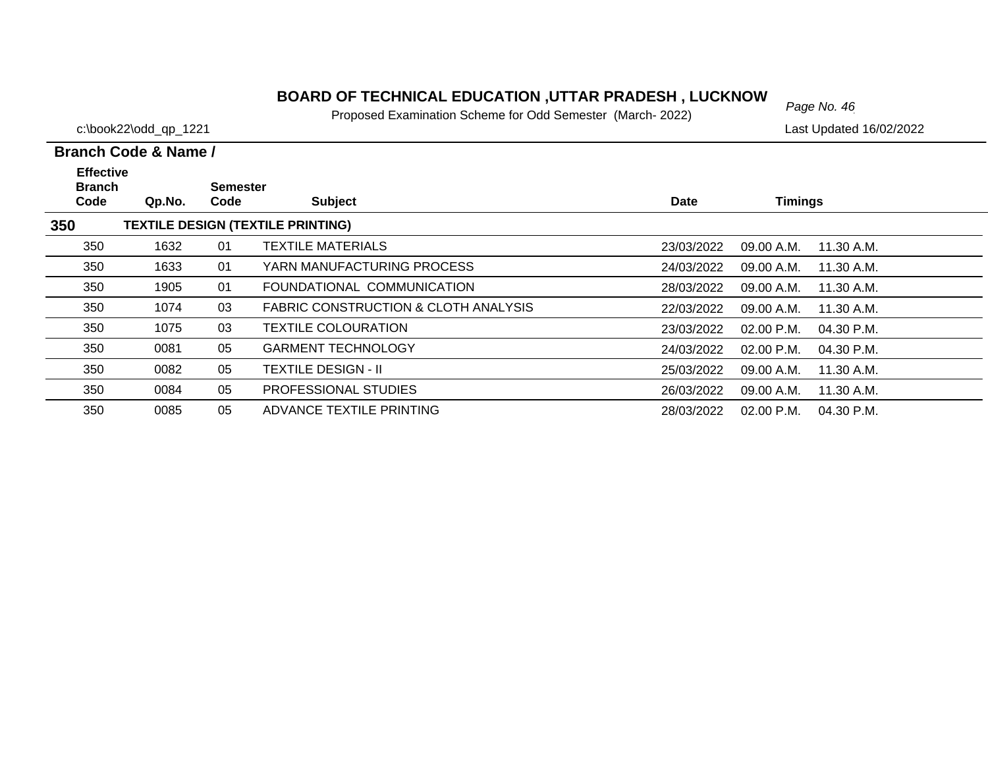# *Page No. 46* **BOARD OF TECHNICAL EDUCATION ,UTTAR PRADESH , LUCKNOW**

Proposed Examination Scheme for Odd Semester (March- 2022)

c:\book22\odd\_qp\_1221 Last Updated 16/02/2022

| <b>Effective</b><br><b>Branch</b>               |        | <b>Semester</b> |                                      |             |                            |  |  |  |  |
|-------------------------------------------------|--------|-----------------|--------------------------------------|-------------|----------------------------|--|--|--|--|
| Code                                            | Qp.No. | Code            | <b>Subject</b>                       | <b>Date</b> | <b>Timings</b>             |  |  |  |  |
| 350<br><b>TEXTILE DESIGN (TEXTILE PRINTING)</b> |        |                 |                                      |             |                            |  |  |  |  |
| 350                                             | 1632   | 01              | <b>TEXTILE MATERIALS</b>             | 23/03/2022  | 09.00 A.M.<br>11.30 A.M.   |  |  |  |  |
| 350                                             | 1633   | 01              | YARN MANUFACTURING PROCESS           | 24/03/2022  | 09.00 A.M.<br>11.30 A.M.   |  |  |  |  |
| 350                                             | 1905   | 01              | FOUNDATIONAL COMMUNICATION           | 28/03/2022  | 09.00 A.M.<br>11.30 A.M.   |  |  |  |  |
| 350                                             | 1074   | 03              | FABRIC CONSTRUCTION & CLOTH ANALYSIS | 22/03/2022  | 09.00 A.M.<br>11.30 A.M.   |  |  |  |  |
| 350                                             | 1075   | 03              | <b>TEXTILE COLOURATION</b>           | 23/03/2022  | $02.00$ P.M.<br>04.30 P.M. |  |  |  |  |
| 350                                             | 0081   | 05              | <b>GARMENT TECHNOLOGY</b>            | 24/03/2022  | $02.00$ P.M.<br>04.30 P.M. |  |  |  |  |
| 350                                             | 0082   | 05              | <b>TEXTILE DESIGN - II</b>           | 25/03/2022  | 11.30 A.M.<br>09.00 A.M.   |  |  |  |  |
| 350                                             | 0084   | 05              | PROFESSIONAL STUDIES                 | 26/03/2022  | 09.00 A.M.<br>11.30 A.M.   |  |  |  |  |
| 350                                             | 0085   | 05              | ADVANCE TEXTILE PRINTING             | 28/03/2022  | 02.00 P.M.<br>04.30 P.M.   |  |  |  |  |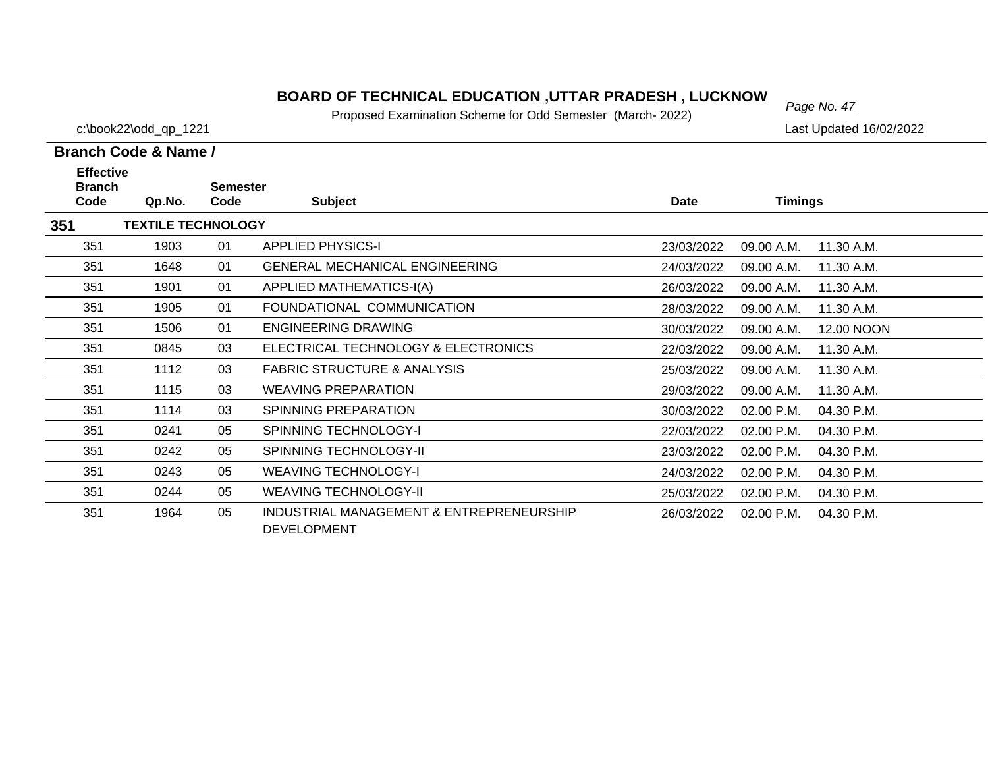# *Page No. 47* **BOARD OF TECHNICAL EDUCATION ,UTTAR PRADESH , LUCKNOW**

Proposed Examination Scheme for Odd Semester (March- 2022)

c:\book22\odd\_qp\_1221 Last Updated 16/02/2022

| <b>Effective</b>      |                           |                         |                                                                |            |                |            |
|-----------------------|---------------------------|-------------------------|----------------------------------------------------------------|------------|----------------|------------|
| <b>Branch</b><br>Code | Qp.No.                    | <b>Semester</b><br>Code | <b>Subject</b>                                                 | Date       | <b>Timings</b> |            |
| 351                   | <b>TEXTILE TECHNOLOGY</b> |                         |                                                                |            |                |            |
| 351                   | 1903                      | 01                      | <b>APPLIED PHYSICS-I</b>                                       | 23/03/2022 | 09.00 A.M.     | 11.30 A.M. |
| 351                   | 1648                      | 01                      | <b>GENERAL MECHANICAL ENGINEERING</b>                          | 24/03/2022 | 09.00 A.M.     | 11.30 A.M. |
| 351                   | 1901                      | 01                      | APPLIED MATHEMATICS-I(A)                                       | 26/03/2022 | 09.00 A.M.     | 11.30 A.M. |
| 351                   | 1905                      | 01                      | FOUNDATIONAL COMMUNICATION                                     | 28/03/2022 | 09.00 A.M.     | 11.30 A.M. |
| 351                   | 1506                      | 01                      | <b>ENGINEERING DRAWING</b>                                     | 30/03/2022 | 09.00 A.M.     | 12.00 NOON |
| 351                   | 0845                      | 03                      | ELECTRICAL TECHNOLOGY & ELECTRONICS                            | 22/03/2022 | 09.00 A.M.     | 11.30 A.M. |
| 351                   | 1112                      | 03                      | <b>FABRIC STRUCTURE &amp; ANALYSIS</b>                         | 25/03/2022 | 09.00 A.M.     | 11.30 A.M. |
| 351                   | 1115                      | 03                      | <b>WEAVING PREPARATION</b>                                     | 29/03/2022 | 09.00 A.M.     | 11.30 A.M. |
| 351                   | 1114                      | 03                      | <b>SPINNING PREPARATION</b>                                    | 30/03/2022 | 02.00 P.M.     | 04.30 P.M. |
| 351                   | 0241                      | 05                      | <b>SPINNING TECHNOLOGY-I</b>                                   | 22/03/2022 | 02.00 P.M.     | 04.30 P.M. |
| 351                   | 0242                      | 05                      | <b>SPINNING TECHNOLOGY-II</b>                                  | 23/03/2022 | 02.00 P.M.     | 04.30 P.M. |
| 351                   | 0243                      | 05                      | <b>WEAVING TECHNOLOGY-I</b>                                    | 24/03/2022 | 02.00 P.M.     | 04.30 P.M. |
| 351                   | 0244                      | 05                      | <b>WEAVING TECHNOLOGY-II</b>                                   | 25/03/2022 | 02.00 P.M.     | 04.30 P.M. |
| 351                   | 1964                      | 05                      | INDUSTRIAL MANAGEMENT & ENTREPRENEURSHIP<br><b>DEVELOPMENT</b> | 26/03/2022 | 02.00 P.M.     | 04.30 P.M. |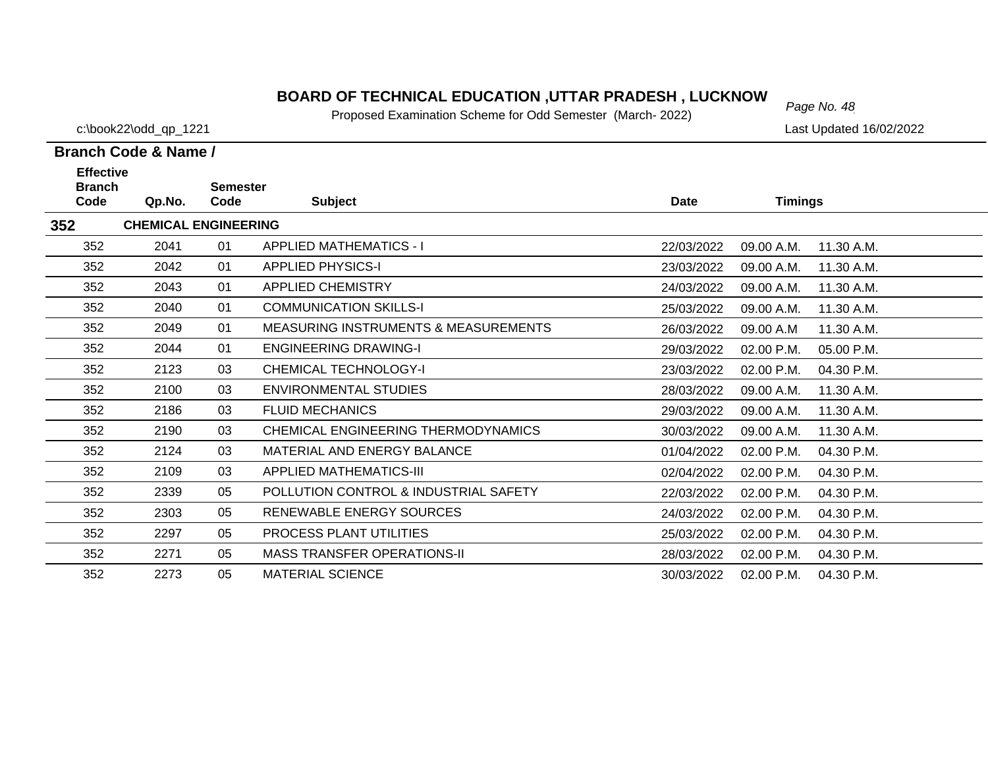# *Page No. 48* **BOARD OF TECHNICAL EDUCATION ,UTTAR PRADESH , LUCKNOW**

Proposed Examination Scheme for Odd Semester (March- 2022)

c:\book22\odd\_qp\_1221 Last Updated 16/02/2022

| <b>Effective</b><br><b>Branch</b> |                             | <b>Semester</b> |                                                 |            |                          |  |
|-----------------------------------|-----------------------------|-----------------|-------------------------------------------------|------------|--------------------------|--|
| Code                              | Qp.No.                      | Code            | <b>Subject</b>                                  | Date       | <b>Timings</b>           |  |
| 352                               | <b>CHEMICAL ENGINEERING</b> |                 |                                                 |            |                          |  |
| 352                               | 2041                        | 01              | <b>APPLIED MATHEMATICS - I</b>                  | 22/03/2022 | 09.00 A.M.<br>11.30 A.M. |  |
| 352                               | 2042                        | 01              | <b>APPLIED PHYSICS-I</b>                        | 23/03/2022 | 09.00 A.M.<br>11.30 A.M. |  |
| 352                               | 2043                        | 01              | <b>APPLIED CHEMISTRY</b>                        | 24/03/2022 | 09.00 A.M.<br>11.30 A.M. |  |
| 352                               | 2040                        | 01              | <b>COMMUNICATION SKILLS-I</b>                   | 25/03/2022 | 09.00 A.M.<br>11.30 A.M. |  |
| 352                               | 2049                        | 01              | <b>MEASURING INSTRUMENTS &amp; MEASUREMENTS</b> | 26/03/2022 | 09.00 A.M<br>11.30 A.M.  |  |
| 352                               | 2044                        | 01              | <b>ENGINEERING DRAWING-I</b>                    | 29/03/2022 | 02.00 P.M.<br>05.00 P.M. |  |
| 352                               | 2123                        | 03              | <b>CHEMICAL TECHNOLOGY-I</b>                    | 23/03/2022 | 02.00 P.M.<br>04.30 P.M. |  |
| 352                               | 2100                        | 03              | <b>ENVIRONMENTAL STUDIES</b>                    | 28/03/2022 | 09.00 A.M.<br>11.30 A.M. |  |
| 352                               | 2186                        | 03              | <b>FLUID MECHANICS</b>                          | 29/03/2022 | 09.00 A.M.<br>11.30 A.M. |  |
| 352                               | 2190                        | 03              | CHEMICAL ENGINEERING THERMODYNAMICS             | 30/03/2022 | 09.00 A.M.<br>11.30 A.M. |  |
| 352                               | 2124                        | 03              | MATERIAL AND ENERGY BALANCE                     | 01/04/2022 | 02.00 P.M.<br>04.30 P.M. |  |
| 352                               | 2109                        | 03              | <b>APPLIED MATHEMATICS-III</b>                  | 02/04/2022 | 02.00 P.M.<br>04.30 P.M. |  |
| 352                               | 2339                        | 05              | POLLUTION CONTROL & INDUSTRIAL SAFETY           | 22/03/2022 | 02.00 P.M.<br>04.30 P.M. |  |
| 352                               | 2303                        | 05              | RENEWABLE ENERGY SOURCES                        | 24/03/2022 | 02.00 P.M.<br>04.30 P.M. |  |
| 352                               | 2297                        | 05              | PROCESS PLANT UTILITIES                         | 25/03/2022 | 02.00 P.M.<br>04.30 P.M. |  |
| 352                               | 2271                        | 05              | <b>MASS TRANSFER OPERATIONS-II</b>              | 28/03/2022 | 02.00 P.M.<br>04.30 P.M. |  |
| 352                               | 2273                        | 05              | <b>MATERIAL SCIENCE</b>                         | 30/03/2022 | 04.30 P.M.<br>02.00 P.M. |  |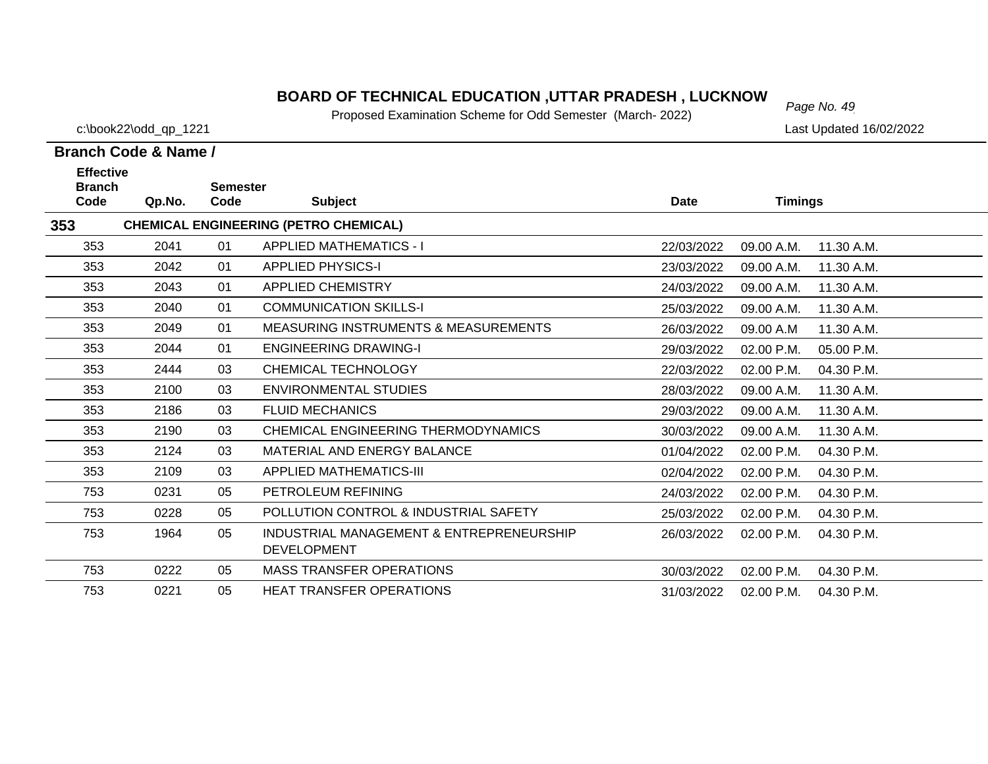# *Page No. 49* **BOARD OF TECHNICAL EDUCATION ,UTTAR PRADESH , LUCKNOW**

Proposed Examination Scheme for Odd Semester (March- 2022)

c:\book22\odd\_qp\_1221 Last Updated 16/02/2022

#### **Branch Code & Name / Effective**

| <b>Effective</b><br><b>Branch</b> |        | <b>Semester</b> |                                                 |            |                |            |
|-----------------------------------|--------|-----------------|-------------------------------------------------|------------|----------------|------------|
| Code                              | Qp.No. | Code            | <b>Subject</b>                                  | Date       | <b>Timings</b> |            |
| 353                               |        |                 | <b>CHEMICAL ENGINEERING (PETRO CHEMICAL)</b>    |            |                |            |
| 353                               | 2041   | 01              | <b>APPLIED MATHEMATICS - I</b>                  | 22/03/2022 | 09.00 A.M.     | 11.30 A.M. |
| 353                               | 2042   | 01              | <b>APPLIED PHYSICS-I</b>                        | 23/03/2022 | 09.00 A.M.     | 11.30 A.M. |
| 353                               | 2043   | 01              | <b>APPLIED CHEMISTRY</b>                        | 24/03/2022 | 09.00 A.M.     | 11.30 A.M. |
| 353                               | 2040   | 01              | <b>COMMUNICATION SKILLS-I</b>                   | 25/03/2022 | 09.00 A.M.     | 11.30 A.M. |
| 353                               | 2049   | 01              | <b>MEASURING INSTRUMENTS &amp; MEASUREMENTS</b> | 26/03/2022 | 09.00 A.M      | 11.30 A.M. |
| 353                               | 2044   | 01              | <b>ENGINEERING DRAWING-I</b>                    | 29/03/2022 | 02.00 P.M.     | 05.00 P.M. |
| 353                               | 2444   | 03              | <b>CHEMICAL TECHNOLOGY</b>                      | 22/03/2022 | 02.00 P.M.     | 04.30 P.M. |
| 353                               | 2100   | 03              | <b>ENVIRONMENTAL STUDIES</b>                    | 28/03/2022 | 09.00 A.M.     | 11.30 A.M. |
| 353                               | 2186   | 03              | <b>FLUID MECHANICS</b>                          | 29/03/2022 | 09.00 A.M.     | 11.30 A.M. |
| 353                               | 2190   | 03              | CHEMICAL ENGINEERING THERMODYNAMICS             | 30/03/2022 | 09.00 A.M.     | 11.30 A.M. |
| 353                               | 2124   | 03              | MATERIAL AND ENERGY BALANCE                     | 01/04/2022 | 02.00 P.M.     | 04.30 P.M. |
| 353                               | 2109   | 03              | <b>APPLIED MATHEMATICS-III</b>                  | 02/04/2022 | 02.00 P.M.     | 04.30 P.M. |
| 753                               | 0231   | 05              | PETROLEUM REFINING                              | 24/03/2022 | 02.00 P.M.     | 04.30 P.M. |
| 753                               | 0228   | 05              | POLLUTION CONTROL & INDUSTRIAL SAFETY           | 25/03/2022 | 02.00 P.M.     | 04.30 P.M. |
| 753                               | 1964   | 05              | INDUSTRIAL MANAGEMENT & ENTREPRENEURSHIP        | 26/03/2022 | 02.00 P.M.     | 04.30 P.M. |
|                                   |        |                 | <b>DEVELOPMENT</b>                              |            |                |            |
| 753                               | 0222   | 05              | <b>MASS TRANSFER OPERATIONS</b>                 | 30/03/2022 | 02.00 P.M.     | 04.30 P.M. |
| 753                               | 0221   | 05              | <b>HEAT TRANSFER OPERATIONS</b>                 | 31/03/2022 | 02.00 P.M.     | 04.30 P.M. |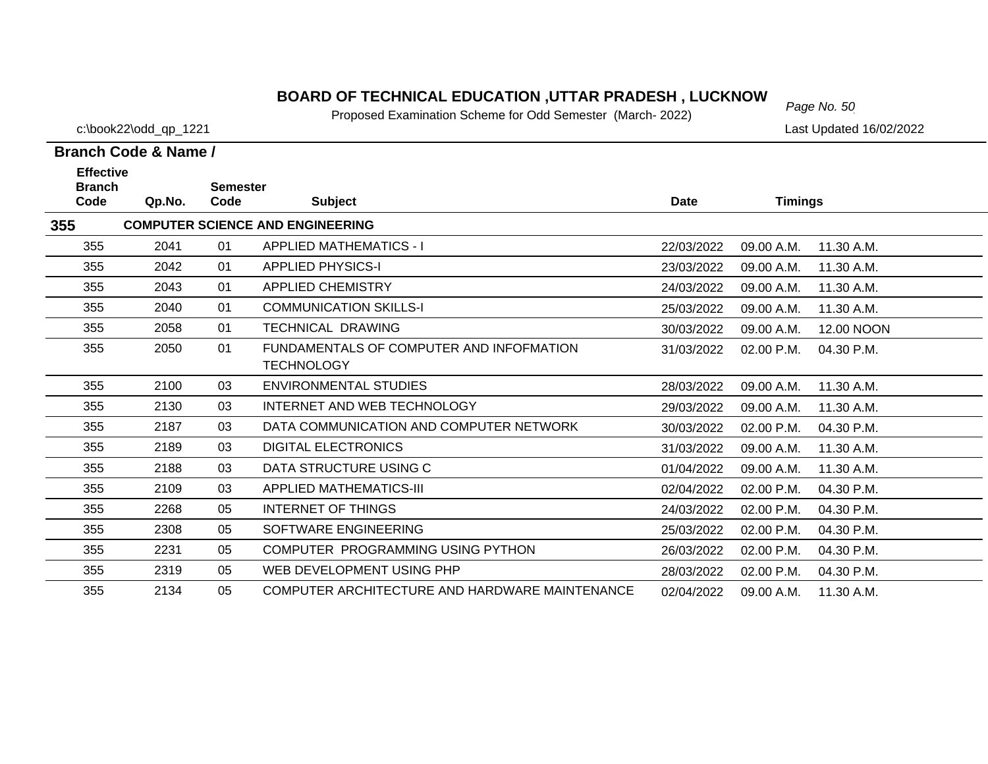# *Page No. 50* **BOARD OF TECHNICAL EDUCATION ,UTTAR PRADESH , LUCKNOW**

Proposed Examination Scheme for Odd Semester (March- 2022)

c:\book22\odd\_qp\_1221 Last Updated 16/02/2022

| <b>Effective</b><br><b>Branch</b> |        | <b>Semester</b> |                                                               |             |                |            |
|-----------------------------------|--------|-----------------|---------------------------------------------------------------|-------------|----------------|------------|
| Code                              | Qp.No. | Code            | <b>Subject</b>                                                | <b>Date</b> | <b>Timings</b> |            |
| 355                               |        |                 | <b>COMPUTER SCIENCE AND ENGINEERING</b>                       |             |                |            |
| 355                               | 2041   | 01              | <b>APPLIED MATHEMATICS - I</b>                                | 22/03/2022  | 09.00 A.M.     | 11.30 A.M. |
| 355                               | 2042   | 01              | <b>APPLIED PHYSICS-I</b>                                      | 23/03/2022  | 09.00 A.M.     | 11.30 A.M. |
| 355                               | 2043   | 01              | <b>APPLIED CHEMISTRY</b>                                      | 24/03/2022  | 09.00 A.M.     | 11.30 A.M. |
| 355                               | 2040   | 01              | <b>COMMUNICATION SKILLS-I</b>                                 | 25/03/2022  | 09.00 A.M.     | 11.30 A.M. |
| 355                               | 2058   | 01              | <b>TECHNICAL DRAWING</b>                                      | 30/03/2022  | 09.00 A.M.     | 12.00 NOON |
| 355                               | 2050   | 01              | FUNDAMENTALS OF COMPUTER AND INFOFMATION<br><b>TECHNOLOGY</b> | 31/03/2022  | 02.00 P.M.     | 04.30 P.M. |
| 355                               | 2100   | 03              | ENVIRONMENTAL STUDIES                                         | 28/03/2022  | 09.00 A.M.     | 11.30 A.M. |
| 355                               | 2130   | 03              | INTERNET AND WEB TECHNOLOGY                                   | 29/03/2022  | 09.00 A.M.     | 11.30 A.M. |
| 355                               | 2187   | 03              | DATA COMMUNICATION AND COMPUTER NETWORK                       | 30/03/2022  | 02.00 P.M.     | 04.30 P.M. |
| 355                               | 2189   | 03              | <b>DIGITAL ELECTRONICS</b>                                    | 31/03/2022  | 09.00 A.M.     | 11.30 A.M. |
| 355                               | 2188   | 03              | DATA STRUCTURE USING C                                        | 01/04/2022  | 09.00 A.M.     | 11.30 A.M. |
| 355                               | 2109   | 03              | <b>APPLIED MATHEMATICS-III</b>                                | 02/04/2022  | 02.00 P.M.     | 04.30 P.M. |
| 355                               | 2268   | 05              | INTERNET OF THINGS                                            | 24/03/2022  | 02.00 P.M.     | 04.30 P.M. |
| 355                               | 2308   | 05              | SOFTWARE ENGINEERING                                          | 25/03/2022  | 02.00 P.M.     | 04.30 P.M. |
| 355                               | 2231   | 05              | COMPUTER PROGRAMMING USING PYTHON                             | 26/03/2022  | 02.00 P.M.     | 04.30 P.M. |
| 355                               | 2319   | 05              | WEB DEVELOPMENT USING PHP                                     | 28/03/2022  | 02.00 P.M.     | 04.30 P.M. |
| 355                               | 2134   | 05              | COMPUTER ARCHITECTURE AND HARDWARE MAINTENANCE                | 02/04/2022  | 09.00 A.M.     | 11.30 A.M. |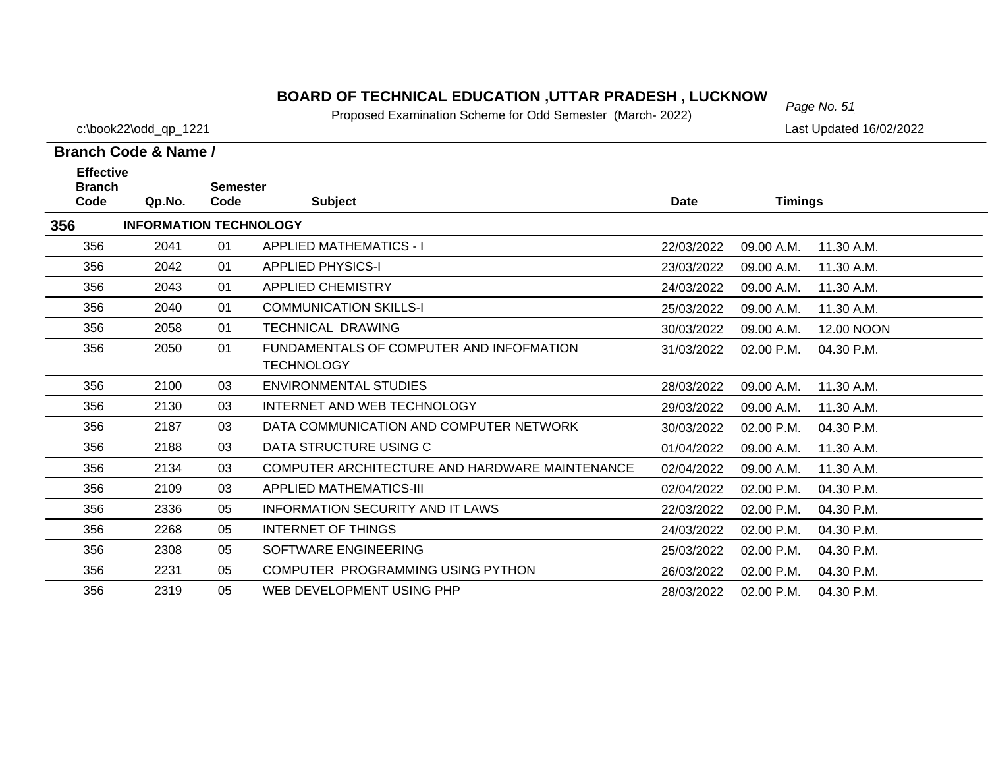# *Page No. 51* **BOARD OF TECHNICAL EDUCATION ,UTTAR PRADESH , LUCKNOW**

Proposed Examination Scheme for Odd Semester (March- 2022)

c:\book22\odd\_qp\_1221 Last Updated 16/02/2022

| <b>Effective</b><br><b>Branch</b> |                               | <b>Semester</b> |                                                |             |                |            |
|-----------------------------------|-------------------------------|-----------------|------------------------------------------------|-------------|----------------|------------|
| Code                              | Qp.No.                        | Code            | <b>Subject</b>                                 | <b>Date</b> | <b>Timings</b> |            |
| 356                               | <b>INFORMATION TECHNOLOGY</b> |                 |                                                |             |                |            |
| 356                               | 2041                          | 01              | <b>APPLIED MATHEMATICS - I</b>                 | 22/03/2022  | 09.00 A.M.     | 11.30 A.M. |
| 356                               | 2042                          | 01              | <b>APPLIED PHYSICS-I</b>                       | 23/03/2022  | 09.00 A.M.     | 11.30 A.M. |
| 356                               | 2043                          | 01              | <b>APPLIED CHEMISTRY</b>                       | 24/03/2022  | 09.00 A.M.     | 11.30 A.M. |
| 356                               | 2040                          | 01              | <b>COMMUNICATION SKILLS-I</b>                  | 25/03/2022  | 09.00 A.M.     | 11.30 A.M. |
| 356                               | 2058                          | 01              | <b>TECHNICAL DRAWING</b>                       | 30/03/2022  | 09.00 A.M.     | 12.00 NOON |
| 356                               | 2050                          | 01              | FUNDAMENTALS OF COMPUTER AND INFOFMATION       | 31/03/2022  | 02.00 P.M.     | 04.30 P.M. |
|                                   |                               |                 | <b>TECHNOLOGY</b>                              |             |                |            |
| 356                               | 2100                          | 03              | ENVIRONMENTAL STUDIES                          | 28/03/2022  | 09.00 A.M.     | 11.30 A.M. |
| 356                               | 2130                          | 03              | INTERNET AND WEB TECHNOLOGY                    | 29/03/2022  | 09.00 A.M.     | 11.30 A.M. |
| 356                               | 2187                          | 03              | DATA COMMUNICATION AND COMPUTER NETWORK        | 30/03/2022  | 02.00 P.M.     | 04.30 P.M. |
| 356                               | 2188                          | 03              | DATA STRUCTURE USING C                         | 01/04/2022  | 09.00 A.M.     | 11.30 A.M. |
| 356                               | 2134                          | 03              | COMPUTER ARCHITECTURE AND HARDWARE MAINTENANCE | 02/04/2022  | 09.00 A.M.     | 11.30 A.M. |
| 356                               | 2109                          | 03              | APPLIED MATHEMATICS-III                        | 02/04/2022  | 02.00 P.M.     | 04.30 P.M. |
| 356                               | 2336                          | 05              | <b>INFORMATION SECURITY AND IT LAWS</b>        | 22/03/2022  | 02.00 P.M.     | 04.30 P.M. |
| 356                               | 2268                          | 05              | <b>INTERNET OF THINGS</b>                      | 24/03/2022  | 02.00 P.M.     | 04.30 P.M. |
| 356                               | 2308                          | 05              | SOFTWARE ENGINEERING                           | 25/03/2022  | 02.00 P.M.     | 04.30 P.M. |
| 356                               | 2231                          | 05              | COMPUTER PROGRAMMING USING PYTHON              | 26/03/2022  | 02.00 P.M.     | 04.30 P.M. |
| 356                               | 2319                          | 05              | WEB DEVELOPMENT USING PHP                      | 28/03/2022  | 02.00 P.M.     | 04.30 P.M. |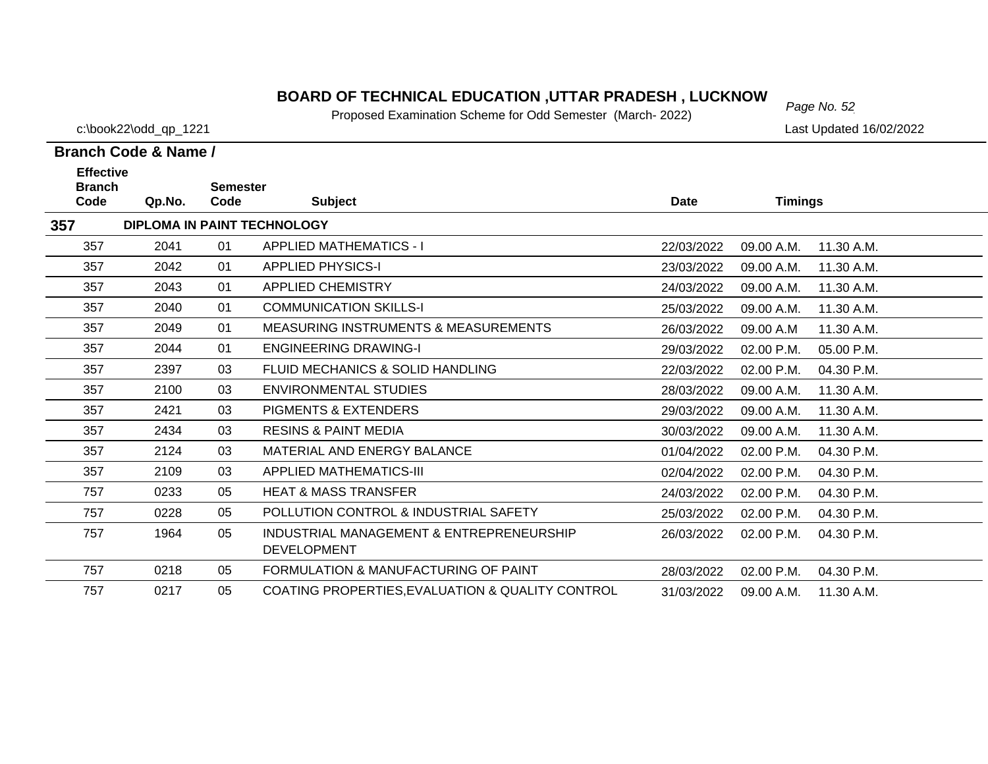# *Page No. 52* **BOARD OF TECHNICAL EDUCATION ,UTTAR PRADESH , LUCKNOW**

Proposed Examination Scheme for Odd Semester (March- 2022)

c:\book22\odd\_qp\_1221 Last Updated 16/02/2022

| <b>Effective</b><br><b>Branch</b> |        | <b>Semester</b> |                                                                |             |                |            |
|-----------------------------------|--------|-----------------|----------------------------------------------------------------|-------------|----------------|------------|
| Code                              | Qp.No. | Code            | <b>Subject</b>                                                 | <b>Date</b> | <b>Timings</b> |            |
| 357                               |        |                 | <b>DIPLOMA IN PAINT TECHNOLOGY</b>                             |             |                |            |
| 357                               | 2041   | 01              | <b>APPLIED MATHEMATICS - I</b>                                 | 22/03/2022  | 09.00 A.M.     | 11.30 A.M. |
| 357                               | 2042   | 01              | <b>APPLIED PHYSICS-I</b>                                       | 23/03/2022  | 09.00 A.M.     | 11.30 A.M. |
| 357                               | 2043   | 01              | <b>APPLIED CHEMISTRY</b>                                       | 24/03/2022  | 09.00 A.M.     | 11.30 A.M. |
| 357                               | 2040   | 01              | <b>COMMUNICATION SKILLS-I</b>                                  | 25/03/2022  | 09.00 A.M.     | 11.30 A.M. |
| 357                               | 2049   | 01              | <b>MEASURING INSTRUMENTS &amp; MEASUREMENTS</b>                | 26/03/2022  | 09.00 A.M      | 11.30 A.M. |
| 357                               | 2044   | 01              | <b>ENGINEERING DRAWING-I</b>                                   | 29/03/2022  | 02.00 P.M.     | 05.00 P.M. |
| 357                               | 2397   | 03              | FLUID MECHANICS & SOLID HANDLING                               | 22/03/2022  | 02.00 P.M.     | 04.30 P.M. |
| 357                               | 2100   | 03              | ENVIRONMENTAL STUDIES                                          | 28/03/2022  | 09.00 A.M.     | 11.30 A.M. |
| 357                               | 2421   | 03              | <b>PIGMENTS &amp; EXTENDERS</b>                                | 29/03/2022  | 09.00 A.M.     | 11.30 A.M. |
| 357                               | 2434   | 03              | <b>RESINS &amp; PAINT MEDIA</b>                                | 30/03/2022  | 09.00 A.M.     | 11.30 A.M. |
| 357                               | 2124   | 03              | MATERIAL AND ENERGY BALANCE                                    | 01/04/2022  | 02.00 P.M.     | 04.30 P.M. |
| 357                               | 2109   | 03              | <b>APPLIED MATHEMATICS-III</b>                                 | 02/04/2022  | 02.00 P.M.     | 04.30 P.M. |
| 757                               | 0233   | 05              | <b>HEAT &amp; MASS TRANSFER</b>                                | 24/03/2022  | 02.00 P.M.     | 04.30 P.M. |
| 757                               | 0228   | 05              | POLLUTION CONTROL & INDUSTRIAL SAFETY                          | 25/03/2022  | 02.00 P.M.     | 04.30 P.M. |
| 757                               | 1964   | 05              | INDUSTRIAL MANAGEMENT & ENTREPRENEURSHIP<br><b>DEVELOPMENT</b> | 26/03/2022  | 02.00 P.M.     | 04.30 P.M. |
| 757                               | 0218   | 05              | FORMULATION & MANUFACTURING OF PAINT                           | 28/03/2022  | 02.00 P.M.     | 04.30 P.M. |
| 757                               | 0217   | 05              | COATING PROPERTIES, EVALUATION & QUALITY CONTROL               | 31/03/2022  | 09.00 A.M.     | 11.30 A.M. |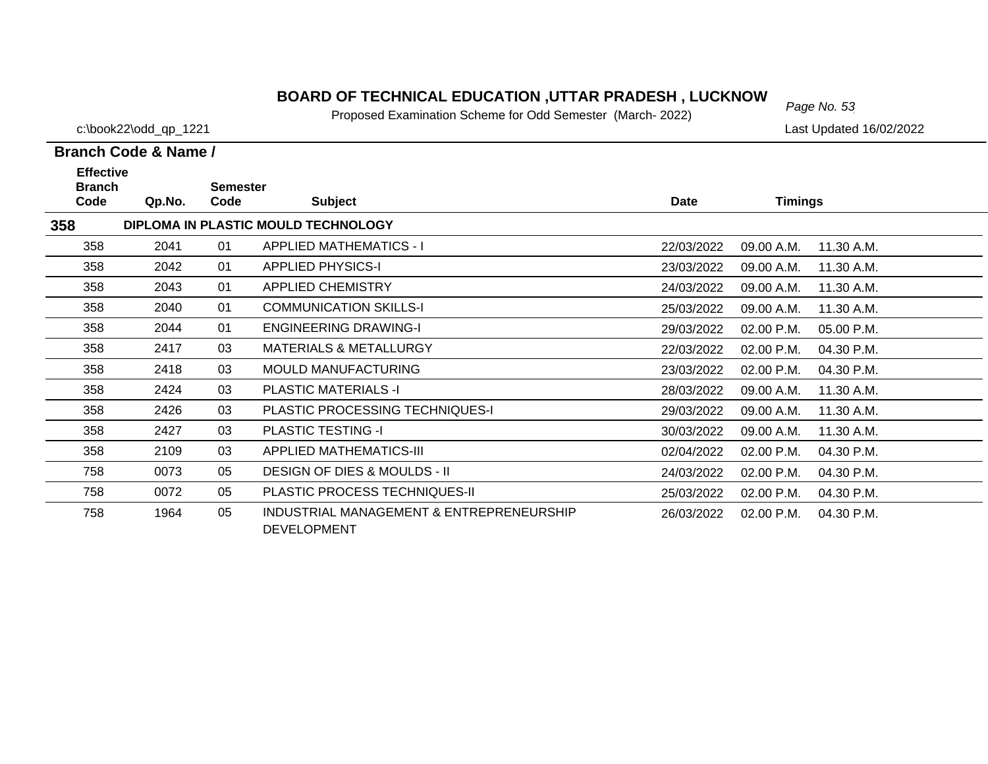# *Page No. 53* **BOARD OF TECHNICAL EDUCATION ,UTTAR PRADESH , LUCKNOW**

Proposed Examination Scheme for Odd Semester (March- 2022)

c:\book22\odd\_qp\_1221 Last Updated 16/02/2022

| <b>Effective</b><br><b>Branch</b> |        | <b>Semester</b> |                                                                |            |                |            |
|-----------------------------------|--------|-----------------|----------------------------------------------------------------|------------|----------------|------------|
| Code                              | Qp.No. | Code            | <b>Subject</b>                                                 | Date       | <b>Timings</b> |            |
| 358                               |        |                 | DIPLOMA IN PLASTIC MOULD TECHNOLOGY                            |            |                |            |
| 358                               | 2041   | 01              | <b>APPLIED MATHEMATICS - I</b>                                 | 22/03/2022 | 09.00 A.M.     | 11.30 A.M. |
| 358                               | 2042   | 01              | <b>APPLIED PHYSICS-I</b>                                       | 23/03/2022 | 09.00 A.M.     | 11.30 A.M. |
| 358                               | 2043   | 01              | <b>APPLIED CHEMISTRY</b>                                       | 24/03/2022 | 09.00 A.M.     | 11.30 A.M. |
| 358                               | 2040   | 01              | <b>COMMUNICATION SKILLS-I</b>                                  | 25/03/2022 | 09.00 A.M.     | 11.30 A.M. |
| 358                               | 2044   | 01              | <b>ENGINEERING DRAWING-I</b>                                   | 29/03/2022 | 02.00 P.M.     | 05.00 P.M. |
| 358                               | 2417   | 03              | <b>MATERIALS &amp; METALLURGY</b>                              | 22/03/2022 | 02.00 P.M.     | 04.30 P.M. |
| 358                               | 2418   | 03              | <b>MOULD MANUFACTURING</b>                                     | 23/03/2022 | 02.00 P.M.     | 04.30 P.M. |
| 358                               | 2424   | 03              | <b>PLASTIC MATERIALS -I</b>                                    | 28/03/2022 | 09.00 A.M.     | 11.30 A.M. |
| 358                               | 2426   | 03              | <b>PLASTIC PROCESSING TECHNIQUES-I</b>                         | 29/03/2022 | 09.00 A.M.     | 11.30 A.M. |
| 358                               | 2427   | 03              | <b>PLASTIC TESTING -I</b>                                      | 30/03/2022 | 09.00 A.M.     | 11.30 A.M. |
| 358                               | 2109   | 03              | <b>APPLIED MATHEMATICS-III</b>                                 | 02/04/2022 | 02.00 P.M.     | 04.30 P.M. |
| 758                               | 0073   | 05              | <b>DESIGN OF DIES &amp; MOULDS - II</b>                        | 24/03/2022 | 02.00 P.M.     | 04.30 P.M. |
| 758                               | 0072   | 05              | <b>PLASTIC PROCESS TECHNIQUES-II</b>                           | 25/03/2022 | 02.00 P.M.     | 04.30 P.M. |
| 758                               | 1964   | 05              | INDUSTRIAL MANAGEMENT & ENTREPRENEURSHIP<br><b>DEVELOPMENT</b> | 26/03/2022 | 02.00 P.M.     | 04.30 P.M. |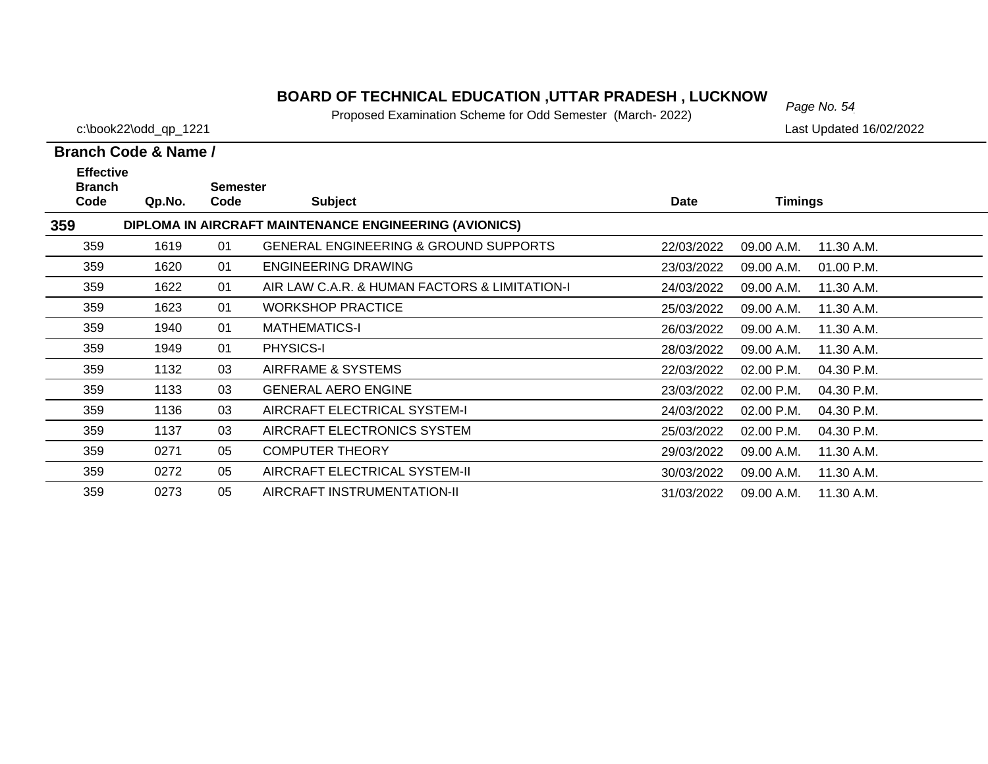# *Page No. 54* **BOARD OF TECHNICAL EDUCATION ,UTTAR PRADESH , LUCKNOW**

Proposed Examination Scheme for Odd Semester (March- 2022)

c:\book22\odd\_qp\_1221 Last Updated 16/02/2022

| <b>Effective</b><br><b>Branch</b> |        | <b>Semester</b> |                                                        |             |                            |  |
|-----------------------------------|--------|-----------------|--------------------------------------------------------|-------------|----------------------------|--|
| Code                              | Qp.No. | Code            | <b>Subject</b>                                         | <b>Date</b> | <b>Timings</b>             |  |
| 359                               |        |                 | DIPLOMA IN AIRCRAFT MAINTENANCE ENGINEERING (AVIONICS) |             |                            |  |
| 359                               | 1619   | 01              | <b>GENERAL ENGINEERING &amp; GROUND SUPPORTS</b>       | 22/03/2022  | 09.00 A.M.<br>11.30 A.M.   |  |
| 359                               | 1620   | 01              | <b>ENGINEERING DRAWING</b>                             | 23/03/2022  | 09.00 A.M.<br>01.00 P.M.   |  |
| 359                               | 1622   | 01              | AIR LAW C.A.R. & HUMAN FACTORS & LIMITATION-I          | 24/03/2022  | 09.00 A.M.<br>11.30 A.M.   |  |
| 359                               | 1623   | 01              | <b>WORKSHOP PRACTICE</b>                               | 25/03/2022  | 09.00 A.M.<br>11.30 A.M.   |  |
| 359                               | 1940   | 01              | <b>MATHEMATICS-I</b>                                   | 26/03/2022  | 09.00 A.M.<br>11.30 A.M.   |  |
| 359                               | 1949   | 01              | <b>PHYSICS-I</b>                                       | 28/03/2022  | 09.00 A.M.<br>11.30 A.M.   |  |
| 359                               | 1132   | 03              | AIRFRAME & SYSTEMS                                     | 22/03/2022  | 02.00 P.M.<br>04.30 P.M.   |  |
| 359                               | 1133   | 03              | <b>GENERAL AERO ENGINE</b>                             | 23/03/2022  | 02.00 P.M.<br>04.30 P.M.   |  |
| 359                               | 1136   | 03              | AIRCRAFT ELECTRICAL SYSTEM-I                           | 24/03/2022  | 02.00 P.M.<br>04.30 P.M.   |  |
| 359                               | 1137   | 03              | AIRCRAFT ELECTRONICS SYSTEM                            | 25/03/2022  | 04.30 P.M.<br>$02.00$ P.M. |  |
| 359                               | 0271   | 05              | <b>COMPUTER THEORY</b>                                 | 29/03/2022  | 09.00 A.M.<br>11.30 A.M.   |  |
| 359                               | 0272   | 05              | AIRCRAFT ELECTRICAL SYSTEM-II                          | 30/03/2022  | 11.30 A.M.<br>09.00 A.M.   |  |
| 359                               | 0273   | 05              | AIRCRAFT INSTRUMENTATION-II                            | 31/03/2022  | 09.00 A.M.<br>11.30 A.M.   |  |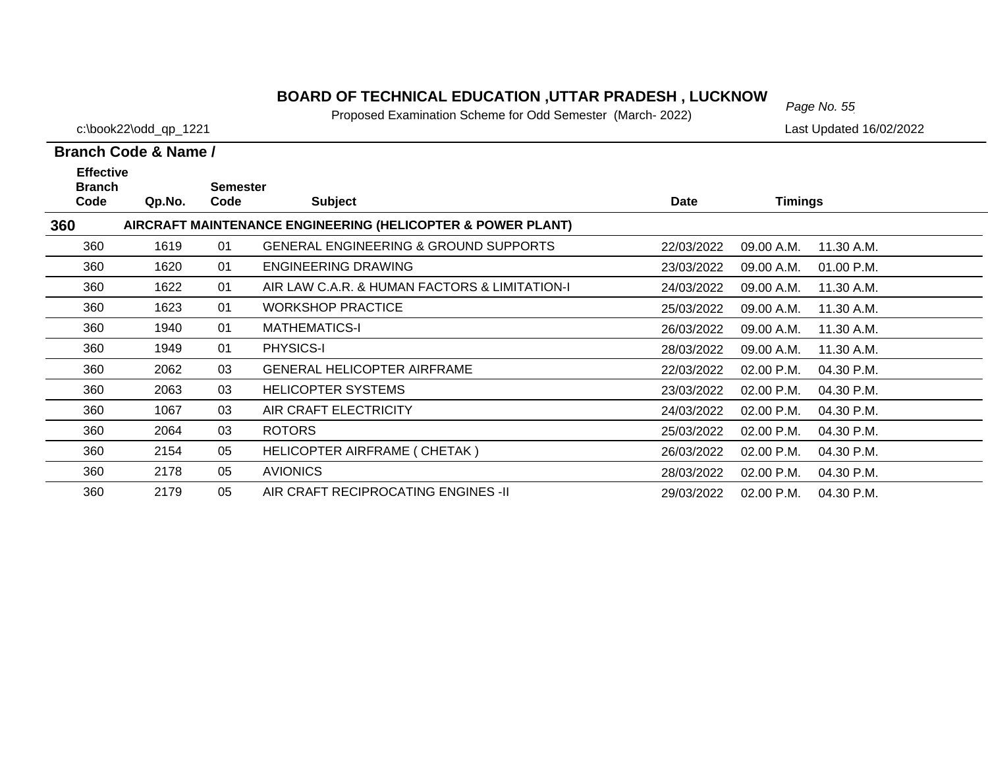# *Page No. 55* **BOARD OF TECHNICAL EDUCATION ,UTTAR PRADESH , LUCKNOW**

Proposed Examination Scheme for Odd Semester (March- 2022)

c:\book22\odd\_qp\_1221 Last Updated 16/02/2022

| <b>Effective</b><br><b>Branch</b> |        | <b>Semester</b> |                                                             |             |                |            |
|-----------------------------------|--------|-----------------|-------------------------------------------------------------|-------------|----------------|------------|
| Code                              | Qp.No. | Code            | <b>Subject</b>                                              | <b>Date</b> | <b>Timings</b> |            |
| 360                               |        |                 | AIRCRAFT MAINTENANCE ENGINEERING (HELICOPTER & POWER PLANT) |             |                |            |
| 360                               | 1619   | 01              | <b>GENERAL ENGINEERING &amp; GROUND SUPPORTS</b>            | 22/03/2022  | 09.00 A.M.     | 11.30 A.M. |
| 360                               | 1620   | 01              | <b>ENGINEERING DRAWING</b>                                  | 23/03/2022  | 09.00 A.M.     | 01.00 P.M. |
| 360                               | 1622   | 01              | AIR LAW C.A.R. & HUMAN FACTORS & LIMITATION-I               | 24/03/2022  | 09.00 A.M.     | 11.30 A.M. |
| 360                               | 1623   | 01              | <b>WORKSHOP PRACTICE</b>                                    | 25/03/2022  | 09.00 A.M.     | 11.30 A.M. |
| 360                               | 1940   | 01              | <b>MATHEMATICS-I</b>                                        | 26/03/2022  | 09.00 A.M.     | 11.30 A.M. |
| 360                               | 1949   | 01              | <b>PHYSICS-I</b>                                            | 28/03/2022  | 09.00 A.M.     | 11.30 A.M. |
| 360                               | 2062   | 03              | <b>GENERAL HELICOPTER AIRFRAME</b>                          | 22/03/2022  | $02.00$ P.M.   | 04.30 P.M. |
| 360                               | 2063   | 03              | <b>HELICOPTER SYSTEMS</b>                                   | 23/03/2022  | 02.00 P.M.     | 04.30 P.M. |
| 360                               | 1067   | 03              | AIR CRAFT ELECTRICITY                                       | 24/03/2022  | 02.00 P.M.     | 04.30 P.M. |
| 360                               | 2064   | 03              | <b>ROTORS</b>                                               | 25/03/2022  | 02.00 P.M.     | 04.30 P.M. |
| 360                               | 2154   | 05              | HELICOPTER AIRFRAME ( CHETAK )                              | 26/03/2022  | 02.00 P.M.     | 04.30 P.M. |
| 360                               | 2178   | 05              | <b>AVIONICS</b>                                             | 28/03/2022  | 02.00 P.M.     | 04.30 P.M. |
| 360                               | 2179   | 05              | AIR CRAFT RECIPROCATING ENGINES -II                         | 29/03/2022  | 02.00 P.M.     | 04.30 P.M. |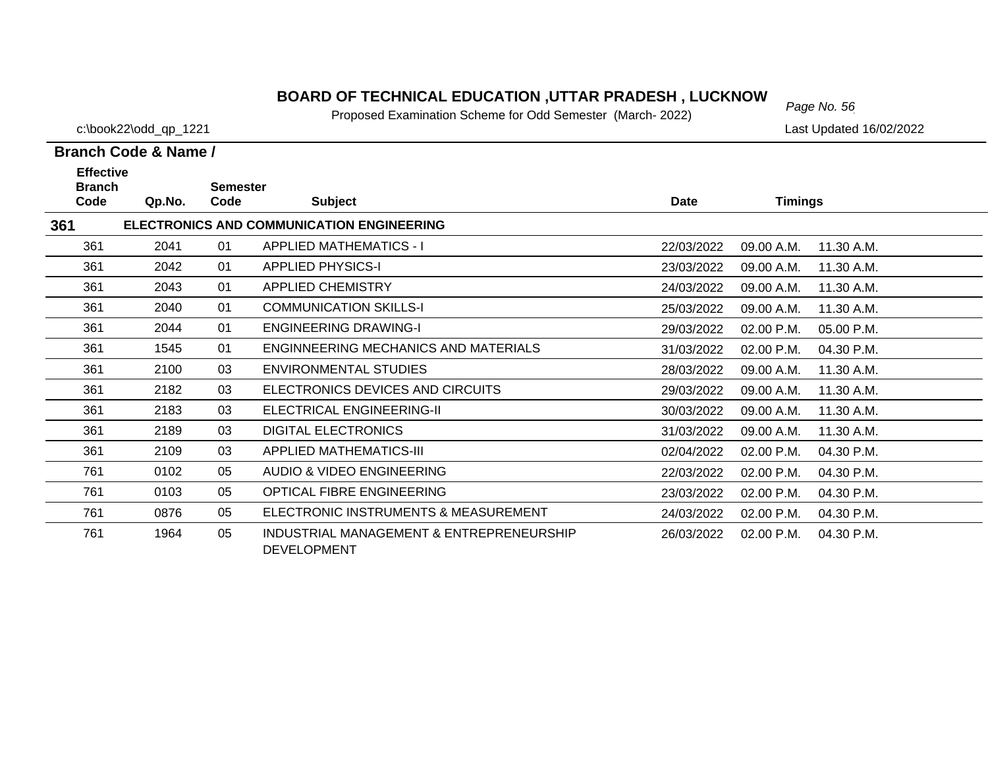# *Page No. 56* **BOARD OF TECHNICAL EDUCATION ,UTTAR PRADESH , LUCKNOW**

Proposed Examination Scheme for Odd Semester (March- 2022)

c:\book22\odd\_qp\_1221 Last Updated 16/02/2022

| <b>Effective</b>                                        |        |                         |                                                                |            |                |            |  |  |  |
|---------------------------------------------------------|--------|-------------------------|----------------------------------------------------------------|------------|----------------|------------|--|--|--|
| <b>Branch</b><br>Code                                   | Qp.No. | <b>Semester</b><br>Code | <b>Subject</b>                                                 | Date       | <b>Timings</b> |            |  |  |  |
| 361<br><b>ELECTRONICS AND COMMUNICATION ENGINEERING</b> |        |                         |                                                                |            |                |            |  |  |  |
| 361                                                     | 2041   | 01                      | <b>APPLIED MATHEMATICS - I</b>                                 | 22/03/2022 | 09.00 A.M.     | 11.30 A.M. |  |  |  |
| 361                                                     | 2042   | 01                      | <b>APPLIED PHYSICS-I</b>                                       | 23/03/2022 | 09.00 A.M.     | 11.30 A.M. |  |  |  |
| 361                                                     | 2043   | 01                      | <b>APPLIED CHEMISTRY</b>                                       | 24/03/2022 | 09.00 A.M.     | 11.30 A.M. |  |  |  |
| 361                                                     | 2040   | 01                      | <b>COMMUNICATION SKILLS-I</b>                                  | 25/03/2022 | 09.00 A.M.     | 11.30 A.M. |  |  |  |
| 361                                                     | 2044   | 01                      | <b>ENGINEERING DRAWING-I</b>                                   | 29/03/2022 | 02.00 P.M.     | 05.00 P.M. |  |  |  |
| 361                                                     | 1545   | 01                      | ENGINNEERING MECHANICS AND MATERIALS                           | 31/03/2022 | 02.00 P.M.     | 04.30 P.M. |  |  |  |
| 361                                                     | 2100   | 03                      | ENVIRONMENTAL STUDIES                                          | 28/03/2022 | 09.00 A.M.     | 11.30 A.M. |  |  |  |
| 361                                                     | 2182   | 03                      | ELECTRONICS DEVICES AND CIRCUITS                               | 29/03/2022 | 09.00 A.M.     | 11.30 A.M. |  |  |  |
| 361                                                     | 2183   | 03                      | ELECTRICAL ENGINEERING-II                                      | 30/03/2022 | 09.00 A.M.     | 11.30 A.M. |  |  |  |
| 361                                                     | 2189   | 03                      | <b>DIGITAL ELECTRONICS</b>                                     | 31/03/2022 | 09.00 A.M.     | 11.30 A.M. |  |  |  |
| 361                                                     | 2109   | 03                      | <b>APPLIED MATHEMATICS-III</b>                                 | 02/04/2022 | 02.00 P.M.     | 04.30 P.M. |  |  |  |
| 761                                                     | 0102   | 05                      | AUDIO & VIDEO ENGINEERING                                      | 22/03/2022 | 02.00 P.M.     | 04.30 P.M. |  |  |  |
| 761                                                     | 0103   | 05                      | OPTICAL FIBRE ENGINEERING                                      | 23/03/2022 | 02.00 P.M.     | 04.30 P.M. |  |  |  |
| 761                                                     | 0876   | 05                      | ELECTRONIC INSTRUMENTS & MEASUREMENT                           | 24/03/2022 | 02.00 P.M.     | 04.30 P.M. |  |  |  |
| 761                                                     | 1964   | 05                      | INDUSTRIAL MANAGEMENT & ENTREPRENEURSHIP<br><b>DEVELOPMENT</b> | 26/03/2022 | 02.00 P.M.     | 04.30 P.M. |  |  |  |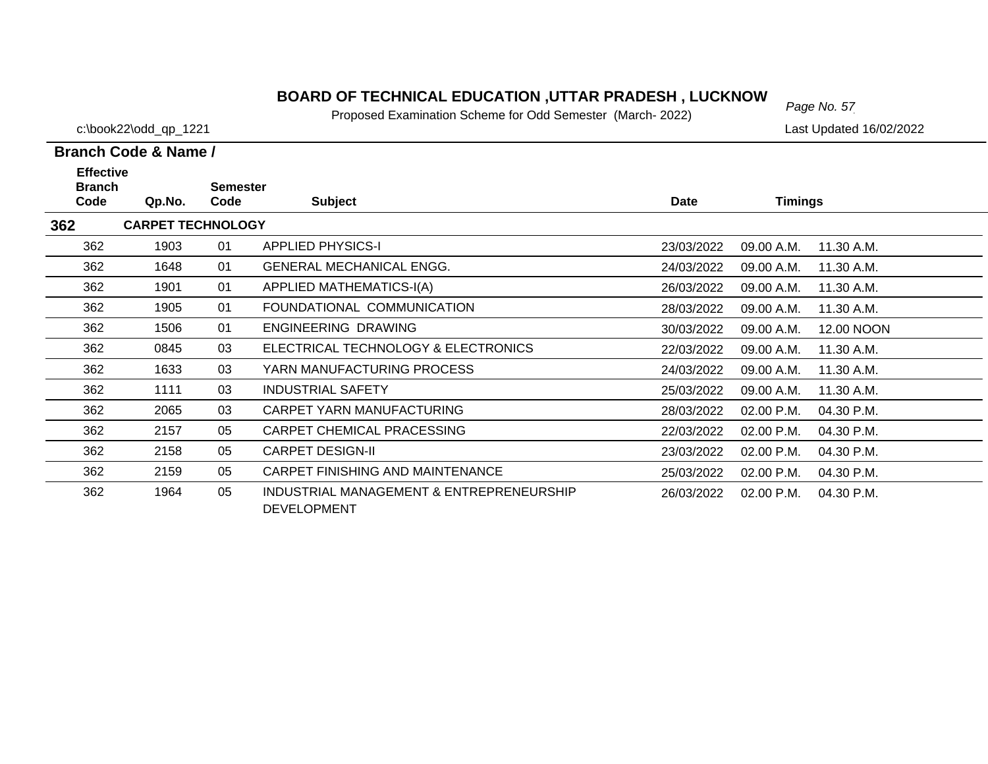# *Page No. 57* **BOARD OF TECHNICAL EDUCATION ,UTTAR PRADESH , LUCKNOW**

Proposed Examination Scheme for Odd Semester (March- 2022)

c:\book22\odd\_qp\_1221 Last Updated 16/02/2022

| <b>Effective</b>      |                          |                         |                                                                |             |                |            |
|-----------------------|--------------------------|-------------------------|----------------------------------------------------------------|-------------|----------------|------------|
| <b>Branch</b><br>Code | Qp.No.                   | <b>Semester</b><br>Code | <b>Subject</b>                                                 | <b>Date</b> | <b>Timings</b> |            |
| 362                   | <b>CARPET TECHNOLOGY</b> |                         |                                                                |             |                |            |
| 362                   | 1903                     | 01                      | <b>APPLIED PHYSICS-I</b>                                       | 23/03/2022  | 09.00 A.M.     | 11.30 A.M. |
| 362                   | 1648                     | 01                      | <b>GENERAL MECHANICAL ENGG.</b>                                | 24/03/2022  | 09.00 A.M.     | 11.30 A.M. |
| 362                   | 1901                     | 01                      | <b>APPLIED MATHEMATICS-I(A)</b>                                | 26/03/2022  | 09.00 A.M.     | 11.30 A.M. |
| 362                   | 1905                     | 01                      | FOUNDATIONAL COMMUNICATION                                     | 28/03/2022  | 09.00 A.M.     | 11.30 A.M. |
| 362                   | 1506                     | 01                      | ENGINEERING DRAWING                                            | 30/03/2022  | 09.00 A.M.     | 12.00 NOON |
| 362                   | 0845                     | 03                      | ELECTRICAL TECHNOLOGY & ELECTRONICS                            | 22/03/2022  | 09.00 A.M.     | 11.30 A.M. |
| 362                   | 1633                     | 03                      | YARN MANUFACTURING PROCESS                                     | 24/03/2022  | 09.00 A.M.     | 11.30 A.M. |
| 362                   | 1111                     | 03                      | <b>INDUSTRIAL SAFETY</b>                                       | 25/03/2022  | 09.00 A.M.     | 11.30 A.M. |
| 362                   | 2065                     | 03                      | CARPET YARN MANUFACTURING                                      | 28/03/2022  | 02.00 P.M.     | 04.30 P.M. |
| 362                   | 2157                     | 05                      | CARPET CHEMICAL PRACESSING                                     | 22/03/2022  | 02.00 P.M.     | 04.30 P.M. |
| 362                   | 2158                     | 05                      | <b>CARPET DESIGN-II</b>                                        | 23/03/2022  | 02.00 P.M.     | 04.30 P.M. |
| 362                   | 2159                     | 05                      | CARPET FINISHING AND MAINTENANCE                               | 25/03/2022  | 02.00 P.M.     | 04.30 P.M. |
| 362                   | 1964                     | 05                      | INDUSTRIAL MANAGEMENT & ENTREPRENEURSHIP<br><b>DEVELOPMENT</b> | 26/03/2022  | 02.00 P.M.     | 04.30 P.M. |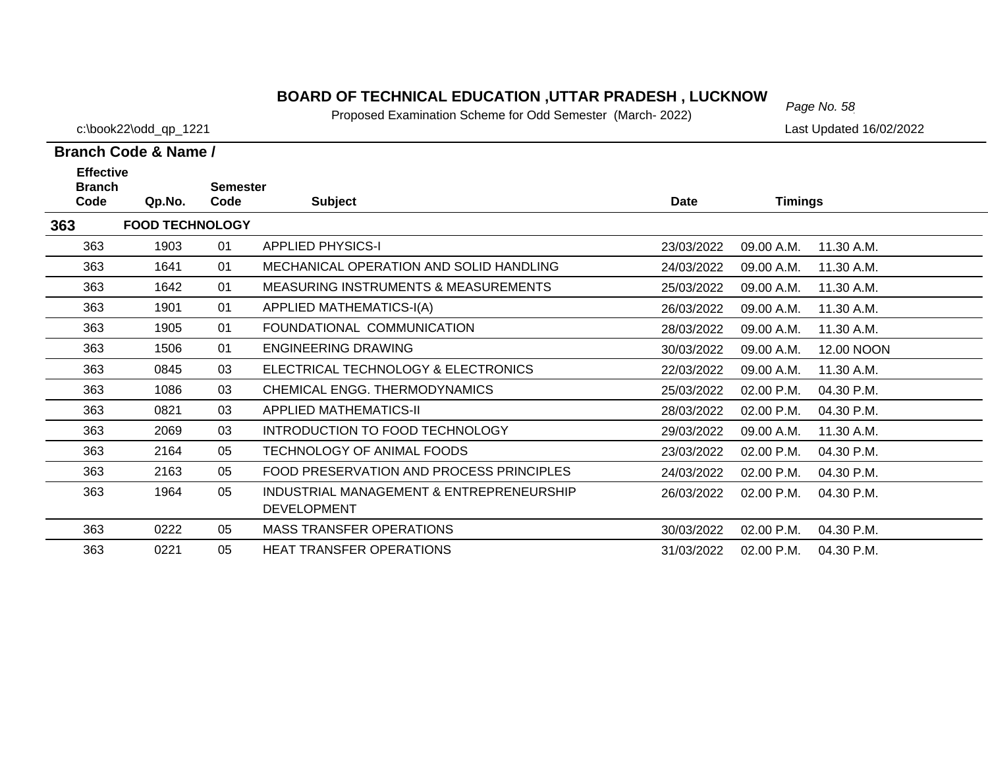# *Page No. 58* **BOARD OF TECHNICAL EDUCATION ,UTTAR PRADESH , LUCKNOW**

Proposed Examination Scheme for Odd Semester (March- 2022)

c:\book22\odd\_qp\_1221 Last Updated 16/02/2022

| <b>Effective</b>      |                        |                         |                                                                |             |                |            |
|-----------------------|------------------------|-------------------------|----------------------------------------------------------------|-------------|----------------|------------|
| <b>Branch</b><br>Code | Qp.No.                 | <b>Semester</b><br>Code | <b>Subject</b>                                                 | <b>Date</b> | <b>Timings</b> |            |
| 363                   | <b>FOOD TECHNOLOGY</b> |                         |                                                                |             |                |            |
| 363                   | 1903                   | 01                      | <b>APPLIED PHYSICS-I</b>                                       | 23/03/2022  | 09.00 A.M.     | 11.30 A.M. |
| 363                   | 1641                   | 01                      | MECHANICAL OPERATION AND SOLID HANDLING                        | 24/03/2022  | 09.00 A.M.     | 11.30 A.M. |
| 363                   | 1642                   | 01                      | <b>MEASURING INSTRUMENTS &amp; MEASUREMENTS</b>                | 25/03/2022  | 09.00 A.M.     | 11.30 A.M. |
| 363                   | 1901                   | 01                      | APPLIED MATHEMATICS-I(A)                                       | 26/03/2022  | 09.00 A.M.     | 11.30 A.M. |
| 363                   | 1905                   | 01                      | FOUNDATIONAL COMMUNICATION                                     | 28/03/2022  | 09.00 A.M.     | 11.30 A.M. |
| 363                   | 1506                   | 01                      | <b>ENGINEERING DRAWING</b>                                     | 30/03/2022  | 09.00 A.M.     | 12.00 NOON |
| 363                   | 0845                   | 03                      | ELECTRICAL TECHNOLOGY & ELECTRONICS                            | 22/03/2022  | 09.00 A.M.     | 11.30 A.M. |
| 363                   | 1086                   | 03                      | CHEMICAL ENGG. THERMODYNAMICS                                  | 25/03/2022  | 02.00 P.M.     | 04.30 P.M. |
| 363                   | 0821                   | 03                      | <b>APPLIED MATHEMATICS-II</b>                                  | 28/03/2022  | 02.00 P.M.     | 04.30 P.M. |
| 363                   | 2069                   | 03                      | INTRODUCTION TO FOOD TECHNOLOGY                                | 29/03/2022  | 09.00 A.M.     | 11.30 A.M. |
| 363                   | 2164                   | 05                      | TECHNOLOGY OF ANIMAL FOODS                                     | 23/03/2022  | 02.00 P.M.     | 04.30 P.M. |
| 363                   | 2163                   | 05                      | FOOD PRESERVATION AND PROCESS PRINCIPLES                       | 24/03/2022  | 02.00 P.M.     | 04.30 P.M. |
| 363                   | 1964                   | 05                      | INDUSTRIAL MANAGEMENT & ENTREPRENEURSHIP<br><b>DEVELOPMENT</b> | 26/03/2022  | $02.00$ P.M.   | 04.30 P.M. |
| 363                   | 0222                   | 05                      | <b>MASS TRANSFER OPERATIONS</b>                                | 30/03/2022  | 02.00 P.M.     | 04.30 P.M. |
| 363                   | 0221                   | 05                      | <b>HEAT TRANSFER OPERATIONS</b>                                | 31/03/2022  | 02.00 P.M.     | 04.30 P.M. |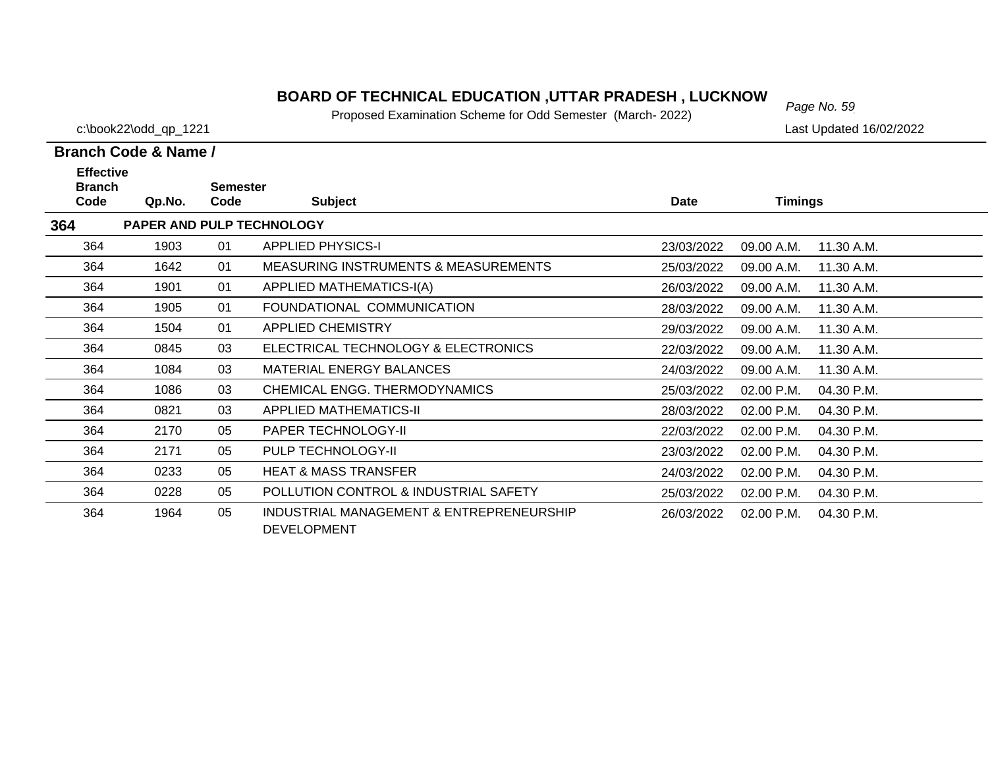# *Page No. 59* **BOARD OF TECHNICAL EDUCATION ,UTTAR PRADESH , LUCKNOW**

Proposed Examination Scheme for Odd Semester (March- 2022)

c:\book22\odd\_qp\_1221 Last Updated 16/02/2022

| <b>Effective</b><br><b>Branch</b> |                           | <b>Semester</b> |                                                                |             |                |            |
|-----------------------------------|---------------------------|-----------------|----------------------------------------------------------------|-------------|----------------|------------|
| Code                              | Qp.No.                    | Code            | <b>Subject</b>                                                 | <b>Date</b> | <b>Timings</b> |            |
| 364                               | PAPER AND PULP TECHNOLOGY |                 |                                                                |             |                |            |
| 364                               | 1903                      | 01              | <b>APPLIED PHYSICS-I</b>                                       | 23/03/2022  | 09.00 A.M.     | 11.30 A.M. |
| 364                               | 1642                      | 01              | <b>MEASURING INSTRUMENTS &amp; MEASUREMENTS</b>                | 25/03/2022  | 09.00 A.M.     | 11.30 A.M. |
| 364                               | 1901                      | 01              | APPLIED MATHEMATICS-I(A)                                       | 26/03/2022  | 09.00 A.M.     | 11.30 A.M. |
| 364                               | 1905                      | 01              | FOUNDATIONAL COMMUNICATION                                     | 28/03/2022  | 09.00 A.M.     | 11.30 A.M. |
| 364                               | 1504                      | 01              | <b>APPLIED CHEMISTRY</b>                                       | 29/03/2022  | 09.00 A.M.     | 11.30 A.M. |
| 364                               | 0845                      | 03              | ELECTRICAL TECHNOLOGY & ELECTRONICS                            | 22/03/2022  | 09.00 A.M.     | 11.30 A.M. |
| 364                               | 1084                      | 03              | MATERIAL ENERGY BALANCES                                       | 24/03/2022  | 09.00 A.M.     | 11.30 A.M. |
| 364                               | 1086                      | 03              | CHEMICAL ENGG. THERMODYNAMICS                                  | 25/03/2022  | 02.00 P.M.     | 04.30 P.M. |
| 364                               | 0821                      | 03              | <b>APPLIED MATHEMATICS-II</b>                                  | 28/03/2022  | 02.00 P.M.     | 04.30 P.M. |
| 364                               | 2170                      | 05              | PAPER TECHNOLOGY-II                                            | 22/03/2022  | 02.00 P.M.     | 04.30 P.M. |
| 364                               | 2171                      | 05              | PULP TECHNOLOGY-II                                             | 23/03/2022  | 02.00 P.M.     | 04.30 P.M. |
| 364                               | 0233                      | 05              | <b>HEAT &amp; MASS TRANSFER</b>                                | 24/03/2022  | 02.00 P.M.     | 04.30 P.M. |
| 364                               | 0228                      | 05              | POLLUTION CONTROL & INDUSTRIAL SAFETY                          | 25/03/2022  | 02.00 P.M.     | 04.30 P.M. |
| 364                               | 1964                      | 05              | INDUSTRIAL MANAGEMENT & ENTREPRENEURSHIP<br><b>DEVELOPMENT</b> | 26/03/2022  | 02.00 P.M.     | 04.30 P.M. |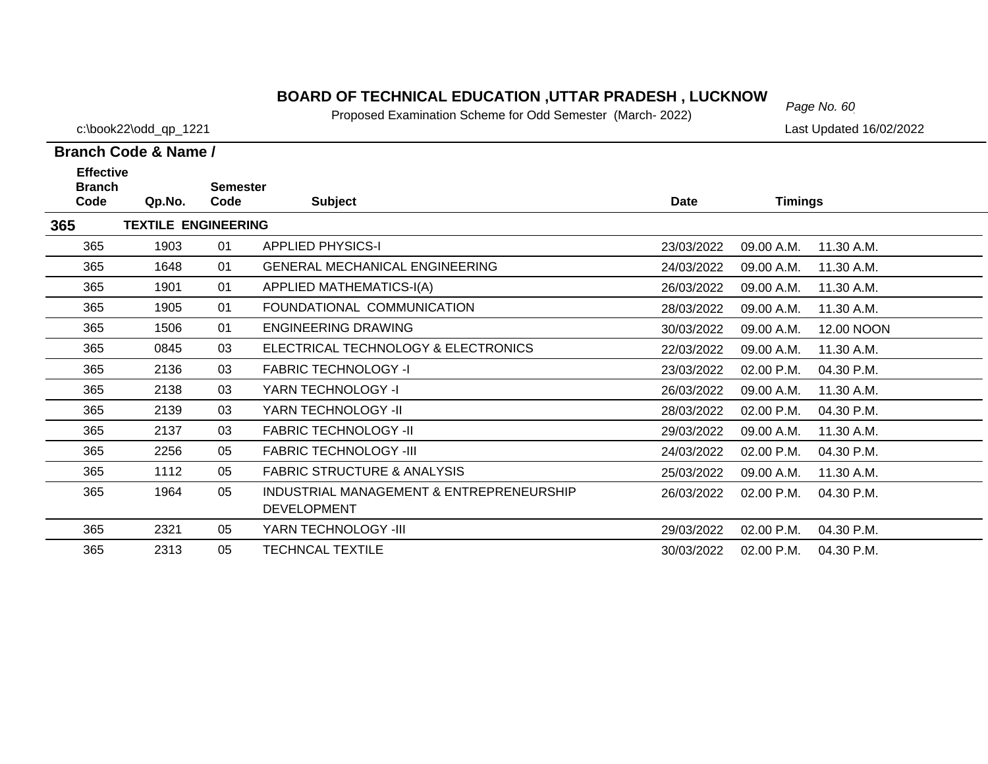# *Page No. 60* **BOARD OF TECHNICAL EDUCATION ,UTTAR PRADESH , LUCKNOW**

Proposed Examination Scheme for Odd Semester (March- 2022)

c:\book22\odd\_qp\_1221 Last Updated 16/02/2022

| <b>Effective</b>      |                            |                         |                                                                |             |                |            |
|-----------------------|----------------------------|-------------------------|----------------------------------------------------------------|-------------|----------------|------------|
| <b>Branch</b><br>Code | Qp.No.                     | <b>Semester</b><br>Code | <b>Subject</b>                                                 | <b>Date</b> | <b>Timings</b> |            |
| 365                   | <b>TEXTILE ENGINEERING</b> |                         |                                                                |             |                |            |
| 365                   | 1903                       | 01                      | <b>APPLIED PHYSICS-I</b>                                       | 23/03/2022  | 09.00 A.M.     | 11.30 A.M. |
| 365                   | 1648                       | 01                      | <b>GENERAL MECHANICAL ENGINEERING</b>                          | 24/03/2022  | 09.00 A.M.     | 11.30 A.M. |
| 365                   | 1901                       | 01                      | APPLIED MATHEMATICS-I(A)                                       | 26/03/2022  | 09.00 A.M.     | 11.30 A.M. |
| 365                   | 1905                       | 01                      | FOUNDATIONAL COMMUNICATION                                     | 28/03/2022  | 09.00 A.M.     | 11.30 A.M. |
| 365                   | 1506                       | 01                      | <b>ENGINEERING DRAWING</b>                                     | 30/03/2022  | 09.00 A.M.     | 12.00 NOON |
| 365                   | 0845                       | 03                      | ELECTRICAL TECHNOLOGY & ELECTRONICS                            | 22/03/2022  | 09.00 A.M.     | 11.30 A.M. |
| 365                   | 2136                       | 03                      | <b>FABRIC TECHNOLOGY -I</b>                                    | 23/03/2022  | 02.00 P.M.     | 04.30 P.M. |
| 365                   | 2138                       | 03                      | YARN TECHNOLOGY -I                                             | 26/03/2022  | 09.00 A.M.     | 11.30 A.M. |
| 365                   | 2139                       | 03                      | YARN TECHNOLOGY -II                                            | 28/03/2022  | 02.00 P.M.     | 04.30 P.M. |
| 365                   | 2137                       | 03                      | <b>FABRIC TECHNOLOGY -II</b>                                   | 29/03/2022  | 09.00 A.M.     | 11.30 A.M. |
| 365                   | 2256                       | 05                      | <b>FABRIC TECHNOLOGY -III</b>                                  | 24/03/2022  | 02.00 P.M.     | 04.30 P.M. |
| 365                   | 1112                       | 05                      | <b>FABRIC STRUCTURE &amp; ANALYSIS</b>                         | 25/03/2022  | 09.00 A.M.     | 11.30 A.M. |
| 365                   | 1964                       | 05                      | INDUSTRIAL MANAGEMENT & ENTREPRENEURSHIP<br><b>DEVELOPMENT</b> | 26/03/2022  | 02.00 P.M.     | 04.30 P.M. |
| 365                   | 2321                       | 05                      | YARN TECHNOLOGY -III                                           | 29/03/2022  | 02.00 P.M.     | 04.30 P.M. |
| 365                   | 2313                       | 05                      | <b>TECHNCAL TEXTILE</b>                                        | 30/03/2022  | 02.00 P.M.     | 04.30 P.M. |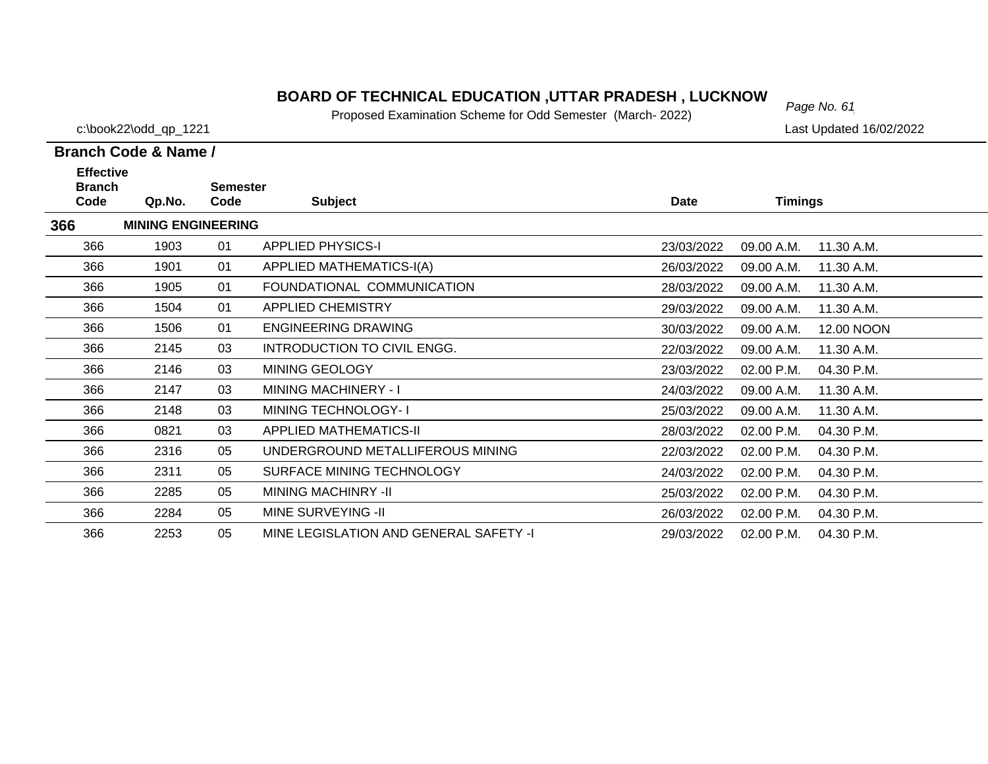# *Page No. 61* **BOARD OF TECHNICAL EDUCATION ,UTTAR PRADESH , LUCKNOW**

Proposed Examination Scheme for Odd Semester (March- 2022)

c:\book22\odd\_qp\_1221 Last Updated 16/02/2022

| <b>Effective</b>      |                           |                         |                                        |            |                |            |
|-----------------------|---------------------------|-------------------------|----------------------------------------|------------|----------------|------------|
| <b>Branch</b><br>Code | Qp.No.                    | <b>Semester</b><br>Code | <b>Subject</b>                         | Date       | <b>Timings</b> |            |
| 366                   | <b>MINING ENGINEERING</b> |                         |                                        |            |                |            |
| 366                   | 1903                      | 01                      | <b>APPLIED PHYSICS-I</b>               | 23/03/2022 | 09.00 A.M.     | 11.30 A.M. |
| 366                   | 1901                      | 01                      | APPLIED MATHEMATICS-I(A)               | 26/03/2022 | 09.00 A.M.     | 11.30 A.M. |
| 366                   | 1905                      | 01                      | FOUNDATIONAL COMMUNICATION             | 28/03/2022 | 09.00 A.M.     | 11.30 A.M. |
| 366                   | 1504                      | 01                      | <b>APPLIED CHEMISTRY</b>               | 29/03/2022 | 09.00 A.M.     | 11.30 A.M. |
| 366                   | 1506                      | 01                      | <b>ENGINEERING DRAWING</b>             | 30/03/2022 | 09.00 A.M.     | 12.00 NOON |
| 366                   | 2145                      | 03                      | INTRODUCTION TO CIVIL ENGG.            | 22/03/2022 | 09.00 A.M.     | 11.30 A.M. |
| 366                   | 2146                      | 03                      | MINING GEOLOGY                         | 23/03/2022 | 02.00 P.M.     | 04.30 P.M. |
| 366                   | 2147                      | 03                      | <b>MINING MACHINERY - I</b>            | 24/03/2022 | 09.00 A.M.     | 11.30 A.M. |
| 366                   | 2148                      | 03                      | MINING TECHNOLOGY-I                    | 25/03/2022 | 09.00 A.M.     | 11.30 A.M. |
| 366                   | 0821                      | 03                      | <b>APPLIED MATHEMATICS-II</b>          | 28/03/2022 | 02.00 P.M.     | 04.30 P.M. |
| 366                   | 2316                      | 05                      | UNDERGROUND METALLIFEROUS MINING       | 22/03/2022 | 02.00 P.M.     | 04.30 P.M. |
| 366                   | 2311                      | 05                      | SURFACE MINING TECHNOLOGY              | 24/03/2022 | 02.00 P.M.     | 04.30 P.M. |
| 366                   | 2285                      | 05                      | <b>MINING MACHINRY -II</b>             | 25/03/2022 | 02.00 P.M.     | 04.30 P.M. |
| 366                   | 2284                      | 05                      | <b>MINE SURVEYING -II</b>              | 26/03/2022 | 02.00 P.M.     | 04.30 P.M. |
| 366                   | 2253                      | 05                      | MINE LEGISLATION AND GENERAL SAFETY -I | 29/03/2022 | 02.00 P.M.     | 04.30 P.M. |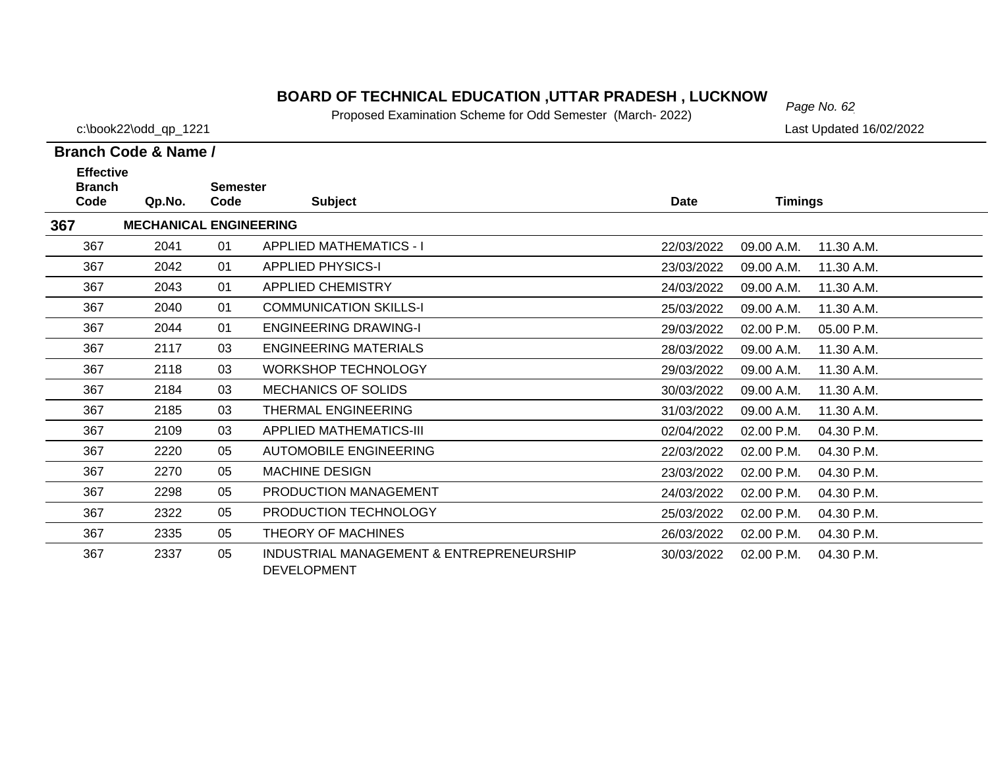# *Page No. 62* **BOARD OF TECHNICAL EDUCATION ,UTTAR PRADESH , LUCKNOW**

Proposed Examination Scheme for Odd Semester (March- 2022)

c:\book22\odd\_qp\_1221 Last Updated 16/02/2022

| <b>Effective</b><br><b>Branch</b> |                               | <b>Semester</b> |                                                                |             |                |            |
|-----------------------------------|-------------------------------|-----------------|----------------------------------------------------------------|-------------|----------------|------------|
| Code                              | Qp.No.                        | Code            | <b>Subject</b>                                                 | <b>Date</b> | <b>Timings</b> |            |
| 367                               | <b>MECHANICAL ENGINEERING</b> |                 |                                                                |             |                |            |
| 367                               | 2041                          | 01              | <b>APPLIED MATHEMATICS - I</b>                                 | 22/03/2022  | 09.00 A.M.     | 11.30 A.M. |
| 367                               | 2042                          | 01              | <b>APPLIED PHYSICS-I</b>                                       | 23/03/2022  | 09.00 A.M.     | 11.30 A.M. |
| 367                               | 2043                          | 01              | <b>APPLIED CHEMISTRY</b>                                       | 24/03/2022  | 09.00 A.M.     | 11.30 A.M. |
| 367                               | 2040                          | 01              | <b>COMMUNICATION SKILLS-I</b>                                  | 25/03/2022  | 09.00 A.M.     | 11.30 A.M. |
| 367                               | 2044                          | 01              | <b>ENGINEERING DRAWING-I</b>                                   | 29/03/2022  | 02.00 P.M.     | 05.00 P.M. |
| 367                               | 2117                          | 03              | <b>ENGINEERING MATERIALS</b>                                   | 28/03/2022  | 09.00 A.M.     | 11.30 A.M. |
| 367                               | 2118                          | 03              | <b>WORKSHOP TECHNOLOGY</b>                                     | 29/03/2022  | 09.00 A.M.     | 11.30 A.M. |
| 367                               | 2184                          | 03              | <b>MECHANICS OF SOLIDS</b>                                     | 30/03/2022  | 09.00 A.M.     | 11.30 A.M. |
| 367                               | 2185                          | 03              | THERMAL ENGINEERING                                            | 31/03/2022  | 09.00 A.M.     | 11.30 A.M. |
| 367                               | 2109                          | 03              | APPLIED MATHEMATICS-III                                        | 02/04/2022  | 02.00 P.M.     | 04.30 P.M. |
| 367                               | 2220                          | 05              | AUTOMOBILE ENGINEERING                                         | 22/03/2022  | 02.00 P.M.     | 04.30 P.M. |
| 367                               | 2270                          | 05              | <b>MACHINE DESIGN</b>                                          | 23/03/2022  | 02.00 P.M.     | 04.30 P.M. |
| 367                               | 2298                          | 05              | PRODUCTION MANAGEMENT                                          | 24/03/2022  | 02.00 P.M.     | 04.30 P.M. |
| 367                               | 2322                          | 05              | PRODUCTION TECHNOLOGY                                          | 25/03/2022  | 02.00 P.M.     | 04.30 P.M. |
| 367                               | 2335                          | 05              | THEORY OF MACHINES                                             | 26/03/2022  | 02.00 P.M.     | 04.30 P.M. |
| 367                               | 2337                          | 05              | INDUSTRIAL MANAGEMENT & ENTREPRENEURSHIP<br><b>DEVELOPMENT</b> | 30/03/2022  | 02.00 P.M.     | 04.30 P.M. |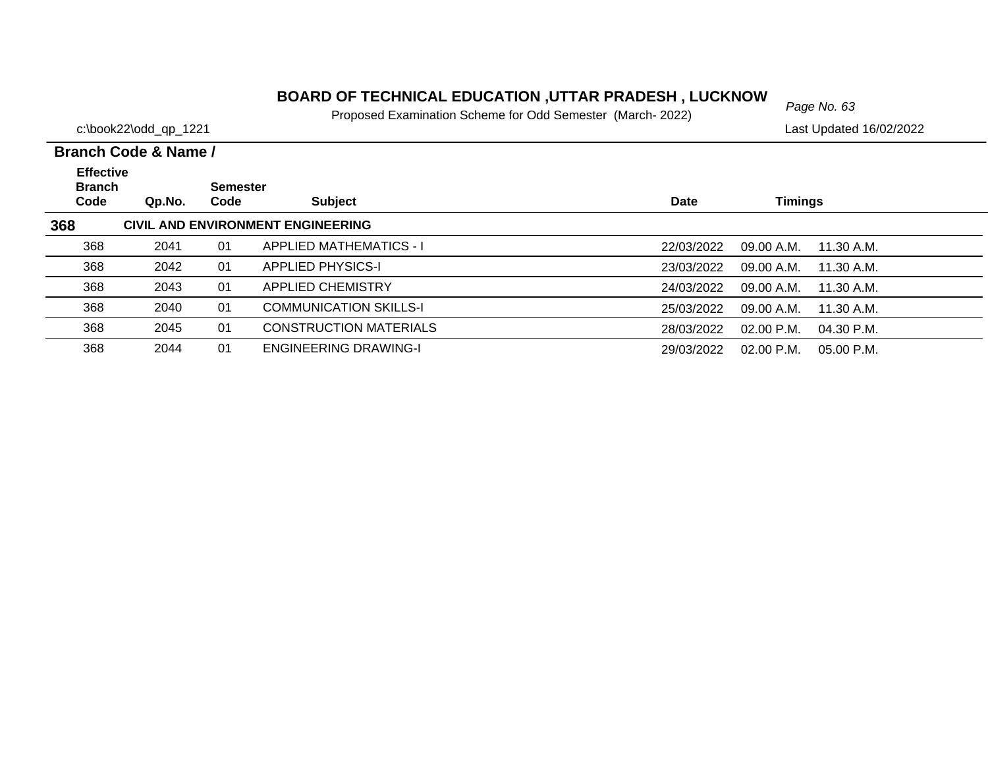# *Page No. 63* **BOARD OF TECHNICAL EDUCATION ,UTTAR PRADESH , LUCKNOW**

Proposed Examination Scheme for Odd Semester (March- 2022)

2044 01 ENGINEERING DRAWING-I 29/03/2022 02.00 P.M. 05.00 P.M.

368

|                                           | Branch Code & Name / |                         |                                   |            |                |            |
|-------------------------------------------|----------------------|-------------------------|-----------------------------------|------------|----------------|------------|
| <b>Effective</b><br><b>Branch</b><br>Code | Qp.No.               | <b>Semester</b><br>Code | <b>Subject</b>                    | Date       | <b>Timings</b> |            |
| 368                                       |                      |                         | CIVIL AND ENVIRONMENT ENGINEERING |            |                |            |
| 368                                       | 2041                 | 01                      | <b>APPLIED MATHEMATICS - I</b>    | 22/03/2022 | 09.00 A.M.     | 11.30 A.M. |
| 368                                       | 2042                 | 01                      | <b>APPLIED PHYSICS-I</b>          | 23/03/2022 | 09.00 A.M.     | 11.30 A.M. |
| 368                                       | 2043                 | 01                      | <b>APPLIED CHEMISTRY</b>          | 24/03/2022 | 09.00 A.M.     | 11.30 A.M. |
| 368                                       | 2040                 | 01                      | <b>COMMUNICATION SKILLS-I</b>     | 25/03/2022 | 09.00 A.M.     | 11.30 A.M. |
| 368                                       | 2045                 | 01                      | <b>CONSTRUCTION MATERIALS</b>     | 28/03/2022 | $02.00$ P.M.   | 04.30 P.M. |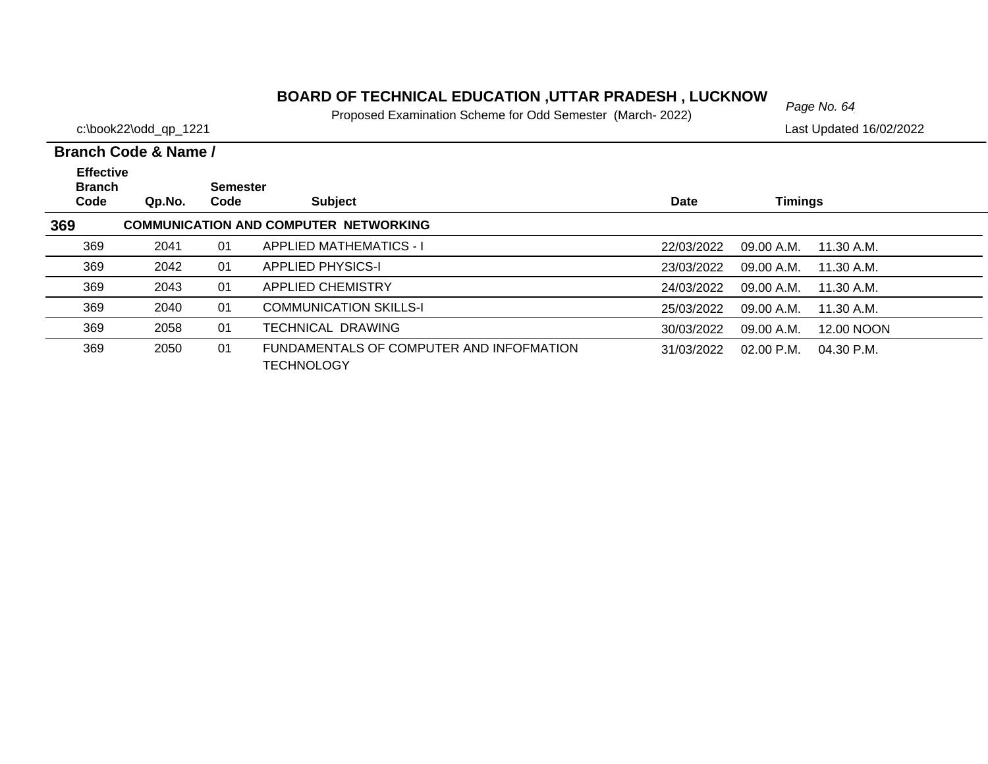# *Page No. 64* **BOARD OF TECHNICAL EDUCATION ,UTTAR PRADESH , LUCKNOW**

Proposed Examination Scheme for Odd Semester (March- 2022)

c:\book22\odd\_qp\_1221 Last Updated 16/02/2022

| <b>Effective</b><br><b>Branch</b><br>Code | Qp.No. | <b>Semester</b><br>Code | <b>Subject</b>                                                | <b>Date</b> | <b>Timings</b> |              |
|-------------------------------------------|--------|-------------------------|---------------------------------------------------------------|-------------|----------------|--------------|
| 369                                       |        |                         | <b>COMMUNICATION AND COMPUTER NETWORKING</b>                  |             |                |              |
| 369                                       | 2041   | 01                      | <b>APPLIED MATHEMATICS - I</b>                                | 22/03/2022  | 09.00 A.M.     | 11.30 A.M.   |
| 369                                       | 2042   | 01                      | <b>APPLIED PHYSICS-I</b>                                      | 23/03/2022  | 09.00 A.M.     | 11.30 A.M.   |
| 369                                       | 2043   | 01                      | <b>APPLIED CHEMISTRY</b>                                      | 24/03/2022  | 09.00 A.M.     | 11.30 A.M.   |
| 369                                       | 2040   | 01                      | <b>COMMUNICATION SKILLS-I</b>                                 | 25/03/2022  | 09.00 A.M.     | 11.30 A.M.   |
| 369                                       | 2058   | 01                      | TECHNICAL DRAWING                                             | 30/03/2022  | 09.00 A.M.     | 12.00 NOON   |
| 369                                       | 2050   | 01                      | FUNDAMENTALS OF COMPUTER AND INFOFMATION<br><b>TECHNOLOGY</b> | 31/03/2022  | $02.00$ P.M.   | $04.30$ P.M. |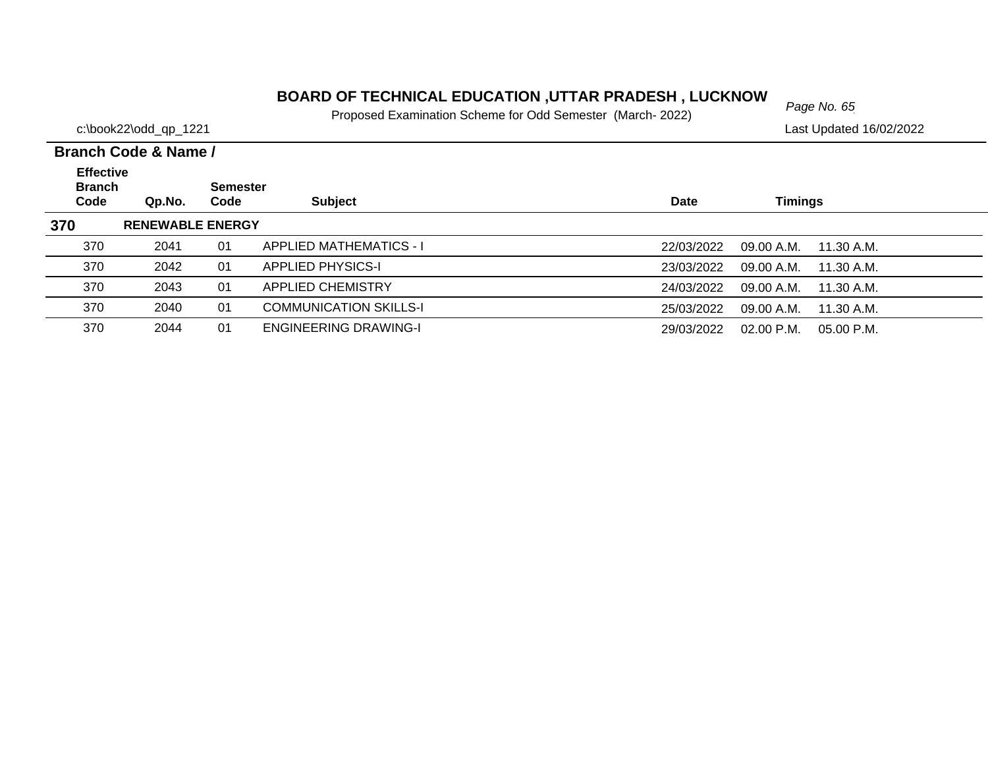# *Page No. 65* **BOARD OF TECHNICAL EDUCATION ,UTTAR PRADESH , LUCKNOW**

Proposed Examination Scheme for Odd Semester (March- 2022)

c:\book22\odd\_qp\_1221 Last Updated 16/02/2022

| <b>Effective</b><br><b>Branch</b><br>Code | Qp.No.                  | <b>Semester</b><br>Code | <b>Subject</b>                 | Date       | <b>Timings</b>           |  |
|-------------------------------------------|-------------------------|-------------------------|--------------------------------|------------|--------------------------|--|
| 370                                       | <b>RENEWABLE ENERGY</b> |                         |                                |            |                          |  |
| 370                                       | 2041                    | 01                      | <b>APPLIED MATHEMATICS - I</b> | 22/03/2022 | 09.00 A.M.<br>11.30 A.M. |  |
| 370                                       | 2042                    | 01                      | <b>APPLIED PHYSICS-I</b>       | 23/03/2022 | 09.00 A.M.<br>11.30 A.M. |  |
| 370                                       | 2043                    | 01                      | <b>APPLIED CHEMISTRY</b>       | 24/03/2022 | 09.00 A.M.<br>11.30 A.M. |  |
| 370                                       | 2040                    | 01                      | <b>COMMUNICATION SKILLS-I</b>  | 25/03/2022 | 09.00 A.M.<br>11.30 A.M. |  |
| 370                                       | 2044                    | 01                      | <b>ENGINEERING DRAWING-I</b>   | 29/03/2022 | 02.00 P.M.<br>05.00 P.M. |  |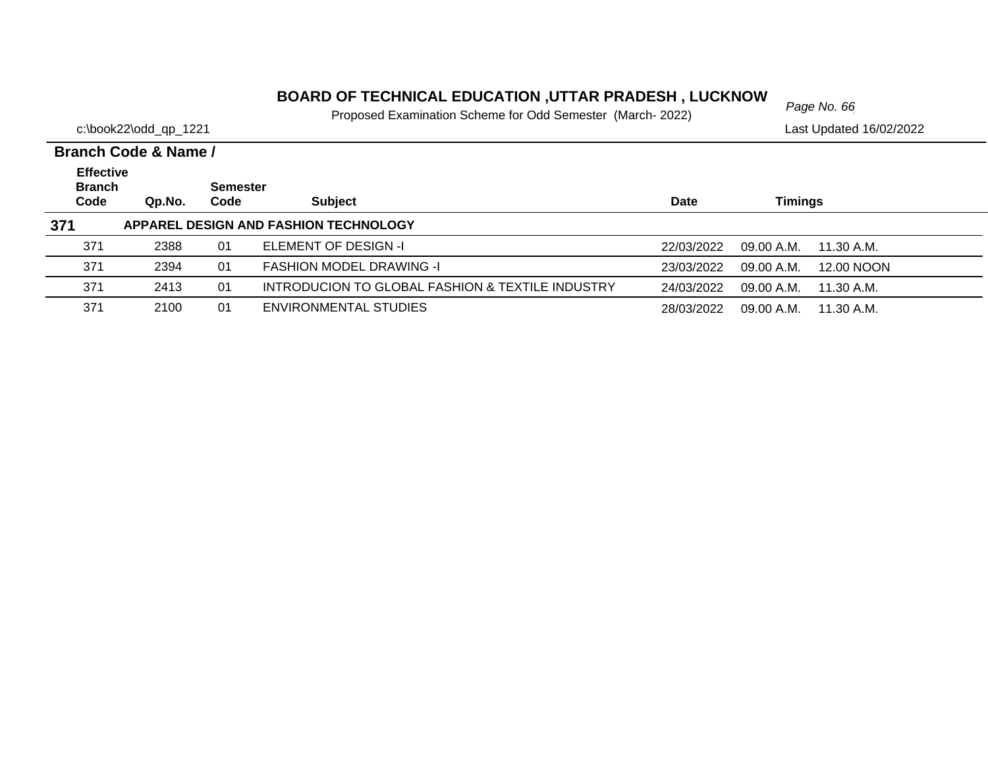# *Page No. 66* **BOARD OF TECHNICAL EDUCATION ,UTTAR PRADESH , LUCKNOW**

Proposed Examination Scheme for Odd Semester (March- 2022)

|                                           | Branch Code & Name / |                         |                                                  |            |                          |  |
|-------------------------------------------|----------------------|-------------------------|--------------------------------------------------|------------|--------------------------|--|
| <b>Effective</b><br><b>Branch</b><br>Code | Qp.No.               | <b>Semester</b><br>Code | <b>Subject</b>                                   | Date       | Timings                  |  |
| 371                                       |                      |                         | APPAREL DESIGN AND FASHION TECHNOLOGY            |            |                          |  |
| 371                                       | 2388                 | 01                      | <b>ELEMENT OF DESIGN -I</b>                      | 22/03/2022 | 09.00 A.M.<br>11.30 A.M. |  |
| 371                                       | 2394                 | 01                      | <b>FASHION MODEL DRAWING -I</b>                  | 23/03/2022 | 12.00 NOON<br>09.00 A.M. |  |
| 371                                       | 2413                 | 01                      | INTRODUCION TO GLOBAL FASHION & TEXTILE INDUSTRY | 24/03/2022 | 09.00 A.M.<br>11.30 A.M. |  |
| 371                                       | 2100                 | 01                      | ENVIRONMENTAL STUDIES                            | 28/03/2022 | 09.00 A.M.<br>11.30 A.M. |  |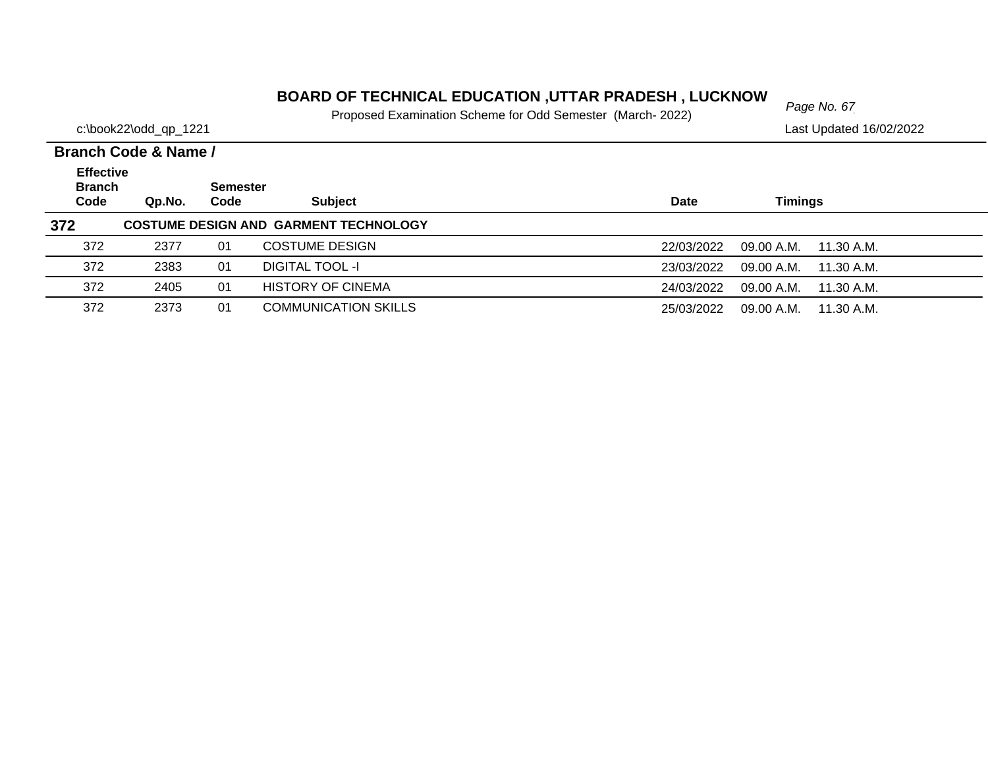# *Page No. 67* **BOARD OF TECHNICAL EDUCATION ,UTTAR PRADESH , LUCKNOW**

Proposed Examination Scheme for Odd Semester (March- 2022)

|                                           | Branch Code & Name / |                  |                                              |             |                           |  |
|-------------------------------------------|----------------------|------------------|----------------------------------------------|-------------|---------------------------|--|
| <b>Effective</b><br><b>Branch</b><br>Code | Qp.No.               | Semester<br>Code | <b>Subject</b>                               | <b>Date</b> | <b>Timings</b>            |  |
| 372                                       |                      |                  | <b>COSTUME DESIGN AND GARMENT TECHNOLOGY</b> |             |                           |  |
| 372                                       | 2377                 | 01               | <b>COSTUME DESIGN</b>                        | 22/03/2022  | 09.00 A.M.<br>11.30 A.M.  |  |
| 372                                       | 2383                 | 01               | DIGITAL TOOL -I                              | 23/03/2022  | 09.00 A.M.<br>11.30 A.M.  |  |
| 372                                       | 2405                 | 01               | <b>HISTORY OF CINEMA</b>                     | 24/03/2022  | 09.00 A.M.<br>11.30 A.M.  |  |
| 372                                       | 2373                 | 01               | <b>COMMUNICATION SKILLS</b>                  | 25/03/2022  | $09.00$ A.M. $11.30$ A.M. |  |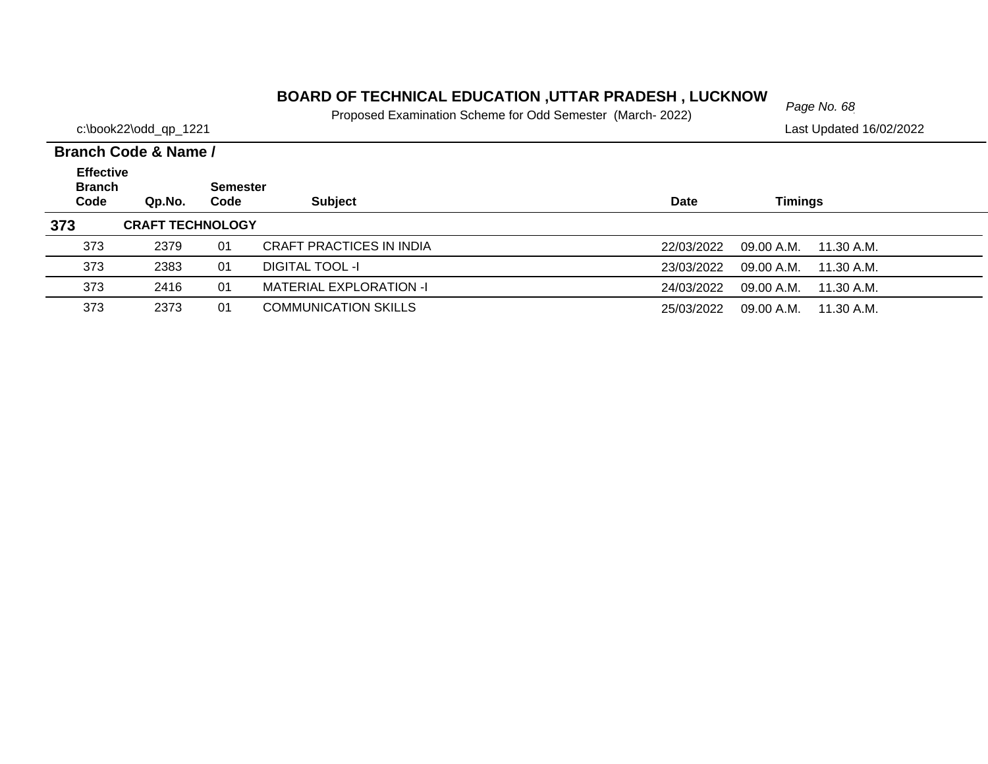# *Page No. 68* **BOARD OF TECHNICAL EDUCATION ,UTTAR PRADESH , LUCKNOW**

Proposed Examination Scheme for Odd Semester (March- 2022)

|                                           | Branch Code & Name /    |                         |                                |             |                          |  |  |  |  |  |
|-------------------------------------------|-------------------------|-------------------------|--------------------------------|-------------|--------------------------|--|--|--|--|--|
| <b>Effective</b><br><b>Branch</b><br>Code | Qp.No.                  | <b>Semester</b><br>Code | <b>Subject</b>                 | <b>Date</b> | Timings                  |  |  |  |  |  |
| 373                                       | <b>CRAFT TECHNOLOGY</b> |                         |                                |             |                          |  |  |  |  |  |
| 373                                       | 2379                    | 01                      | CRAFT PRACTICES IN INDIA       | 22/03/2022  | 09.00 A.M.<br>11.30 A.M. |  |  |  |  |  |
| 373                                       | 2383                    | 01                      | DIGITAL TOOL -I                | 23/03/2022  | 09.00 A.M.<br>11.30 A.M. |  |  |  |  |  |
| 373                                       | 2416                    | 01                      | <b>MATERIAL EXPLORATION -I</b> | 24/03/2022  | 09.00 A.M.<br>11.30 A.M. |  |  |  |  |  |
| 373                                       | 2373                    | 01                      | <b>COMMUNICATION SKILLS</b>    | 25/03/2022  | 09.00 A.M. 11.30 A.M.    |  |  |  |  |  |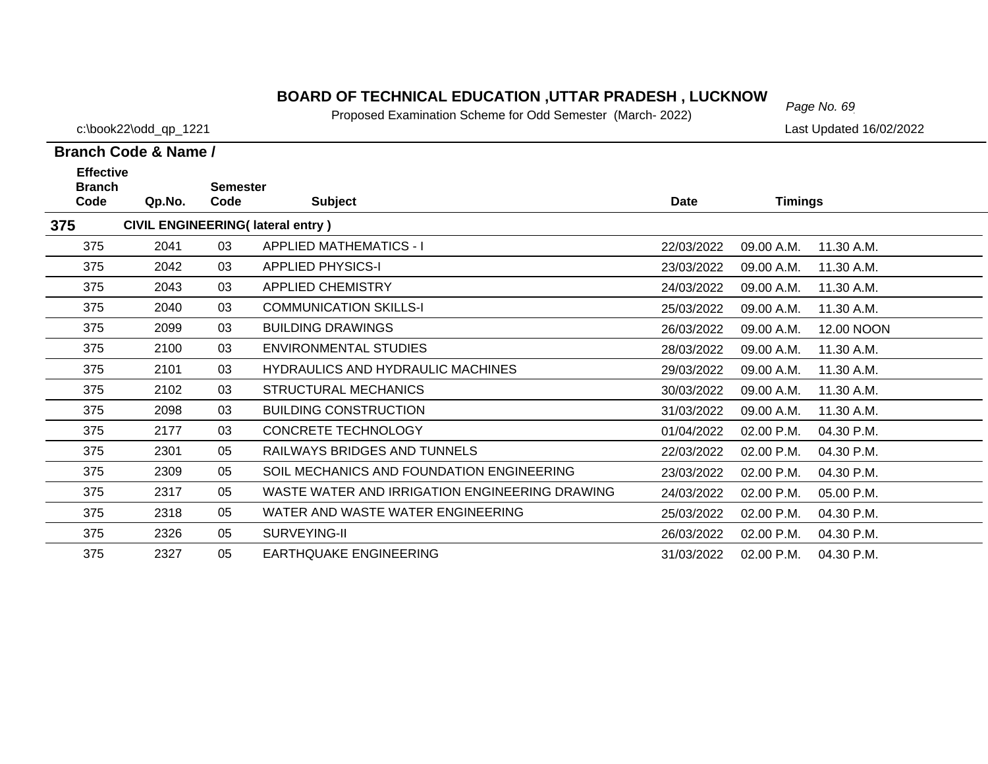# *Page No. 69* **BOARD OF TECHNICAL EDUCATION ,UTTAR PRADESH , LUCKNOW**

Proposed Examination Scheme for Odd Semester (March- 2022)

c:\book22\odd\_qp\_1221 Last Updated 16/02/2022

| <b>Effective</b><br><b>Branch</b> |        | <b>Semester</b> |                                                |             |                |            |
|-----------------------------------|--------|-----------------|------------------------------------------------|-------------|----------------|------------|
| Code                              | Qp.No. | Code            | <b>Subject</b>                                 | <b>Date</b> | <b>Timings</b> |            |
| 375                               |        |                 | <b>CIVIL ENGINEERING(Iateral entry)</b>        |             |                |            |
| 375                               | 2041   | 03              | <b>APPLIED MATHEMATICS - I</b>                 | 22/03/2022  | 09.00 A.M.     | 11.30 A.M. |
| 375                               | 2042   | 03              | <b>APPLIED PHYSICS-I</b>                       | 23/03/2022  | 09.00 A.M.     | 11.30 A.M. |
| 375                               | 2043   | 03              | <b>APPLIED CHEMISTRY</b>                       | 24/03/2022  | 09.00 A.M.     | 11.30 A.M. |
| 375                               | 2040   | 03              | <b>COMMUNICATION SKILLS-I</b>                  | 25/03/2022  | 09.00 A.M.     | 11.30 A.M. |
| 375                               | 2099   | 03              | <b>BUILDING DRAWINGS</b>                       | 26/03/2022  | 09.00 A.M.     | 12.00 NOON |
| 375                               | 2100   | 03              | ENVIRONMENTAL STUDIES                          | 28/03/2022  | 09.00 A.M.     | 11.30 A.M. |
| 375                               | 2101   | 03              | <b>HYDRAULICS AND HYDRAULIC MACHINES</b>       | 29/03/2022  | 09.00 A.M.     | 11.30 A.M. |
| 375                               | 2102   | 03              | <b>STRUCTURAL MECHANICS</b>                    | 30/03/2022  | 09.00 A.M.     | 11.30 A.M. |
| 375                               | 2098   | 03              | <b>BUILDING CONSTRUCTION</b>                   | 31/03/2022  | 09.00 A.M.     | 11.30 A.M. |
| 375                               | 2177   | 03              | <b>CONCRETE TECHNOLOGY</b>                     | 01/04/2022  | 02.00 P.M.     | 04.30 P.M. |
| 375                               | 2301   | 05              | RAILWAYS BRIDGES AND TUNNELS                   | 22/03/2022  | 02.00 P.M.     | 04.30 P.M. |
| 375                               | 2309   | 05              | SOIL MECHANICS AND FOUNDATION ENGINEERING      | 23/03/2022  | 02.00 P.M.     | 04.30 P.M. |
| 375                               | 2317   | 05              | WASTE WATER AND IRRIGATION ENGINEERING DRAWING | 24/03/2022  | 02.00 P.M.     | 05.00 P.M. |
| 375                               | 2318   | 05              | WATER AND WASTE WATER ENGINEERING              | 25/03/2022  | 02.00 P.M.     | 04.30 P.M. |
| 375                               | 2326   | 05              | SURVEYING-II                                   | 26/03/2022  | 02.00 P.M.     | 04.30 P.M. |
| 375                               | 2327   | 05              | <b>EARTHQUAKE ENGINEERING</b>                  | 31/03/2022  | 02.00 P.M.     | 04.30 P.M. |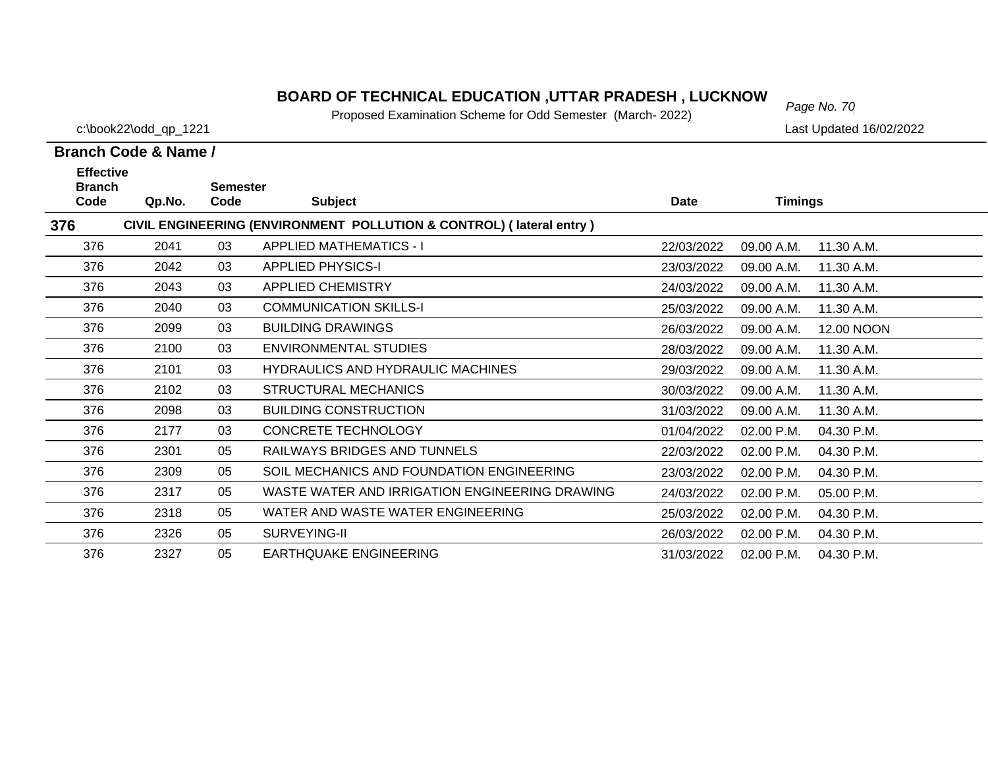# *Page No. 70* **BOARD OF TECHNICAL EDUCATION ,UTTAR PRADESH , LUCKNOW**

Proposed Examination Scheme for Odd Semester (March- 2022)

c:\book22\odd\_qp\_1221 Last Updated 16/02/2022

| <b>Effective</b><br><b>Branch</b> |                                                                     | <b>Semester</b> |                                                |            |                |            |  |  |  |
|-----------------------------------|---------------------------------------------------------------------|-----------------|------------------------------------------------|------------|----------------|------------|--|--|--|
| Code                              | Qp.No.                                                              | Code            | <b>Subject</b>                                 | Date       | <b>Timings</b> |            |  |  |  |
| 376                               | CIVIL ENGINEERING (ENVIRONMENT POLLUTION & CONTROL) (lateral entry) |                 |                                                |            |                |            |  |  |  |
| 376                               | 2041                                                                | 03              | <b>APPLIED MATHEMATICS - I</b>                 | 22/03/2022 | 09.00 A.M.     | 11.30 A.M. |  |  |  |
| 376                               | 2042                                                                | 03              | <b>APPLIED PHYSICS-I</b>                       | 23/03/2022 | 09.00 A.M.     | 11.30 A.M. |  |  |  |
| 376                               | 2043                                                                | 03              | <b>APPLIED CHEMISTRY</b>                       | 24/03/2022 | 09.00 A.M.     | 11.30 A.M. |  |  |  |
| 376                               | 2040                                                                | 03              | <b>COMMUNICATION SKILLS-I</b>                  | 25/03/2022 | 09.00 A.M.     | 11.30 A.M. |  |  |  |
| 376                               | 2099                                                                | 03              | <b>BUILDING DRAWINGS</b>                       | 26/03/2022 | 09.00 A.M.     | 12.00 NOON |  |  |  |
| 376                               | 2100                                                                | 03              | <b>ENVIRONMENTAL STUDIES</b>                   | 28/03/2022 | 09.00 A.M.     | 11.30 A.M. |  |  |  |
| 376                               | 2101                                                                | 03              | <b>HYDRAULICS AND HYDRAULIC MACHINES</b>       | 29/03/2022 | 09.00 A.M.     | 11.30 A.M. |  |  |  |
| 376                               | 2102                                                                | 03              | <b>STRUCTURAL MECHANICS</b>                    | 30/03/2022 | 09.00 A.M.     | 11.30 A.M. |  |  |  |
| 376                               | 2098                                                                | 03              | <b>BUILDING CONSTRUCTION</b>                   | 31/03/2022 | 09.00 A.M.     | 11.30 A.M. |  |  |  |
| 376                               | 2177                                                                | 03              | <b>CONCRETE TECHNOLOGY</b>                     | 01/04/2022 | 02.00 P.M.     | 04.30 P.M. |  |  |  |
| 376                               | 2301                                                                | 05              | RAILWAYS BRIDGES AND TUNNELS                   | 22/03/2022 | 02.00 P.M.     | 04.30 P.M. |  |  |  |
| 376                               | 2309                                                                | 05              | SOIL MECHANICS AND FOUNDATION ENGINEERING      | 23/03/2022 | 02.00 P.M.     | 04.30 P.M. |  |  |  |
| 376                               | 2317                                                                | 05              | WASTE WATER AND IRRIGATION ENGINEERING DRAWING | 24/03/2022 | 02.00 P.M.     | 05.00 P.M. |  |  |  |
| 376                               | 2318                                                                | 05              | WATER AND WASTE WATER ENGINEERING              | 25/03/2022 | 02.00 P.M.     | 04.30 P.M. |  |  |  |
| 376                               | 2326                                                                | 05              | SURVEYING-II                                   | 26/03/2022 | 02.00 P.M.     | 04.30 P.M. |  |  |  |
| 376                               | 2327                                                                | 05              | <b>EARTHQUAKE ENGINEERING</b>                  | 31/03/2022 | 02.00 P.M.     | 04.30 P.M. |  |  |  |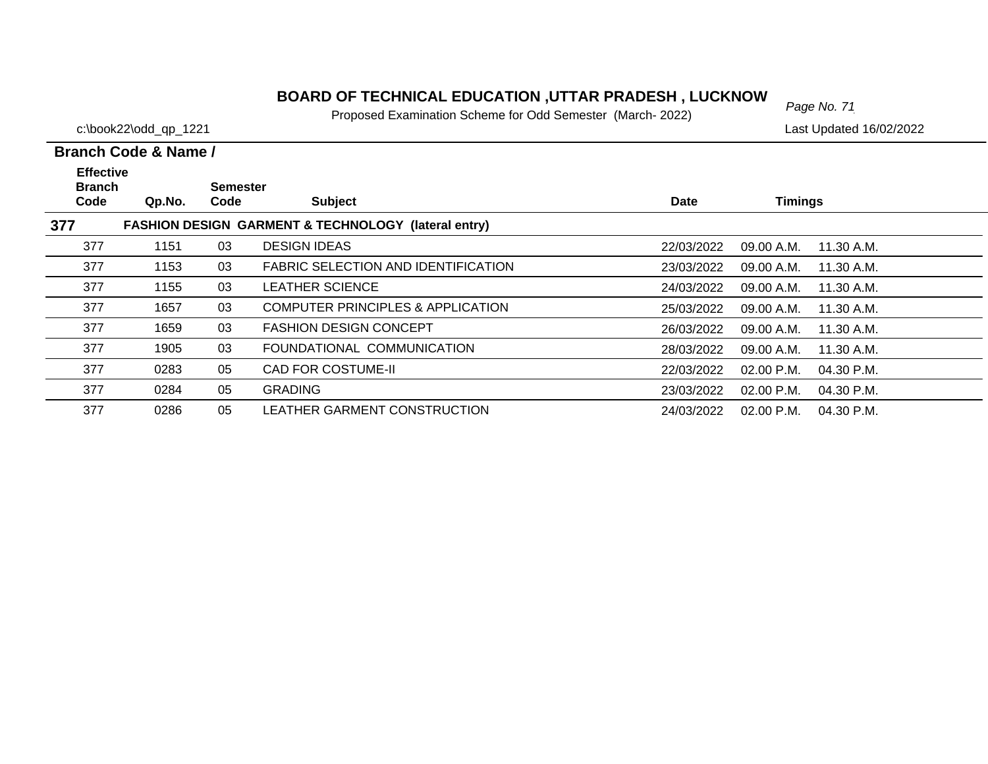# *Page No. 71* **BOARD OF TECHNICAL EDUCATION ,UTTAR PRADESH , LUCKNOW**

Proposed Examination Scheme for Odd Semester (March- 2022)

c:\book22\odd\_qp\_1221 Last Updated 16/02/2022

| <b>Effective</b><br><b>Branch</b> |        | <b>Semester</b> |                                                                |             |                              |  |
|-----------------------------------|--------|-----------------|----------------------------------------------------------------|-------------|------------------------------|--|
| Code                              | Qp.No. | Code            | <b>Subject</b>                                                 | <b>Date</b> | <b>Timings</b>               |  |
| 377                               |        |                 | <b>FASHION DESIGN GARMENT &amp; TECHNOLOGY (lateral entry)</b> |             |                              |  |
| 377                               | 1151   | 03              | <b>DESIGN IDEAS</b>                                            | 22/03/2022  | 09.00 A.M.<br>11.30 A.M.     |  |
| 377                               | 1153   | 03              | <b>FABRIC SELECTION AND IDENTIFICATION</b>                     | 23/03/2022  | 09.00 A.M.<br>11.30 A.M.     |  |
| 377                               | 1155   | 03              | <b>LEATHER SCIENCE</b>                                         | 24/03/2022  | 09.00 A.M.<br>11.30 A.M.     |  |
| 377                               | 1657   | 03              | <b>COMPUTER PRINCIPLES &amp; APPLICATION</b>                   | 25/03/2022  | 09.00 A.M.<br>11.30 A.M.     |  |
| 377                               | 1659   | 03              | <b>FASHION DESIGN CONCEPT</b>                                  | 26/03/2022  | 09.00 A.M.<br>11.30 A.M.     |  |
| 377                               | 1905   | 03              | FOUNDATIONAL COMMUNICATION                                     | 28/03/2022  | 09.00 A.M.<br>11.30 A.M.     |  |
| 377                               | 0283   | 05              | <b>CAD FOR COSTUME-II</b>                                      | 22/03/2022  | $02.00$ P.M.<br>04.30 P.M.   |  |
| 377                               | 0284   | 05              | <b>GRADING</b>                                                 | 23/03/2022  | $02.00$ P.M.<br>04.30 P.M.   |  |
| 377                               | 0286   | 05              | LEATHER GARMENT CONSTRUCTION                                   | 24/03/2022  | $02.00$ P.M.<br>$04.30$ P.M. |  |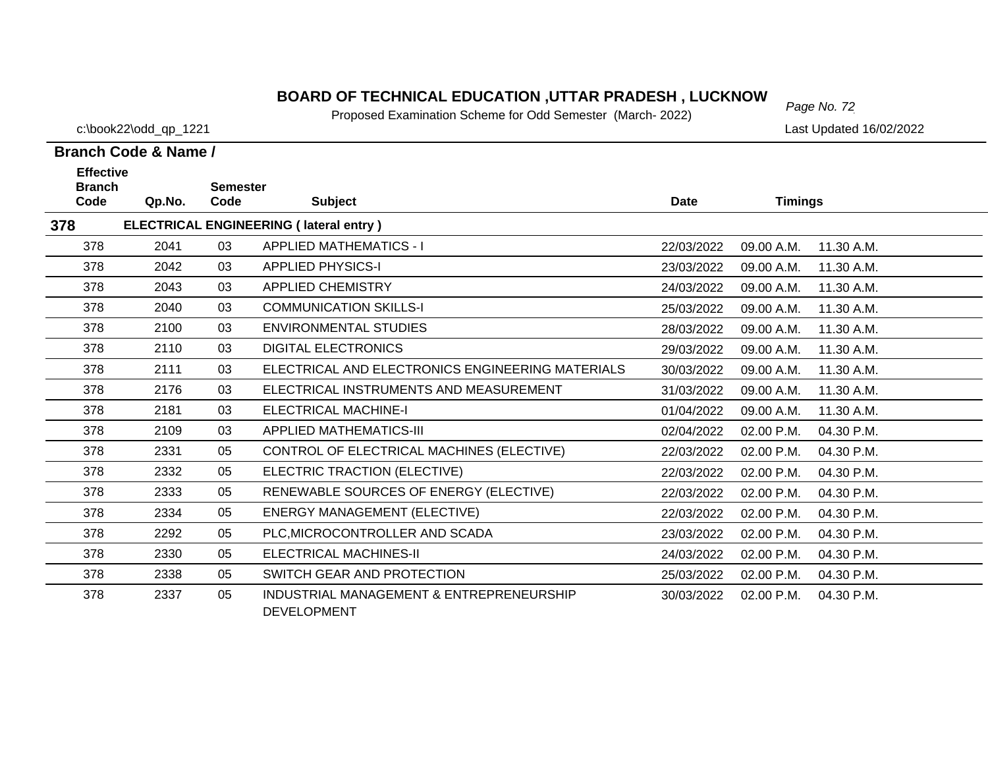# *Page No. 72* **BOARD OF TECHNICAL EDUCATION ,UTTAR PRADESH , LUCKNOW**

Proposed Examination Scheme for Odd Semester (March- 2022)

c:\book22\odd\_qp\_1221 Last Updated 16/02/2022

| <b>Effective</b>      |        |                         |                                                                |            |                |            |
|-----------------------|--------|-------------------------|----------------------------------------------------------------|------------|----------------|------------|
| <b>Branch</b><br>Code | Qp.No. | <b>Semester</b><br>Code | <b>Subject</b>                                                 | Date       | <b>Timings</b> |            |
| 378                   |        |                         | ELECTRICAL ENGINEERING (lateral entry)                         |            |                |            |
| 378                   | 2041   | 03                      | <b>APPLIED MATHEMATICS - I</b>                                 | 22/03/2022 | 09.00 A.M.     | 11.30 A.M. |
| 378                   | 2042   | 03                      | <b>APPLIED PHYSICS-I</b>                                       | 23/03/2022 | 09.00 A.M.     | 11.30 A.M. |
| 378                   | 2043   | 03                      | <b>APPLIED CHEMISTRY</b>                                       | 24/03/2022 | 09.00 A.M.     | 11.30 A.M. |
| 378                   | 2040   | 03                      | <b>COMMUNICATION SKILLS-I</b>                                  | 25/03/2022 | 09.00 A.M.     | 11.30 A.M. |
| 378                   | 2100   | 03                      | <b>ENVIRONMENTAL STUDIES</b>                                   | 28/03/2022 | 09.00 A.M.     | 11.30 A.M. |
| 378                   | 2110   | 03                      | <b>DIGITAL ELECTRONICS</b>                                     | 29/03/2022 | 09.00 A.M.     | 11.30 A.M. |
| 378                   | 2111   | 03                      | ELECTRICAL AND ELECTRONICS ENGINEERING MATERIALS               | 30/03/2022 | 09.00 A.M.     | 11.30 A.M. |
| 378                   | 2176   | 03                      | ELECTRICAL INSTRUMENTS AND MEASUREMENT                         | 31/03/2022 | 09.00 A.M.     | 11.30 A.M. |
| 378                   | 2181   | 03                      | <b>ELECTRICAL MACHINE-I</b>                                    | 01/04/2022 | 09.00 A.M.     | 11.30 A.M. |
| 378                   | 2109   | 03                      | <b>APPLIED MATHEMATICS-III</b>                                 | 02/04/2022 | 02.00 P.M.     | 04.30 P.M. |
| 378                   | 2331   | 05                      | CONTROL OF ELECTRICAL MACHINES (ELECTIVE)                      | 22/03/2022 | 02.00 P.M.     | 04.30 P.M. |
| 378                   | 2332   | 05                      | ELECTRIC TRACTION (ELECTIVE)                                   | 22/03/2022 | 02.00 P.M.     | 04.30 P.M. |
| 378                   | 2333   | 05                      | RENEWABLE SOURCES OF ENERGY (ELECTIVE)                         | 22/03/2022 | 02.00 P.M.     | 04.30 P.M. |
| 378                   | 2334   | 05                      | <b>ENERGY MANAGEMENT (ELECTIVE)</b>                            | 22/03/2022 | 02.00 P.M.     | 04.30 P.M. |
| 378                   | 2292   | 05                      | PLC, MICROCONTROLLER AND SCADA                                 | 23/03/2022 | 02.00 P.M.     | 04.30 P.M. |
| 378                   | 2330   | 05                      | <b>ELECTRICAL MACHINES-II</b>                                  | 24/03/2022 | 02.00 P.M.     | 04.30 P.M. |
| 378                   | 2338   | 05                      | SWITCH GEAR AND PROTECTION                                     | 25/03/2022 | 02.00 P.M.     | 04.30 P.M. |
| 378                   | 2337   | 05                      | INDUSTRIAL MANAGEMENT & ENTREPRENEURSHIP<br><b>DEVELOPMENT</b> | 30/03/2022 | 02.00 P.M.     | 04.30 P.M. |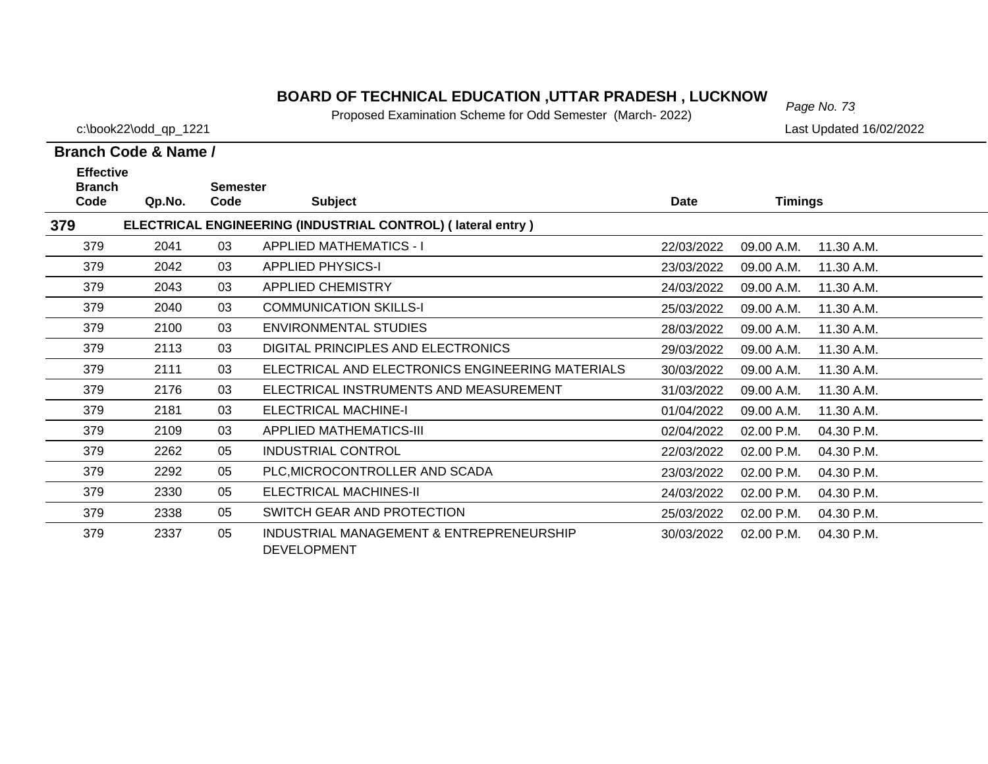# *Page No. 73* **BOARD OF TECHNICAL EDUCATION ,UTTAR PRADESH , LUCKNOW**

Proposed Examination Scheme for Odd Semester (March- 2022)

c:\book22\odd\_qp\_1221 Last Updated 16/02/2022

| <b>Effective</b><br><b>Branch</b> |        | <b>Semester</b> |                                                                |            |                |            |
|-----------------------------------|--------|-----------------|----------------------------------------------------------------|------------|----------------|------------|
| Code                              | Qp.No. | Code            | <b>Subject</b>                                                 | Date       | <b>Timings</b> |            |
| 379                               |        |                 | ELECTRICAL ENGINEERING (INDUSTRIAL CONTROL) (lateral entry)    |            |                |            |
| 379                               | 2041   | 03              | <b>APPLIED MATHEMATICS - I</b>                                 | 22/03/2022 | 09.00 A.M.     | 11.30 A.M. |
| 379                               | 2042   | 03              | <b>APPLIED PHYSICS-I</b>                                       | 23/03/2022 | 09.00 A.M.     | 11.30 A.M. |
| 379                               | 2043   | 03              | <b>APPLIED CHEMISTRY</b>                                       | 24/03/2022 | 09.00 A.M.     | 11.30 A.M. |
| 379                               | 2040   | 03              | <b>COMMUNICATION SKILLS-I</b>                                  | 25/03/2022 | 09.00 A.M.     | 11.30 A.M. |
| 379                               | 2100   | 03              | <b>ENVIRONMENTAL STUDIES</b>                                   | 28/03/2022 | 09.00 A.M.     | 11.30 A.M. |
| 379                               | 2113   | 03              | DIGITAL PRINCIPLES AND ELECTRONICS                             | 29/03/2022 | 09.00 A.M.     | 11.30 A.M. |
| 379                               | 2111   | 03              | ELECTRICAL AND ELECTRONICS ENGINEERING MATERIALS               | 30/03/2022 | 09.00 A.M.     | 11.30 A.M. |
| 379                               | 2176   | 03              | ELECTRICAL INSTRUMENTS AND MEASUREMENT                         | 31/03/2022 | 09.00 A.M.     | 11.30 A.M. |
| 379                               | 2181   | 03              | <b>ELECTRICAL MACHINE-I</b>                                    | 01/04/2022 | 09.00 A.M.     | 11.30 A.M. |
| 379                               | 2109   | 03              | <b>APPLIED MATHEMATICS-III</b>                                 | 02/04/2022 | 02.00 P.M.     | 04.30 P.M. |
| 379                               | 2262   | 05              | <b>INDUSTRIAL CONTROL</b>                                      | 22/03/2022 | 02.00 P.M.     | 04.30 P.M. |
| 379                               | 2292   | 05              | PLC, MICROCONTROLLER AND SCADA                                 | 23/03/2022 | 02.00 P.M.     | 04.30 P.M. |
| 379                               | 2330   | 05              | ELECTRICAL MACHINES-II                                         | 24/03/2022 | 02.00 P.M.     | 04.30 P.M. |
| 379                               | 2338   | 05              | SWITCH GEAR AND PROTECTION                                     | 25/03/2022 | 02.00 P.M.     | 04.30 P.M. |
| 379                               | 2337   | 05              | INDUSTRIAL MANAGEMENT & ENTREPRENEURSHIP<br><b>DEVELOPMENT</b> | 30/03/2022 | 02.00 P.M.     | 04.30 P.M. |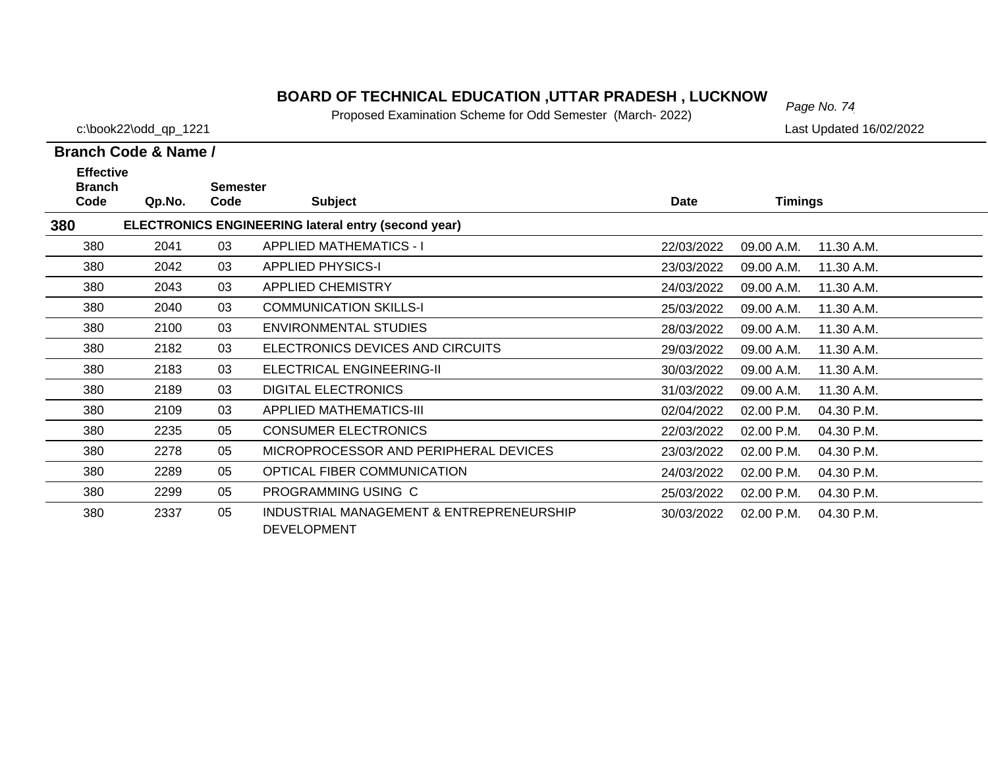# *Page No. 74* **BOARD OF TECHNICAL EDUCATION ,UTTAR PRADESH , LUCKNOW**

Proposed Examination Scheme for Odd Semester (March- 2022)

c:\book22\odd\_qp\_1221 Last Updated 16/02/2022

| <b>Effective</b><br><b>Branch</b>                                 |        | <b>Semester</b> |                                                                |            |                |            |  |  |  |  |
|-------------------------------------------------------------------|--------|-----------------|----------------------------------------------------------------|------------|----------------|------------|--|--|--|--|
| Code                                                              | Qp.No. | Code            | <b>Subject</b>                                                 | Date       | <b>Timings</b> |            |  |  |  |  |
| 380<br><b>ELECTRONICS ENGINEERING lateral entry (second year)</b> |        |                 |                                                                |            |                |            |  |  |  |  |
| 380                                                               | 2041   | 03              | <b>APPLIED MATHEMATICS - I</b>                                 | 22/03/2022 | 09.00 A.M.     | 11.30 A.M. |  |  |  |  |
| 380                                                               | 2042   | 03              | <b>APPLIED PHYSICS-I</b>                                       | 23/03/2022 | 09.00 A.M.     | 11.30 A.M. |  |  |  |  |
| 380                                                               | 2043   | 03              | <b>APPLIED CHEMISTRY</b>                                       | 24/03/2022 | 09.00 A.M.     | 11.30 A.M. |  |  |  |  |
| 380                                                               | 2040   | 03              | <b>COMMUNICATION SKILLS-I</b>                                  | 25/03/2022 | 09.00 A.M.     | 11.30 A.M. |  |  |  |  |
| 380                                                               | 2100   | 03              | <b>ENVIRONMENTAL STUDIES</b>                                   | 28/03/2022 | 09.00 A.M.     | 11.30 A.M. |  |  |  |  |
| 380                                                               | 2182   | 03              | ELECTRONICS DEVICES AND CIRCUITS                               | 29/03/2022 | 09.00 A.M.     | 11.30 A.M. |  |  |  |  |
| 380                                                               | 2183   | 03              | ELECTRICAL ENGINEERING-II                                      | 30/03/2022 | 09.00 A.M.     | 11.30 A.M. |  |  |  |  |
| 380                                                               | 2189   | 03              | <b>DIGITAL ELECTRONICS</b>                                     | 31/03/2022 | 09.00 A.M.     | 11.30 A.M. |  |  |  |  |
| 380                                                               | 2109   | 03              | <b>APPLIED MATHEMATICS-III</b>                                 | 02/04/2022 | 02.00 P.M.     | 04.30 P.M. |  |  |  |  |
| 380                                                               | 2235   | 05              | <b>CONSUMER ELECTRONICS</b>                                    | 22/03/2022 | 02.00 P.M.     | 04.30 P.M. |  |  |  |  |
| 380                                                               | 2278   | 05              | MICROPROCESSOR AND PERIPHERAL DEVICES                          | 23/03/2022 | 02.00 P.M.     | 04.30 P.M. |  |  |  |  |
| 380                                                               | 2289   | 05              | OPTICAL FIBER COMMUNICATION                                    | 24/03/2022 | 02.00 P.M.     | 04.30 P.M. |  |  |  |  |
| 380                                                               | 2299   | 05              | PROGRAMMING USING C                                            | 25/03/2022 | 02.00 P.M.     | 04.30 P.M. |  |  |  |  |
| 380                                                               | 2337   | 05              | INDUSTRIAL MANAGEMENT & ENTREPRENEURSHIP<br><b>DEVELOPMENT</b> | 30/03/2022 | 02.00 P.M.     | 04.30 P.M. |  |  |  |  |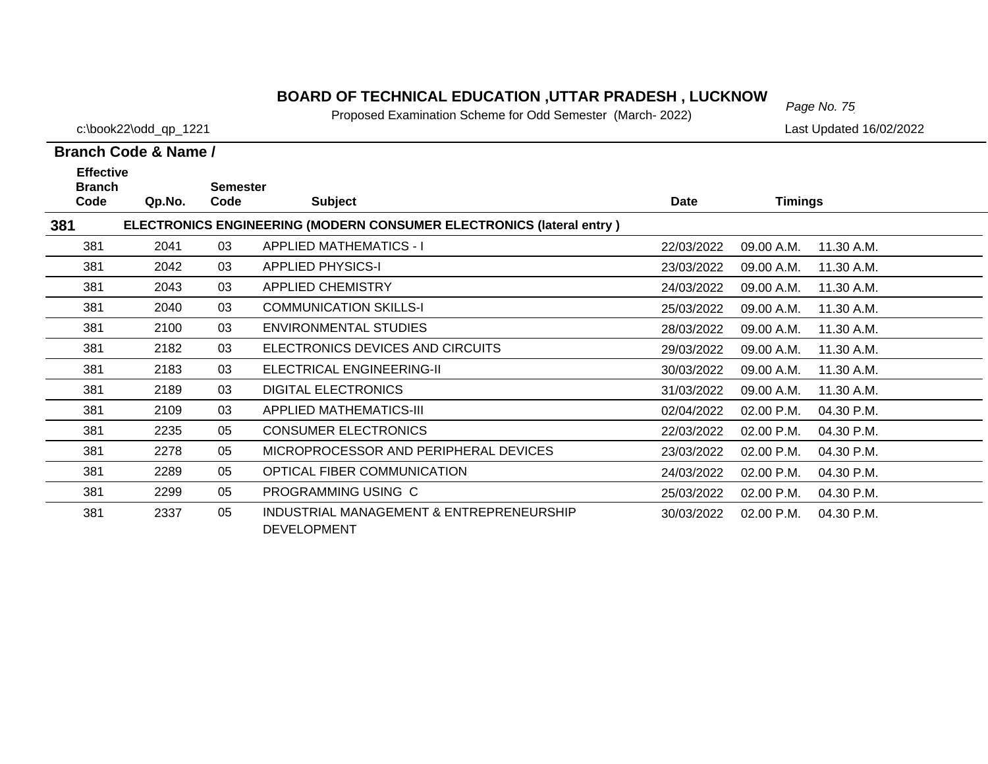# *Page No. 75* **BOARD OF TECHNICAL EDUCATION ,UTTAR PRADESH , LUCKNOW**

Proposed Examination Scheme for Odd Semester (March- 2022)

c:\book22\odd\_qp\_1221 Last Updated 16/02/2022

| <b>Effective</b><br><b>Branch</b> |        | <b>Semester</b> |                                                                             |            |                |            |
|-----------------------------------|--------|-----------------|-----------------------------------------------------------------------------|------------|----------------|------------|
| Code                              | Qp.No. | Code            | <b>Subject</b>                                                              | Date       | <b>Timings</b> |            |
| 381                               |        |                 | <b>ELECTRONICS ENGINEERING (MODERN CONSUMER ELECTRONICS (lateral entry)</b> |            |                |            |
| 381                               | 2041   | 03              | <b>APPLIED MATHEMATICS - I</b>                                              | 22/03/2022 | 09.00 A.M.     | 11.30 A.M. |
| 381                               | 2042   | 03              | <b>APPLIED PHYSICS-I</b>                                                    | 23/03/2022 | 09.00 A.M.     | 11.30 A.M. |
| 381                               | 2043   | 03              | <b>APPLIED CHEMISTRY</b>                                                    | 24/03/2022 | 09.00 A.M.     | 11.30 A.M. |
| 381                               | 2040   | 03              | <b>COMMUNICATION SKILLS-I</b>                                               | 25/03/2022 | 09.00 A.M.     | 11.30 A.M. |
| 381                               | 2100   | 03              | <b>ENVIRONMENTAL STUDIES</b>                                                | 28/03/2022 | 09.00 A.M.     | 11.30 A.M. |
| 381                               | 2182   | 03              | ELECTRONICS DEVICES AND CIRCUITS                                            | 29/03/2022 | 09.00 A.M.     | 11.30 A.M. |
| 381                               | 2183   | 03              | ELECTRICAL ENGINEERING-II                                                   | 30/03/2022 | 09.00 A.M.     | 11.30 A.M. |
| 381                               | 2189   | 03              | <b>DIGITAL ELECTRONICS</b>                                                  | 31/03/2022 | 09.00 A.M.     | 11.30 A.M. |
| 381                               | 2109   | 03              | <b>APPLIED MATHEMATICS-III</b>                                              | 02/04/2022 | 02.00 P.M.     | 04.30 P.M. |
| 381                               | 2235   | 05              | <b>CONSUMER ELECTRONICS</b>                                                 | 22/03/2022 | 02.00 P.M.     | 04.30 P.M. |
| 381                               | 2278   | 05              | MICROPROCESSOR AND PERIPHERAL DEVICES                                       | 23/03/2022 | 02.00 P.M.     | 04.30 P.M. |
| 381                               | 2289   | 05              | OPTICAL FIBER COMMUNICATION                                                 | 24/03/2022 | 02.00 P.M.     | 04.30 P.M. |
| 381                               | 2299   | 05              | PROGRAMMING USING C                                                         | 25/03/2022 | 02.00 P.M.     | 04.30 P.M. |
| 381                               | 2337   | 05              | INDUSTRIAL MANAGEMENT & ENTREPRENEURSHIP<br><b>DEVELOPMENT</b>              | 30/03/2022 | 02.00 P.M.     | 04.30 P.M. |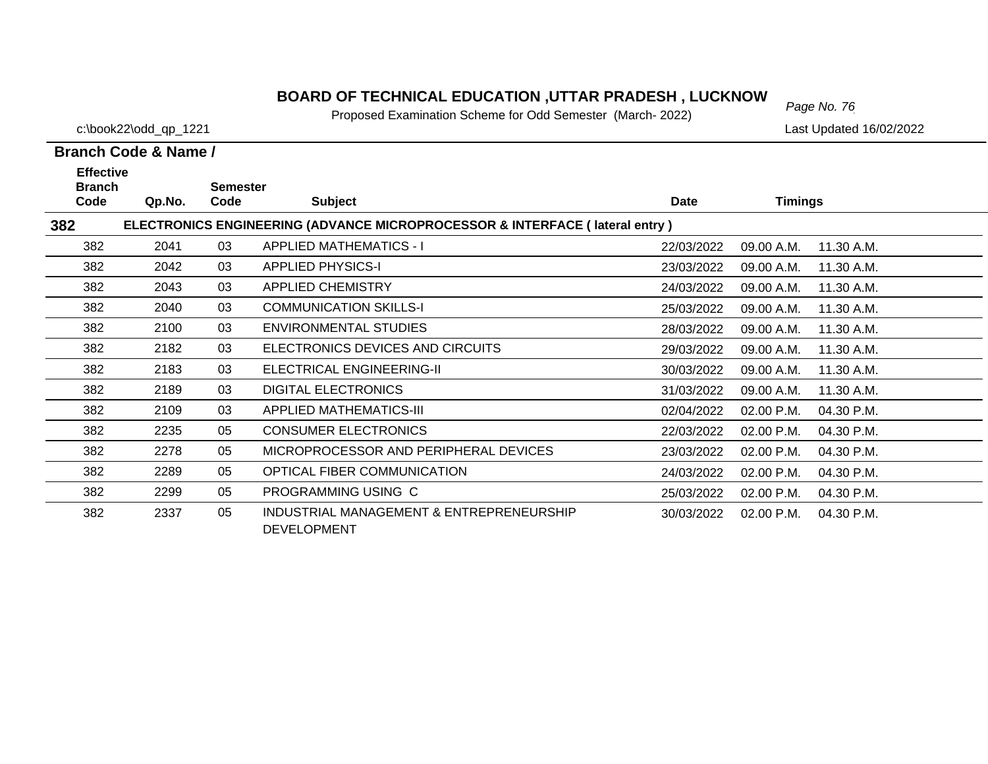# *Page No. 76* **BOARD OF TECHNICAL EDUCATION ,UTTAR PRADESH , LUCKNOW**

Proposed Examination Scheme for Odd Semester (March- 2022)

c:\book22\odd\_qp\_1221 Last Updated 16/02/2022

| <b>Effective</b>      |                                                                                        |                         |                                                                |             |                |            |  |  |  |  |  |
|-----------------------|----------------------------------------------------------------------------------------|-------------------------|----------------------------------------------------------------|-------------|----------------|------------|--|--|--|--|--|
| <b>Branch</b><br>Code | Qp.No.                                                                                 | <b>Semester</b><br>Code | <b>Subject</b>                                                 | <b>Date</b> | <b>Timings</b> |            |  |  |  |  |  |
| 382                   | <b>ELECTRONICS ENGINEERING (ADVANCE MICROPROCESSOR &amp; INTERFACE (lateral entry)</b> |                         |                                                                |             |                |            |  |  |  |  |  |
| 382                   | 2041                                                                                   | 03                      | <b>APPLIED MATHEMATICS - I</b>                                 | 22/03/2022  | 09.00 A.M.     | 11.30 A.M. |  |  |  |  |  |
| 382                   | 2042                                                                                   | 03                      | <b>APPLIED PHYSICS-I</b>                                       | 23/03/2022  | 09.00 A.M.     | 11.30 A.M. |  |  |  |  |  |
| 382                   | 2043                                                                                   | 03                      | <b>APPLIED CHEMISTRY</b>                                       | 24/03/2022  | 09.00 A.M.     | 11.30 A.M. |  |  |  |  |  |
| 382                   | 2040                                                                                   | 03                      | <b>COMMUNICATION SKILLS-I</b>                                  | 25/03/2022  | 09.00 A.M.     | 11.30 A.M. |  |  |  |  |  |
| 382                   | 2100                                                                                   | 03                      | <b>ENVIRONMENTAL STUDIES</b>                                   | 28/03/2022  | 09.00 A.M.     | 11.30 A.M. |  |  |  |  |  |
| 382                   | 2182                                                                                   | 03                      | ELECTRONICS DEVICES AND CIRCUITS                               | 29/03/2022  | 09.00 A.M.     | 11.30 A.M. |  |  |  |  |  |
| 382                   | 2183                                                                                   | 03                      | ELECTRICAL ENGINEERING-II                                      | 30/03/2022  | 09.00 A.M.     | 11.30 A.M. |  |  |  |  |  |
| 382                   | 2189                                                                                   | 03                      | <b>DIGITAL ELECTRONICS</b>                                     | 31/03/2022  | 09.00 A.M.     | 11.30 A.M. |  |  |  |  |  |
| 382                   | 2109                                                                                   | 03                      | <b>APPLIED MATHEMATICS-III</b>                                 | 02/04/2022  | 02.00 P.M.     | 04.30 P.M. |  |  |  |  |  |
| 382                   | 2235                                                                                   | 05                      | <b>CONSUMER ELECTRONICS</b>                                    | 22/03/2022  | 02.00 P.M.     | 04.30 P.M. |  |  |  |  |  |
| 382                   | 2278                                                                                   | 05                      | MICROPROCESSOR AND PERIPHERAL DEVICES                          | 23/03/2022  | 02.00 P.M.     | 04.30 P.M. |  |  |  |  |  |
| 382                   | 2289                                                                                   | 05                      | OPTICAL FIBER COMMUNICATION                                    | 24/03/2022  | 02.00 P.M.     | 04.30 P.M. |  |  |  |  |  |
| 382                   | 2299                                                                                   | 05                      | PROGRAMMING USING C                                            | 25/03/2022  | 02.00 P.M.     | 04.30 P.M. |  |  |  |  |  |
| 382                   | 2337                                                                                   | 05                      | INDUSTRIAL MANAGEMENT & ENTREPRENEURSHIP<br><b>DEVELOPMENT</b> | 30/03/2022  | 02.00 P.M.     | 04.30 P.M. |  |  |  |  |  |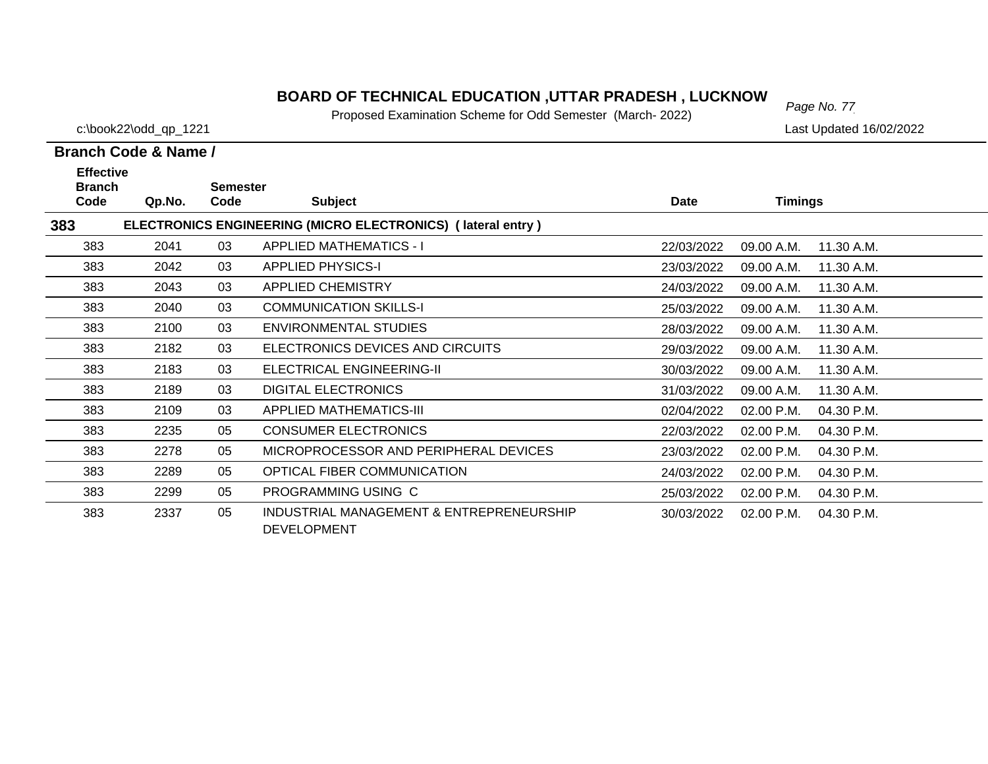# *Page No. 77* **BOARD OF TECHNICAL EDUCATION ,UTTAR PRADESH , LUCKNOW**

Proposed Examination Scheme for Odd Semester (March- 2022)

c:\book22\odd\_qp\_1221 Last Updated 16/02/2022

| <b>Effective</b>      |        |                         |                                                                |            |                |            |
|-----------------------|--------|-------------------------|----------------------------------------------------------------|------------|----------------|------------|
| <b>Branch</b><br>Code | Qp.No. | <b>Semester</b><br>Code | <b>Subject</b>                                                 | Date       | <b>Timings</b> |            |
| 383                   |        |                         | ELECTRONICS ENGINEERING (MICRO ELECTRONICS) (lateral entry)    |            |                |            |
| 383                   | 2041   | 03                      | <b>APPLIED MATHEMATICS - I</b>                                 | 22/03/2022 | 09.00 A.M.     | 11.30 A.M. |
| 383                   | 2042   | 03                      | <b>APPLIED PHYSICS-I</b>                                       | 23/03/2022 | 09.00 A.M.     | 11.30 A.M. |
| 383                   | 2043   | 03                      | <b>APPLIED CHEMISTRY</b>                                       | 24/03/2022 | 09.00 A.M.     | 11.30 A.M. |
| 383                   | 2040   | 03                      | <b>COMMUNICATION SKILLS-I</b>                                  | 25/03/2022 | 09.00 A.M.     | 11.30 A.M. |
| 383                   | 2100   | 03                      | <b>ENVIRONMENTAL STUDIES</b>                                   | 28/03/2022 | 09.00 A.M.     | 11.30 A.M. |
| 383                   | 2182   | 03                      | ELECTRONICS DEVICES AND CIRCUITS                               | 29/03/2022 | 09.00 A.M.     | 11.30 A.M. |
| 383                   | 2183   | 03                      | ELECTRICAL ENGINEERING-II                                      | 30/03/2022 | 09.00 A.M.     | 11.30 A.M. |
| 383                   | 2189   | 03                      | <b>DIGITAL ELECTRONICS</b>                                     | 31/03/2022 | 09.00 A.M.     | 11.30 A.M. |
| 383                   | 2109   | 03                      | <b>APPLIED MATHEMATICS-III</b>                                 | 02/04/2022 | 02.00 P.M.     | 04.30 P.M. |
| 383                   | 2235   | 05                      | <b>CONSUMER ELECTRONICS</b>                                    | 22/03/2022 | 02.00 P.M.     | 04.30 P.M. |
| 383                   | 2278   | 05                      | MICROPROCESSOR AND PERIPHERAL DEVICES                          | 23/03/2022 | 02.00 P.M.     | 04.30 P.M. |
| 383                   | 2289   | 05                      | OPTICAL FIBER COMMUNICATION                                    | 24/03/2022 | 02.00 P.M.     | 04.30 P.M. |
| 383                   | 2299   | 05                      | PROGRAMMING USING C                                            | 25/03/2022 | 02.00 P.M.     | 04.30 P.M. |
| 383                   | 2337   | 05                      | INDUSTRIAL MANAGEMENT & ENTREPRENEURSHIP<br><b>DEVELOPMENT</b> | 30/03/2022 | 02.00 P.M.     | 04.30 P.M. |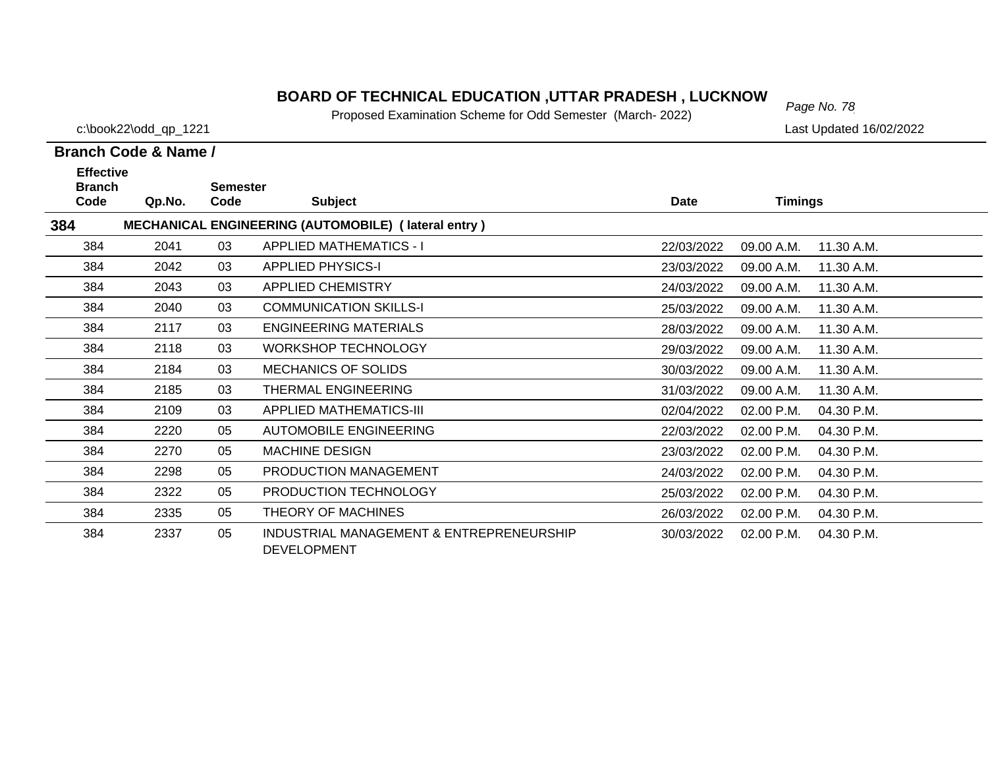# *Page No. 78* **BOARD OF TECHNICAL EDUCATION ,UTTAR PRADESH , LUCKNOW**

Proposed Examination Scheme for Odd Semester (March- 2022)

c:\book22\odd\_qp\_1221 Last Updated 16/02/2022

| <b>Effective</b><br><b>Branch</b> |        | <b>Semester</b> |                                                                |            |                |            |
|-----------------------------------|--------|-----------------|----------------------------------------------------------------|------------|----------------|------------|
| Code                              | Qp.No. | Code            | <b>Subject</b>                                                 | Date       | <b>Timings</b> |            |
| 384                               |        |                 | MECHANICAL ENGINEERING (AUTOMOBILE) (lateral entry)            |            |                |            |
| 384                               | 2041   | 03              | <b>APPLIED MATHEMATICS - I</b>                                 | 22/03/2022 | 09.00 A.M.     | 11.30 A.M. |
| 384                               | 2042   | 03              | <b>APPLIED PHYSICS-I</b>                                       | 23/03/2022 | 09.00 A.M.     | 11.30 A.M. |
| 384                               | 2043   | 03              | <b>APPLIED CHEMISTRY</b>                                       | 24/03/2022 | 09.00 A.M.     | 11.30 A.M. |
| 384                               | 2040   | 03              | <b>COMMUNICATION SKILLS-I</b>                                  | 25/03/2022 | 09.00 A.M.     | 11.30 A.M. |
| 384                               | 2117   | 03              | <b>ENGINEERING MATERIALS</b>                                   | 28/03/2022 | 09.00 A.M.     | 11.30 A.M. |
| 384                               | 2118   | 03              | <b>WORKSHOP TECHNOLOGY</b>                                     | 29/03/2022 | 09.00 A.M.     | 11.30 A.M. |
| 384                               | 2184   | 03              | <b>MECHANICS OF SOLIDS</b>                                     | 30/03/2022 | 09.00 A.M.     | 11.30 A.M. |
| 384                               | 2185   | 03              | THERMAL ENGINEERING                                            | 31/03/2022 | 09.00 A.M.     | 11.30 A.M. |
| 384                               | 2109   | 03              | <b>APPLIED MATHEMATICS-III</b>                                 | 02/04/2022 | 02.00 P.M.     | 04.30 P.M. |
| 384                               | 2220   | 05              | <b>AUTOMOBILE ENGINEERING</b>                                  | 22/03/2022 | 02.00 P.M.     | 04.30 P.M. |
| 384                               | 2270   | 05              | <b>MACHINE DESIGN</b>                                          | 23/03/2022 | 02.00 P.M.     | 04.30 P.M. |
| 384                               | 2298   | 05              | PRODUCTION MANAGEMENT                                          | 24/03/2022 | 02.00 P.M.     | 04.30 P.M. |
| 384                               | 2322   | 05              | PRODUCTION TECHNOLOGY                                          | 25/03/2022 | 02.00 P.M.     | 04.30 P.M. |
| 384                               | 2335   | 05              | THEORY OF MACHINES                                             | 26/03/2022 | 02.00 P.M.     | 04.30 P.M. |
| 384                               | 2337   | 05              | INDUSTRIAL MANAGEMENT & ENTREPRENEURSHIP<br><b>DEVELOPMENT</b> | 30/03/2022 | 02.00 P.M.     | 04.30 P.M. |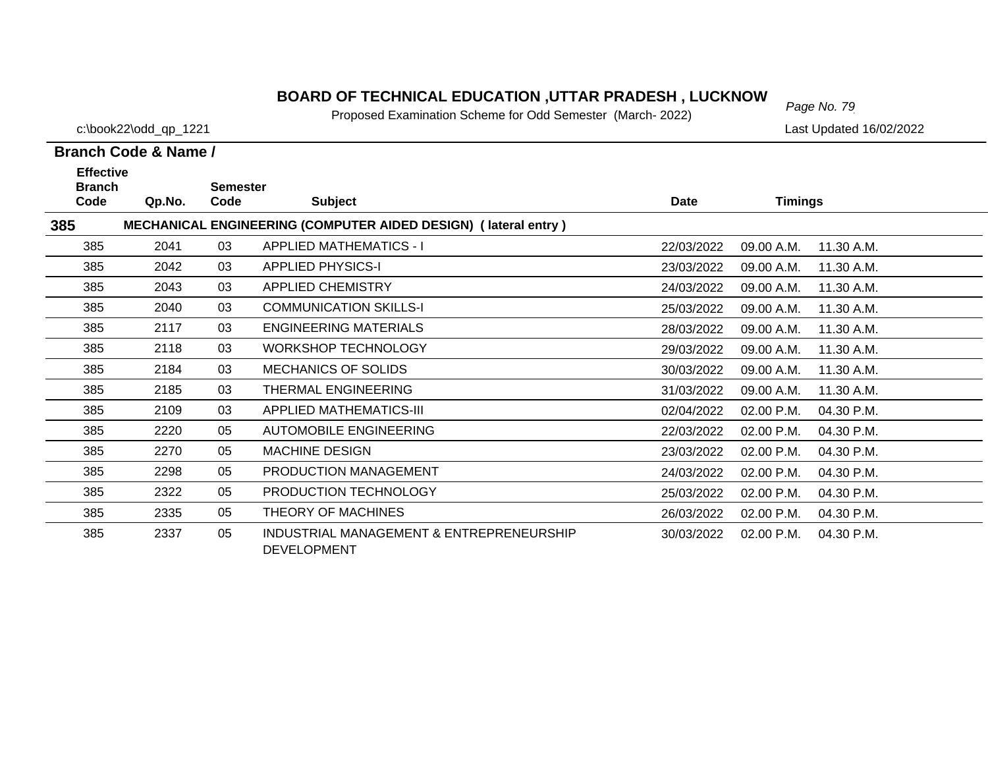# *Page No. 79* **BOARD OF TECHNICAL EDUCATION ,UTTAR PRADESH , LUCKNOW**

Proposed Examination Scheme for Odd Semester (March- 2022)

c:\book22\odd\_qp\_1221 Last Updated 16/02/2022

| <b>Effective</b><br><b>Branch</b> |        | Semester |                                                                       |            |                |            |
|-----------------------------------|--------|----------|-----------------------------------------------------------------------|------------|----------------|------------|
| Code                              | Qp.No. | Code     | <b>Subject</b>                                                        | Date       | <b>Timings</b> |            |
| 385                               |        |          | <b>MECHANICAL ENGINEERING (COMPUTER AIDED DESIGN) (lateral entry)</b> |            |                |            |
| 385                               | 2041   | 03       | <b>APPLIED MATHEMATICS - I</b>                                        | 22/03/2022 | 09.00 A.M.     | 11.30 A.M. |
| 385                               | 2042   | 03       | <b>APPLIED PHYSICS-I</b>                                              | 23/03/2022 | 09.00 A.M.     | 11.30 A.M. |
| 385                               | 2043   | 03       | <b>APPLIED CHEMISTRY</b>                                              | 24/03/2022 | 09.00 A.M.     | 11.30 A.M. |
| 385                               | 2040   | 03       | <b>COMMUNICATION SKILLS-I</b>                                         | 25/03/2022 | 09.00 A.M.     | 11.30 A.M. |
| 385                               | 2117   | 03       | <b>ENGINEERING MATERIALS</b>                                          | 28/03/2022 | 09.00 A.M.     | 11.30 A.M. |
| 385                               | 2118   | 03       | <b>WORKSHOP TECHNOLOGY</b>                                            | 29/03/2022 | 09.00 A.M.     | 11.30 A.M. |
| 385                               | 2184   | 03       | <b>MECHANICS OF SOLIDS</b>                                            | 30/03/2022 | 09.00 A.M.     | 11.30 A.M. |
| 385                               | 2185   | 03       | <b>THERMAL ENGINEERING</b>                                            | 31/03/2022 | 09.00 A.M.     | 11.30 A.M. |
| 385                               | 2109   | 03       | <b>APPLIED MATHEMATICS-III</b>                                        | 02/04/2022 | 02.00 P.M.     | 04.30 P.M. |
| 385                               | 2220   | 05       | <b>AUTOMOBILE ENGINEERING</b>                                         | 22/03/2022 | 02.00 P.M.     | 04.30 P.M. |
| 385                               | 2270   | 05       | <b>MACHINE DESIGN</b>                                                 | 23/03/2022 | 02.00 P.M.     | 04.30 P.M. |
| 385                               | 2298   | 05       | PRODUCTION MANAGEMENT                                                 | 24/03/2022 | 02.00 P.M.     | 04.30 P.M. |
| 385                               | 2322   | 05       | PRODUCTION TECHNOLOGY                                                 | 25/03/2022 | 02.00 P.M.     | 04.30 P.M. |
| 385                               | 2335   | 05       | THEORY OF MACHINES                                                    | 26/03/2022 | 02.00 P.M.     | 04.30 P.M. |
| 385                               | 2337   | 05       | INDUSTRIAL MANAGEMENT & ENTREPRENEURSHIP<br><b>DEVELOPMENT</b>        | 30/03/2022 | 02.00 P.M.     | 04.30 P.M. |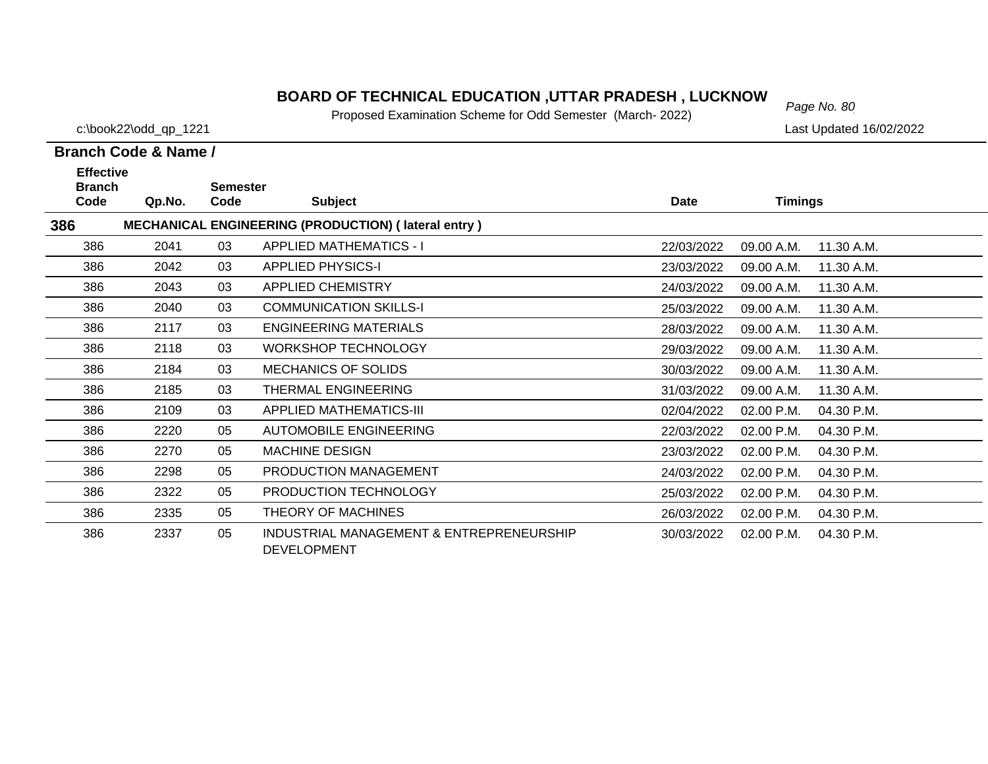# *Page No. 80* **BOARD OF TECHNICAL EDUCATION ,UTTAR PRADESH , LUCKNOW**

Proposed Examination Scheme for Odd Semester (March- 2022)

c:\book22\odd\_qp\_1221 Last Updated 16/02/2022

| <b>Effective</b><br><b>Branch</b> |        | <b>Semester</b> |                                                                |            |                |            |
|-----------------------------------|--------|-----------------|----------------------------------------------------------------|------------|----------------|------------|
| Code                              | Qp.No. | Code            | <b>Subject</b>                                                 | Date       | <b>Timings</b> |            |
| 386                               |        |                 | <b>MECHANICAL ENGINEERING (PRODUCTION) (lateral entry)</b>     |            |                |            |
| 386                               | 2041   | 03              | <b>APPLIED MATHEMATICS - I</b>                                 | 22/03/2022 | 09.00 A.M.     | 11.30 A.M. |
| 386                               | 2042   | 03              | <b>APPLIED PHYSICS-I</b>                                       | 23/03/2022 | 09.00 A.M.     | 11.30 A.M. |
| 386                               | 2043   | 03              | <b>APPLIED CHEMISTRY</b>                                       | 24/03/2022 | 09.00 A.M.     | 11.30 A.M. |
| 386                               | 2040   | 03              | <b>COMMUNICATION SKILLS-I</b>                                  | 25/03/2022 | 09.00 A.M.     | 11.30 A.M. |
| 386                               | 2117   | 03              | <b>ENGINEERING MATERIALS</b>                                   | 28/03/2022 | 09.00 A.M.     | 11.30 A.M. |
| 386                               | 2118   | 03              | <b>WORKSHOP TECHNOLOGY</b>                                     | 29/03/2022 | 09.00 A.M.     | 11.30 A.M. |
| 386                               | 2184   | 03              | <b>MECHANICS OF SOLIDS</b>                                     | 30/03/2022 | 09.00 A.M.     | 11.30 A.M. |
| 386                               | 2185   | 03              | THERMAL ENGINEERING                                            | 31/03/2022 | 09.00 A.M.     | 11.30 A.M. |
| 386                               | 2109   | 03              | <b>APPLIED MATHEMATICS-III</b>                                 | 02/04/2022 | 02.00 P.M.     | 04.30 P.M. |
| 386                               | 2220   | 05              | <b>AUTOMOBILE ENGINEERING</b>                                  | 22/03/2022 | 02.00 P.M.     | 04.30 P.M. |
| 386                               | 2270   | 05              | <b>MACHINE DESIGN</b>                                          | 23/03/2022 | 02.00 P.M.     | 04.30 P.M. |
| 386                               | 2298   | 05              | PRODUCTION MANAGEMENT                                          | 24/03/2022 | 02.00 P.M.     | 04.30 P.M. |
| 386                               | 2322   | 05              | PRODUCTION TECHNOLOGY                                          | 25/03/2022 | 02.00 P.M.     | 04.30 P.M. |
| 386                               | 2335   | 05              | THEORY OF MACHINES                                             | 26/03/2022 | 02.00 P.M.     | 04.30 P.M. |
| 386                               | 2337   | 05              | INDUSTRIAL MANAGEMENT & ENTREPRENEURSHIP<br><b>DEVELOPMENT</b> | 30/03/2022 | 02.00 P.M.     | 04.30 P.M. |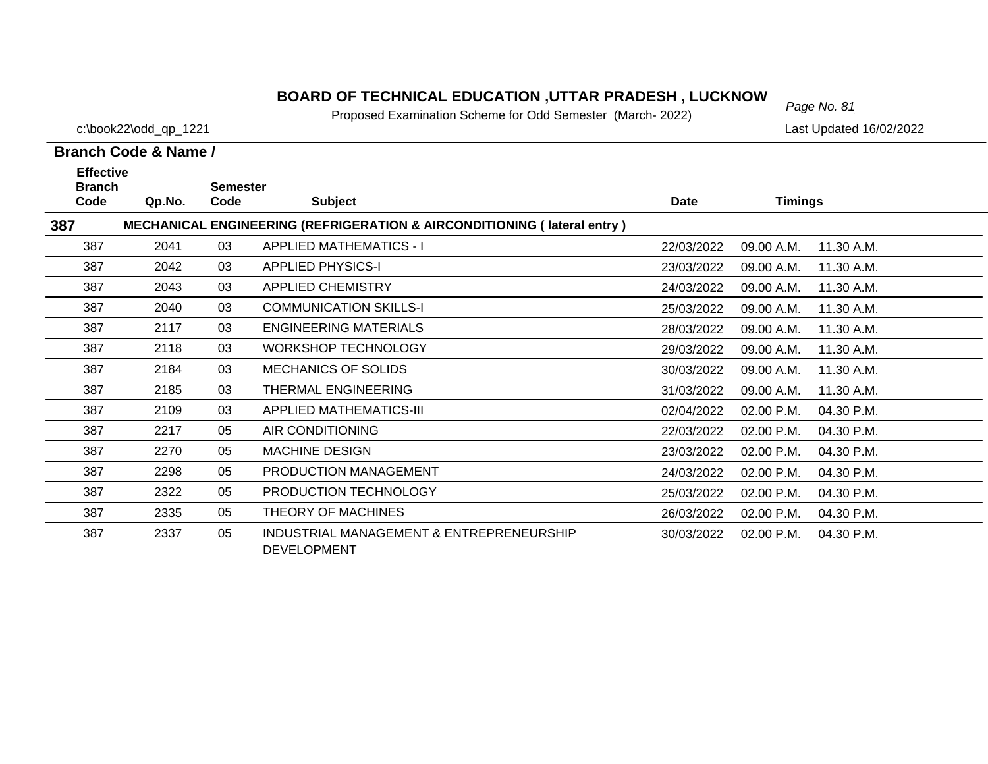# *Page No. 81* **BOARD OF TECHNICAL EDUCATION ,UTTAR PRADESH , LUCKNOW**

Proposed Examination Scheme for Odd Semester (March- 2022)

c:\book22\odd\_qp\_1221 Last Updated 16/02/2022

| <b>Effective</b><br><b>Branch</b> |        | <b>Semester</b> |                                                                                    |            |                |            |
|-----------------------------------|--------|-----------------|------------------------------------------------------------------------------------|------------|----------------|------------|
| Code                              | Qp.No. | Code            | <b>Subject</b>                                                                     | Date       | <b>Timings</b> |            |
| 387                               |        |                 | <b>MECHANICAL ENGINEERING (REFRIGERATION &amp; AIRCONDITIONING (Iateral entry)</b> |            |                |            |
| 387                               | 2041   | 03              | <b>APPLIED MATHEMATICS - I</b>                                                     | 22/03/2022 | 09.00 A.M.     | 11.30 A.M. |
| 387                               | 2042   | 03              | <b>APPLIED PHYSICS-I</b>                                                           | 23/03/2022 | 09.00 A.M.     | 11.30 A.M. |
| 387                               | 2043   | 03              | <b>APPLIED CHEMISTRY</b>                                                           | 24/03/2022 | 09.00 A.M.     | 11.30 A.M. |
| 387                               | 2040   | 03              | <b>COMMUNICATION SKILLS-I</b>                                                      | 25/03/2022 | 09.00 A.M.     | 11.30 A.M. |
| 387                               | 2117   | 03              | <b>ENGINEERING MATERIALS</b>                                                       | 28/03/2022 | 09.00 A.M.     | 11.30 A.M. |
| 387                               | 2118   | 03              | <b>WORKSHOP TECHNOLOGY</b>                                                         | 29/03/2022 | 09.00 A.M.     | 11.30 A.M. |
| 387                               | 2184   | 03              | <b>MECHANICS OF SOLIDS</b>                                                         | 30/03/2022 | 09.00 A.M.     | 11.30 A.M. |
| 387                               | 2185   | 03              | THERMAL ENGINEERING                                                                | 31/03/2022 | 09.00 A.M.     | 11.30 A.M. |
| 387                               | 2109   | 03              | <b>APPLIED MATHEMATICS-III</b>                                                     | 02/04/2022 | 02.00 P.M.     | 04.30 P.M. |
| 387                               | 2217   | 05              | AIR CONDITIONING                                                                   | 22/03/2022 | 02.00 P.M.     | 04.30 P.M. |
| 387                               | 2270   | 05              | <b>MACHINE DESIGN</b>                                                              | 23/03/2022 | 02.00 P.M.     | 04.30 P.M. |
| 387                               | 2298   | 05              | PRODUCTION MANAGEMENT                                                              | 24/03/2022 | 02.00 P.M.     | 04.30 P.M. |
| 387                               | 2322   | 05              | PRODUCTION TECHNOLOGY                                                              | 25/03/2022 | 02.00 P.M.     | 04.30 P.M. |
| 387                               | 2335   | 05              | THEORY OF MACHINES                                                                 | 26/03/2022 | 02.00 P.M.     | 04.30 P.M. |
| 387                               | 2337   | 05              | INDUSTRIAL MANAGEMENT & ENTREPRENEURSHIP<br><b>DEVELOPMENT</b>                     | 30/03/2022 | 02.00 P.M.     | 04.30 P.M. |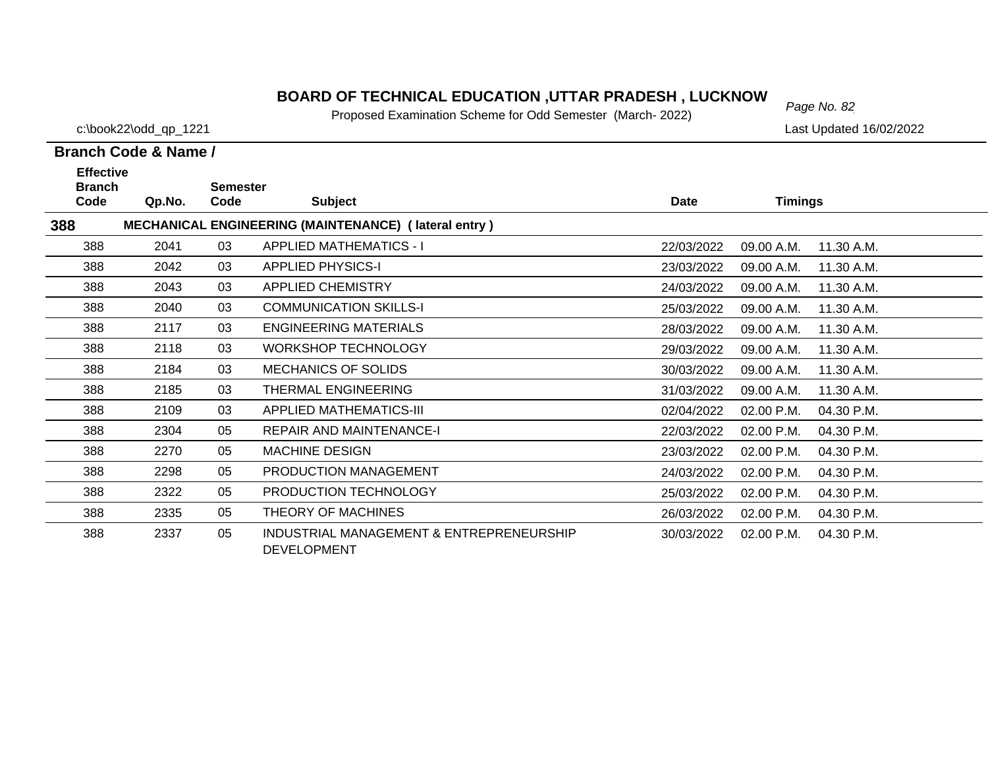# *Page No. 82* **BOARD OF TECHNICAL EDUCATION ,UTTAR PRADESH , LUCKNOW**

Proposed Examination Scheme for Odd Semester (March- 2022)

c:\book22\odd\_qp\_1221 Last Updated 16/02/2022

| <b>Effective</b><br><b>Branch</b> |        | <b>Semester</b> |                                                                |            |                |            |
|-----------------------------------|--------|-----------------|----------------------------------------------------------------|------------|----------------|------------|
| Code                              | Qp.No. | Code            | <b>Subject</b>                                                 | Date       | <b>Timings</b> |            |
| 388                               |        |                 | MECHANICAL ENGINEERING (MAINTENANCE) (lateral entry)           |            |                |            |
| 388                               | 2041   | 03              | <b>APPLIED MATHEMATICS - I</b>                                 | 22/03/2022 | 09.00 A.M.     | 11.30 A.M. |
| 388                               | 2042   | 03              | <b>APPLIED PHYSICS-I</b>                                       | 23/03/2022 | 09.00 A.M.     | 11.30 A.M. |
| 388                               | 2043   | 03              | <b>APPLIED CHEMISTRY</b>                                       | 24/03/2022 | 09.00 A.M.     | 11.30 A.M. |
| 388                               | 2040   | 03              | <b>COMMUNICATION SKILLS-I</b>                                  | 25/03/2022 | 09.00 A.M.     | 11.30 A.M. |
| 388                               | 2117   | 03              | <b>ENGINEERING MATERIALS</b>                                   | 28/03/2022 | 09.00 A.M.     | 11.30 A.M. |
| 388                               | 2118   | 03              | <b>WORKSHOP TECHNOLOGY</b>                                     | 29/03/2022 | 09.00 A.M.     | 11.30 A.M. |
| 388                               | 2184   | 03              | <b>MECHANICS OF SOLIDS</b>                                     | 30/03/2022 | 09.00 A.M.     | 11.30 A.M. |
| 388                               | 2185   | 03              | THERMAL ENGINEERING                                            | 31/03/2022 | 09.00 A.M.     | 11.30 A.M. |
| 388                               | 2109   | 03              | <b>APPLIED MATHEMATICS-III</b>                                 | 02/04/2022 | 02.00 P.M.     | 04.30 P.M. |
| 388                               | 2304   | 05              | <b>REPAIR AND MAINTENANCE-I</b>                                | 22/03/2022 | 02.00 P.M.     | 04.30 P.M. |
| 388                               | 2270   | 05              | <b>MACHINE DESIGN</b>                                          | 23/03/2022 | 02.00 P.M.     | 04.30 P.M. |
| 388                               | 2298   | 05              | PRODUCTION MANAGEMENT                                          | 24/03/2022 | 02.00 P.M.     | 04.30 P.M. |
| 388                               | 2322   | 05              | PRODUCTION TECHNOLOGY                                          | 25/03/2022 | 02.00 P.M.     | 04.30 P.M. |
| 388                               | 2335   | 05              | THEORY OF MACHINES                                             | 26/03/2022 | 02.00 P.M.     | 04.30 P.M. |
| 388                               | 2337   | 05              | INDUSTRIAL MANAGEMENT & ENTREPRENEURSHIP<br><b>DEVELOPMENT</b> | 30/03/2022 | 02.00 P.M.     | 04.30 P.M. |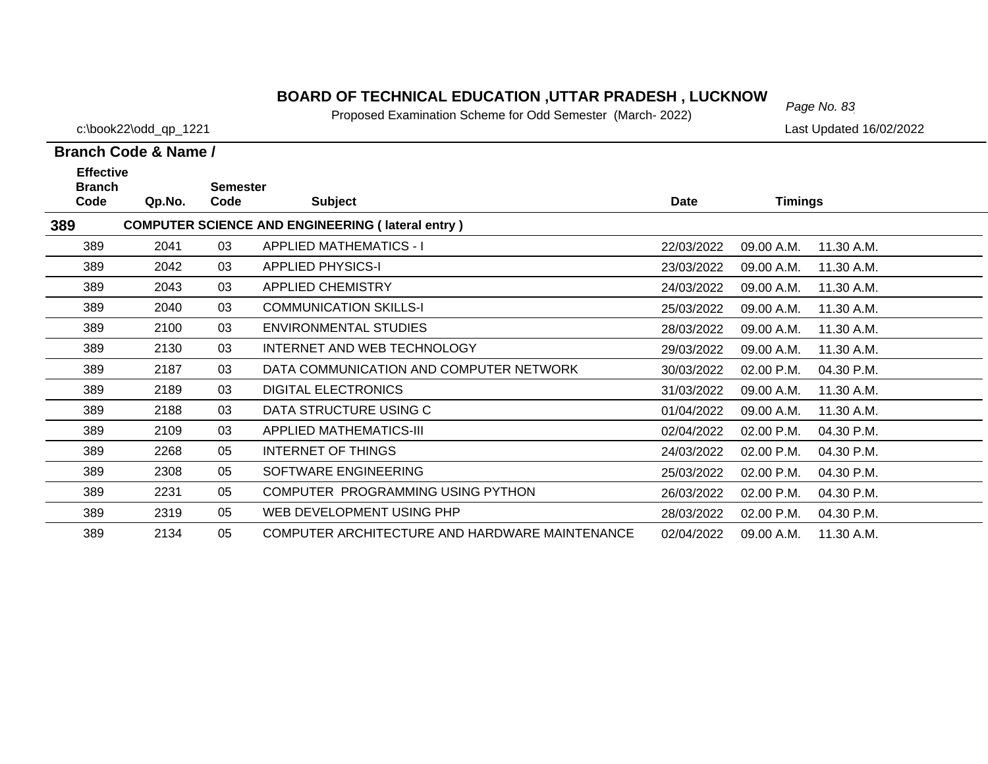# *Page No. 83* **BOARD OF TECHNICAL EDUCATION ,UTTAR PRADESH , LUCKNOW**

Proposed Examination Scheme for Odd Semester (March- 2022)

c:\book22\odd\_qp\_1221 Last Updated 16/02/2022

| <b>Effective</b>                                               |        |                         |                                                |             |                |            |  |  |  |  |
|----------------------------------------------------------------|--------|-------------------------|------------------------------------------------|-------------|----------------|------------|--|--|--|--|
| <b>Branch</b><br>Code                                          | Qp.No. | <b>Semester</b><br>Code | <b>Subject</b>                                 | <b>Date</b> | <b>Timings</b> |            |  |  |  |  |
| 389<br><b>COMPUTER SCIENCE AND ENGINEERING (lateral entry)</b> |        |                         |                                                |             |                |            |  |  |  |  |
| 389                                                            | 2041   | 03                      | <b>APPLIED MATHEMATICS - I</b>                 | 22/03/2022  | 09.00 A.M.     | 11.30 A.M. |  |  |  |  |
| 389                                                            | 2042   | 03                      | <b>APPLIED PHYSICS-I</b>                       | 23/03/2022  | 09.00 A.M.     | 11.30 A.M. |  |  |  |  |
| 389                                                            | 2043   | 03                      | <b>APPLIED CHEMISTRY</b>                       | 24/03/2022  | 09.00 A.M.     | 11.30 A.M. |  |  |  |  |
| 389                                                            | 2040   | 03                      | <b>COMMUNICATION SKILLS-I</b>                  | 25/03/2022  | 09.00 A.M.     | 11.30 A.M. |  |  |  |  |
| 389                                                            | 2100   | 03                      | <b>ENVIRONMENTAL STUDIES</b>                   | 28/03/2022  | 09.00 A.M.     | 11.30 A.M. |  |  |  |  |
| 389                                                            | 2130   | 03                      | INTERNET AND WEB TECHNOLOGY                    | 29/03/2022  | 09.00 A.M.     | 11.30 A.M. |  |  |  |  |
| 389                                                            | 2187   | 03                      | DATA COMMUNICATION AND COMPUTER NETWORK        | 30/03/2022  | 02.00 P.M.     | 04.30 P.M. |  |  |  |  |
| 389                                                            | 2189   | 03                      | <b>DIGITAL ELECTRONICS</b>                     | 31/03/2022  | 09.00 A.M.     | 11.30 A.M. |  |  |  |  |
| 389                                                            | 2188   | 03                      | DATA STRUCTURE USING C                         | 01/04/2022  | 09.00 A.M.     | 11.30 A.M. |  |  |  |  |
| 389                                                            | 2109   | 03                      | <b>APPLIED MATHEMATICS-III</b>                 | 02/04/2022  | 02.00 P.M.     | 04.30 P.M. |  |  |  |  |
| 389                                                            | 2268   | 05                      | INTERNET OF THINGS                             | 24/03/2022  | 02.00 P.M.     | 04.30 P.M. |  |  |  |  |
| 389                                                            | 2308   | 05                      | SOFTWARE ENGINEERING                           | 25/03/2022  | 02.00 P.M.     | 04.30 P.M. |  |  |  |  |
| 389                                                            | 2231   | 05                      | COMPUTER PROGRAMMING USING PYTHON              | 26/03/2022  | 02.00 P.M.     | 04.30 P.M. |  |  |  |  |
| 389                                                            | 2319   | 05                      | WEB DEVELOPMENT USING PHP                      | 28/03/2022  | 02.00 P.M.     | 04.30 P.M. |  |  |  |  |
| 389                                                            | 2134   | 05                      | COMPUTER ARCHITECTURE AND HARDWARE MAINTENANCE | 02/04/2022  | 09.00 A.M.     | 11.30 A.M. |  |  |  |  |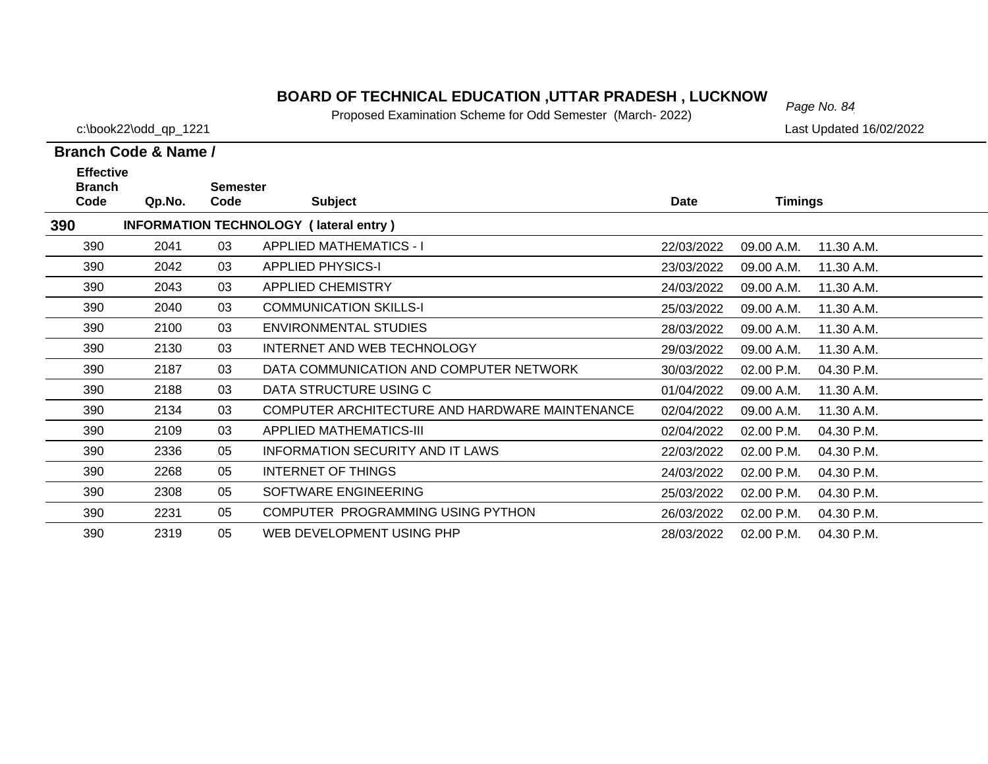# *Page No. 84* **BOARD OF TECHNICAL EDUCATION ,UTTAR PRADESH , LUCKNOW**

Proposed Examination Scheme for Odd Semester (March- 2022)

c:\book22\odd\_qp\_1221 Last Updated 16/02/2022

| <b>Effective</b>                                     |        |                         |                                                |            |                |            |  |  |  |  |
|------------------------------------------------------|--------|-------------------------|------------------------------------------------|------------|----------------|------------|--|--|--|--|
| <b>Branch</b><br>Code                                | Qp.No. | <b>Semester</b><br>Code | <b>Subject</b>                                 | Date       | <b>Timings</b> |            |  |  |  |  |
| <b>INFORMATION TECHNOLOGY (lateral entry)</b><br>390 |        |                         |                                                |            |                |            |  |  |  |  |
| 390                                                  | 2041   | 03                      | <b>APPLIED MATHEMATICS - I</b>                 | 22/03/2022 | 09.00 A.M.     | 11.30 A.M. |  |  |  |  |
| 390                                                  | 2042   | 03                      | <b>APPLIED PHYSICS-I</b>                       | 23/03/2022 | 09.00 A.M.     | 11.30 A.M. |  |  |  |  |
| 390                                                  | 2043   | 03                      | <b>APPLIED CHEMISTRY</b>                       | 24/03/2022 | 09.00 A.M.     | 11.30 A.M. |  |  |  |  |
| 390                                                  | 2040   | 03                      | <b>COMMUNICATION SKILLS-I</b>                  | 25/03/2022 | 09.00 A.M.     | 11.30 A.M. |  |  |  |  |
| 390                                                  | 2100   | 03                      | <b>ENVIRONMENTAL STUDIES</b>                   | 28/03/2022 | 09.00 A.M.     | 11.30 A.M. |  |  |  |  |
| 390                                                  | 2130   | 03                      | INTERNET AND WEB TECHNOLOGY                    | 29/03/2022 | 09.00 A.M.     | 11.30 A.M. |  |  |  |  |
| 390                                                  | 2187   | 03                      | DATA COMMUNICATION AND COMPUTER NETWORK        | 30/03/2022 | 02.00 P.M.     | 04.30 P.M. |  |  |  |  |
| 390                                                  | 2188   | 03                      | DATA STRUCTURE USING C                         | 01/04/2022 | 09.00 A.M.     | 11.30 A.M. |  |  |  |  |
| 390                                                  | 2134   | 03                      | COMPUTER ARCHITECTURE AND HARDWARE MAINTENANCE | 02/04/2022 | 09.00 A.M.     | 11.30 A.M. |  |  |  |  |
| 390                                                  | 2109   | 03                      | APPLIED MATHEMATICS-III                        | 02/04/2022 | 02.00 P.M.     | 04.30 P.M. |  |  |  |  |
| 390                                                  | 2336   | 05                      | INFORMATION SECURITY AND IT LAWS               | 22/03/2022 | 02.00 P.M.     | 04.30 P.M. |  |  |  |  |
| 390                                                  | 2268   | 05                      | INTERNET OF THINGS                             | 24/03/2022 | 02.00 P.M.     | 04.30 P.M. |  |  |  |  |
| 390                                                  | 2308   | 05                      | SOFTWARE ENGINEERING                           | 25/03/2022 | 02.00 P.M.     | 04.30 P.M. |  |  |  |  |
| 390                                                  | 2231   | 05                      | COMPUTER PROGRAMMING USING PYTHON              | 26/03/2022 | 02.00 P.M.     | 04.30 P.M. |  |  |  |  |
| 390                                                  | 2319   | 05                      | WEB DEVELOPMENT USING PHP                      | 28/03/2022 | 02.00 P.M.     | 04.30 P.M. |  |  |  |  |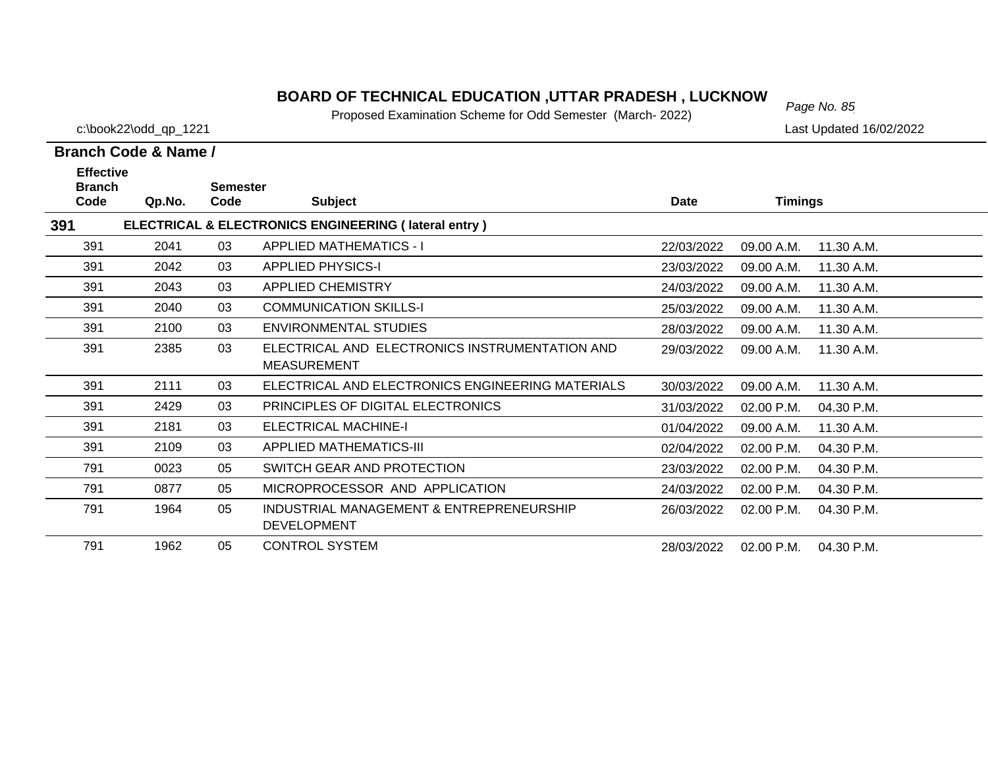# *Page No. 85* **BOARD OF TECHNICAL EDUCATION ,UTTAR PRADESH , LUCKNOW**

Proposed Examination Scheme for Odd Semester (March- 2022)

c:\book22\odd\_qp\_1221 Last Updated 16/02/2022

| <b>Effective</b><br><b>Branch</b> |        | <b>Semester</b> |                                                                      |            |                |              |
|-----------------------------------|--------|-----------------|----------------------------------------------------------------------|------------|----------------|--------------|
| Code                              | Qp.No. | Code            | <b>Subject</b>                                                       | Date       | <b>Timings</b> |              |
| 391                               |        |                 | ELECTRICAL & ELECTRONICS ENGINEERING (lateral entry)                 |            |                |              |
| 391                               | 2041   | 03              | <b>APPLIED MATHEMATICS - I</b>                                       | 22/03/2022 | 09.00 A.M.     | 11.30 A.M.   |
| 391                               | 2042   | 03              | <b>APPLIED PHYSICS-I</b>                                             | 23/03/2022 | 09.00 A.M.     | 11.30 A.M.   |
| 391                               | 2043   | 03              | <b>APPLIED CHEMISTRY</b>                                             | 24/03/2022 | 09.00 A.M.     | 11.30 A.M.   |
| 391                               | 2040   | 03              | <b>COMMUNICATION SKILLS-I</b>                                        | 25/03/2022 | 09.00 A.M.     | 11.30 A.M.   |
| 391                               | 2100   | 03              | ENVIRONMENTAL STUDIES                                                | 28/03/2022 | 09.00 A.M.     | 11.30 A.M.   |
| 391                               | 2385   | 03              | ELECTRICAL AND ELECTRONICS INSTRUMENTATION AND<br><b>MEASUREMENT</b> | 29/03/2022 | 09.00 A.M.     | 11.30 A.M.   |
| 391                               | 2111   | 03              | ELECTRICAL AND ELECTRONICS ENGINEERING MATERIALS                     | 30/03/2022 | 09.00 A.M.     | 11.30 A.M.   |
| 391                               | 2429   | 03              | PRINCIPLES OF DIGITAL ELECTRONICS                                    | 31/03/2022 | 02.00 P.M.     | 04.30 P.M.   |
| 391                               | 2181   | 03              | <b>ELECTRICAL MACHINE-I</b>                                          | 01/04/2022 | 09.00 A.M.     | 11.30 A.M.   |
| 391                               | 2109   | 03              | <b>APPLIED MATHEMATICS-III</b>                                       | 02/04/2022 | 02.00 P.M.     | 04.30 P.M.   |
| 791                               | 0023   | 05              | SWITCH GEAR AND PROTECTION                                           | 23/03/2022 | 02.00 P.M.     | 04.30 P.M.   |
| 791                               | 0877   | 05              | MICROPROCESSOR AND APPLICATION                                       | 24/03/2022 | 02.00 P.M.     | 04.30 P.M.   |
| 791                               | 1964   | 05              | INDUSTRIAL MANAGEMENT & ENTREPRENEURSHIP<br><b>DEVELOPMENT</b>       | 26/03/2022 | 02.00 P.M.     | $04.30$ P.M. |
| 791                               | 1962   | 05              | <b>CONTROL SYSTEM</b>                                                | 28/03/2022 | 02.00 P.M.     | 04.30 P.M.   |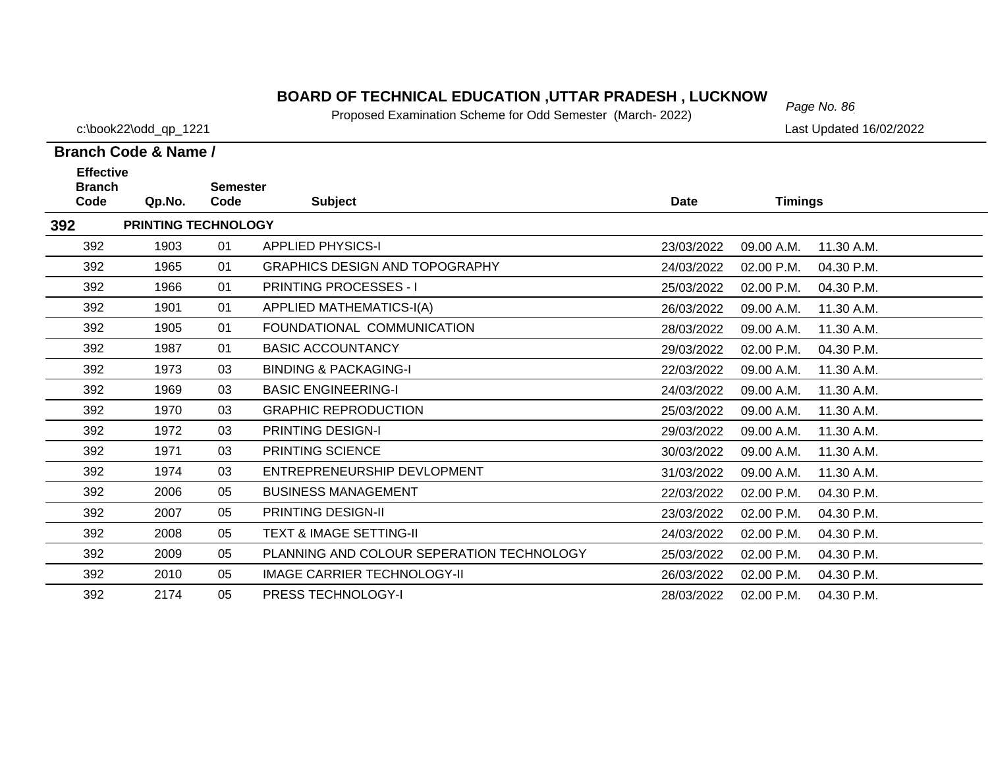# *Page No. 86* **BOARD OF TECHNICAL EDUCATION ,UTTAR PRADESH , LUCKNOW**

Proposed Examination Scheme for Odd Semester (March- 2022)

c:\book22\odd\_qp\_1221 Last Updated 16/02/2022

| <b>Effective</b>      |                            |                         |                                           |             |                |            |
|-----------------------|----------------------------|-------------------------|-------------------------------------------|-------------|----------------|------------|
| <b>Branch</b><br>Code | Qp.No.                     | <b>Semester</b><br>Code | <b>Subject</b>                            | <b>Date</b> | <b>Timings</b> |            |
| 392                   | <b>PRINTING TECHNOLOGY</b> |                         |                                           |             |                |            |
| 392                   | 1903                       | 01                      | <b>APPLIED PHYSICS-I</b>                  | 23/03/2022  | 09.00 A.M.     | 11.30 A.M. |
| 392                   | 1965                       | 01                      | <b>GRAPHICS DESIGN AND TOPOGRAPHY</b>     | 24/03/2022  | 02.00 P.M.     | 04.30 P.M. |
| 392                   | 1966                       | 01                      | <b>PRINTING PROCESSES - I</b>             | 25/03/2022  | 02.00 P.M.     | 04.30 P.M. |
| 392                   | 1901                       | 01                      | <b>APPLIED MATHEMATICS-I(A)</b>           | 26/03/2022  | 09.00 A.M.     | 11.30 A.M. |
| 392                   | 1905                       | 01                      | FOUNDATIONAL COMMUNICATION                | 28/03/2022  | 09.00 A.M.     | 11.30 A.M. |
| 392                   | 1987                       | 01                      | <b>BASIC ACCOUNTANCY</b>                  | 29/03/2022  | 02.00 P.M.     | 04.30 P.M. |
| 392                   | 1973                       | 03                      | <b>BINDING &amp; PACKAGING-I</b>          | 22/03/2022  | 09.00 A.M.     | 11.30 A.M. |
| 392                   | 1969                       | 03                      | <b>BASIC ENGINEERING-I</b>                | 24/03/2022  | 09.00 A.M.     | 11.30 A.M. |
| 392                   | 1970                       | 03                      | <b>GRAPHIC REPRODUCTION</b>               | 25/03/2022  | 09.00 A.M.     | 11.30 A.M. |
| 392                   | 1972                       | 03                      | <b>PRINTING DESIGN-I</b>                  | 29/03/2022  | 09.00 A.M.     | 11.30 A.M. |
| 392                   | 1971                       | 03                      | PRINTING SCIENCE                          | 30/03/2022  | 09.00 A.M.     | 11.30 A.M. |
| 392                   | 1974                       | 03                      | ENTREPRENEURSHIP DEVLOPMENT               | 31/03/2022  | 09.00 A.M.     | 11.30 A.M. |
| 392                   | 2006                       | 05                      | <b>BUSINESS MANAGEMENT</b>                | 22/03/2022  | 02.00 P.M.     | 04.30 P.M. |
| 392                   | 2007                       | 05                      | PRINTING DESIGN-II                        | 23/03/2022  | 02.00 P.M.     | 04.30 P.M. |
| 392                   | 2008                       | 05                      | <b>TEXT &amp; IMAGE SETTING-II</b>        | 24/03/2022  | 02.00 P.M.     | 04.30 P.M. |
| 392                   | 2009                       | 05                      | PLANNING AND COLOUR SEPERATION TECHNOLOGY | 25/03/2022  | 02.00 P.M.     | 04.30 P.M. |
| 392                   | 2010                       | 05                      | <b>IMAGE CARRIER TECHNOLOGY-II</b>        | 26/03/2022  | 02.00 P.M.     | 04.30 P.M. |
| 392                   | 2174                       | 05                      | PRESS TECHNOLOGY-I                        | 28/03/2022  | 02.00 P.M.     | 04.30 P.M. |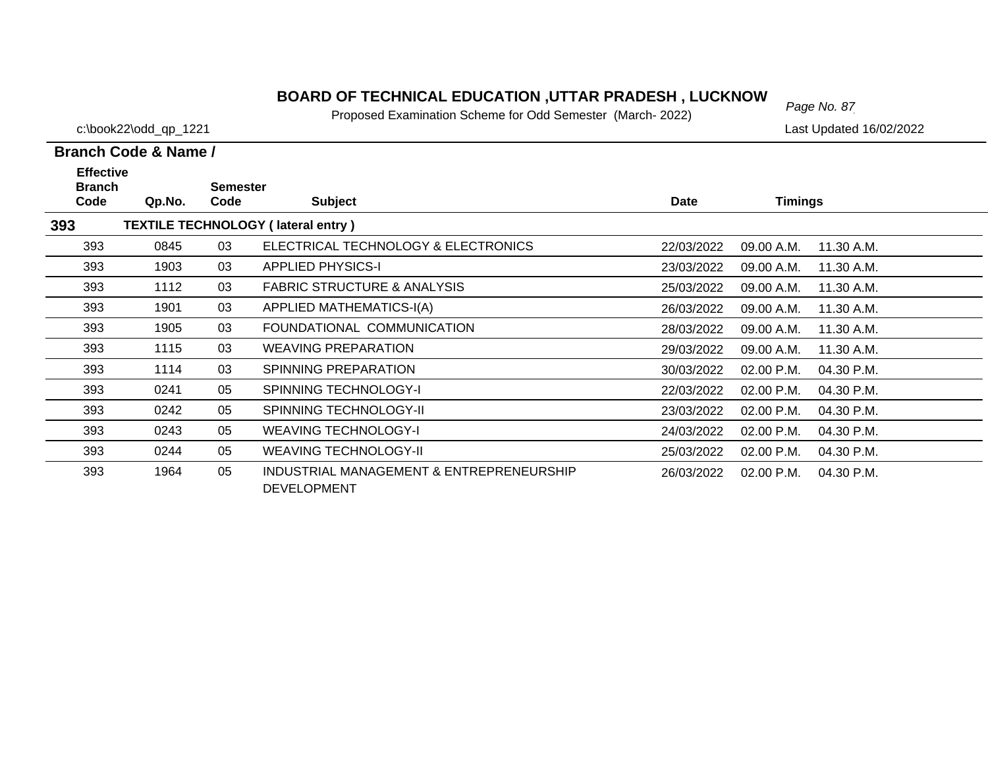# *Page No. 87* **BOARD OF TECHNICAL EDUCATION ,UTTAR PRADESH , LUCKNOW**

Proposed Examination Scheme for Odd Semester (March- 2022)

c:\book22\odd\_qp\_1221 Last Updated 16/02/2022

| <b>Effective</b><br><b>Branch</b> |        | <b>Semester</b> |                                                                |            |                |            |
|-----------------------------------|--------|-----------------|----------------------------------------------------------------|------------|----------------|------------|
| Code                              | Qp.No. | Code            | <b>Subject</b>                                                 | Date       | <b>Timings</b> |            |
| 393                               |        |                 | <b>TEXTILE TECHNOLOGY (lateral entry)</b>                      |            |                |            |
| 393                               | 0845   | 03              | ELECTRICAL TECHNOLOGY & ELECTRONICS                            | 22/03/2022 | 09.00 A.M.     | 11.30 A.M. |
| 393                               | 1903   | 03              | <b>APPLIED PHYSICS-I</b>                                       | 23/03/2022 | 09.00 A.M.     | 11.30 A.M. |
| 393                               | 1112   | 03              | <b>FABRIC STRUCTURE &amp; ANALYSIS</b>                         | 25/03/2022 | 09.00 A.M.     | 11.30 A.M. |
| 393                               | 1901   | 03              | APPLIED MATHEMATICS-I(A)                                       | 26/03/2022 | 09.00 A.M.     | 11.30 A.M. |
| 393                               | 1905   | 03              | FOUNDATIONAL COMMUNICATION                                     | 28/03/2022 | 09.00 A.M.     | 11.30 A.M. |
| 393                               | 1115   | 03              | <b>WEAVING PREPARATION</b>                                     | 29/03/2022 | 09.00 A.M.     | 11.30 A.M. |
| 393                               | 1114   | 03              | SPINNING PREPARATION                                           | 30/03/2022 | 02.00 P.M.     | 04.30 P.M. |
| 393                               | 0241   | 05              | <b>SPINNING TECHNOLOGY-I</b>                                   | 22/03/2022 | 02.00 P.M.     | 04.30 P.M. |
| 393                               | 0242   | 05              | SPINNING TECHNOLOGY-II                                         | 23/03/2022 | 02.00 P.M.     | 04.30 P.M. |
| 393                               | 0243   | 05              | <b>WEAVING TECHNOLOGY-I</b>                                    | 24/03/2022 | 02.00 P.M.     | 04.30 P.M. |
| 393                               | 0244   | 05              | <b>WEAVING TECHNOLOGY-II</b>                                   | 25/03/2022 | 02.00 P.M.     | 04.30 P.M. |
| 393                               | 1964   | 05              | INDUSTRIAL MANAGEMENT & ENTREPRENEURSHIP<br><b>DEVELOPMENT</b> | 26/03/2022 | 02.00 P.M.     | 04.30 P.M. |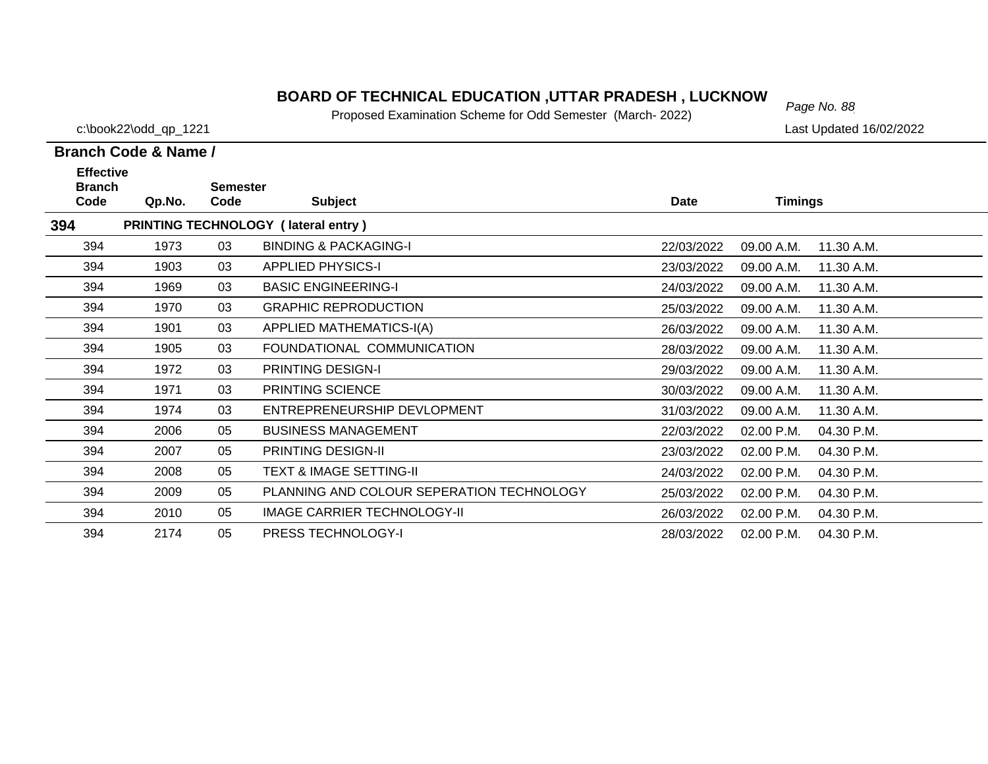### *Page No. 88* **BOARD OF TECHNICAL EDUCATION ,UTTAR PRADESH , LUCKNOW**

Proposed Examination Scheme for Odd Semester (March- 2022)

c:\book22\odd\_qp\_1221 Last Updated 16/02/2022

### **Branch Code Qp.No. Semester Branch Code & Name / Effective**

| Code | Qp.No.                                     | Code | <b>Subject</b>                            | <b>Date</b> | Timings                  |  |  |  |
|------|--------------------------------------------|------|-------------------------------------------|-------------|--------------------------|--|--|--|
| 394  | <b>PRINTING TECHNOLOGY (lateral entry)</b> |      |                                           |             |                          |  |  |  |
| 394  | 1973                                       | 03   | <b>BINDING &amp; PACKAGING-I</b>          | 22/03/2022  | 11.30 A.M.<br>09.00 A.M. |  |  |  |
| 394  | 1903                                       | 03   | <b>APPLIED PHYSICS-I</b>                  | 23/03/2022  | 11.30 A.M.<br>09.00 A.M. |  |  |  |
| 394  | 1969                                       | 03   | <b>BASIC ENGINEERING-I</b>                | 24/03/2022  | 09.00 A.M.<br>11.30 A.M. |  |  |  |
| 394  | 1970                                       | 03   | <b>GRAPHIC REPRODUCTION</b>               | 25/03/2022  | 11.30 A.M.<br>09.00 A.M. |  |  |  |
| 394  | 1901                                       | 03   | APPLIED MATHEMATICS-I(A)                  | 26/03/2022  | 11.30 A.M.<br>09.00 A.M. |  |  |  |
| 394  | 1905                                       | 03   | FOUNDATIONAL COMMUNICATION                | 28/03/2022  | 11.30 A.M.<br>09.00 A.M. |  |  |  |
| 394  | 1972                                       | 03   | <b>PRINTING DESIGN-I</b>                  | 29/03/2022  | 09.00 A.M.<br>11.30 A.M. |  |  |  |
| 394  | 1971                                       | 03   | PRINTING SCIENCE                          | 30/03/2022  | 09.00 A.M.<br>11.30 A.M. |  |  |  |
| 394  | 1974                                       | 03   | ENTREPRENEURSHIP DEVLOPMENT               | 31/03/2022  | 09.00 A.M.<br>11.30 A.M. |  |  |  |
| 394  | 2006                                       | 05   | <b>BUSINESS MANAGEMENT</b>                | 22/03/2022  | 02.00 P.M.<br>04.30 P.M. |  |  |  |
| 394  | 2007                                       | 05   | <b>PRINTING DESIGN-II</b>                 | 23/03/2022  | 02.00 P.M.<br>04.30 P.M. |  |  |  |
| 394  | 2008                                       | 05   | <b>TEXT &amp; IMAGE SETTING-II</b>        | 24/03/2022  | 02.00 P.M.<br>04.30 P.M. |  |  |  |
| 394  | 2009                                       | 05   | PLANNING AND COLOUR SEPERATION TECHNOLOGY | 25/03/2022  | 04.30 P.M.<br>02.00 P.M. |  |  |  |
| 394  | 2010                                       | 05   | IMAGE CARRIER TECHNOLOGY-II               | 26/03/2022  | 02.00 P.M.<br>04.30 P.M. |  |  |  |
| 394  | 2174                                       | 05   | <b>PRESS TECHNOLOGY-I</b>                 | 28/03/2022  | 02.00 P.M.<br>04.30 P.M. |  |  |  |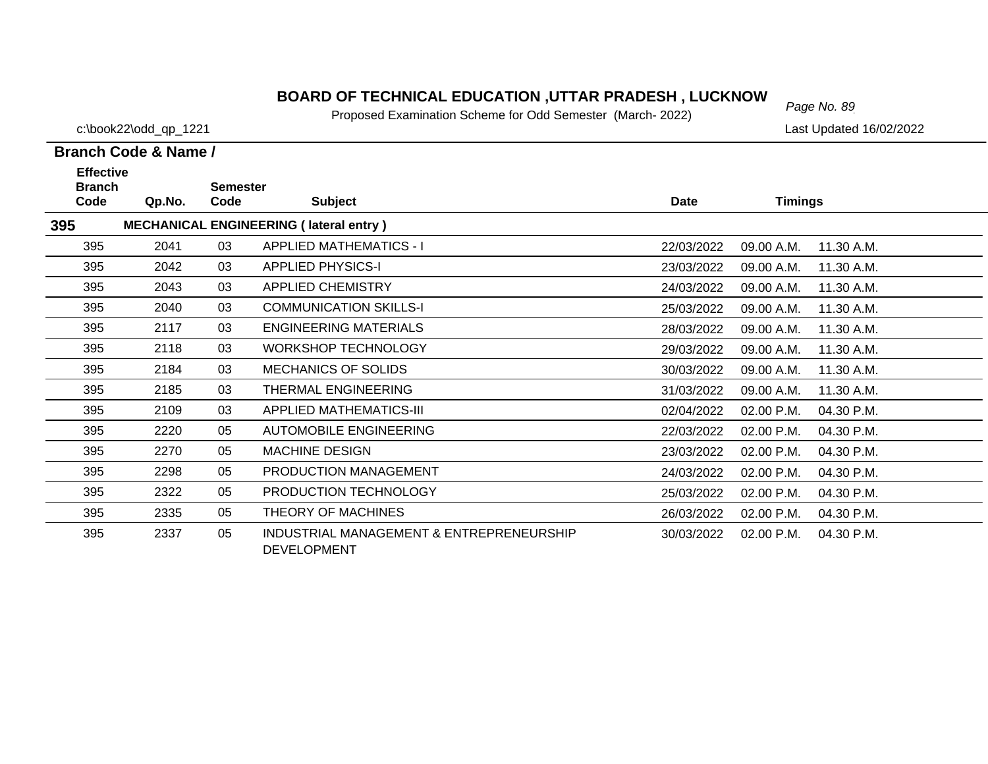# *Page No. 89* **BOARD OF TECHNICAL EDUCATION ,UTTAR PRADESH , LUCKNOW**

Proposed Examination Scheme for Odd Semester (March- 2022)

c:\book22\odd\_qp\_1221 Last Updated 16/02/2022

| <b>Effective</b><br><b>Branch</b> |        | <b>Semester</b> |                                                                |             |                |            |
|-----------------------------------|--------|-----------------|----------------------------------------------------------------|-------------|----------------|------------|
| Code                              | Qp.No. | Code            | <b>Subject</b>                                                 | <b>Date</b> | <b>Timings</b> |            |
| 395                               |        |                 | <b>MECHANICAL ENGINEERING (lateral entry)</b>                  |             |                |            |
| 395                               | 2041   | 03              | <b>APPLIED MATHEMATICS - I</b>                                 | 22/03/2022  | 09.00 A.M.     | 11.30 A.M. |
| 395                               | 2042   | 03              | <b>APPLIED PHYSICS-I</b>                                       | 23/03/2022  | 09.00 A.M.     | 11.30 A.M. |
| 395                               | 2043   | 03              | <b>APPLIED CHEMISTRY</b>                                       | 24/03/2022  | 09.00 A.M.     | 11.30 A.M. |
| 395                               | 2040   | 03              | <b>COMMUNICATION SKILLS-I</b>                                  | 25/03/2022  | 09.00 A.M.     | 11.30 A.M. |
| 395                               | 2117   | 03              | <b>ENGINEERING MATERIALS</b>                                   | 28/03/2022  | 09.00 A.M.     | 11.30 A.M. |
| 395                               | 2118   | 03              | <b>WORKSHOP TECHNOLOGY</b>                                     | 29/03/2022  | 09.00 A.M.     | 11.30 A.M. |
| 395                               | 2184   | 03              | <b>MECHANICS OF SOLIDS</b>                                     | 30/03/2022  | 09.00 A.M.     | 11.30 A.M. |
| 395                               | 2185   | 03              | <b>THERMAL ENGINEERING</b>                                     | 31/03/2022  | 09.00 A.M.     | 11.30 A.M. |
| 395                               | 2109   | 03              | <b>APPLIED MATHEMATICS-III</b>                                 | 02/04/2022  | 02.00 P.M.     | 04.30 P.M. |
| 395                               | 2220   | 05              | <b>AUTOMOBILE ENGINEERING</b>                                  | 22/03/2022  | 02.00 P.M.     | 04.30 P.M. |
| 395                               | 2270   | 05              | <b>MACHINE DESIGN</b>                                          | 23/03/2022  | 02.00 P.M.     | 04.30 P.M. |
| 395                               | 2298   | 05              | PRODUCTION MANAGEMENT                                          | 24/03/2022  | 02.00 P.M.     | 04.30 P.M. |
| 395                               | 2322   | 05              | PRODUCTION TECHNOLOGY                                          | 25/03/2022  | 02.00 P.M.     | 04.30 P.M. |
| 395                               | 2335   | 05              | THEORY OF MACHINES                                             | 26/03/2022  | 02.00 P.M.     | 04.30 P.M. |
| 395                               | 2337   | 05              | INDUSTRIAL MANAGEMENT & ENTREPRENEURSHIP<br><b>DEVELOPMENT</b> | 30/03/2022  | 02.00 P.M.     | 04.30 P.M. |